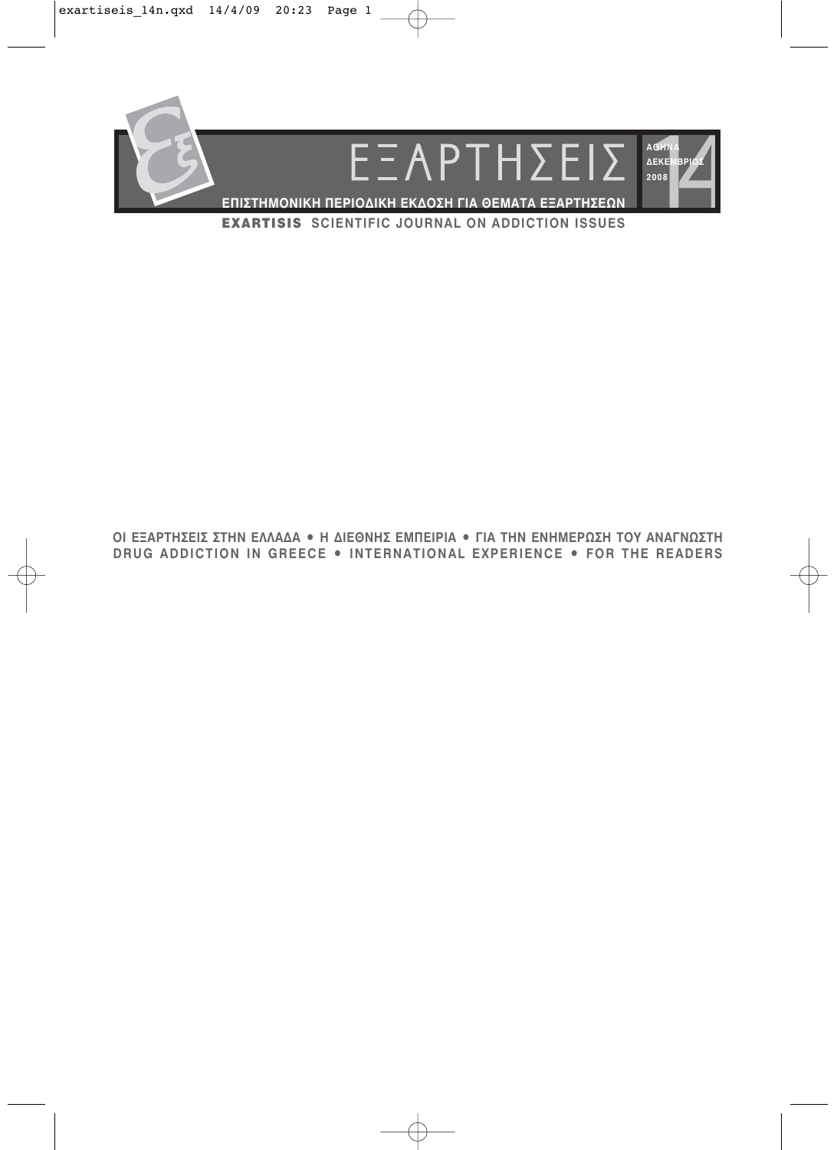

exartiseis\_14n.qxd  $14/4/09$  20:23 Page 1

ΟΙ ΕΞΑΡΤΗΣΕΙΣ ΣΤΗΝ ΕΛΛΑΔΑ • Η ΔΙΕΘΝΗΣ ΕΜΠΕΙΡΙΑ • ΓΙΑ ΤΗΝ ΕΝΗΜΕΡΩΣΗ ΤΟΥ ΑΝΑΓΝΩΣΤΗ DRUG ADDICTION IN GREECE . INTERNATIONAL EXPERIENCE . FOR THE READERS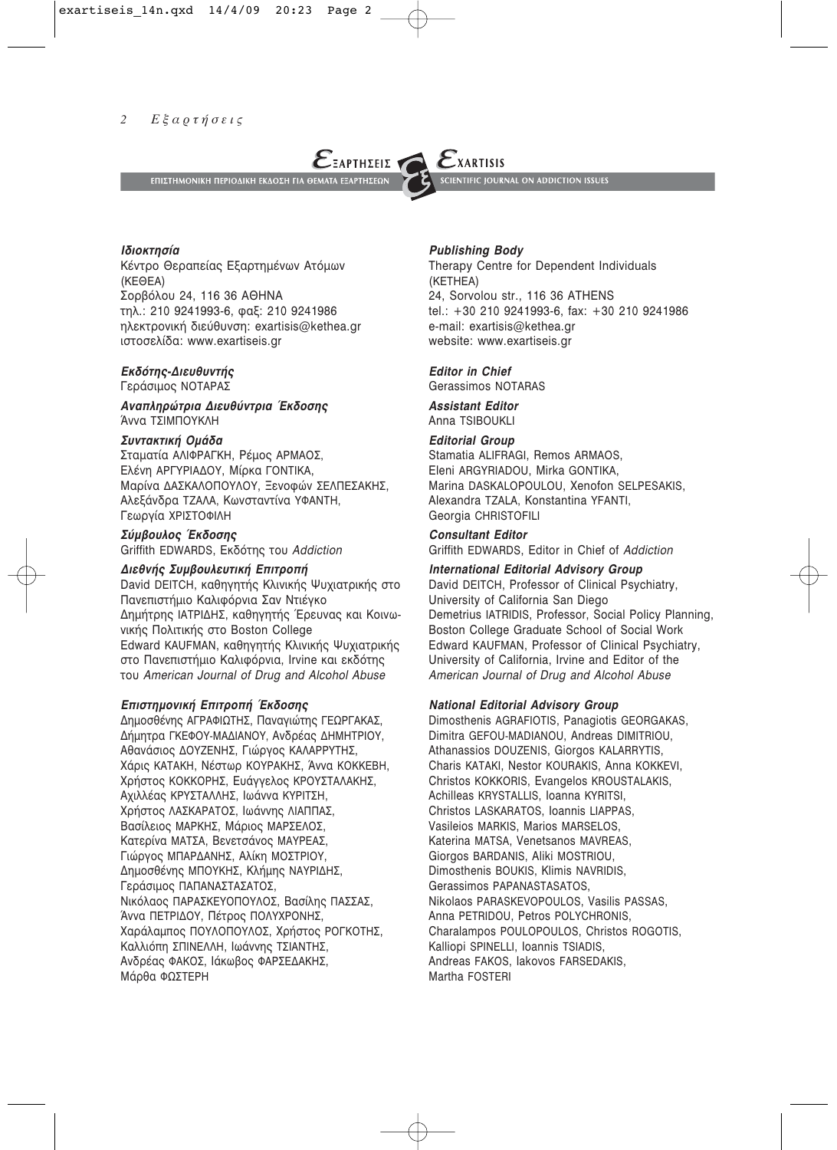

**XARTISIS NTIFIC JOURNAL ON ADDICTION ISSUES** 

### *Ιδιοκτησία*

Κέντρο Θεραπείας Εξαρτημένων Ατόμων (∫∂£∂∞) Σορβόλου 24, 116 36 ΑΘΗΝΑ τηλ.: 210 9241993-6, φαξ: 210 9241986 ηλεκτρονική διεύθυνση: exartisis@kethea.gr ιστοσελίδα: www.exartiseis.gr

## *<i>Εκδότης-Διευθυντής*

Γεράσιμος ΝΟΤΑΡΑΣ

*Αναπληρώτρια Διευθύντρια Έκδοσης* Άννα ΤΣΙΜΠΟΥΚΛΗ

### Συντακτική Ομάδα

Σταματία ΑΛΙΦΡΑΓΚΗ, Ρέμος ΑΡΜΑΟΣ, Ελένη ΑΡΓΥΡΙΑΔΟΥ, Μίρκα ΓΟΝΤΙΚΑ, Μαρίνα ΔΑΣΚΑΛΟΠΟΥΛΟΥ, Ξενοφών ΣΕΛΠΕΣΑΚΗΣ, Αλεξάνδρα ΤΖΑΛΑ, Κωνσταντίνα ΥΦΑΝΤΗ, Γεωργία ΧΡΙΣΤΟΦΙΛΗ

### *Σύμβουλος Έκδοσης* Griffith EDWARDS, Εκδότης του Addiction

**Διεθνής Συμβουλευτική Επιτροπή** 

David DEITCH, καθηγητής Κλινικής Ψυχιατρικής στο Πανεπιστήμιο Καλιφόρνια Σαν Ντιέγκο Δημήτρης ΙΑΤΡΙΔΗΣ, καθηγητής Έρευνας και Κοινωνικής Πολιτικής στο Boston College Edward KAUFMAN, καθηγητής Κλινικής Ψυχιατρικής στο Πανεπιστήμιο Καλιφόρνια, Irvine και εκδότης ÙÔ˘ *∞merican Journal of Drug and Alcohol Abuse*

### *<i><del>Ēπιστημονική Επιτροπή Έκδοσης</del>*

Δημοσθένης ΑΓΡΑΦΙΩΤΗΣ, Παναγιώτης ΓΕΩΡΓΑΚΑΣ, Δήμητρα ΓΚΕΦΟΥ-ΜΑΔΙΑΝΟΥ, Ανδρέας ΔΗΜΗΤΡΙΟΥ, Αθανάσιος ΔΟΥΖΕΝΗΣ, Γιώργος ΚΑΛΑΡΡΥΤΗΣ, Χάρις ΚΑΤΑΚΗ, Νέστωρ ΚΟΥΡΑΚΗΣ, Άννα ΚΟΚΚΕΒΗ, Χρήστος ΚΟΚΚΟΡΗΣ, Ευάγγελος ΚΡΟΥΣΤΑΛΑΚΗΣ, Αχιλλέας ΚΡΥΣΤΑΛΛΗΣ, Ιωάννα ΚΥΡΙΤΣΗ, Χρήστος ΛΑΣΚΑΡΑΤΟΣ, Ιωάννης ΛΙΑΠΠΑΣ, Βασίλειος ΜΑΡΚΗΣ, Μάριος ΜΑΡΣΕΛΟΣ, Κατερίνα ΜΑΤΣΑ, Βενετσάνος ΜΑΥΡΕΑΣ, Γιώργος ΜΠΑΡΔΑΝΗΣ, Αλίκη ΜΟΣΤΡΙΟΥ, Δημοσθένης ΜΠΟΥΚΗΣ, Κλήμης ΝΑΥΡΙΔΗΣ, Γεράσιμος ΠΑΠΑΝΑΣΤΑΣΑΤΟΣ, Νικόλαος ΠΑΡΑΣΚΕΥΟΠΟΥΛΟΣ, Βασίλης ΠΑΣΣΑΣ, Άννα ΠΕΤΡΙΔΟΥ, Πέτρος ΠΟΛΥΧΡΟΝΗΣ, Χαράλαμπος ΠΟΥΛΟΠΟΥΛΟΣ, Χρήστος ΡΟΓΚΟΤΗΣ, Καλλιόπη ΣΠΙΝΕΛΛΗ, Ιωάννης ΤΣΙΑΝΤΗΣ, Ανδρέας ΦΑΚΟΣ, Ιάκωβος ΦΑΡΣΕΔΑΚΗΣ, Μάρθα ΦΩΣΤΕΡΗ

### *Publishing Body*

Therapy Centre for Dependent Individuals (KETHEA) 24, Sorvolou str., 116 36 ATHENS tel.: +30 210 9241993-6, fax: +30 210 9241986 e-mail: exartisis@kethea.gr website: www.exartiseis.gr

### *Editor in Chief*

Gerassimos NOTARAS

*Assistant Editor* Anna TSIBOUKLI

### *Editorial Group*

Stamatia ALIFRAGI, Remos ARMAOS, Eleni ARGYRIADOU, Mirka GONTIKA, Marina DASKALOPOULOU, Xenofon SELPESAKIS, Alexandra TZALA, Konstantina YFANTI, Georgia CHRISTOFILI

*Consultant Editor*  Griffith EDWARDS, Editor in Chief of *Addiction* 

*International Editorial Advisory Group*  David DEITCH, Professor of Clinical Psychiatry, University of California San Diego Demetrius IATRIDIS, Professor, Social Policy Planning, Boston College Graduate School of Social Work Edward KAUFMAN, Professor of Clinical Psychiatry, University of California, Irvine and Editor of the *∞merican Journal of Drug and Alcohol Abuse*

### *National Editorial Advisory Group*

Dimosthenis AGRAFIOTIS, Panagiotis GEORGAKAS, Dimitra GEFOU-MADIANOU, Andreas DIMITRIOU, Athanassios DOUZENIS, Giorgos KALARRYTIS, Charis KATAKI, Nestor KOURAKIS, Anna KOKKEVI, Christos KOKKORIS, Evangelos KROUSTALAKIS, Achilleas KRYSTALLIS, Ioanna KYRITSI, Christos LASKARATOS, Ioannis LIAPPAS, Vasileios MARKIS, Marios MARSELOS, Katerina MATSA, Venetsanos MAVREAS, Giorgos BARDANIS, Aliki MOSTRIOU, Dimosthenis BOUKIS, Klimis NAVRIDIS, Gerassimos PAPANASTASATOS, Nikolaos PARASKEVOPOULOS, Vasilis PASSAS, Anna PETRIDOU, Petros POLYCHRONIS, Charalampos POULOPOULOS, Christos ROGOTIS, Kalliopi SPINELLI, Ioannis TSIADIS, Andreas FAKOS, Iakovos FARSEDAKIS, Martha FOSTERI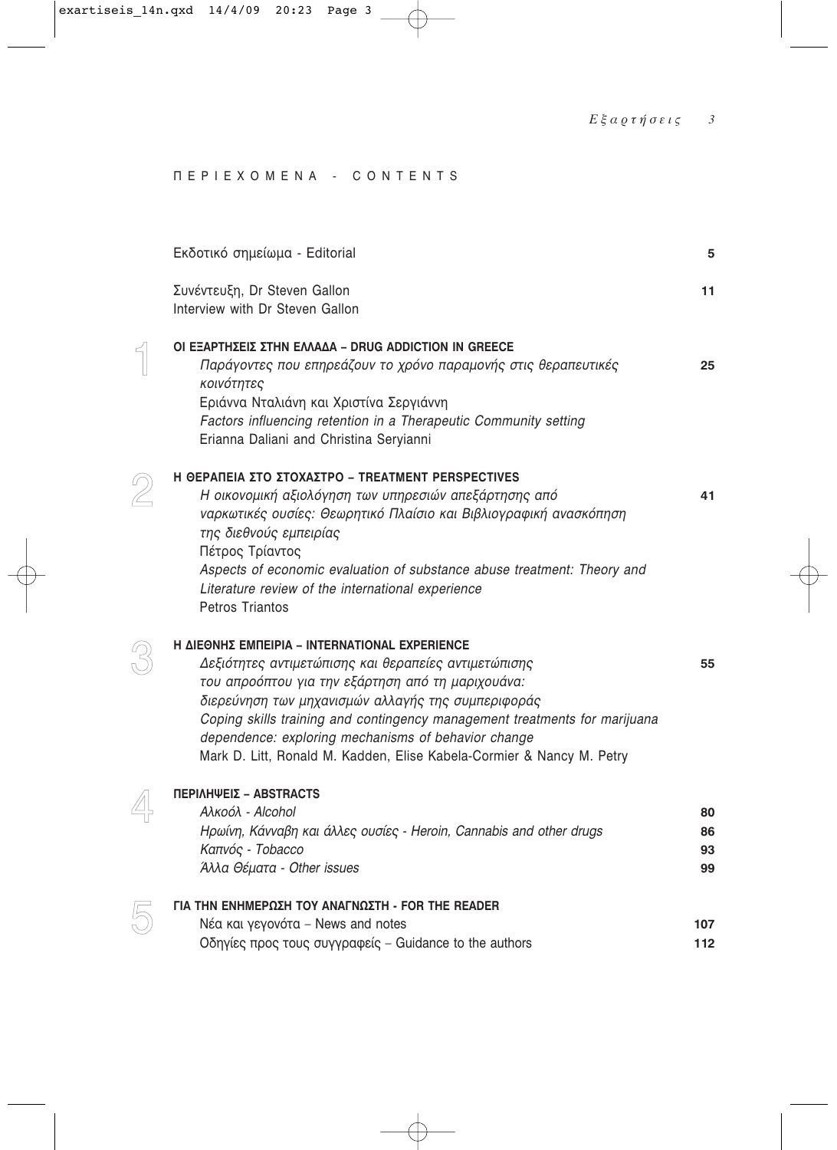# $\Big\vert$ exartiseis\_14n.qxd 14/4/09 20:23 Page 3

 $=$   $-$ 

# ¶∂ƒπ∂Ã√ª∂¡∞ - CONTENTS

 $=$   $\cdots$  $\sim$   $\sim$ 

| Συνέντευξη, Dr Steven Gallon<br>Interview with Dr Steven Gallon<br>OI ΕΞΑΡΤΗΣΕΙΣ ΣΤΗΝ ΕΛΛΑΔΑ - DRUG ADDICTION IN GREECE<br>Παράγοντες που επηρεάζουν το χρόνο παραμονής στις θεραπευτικές<br>κοινότητες<br>Εριάννα Νταλιάνη και Χριστίνα Σεργιάννη                                                                                                                                                                             | 11<br>25             |
|--------------------------------------------------------------------------------------------------------------------------------------------------------------------------------------------------------------------------------------------------------------------------------------------------------------------------------------------------------------------------------------------------------------------------------|----------------------|
|                                                                                                                                                                                                                                                                                                                                                                                                                                |                      |
| Factors influencing retention in a Therapeutic Community setting<br>Erianna Daliani and Christina Seryianni                                                                                                                                                                                                                                                                                                                    |                      |
| Η ΘΕΡΑΠΕΙΑ ΣΤΟ ΣΤΟΧΑΣΤΡΟ – TREATMENT PERSPECTIVES<br>Η οικονομική αξιολόγηση των υπηρεσιών απεξάρτησης από<br>ναρκωτικές ουσίες: Θεωρητικό Πλαίσιο και Βιβλιογραφική ανασκόπηση<br>της διεθνούς εμπειρίας<br>Πέτρος Τρίαντος<br>Aspects of economic evaluation of substance abuse treatment: Theory and<br>Literature review of the international experience<br>Petros Triantos                                                | 41                   |
| Η ΔΙΕΘΝΗΣ ΕΜΠΕΙΡΙΑ - INTERNATIONAL EXPERIENCE<br>Δεξιότητες αντιμετώπισης και θεραπείες αντιμετώπισης<br>του απροόπτου για την εξάρτηση από τη μαριχουάνα:<br>διερεύνηση των μηχανισμών αλλαγής της συμπεριφοράς<br>Coping skills training and contingency management treatments for marijuana<br>dependence: exploring mechanisms of behavior change<br>Mark D. Litt, Ronald M. Kadden, Elise Kabela-Cormier & Nancy M. Petry | 55                   |
| <b>ΠΕΡΙΛΗΨΕΙΣ - ABSTRACTS</b><br>Αλκοόλ - Alcohol<br>Ηρωίνη, Κάνναβη και άλλες ουσίες - Heroin, Cannabis and other drugs<br>Καπνός - Tobacco<br>Άλλα Θέματα - Other issues                                                                                                                                                                                                                                                     | 80<br>86<br>93<br>99 |
| ΓΙΑ ΤΗΝ ΕΝΗΜΕΡΩΣΗ ΤΟΥ ΑΝΑΓΝΩΣΤΗ - FOR THE READER<br>Νέα και γεγονότα - News and notes<br>107<br>Οδηγίες προς τους συγγραφείς – Guidance to the authors<br>112                                                                                                                                                                                                                                                                  |                      |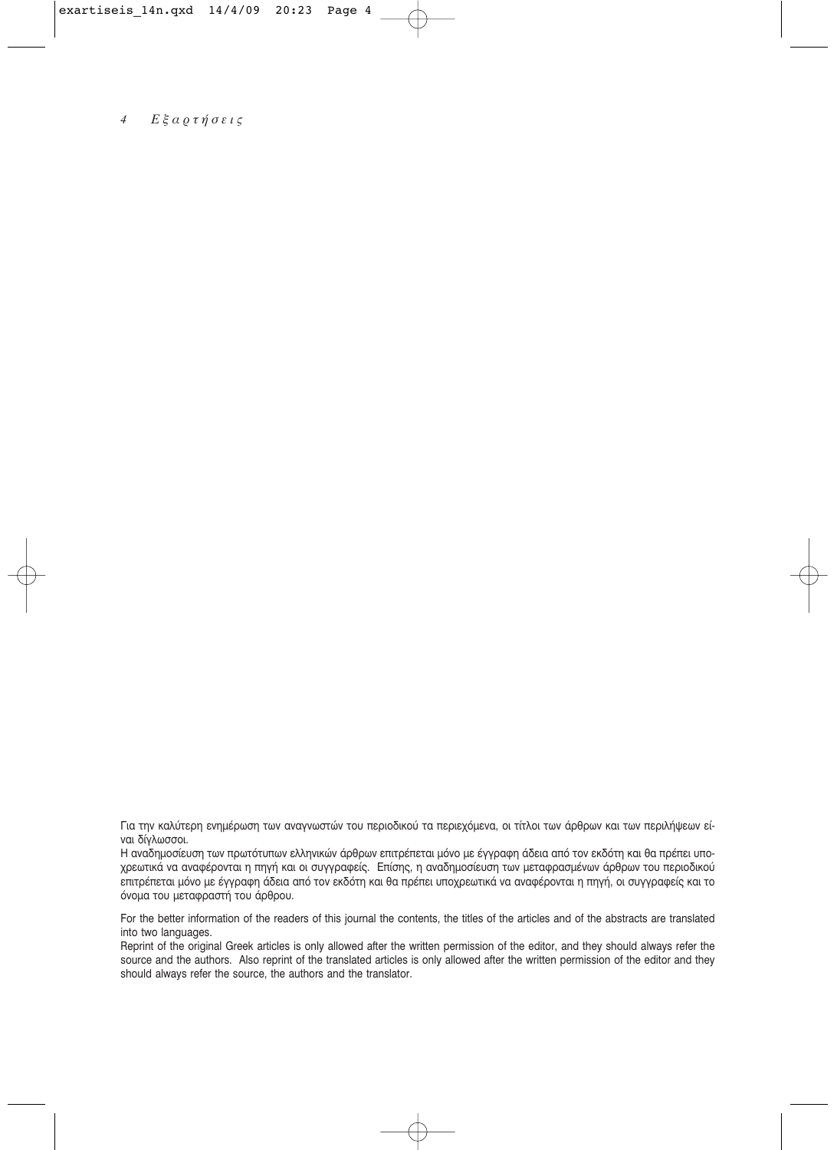$\overline{4}$ Εξαρτήσεις

Για την καλύτερη ενημέρωση των αναγνωστών του περιοδικού τα περιεχόμενα, οι τίτλοι των άρθρων και των περιλήψεων είναι δίγλωσσοι.

Η αναδημοσίευση των πρωτότυπων ελληνικών άρθρων επιτρέπεται μόνο με έγγραφη άδεια από τον εκδότη και θα πρέπει υποχρεωτικά να αναφέρονται η πηγή και οι συγγραφείς. Επίσης, η αναδημοσίευση των μεταφρασμένων άρθρων του περιοδικού επιτρέπεται μόνο με έγγραφη άδεια από τον εκδότη και θα πρέπει υποχρεωτικά να αναφέρονται η πηγή, οι συγγραφείς και το όνομα του μεταφραστή του άρθρου.

For the better information of the readers of this journal the contents, the titles of the articles and of the abstracts are translated into two languages.

Reprint of the original Greek articles is only allowed after the written permission of the editor, and they should always refer the source and the authors. Also reprint of the translated articles is only allowed after the written permission of the editor and they should always refer the source, the authors and the translator.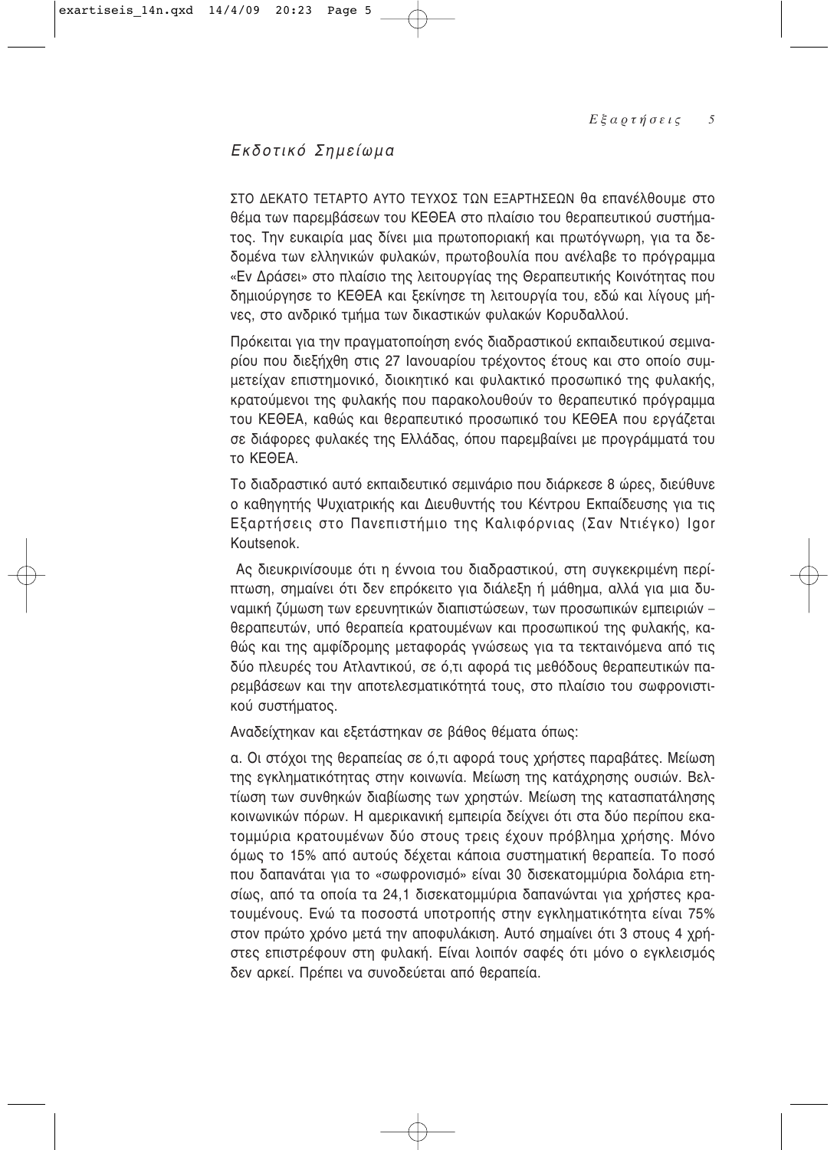# *EΚδοτικό Σημείωμα*

ΣΤΟ ΔΕΚΑΤΟ ΤΕΤΑΡΤΟ ΑΥΤΟ ΤΕΥΧΟΣ ΤΩΝ ΕΞΑΡΤΗΣΕΩΝ θα επανέλθουμε στο θέμα των παρεμβάσεων του ΚΕΘΕΑ στο πλαίσιο του θεραπευτικού συστήματος. Την ευκαιρία μας δίνει μια πρωτοποριακή και πρωτόγνωρη, για τα δεδομένα των ελληνικών φυλακών, πρωτοβουλία που ανέλαβε το πρόγραμμα «Εν Δράσει» στο πλαίσιο της λειτουργίας της Θεραπευτικής Κοινότητας που δημιούργησε το ΚΕΘΕΑ και ξεκίνησε τη λειτουργία του, εδώ και λίγους μήνες, στο ανδρικό τμήμα των δικαστικών φυλακών Κορυδαλλού.

Πρόκειται για την πραγματοποίηση ενός διαδραστικού εκπαιδευτικού σεμιναρίου που διεξήχθη στις 27 Ιανουαρίου τρέχοντος έτους και στο οποίο συμμετείχαν επιστημονικό, διοικητικό και φυλακτικό προσωπικό της φυλακής, κρατούμενοι της φυλακής που παρακολουθούν το θεραπευτικό πρόγραμμα του ΚΕΘΕΑ, καθώς και θεραπευτικό προσωπικό του ΚΕΘΕΑ που εργάζεται σε διάφορες φυλακές της Ελλάδας, όπου παρεμβαίνει με προγράμματά του TO KEΘEA.

Το διαδραστικό αυτό εκπαιδευτικό σεμινάριο που διάρκεσε 8 ώρες, διεύθυνε ο καθηνητής Ψυχιατρικής και Διευθυντής του Κέντρου Εκπαίδευσης για τις Εξαρτήσεις στο Πανεπιστήμιο της Καλιφόρνιας (Σαν Ντιέγκο) Igor Koutsenok.

Ας διευκρινίσουμε ότι η έννοια του διαδραστικού, στη συγκεκριμένη περίπτωση, σημαίνει ότι δεν επρόκειτο για διάλεξη ή μάθημα, αλλά για μια δυvαμική ζύμωση των ερευνητικών διαπιστώσεων, των προσωπικών εμπειριών – θεραπευτών, υπό θεραπεία κρατουμένων και προσωπικού της φυλακής, καθώς και της αμφίδρομης μεταφοράς γνώσεως για τα τεκταινόμενα από τις δύο πλευρές του Ατλαντικού, σε ό,τι αφορά τις μεθόδους θεραπευτικών παρεμβάσεων και την αποτελεσματικότητά τους, στο πλαίσιο του σωφρονιστικού συστήματος.

Αναδείχτηκαν και εξετάστηκαν σε βάθος θέματα όπως:

α. Οι στόχοι της θεραπείας σε ό,τι αφορά τους χρήστες παραβάτες. Μείωση της εγκληματικότητας στην κοινωνία. Μείωση της κατάχρησης ουσιών. Βελτίωση των συνθηκών διαβίωσης των χρηστών. Μείωση της κατασπατάλησης κοινωνικών πόρων. Η αμερικανική εμπειρία δείχνει ότι στα δύο περίπου εκατομμύρια κρατουμένων δύο στους τρεις έχουν πρόβλημα χρήσης. Μόνο όμως το 15% από αυτούς δέχεται κάποια συστηματική θεραπεία. Το ποσό που δαπανάται για το «σωφρονισμό» είναι 30 δισεκατομμύρια δολάρια ετησίως, από τα οποία τα 24,1 δισεκατομμύρια δαπανώνται για χρήστες κρατουμένους. Ενώ τα ποσοστά υποτροπής στην εγκληματικότητα είναι 75% στον πρώτο χρόνο μετά την αποφυλάκιση. Αυτό σημαίνει ότι 3 στους 4 χρήστες επιστρέφουν στη φυλακή. Είναι λοιπόν σαφές ότι μόνο ο εγκλεισμός δεν αρκεί. Πρέπει να συνοδεύεται από θεραπεία.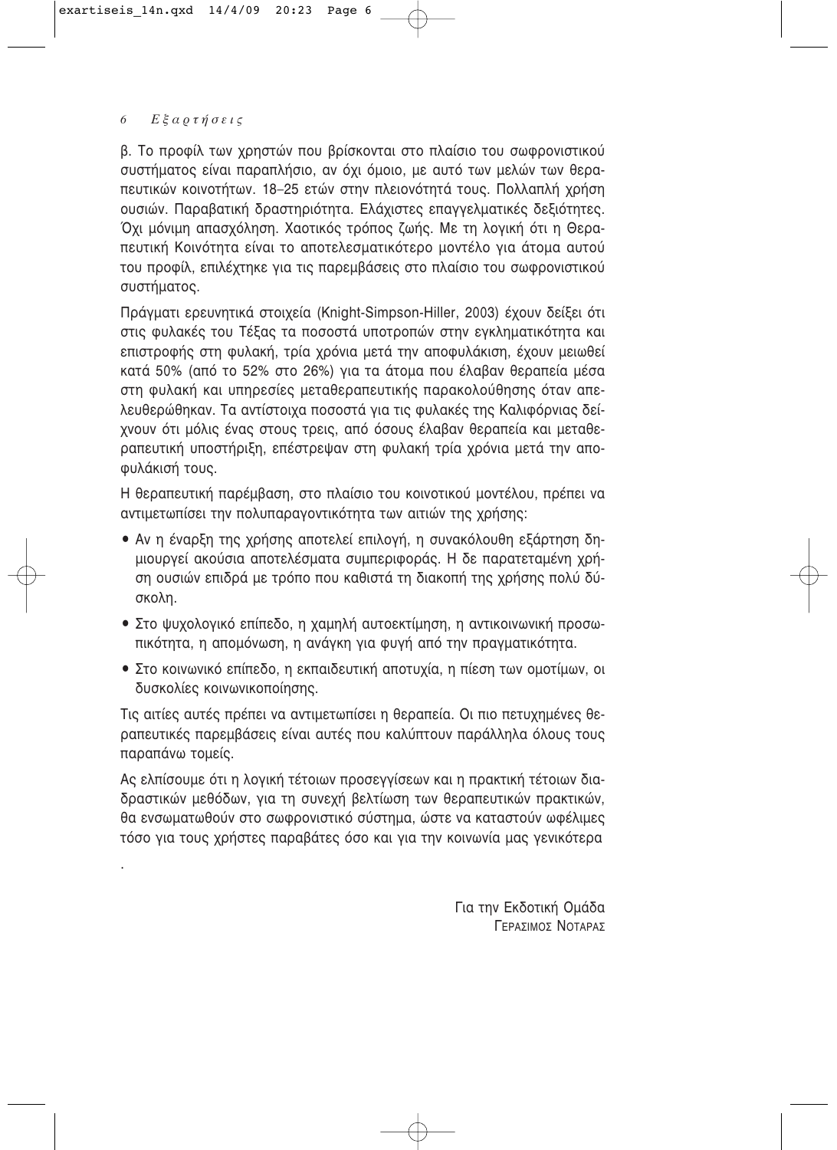β. Το προφίλ των χρηστών που βρίσκονται στο πλαίσιο του σωφρονιστικού συστήματος είναι παραπλήσιο, αν όχι όμοιο, με αυτό των μελών των θεραπευτικών κοινοτήτων. 18-25 ετών στην πλειονότητά τους. Πολλαπλή χρήση ουσιών. Παραβατική δραστηριότητα. Ελάχιστες επαγγελματικές δεξιότητες. Όχι μόνιμη απασχόληση. Χαοτικός τρόπος ζωής. Με τη λογική ότι η Θεραπευτική Κοινότητα είναι το αποτελεσματικότερο μοντέλο για άτομα αυτού του προφίλ, επιλέχτηκε για τις παρεμβάσεις στο πλαίσιο του σωφρονιστικού συστήματος.

Πράγματι ερευνητικά στοιχεία (Knight-Simpson-Hiller, 2003) έχουν δείξει ότι στις φυλακές του Τέξας τα ποσοστά υποτροπών στην εγκληματικότητα και επιστροφής στη φυλακή, τρία χρόνια μετά την αποφυλάκιση, έχουν μειωθεί κατά 50% (από το 52% στο 26%) για τα άτομα που έλαβαν θεραπεία μέσα στη φυλακή και υπηρεσίες μεταθεραπευτικής παρακολούθησης όταν απελευθερώθηκαν. Τα αντίστοιχα ποσοστά για τις φυλακές της Καλιφόρνιας δείχνουν ότι μόλις ένας στους τρεις, από όσους έλαβαν θεραπεία και μεταθεραπευτική υποστήριξη, επέστρεψαν στη φυλακή τρία χρόνια μετά την αποφυλάκισή τους.

Η θεραπευτική παρέμβαση, στο πλαίσιο του κοινοτικού μοντέλου, πρέπει να αντιμετωπίσει την πολυπαραγοντικότητα των αιτιών της χρήσης:

- Αν η έναρξη της χρήσης αποτελεί επιλογή, η συνακόλουθη εξάρτηση δημιουργεί ακούσια αποτελέσματα συμπεριφοράς. Η δε παρατεταμένη χρήση ουσιών επιδρά με τρόπο που καθιστά τη διακοπή της χρήσης πολύ δύσκολη.
- Στο ψυχολογικό επίπεδο, η χαμηλή αυτοεκτίμηση, η αντικοινωνική προσωπικότητα, η απομόνωση, η ανάγκη για φυγή από την πραγματικότητα.
- Στο κοινωνικό επίπεδο, η εκπαιδευτική αποτυχία, η πίεση των ομοτίμων, οι δυσκολίες κοινωνικοποίησης.

Τις αιτίες αυτές πρέπει να αντιμετωπίσει η θεραπεία. Οι πιο πετυχημένες θεραπευτικές παρεμβάσεις είναι αυτές που καλύπτουν παράλληλα όλους τους παραπάνω τομείς.

Ας ελπίσουμε ότι η λογική τέτοιων προσεγγίσεων και η πρακτική τέτοιων διαδραστικών μεθόδων, για τη συνεχή βελτίωση των θεραπευτικών πρακτικών, θα ενσωματωθούν στο σωφρονιστικό σύστημα, ώστε να καταστούν ωφέλιμες τόσο για τους χρήστες παραβάτες όσο και για την κοινωνία μας γενικότερα

> Για την Εκδοτική Ομάδα ΓΕΡΑΣΙΜΟΣ ΝΟΤΑΡΑΣ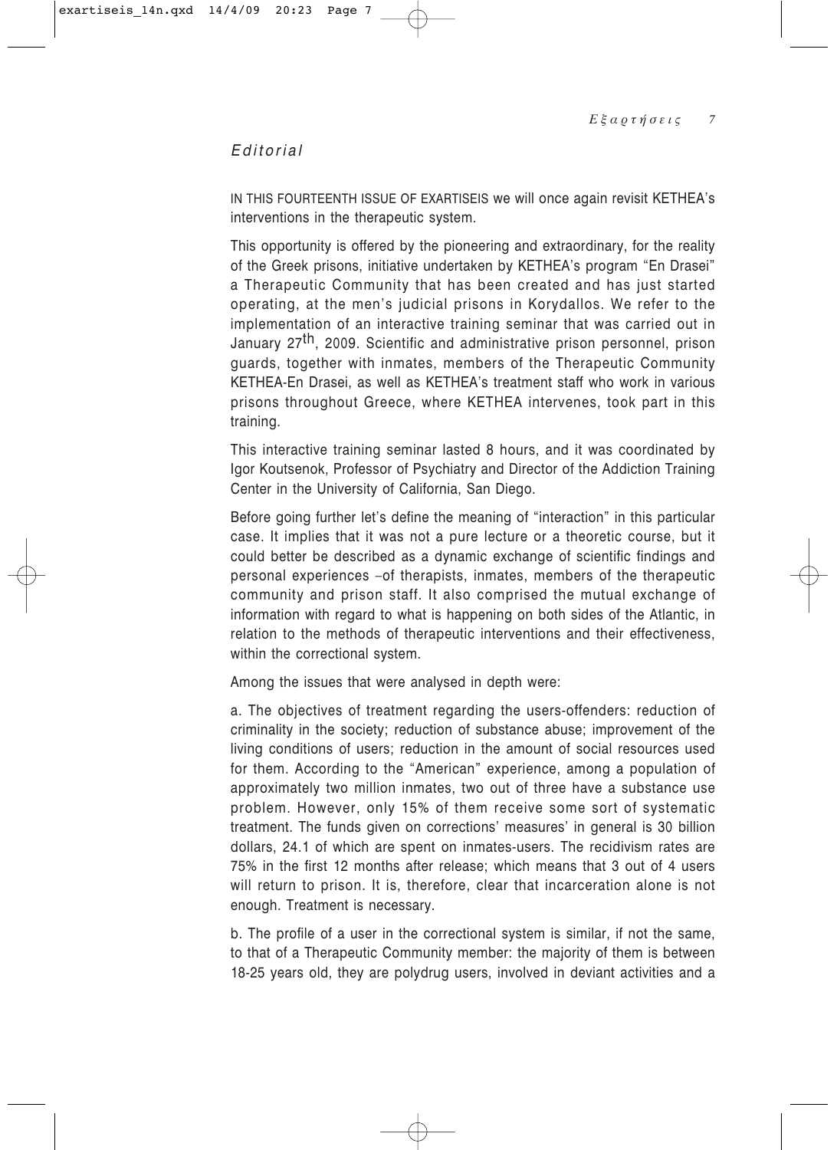## *Editorial*

IN THIS FOURTEENTH ISSUE OF EXARTISEIS we will once again revisit KETHEA's interventions in the therapeutic system.

This opportunity is offered by the pioneering and extraordinary, for the reality of the Greek prisons, initiative undertaken by KETHEA's program "En Drasei" a Therapeutic Community that has been created and has just started operating, at the men's judicial prisons in Korydallos. We refer to the implementation of an interactive training seminar that was carried out in January 27<sup>th</sup>, 2009. Scientific and administrative prison personnel, prison guards, together with inmates, members of the Therapeutic Community KETHEA-En Drasei, as well as KETHEA's treatment staff who work in various prisons throughout Greece, where KETHEA intervenes, took part in this training.

This interactive training seminar lasted 8 hours, and it was coordinated by Igor Koutsenok, Professor of Psychiatry and Director of the Addiction Training Center in the University of California, San Diego.

Before going further let's define the meaning of "interaction" in this particular case. It implies that it was not a pure lecture or a theoretic course, but it could better be described as a dynamic exchange of scientific findings and personal experiences –of therapists, inmates, members of the therapeutic community and prison staff. It also comprised the mutual exchange of information with regard to what is happening on both sides of the Atlantic, in relation to the methods of therapeutic interventions and their effectiveness, within the correctional system.

Among the issues that were analysed in depth were:

a. The objectives of treatment regarding the users-offenders: reduction of criminality in the society; reduction of substance abuse; improvement of the living conditions of users; reduction in the amount of social resources used for them. According to the "American" experience, among a population of approximately two million inmates, two out of three have a substance use problem. However, only 15% of them receive some sort of systematic treatment. The funds given on corrections' measures' in general is 30 billion dollars, 24.1 of which are spent on inmates-users. The recidivism rates are 75% in the first 12 months after release; which means that 3 out of 4 users will return to prison. It is, therefore, clear that incarceration alone is not enough. Treatment is necessary.

b. The profile of a user in the correctional system is similar, if not the same, to that of a Therapeutic Community member: the majority of them is between 18-25 years old, they are polydrug users, involved in deviant activities and a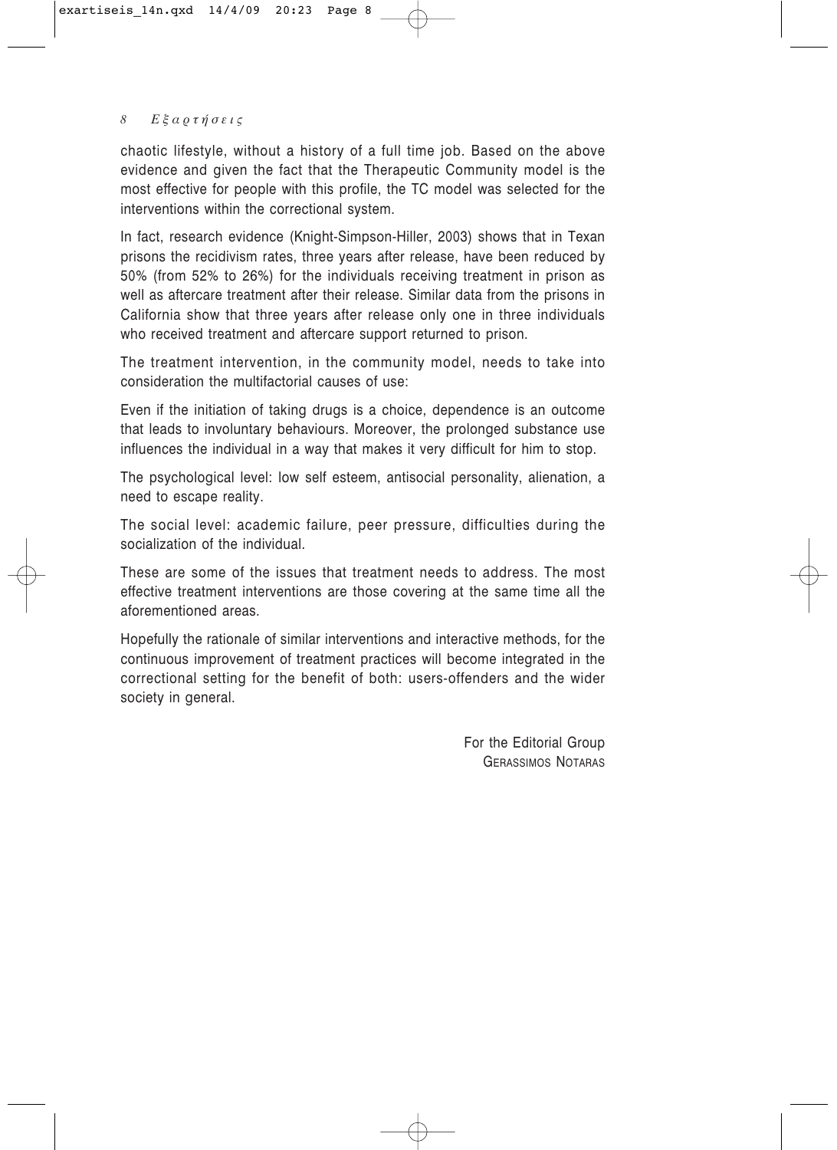chaotic lifestyle, without a history of a full time job. Based on the above evidence and given the fact that the Therapeutic Community model is the most effective for people with this profile, the TC model was selected for the interventions within the correctional system.

In fact, research evidence (Knight-Simpson-Hiller, 2003) shows that in Texan prisons the recidivism rates, three years after release, have been reduced by 50% (from 52% to 26%) for the individuals receiving treatment in prison as well as aftercare treatment after their release. Similar data from the prisons in California show that three years after release only one in three individuals who received treatment and aftercare support returned to prison.

The treatment intervention, in the community model, needs to take into consideration the multifactorial causes of use:

Even if the initiation of taking drugs is a choice, dependence is an outcome that leads to involuntary behaviours. Moreover, the prolonged substance use influences the individual in a way that makes it very difficult for him to stop.

The psychological level: low self esteem, antisocial personality, alienation, a need to escape reality.

The social level: academic failure, peer pressure, difficulties during the socialization of the individual.

These are some of the issues that treatment needs to address. The most effective treatment interventions are those covering at the same time all the aforementioned areas.

Hopefully the rationale of similar interventions and interactive methods, for the continuous improvement of treatment practices will become integrated in the correctional setting for the benefit of both: users-offenders and the wider society in general.

> For the Editorial Group **GERASSIMOS NOTARAS**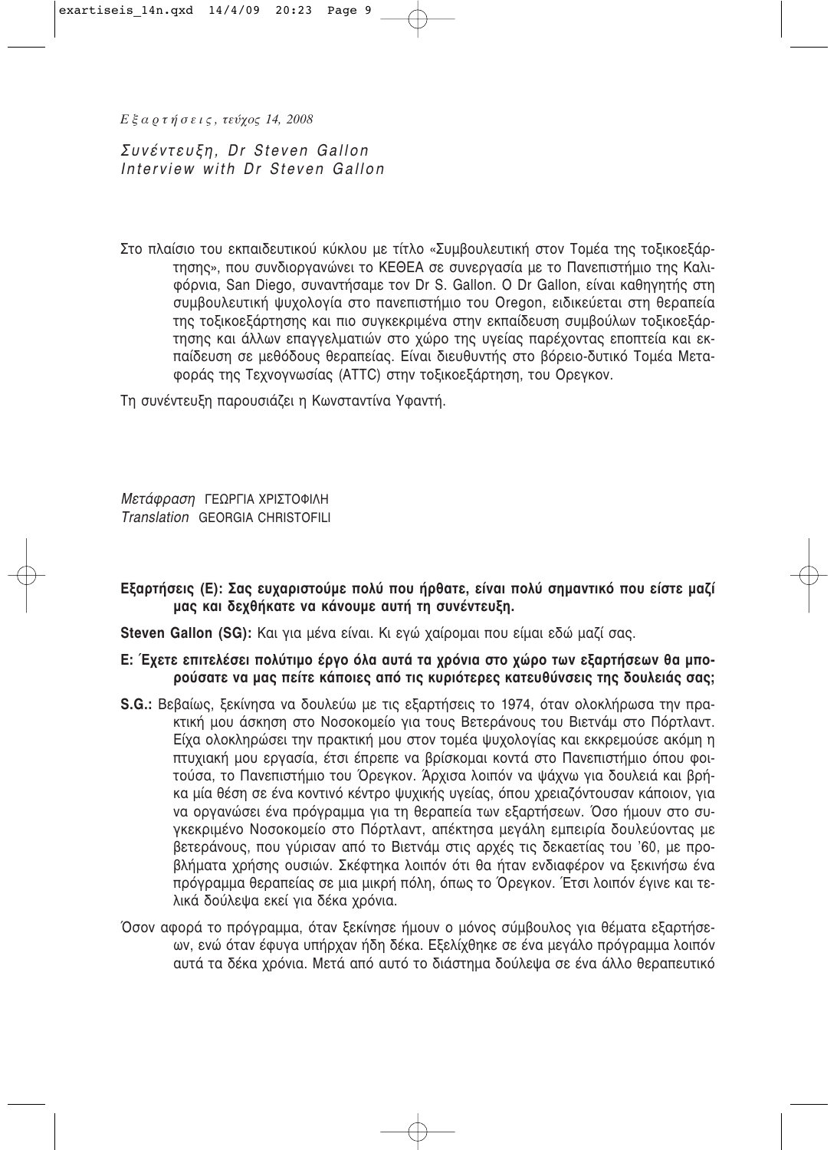*Ε ξ α ρ τ ή σ ε ι ς , τεύχος 14, 2008*

 $\Sigma$ υνέντευξη, Dr Steven Gallon *Interview with Dr Steven Gallon* 

Στο πλαίσιο του εκπαιδευτικού κύκλου με τίτλο «Συμβουλευτική στον Τομέα της τοξικοεξάρτησης», που συνδιοργανώνει το ΚΕΘΕΑ σε συνεργασία με το Πανεπιστήμιο της Καλιφόρνια, San Diego, συναντήσαμε τον Dr S. Gallon. Ο Dr Gallon, είναι καθηγητής στη συμβουλευτική ψυχολογία στο πανεπιστήμιο του Oregon, ειδικεύεται στη θεραπεία της τοξικοεξάρτησης και πιο συγκεκριμένα στην εκπαίδευση συμβούλων τοξικοεξάρτησης και άλλων επαγγελματιών στο χώρο της υγείας παρέχοντας εποπτεία και εκπαίδευση σε μεθόδους θεραπείας. Είναι διευθυντής στο βόρειο-δυτικό Τομέα Μεταφοράς της Τεχνογνωσίας (ATTC) στην τοξικοεξάρτηση, του Ορεγκον.

Τη συνέντευξη παρουσιάζει η Κωνσταντίνα Υφαντή.

*Μετάφραση* ΓΕΩΡΓΙΑ ΧΡΙΣΤΟΦΙΛΗ *Translation* GEORGIA CHRISTOFILI

Εξαρτήσεις (Ε): Σας ευχαριστούμε πολύ που ήρθατε, είναι πολύ σημαντικό που είστε μαζί **μας και δεχθήκατε να κάνουμε αυτή τη συνέντευξη.** 

**Steven Gallon (SG):** Και για μένα είναι. Κι εγώ χαίρομαι που είμαι εδώ μαζί σας.

- Ε: Έχετε επιτελέσει πολύτιμο έργο όλα αυτά τα χρόνια στο χώρο των εξαρτήσεων θα μπο- $\overline{a}$ ρούσατε να μας πείτε κάποιες από τις κυριότερες κατευθύνσεις της δουλειάς σας;
- **S.G.:** Βεβαίως, ξεκίνησα να δουλεύω με τις εξαρτήσεις το 1974, όταν ολοκλήρωσα την πρα-Κτική μου άσκηση στο Νοσοκομείο για τους Βετεράνους του Βιετνάμ στο Πόρτλαντ. Είχα ολοκληρώσει την πρακτική μου στον τομέα ψυχολογίας και εκκρεμούσε ακόμη η πτυχιακή μου εργασία, έτσι έπρεπε να βρίσκομαι κοντά στο Πανεπιστήμιο όπου φοιτούσα, το Πανεπιστήμιο του Όρεγκον. Άρχισα λοιπόν να ψάχνω για δουλειά και βρήκα μία θέση σε ένα κοντινό κέντρο ψυχικής υγείας, όπου χρειαζόντουσαν κάποιον, για να οργανώσει ένα πρόγραμμα για τη θεραπεία των εξαρτήσεων. Όσο ήμουν στο συγκεκριμένο Νοσοκομείο στο Πόρτλαντ, απέκτησα μεγάλη εμπειρία δουλεύοντας με βετεράνους, που γύρισαν από το Βιετνάμ στις αρχές τις δεκαετίας του '60, με προβλήματα χρήσης ουσιών. Σκέφτηκα λοιπόν ότι θα ήταν ενδιαφέρον να ξεκινήσω ένα πρόγραμμα θεραπείας σε μια μικρή πόλη, όπως το Όρεγκον. Έτσι λοιπόν έγινε και τελικά δούλεψα εκεί για δέκα χρόνια.
- Όσον αφορά το πρόγραμμα, όταν ξεκίνησε ήμουν ο μόνος σύμβουλος για θέματα εξαρτήσεων, ενώ όταν έφυγα υπήρχαν ήδη δέκα. Εξελίχθηκε σε ένα μεγάλο πρόγραμμα λοιπόν αυτά τα δέκα χρόνια. Μετά από αυτό το διάστημα δούλεψα σε ένα άλλο θεραπευτικό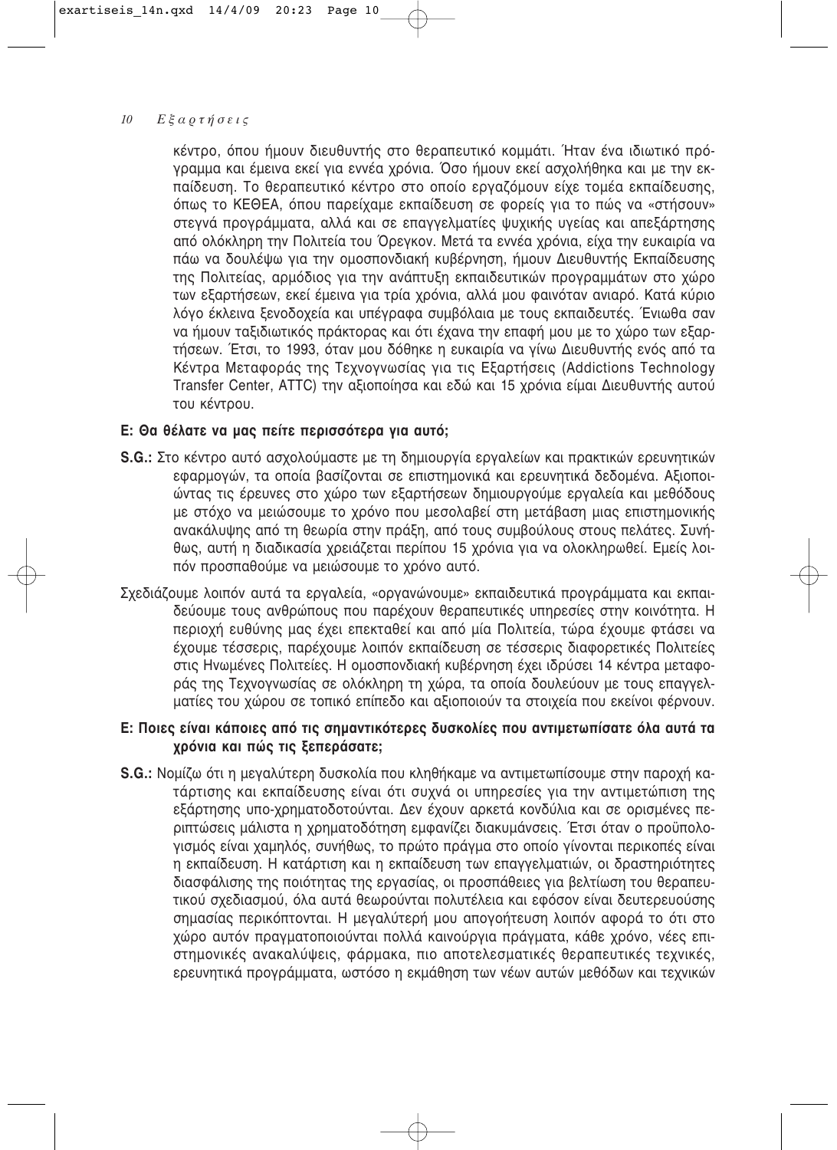κέντρο, όπου ήμουν διευθυντής στο θεραπευτικό κομμάτι. Ήταν ένα ιδιωτικό πρόγραμμα και έμεινα εκεί για εννέα χρόνια. Όσο ήμουν εκεί ασχολήθηκα και με την εκπαίδευση. Το θεραπευτικό κέντρο στο οποίο εργαζόμουν είχε τομέα εκπαίδευσης, όπως το ΚΕΘΕΑ, όπου παρείχαμε εκπαίδευση σε φορείς για το πώς να «στήσουν» στεγνά προγράμματα, αλλά και σε επαγγελματίες ψυχικής υγείας και απεξάρτησης από ολόκληρη την Πολιτεία του Όρεγκον. Μετά τα εννέα χρόνια, είχα την ευκαιρία να πάω να δουλέψω για την ομοσπονδιακή κυβέρνηση, ήμουν Διευθυντής Εκπαίδευσης της Πολιτείας, αρμόδιος για την ανάπτυξη εκπαιδευτικών προγραμμάτων στο χώρο των εξαρτήσεων, εκεί έμεινα για τρία χρόνια, αλλά μου φαινόταν ανιαρό. Κατά κύριο λόγο έκλεινα ξενοδοχεία και υπένραφα συμβόλαια με τους εκπαιδευτές. Ένιωθα σαν να ήμουν ταξιδιωτικός πράκτορας και ότι έχανα την επαφή μου με το χώρο των εξαρτήσεων. Έτσι, το 1993, όταν μου δόθηκε η ευκαιρία να γίνω Διευθυντής ενός από τα Κέντρα Μεταφοράς της Τεχνογνωσίας για τις Εξαρτήσεις (Addictions Technology Transfer Center, ATTC) την αξιοποίησα και εδώ και 15 χρόνια είμαι Διευθυντής αυτού του κέντρου.

# **Ε: Θα θέλατε να μας πείτε περισσότερα για αυτό;**

- **S.G.:** Στο κέντρο αυτό ασχολούμαστε με τη δημιουργία εργαλείων και πρακτικών ερευνητικών εφαρμογών, τα οποία βασίζονται σε επιστημονικά και ερευνητικά δεδομένα. Αξιοποιώντας τις έρευνες στο χώρο των εξαρτήσεων δημιουργούμε εργαλεία και μεθόδους με στόχο να μειώσουμε το χρόνο που μεσολαβεί στη μετάβαση μιας επιστημονικής ανακάλυψης από τη θεωρία στην πράξη, από τους συμβούλους στους πελάτες. Συνήθως, αυτή η διαδικασία χρειάζεται περίπου 15 χρόνια για να ολοκληρωθεί. Εμείς λοιπόν προσπαθούμε να μειώσουμε το χρόνο αυτό.
- Σχεδιάζουμε λοιπόν αυτά τα εργαλεία, «οργανώνουμε» εκπαιδευτικά προγράμματα και εκπαιδεύουμε τους ανθρώπους που παρέχουν θεραπευτικές υπηρεσίες στην κοινότητα. Η περιοχή ευθύνης μας έχει επεκταθεί και από μία Πολιτεία, τώρα έχουμε φτάσει να έχουμε τέσσερις, παρέχουμε λοιπόν εκπαίδευση σε τέσσερις διαφορετικές Πολιτείες στις Ηνωμένες Πολιτείες. Η ομοσπονδιακή κυβέρνηση έχει ιδρύσει 14 κέντρα μεταφοράς της Τεχνογνωσίας σε ολόκληρη τη χώρα, τα οποία δουλεύουν με τους επαγγελματίες του χώρου σε τοπικό επίπεδο και αξιοποιούν τα στοιχεία που εκείνοι φέρνουν.

# Ε: Ποιες είναι κάποιες από τις σημαντικότερες δυσκολίες που αντιμετωπίσατε όλα αυτά τα χρόνια και πώς τις ξεπεράσατε;

**S.G.:** Νομίζω ότι η μεγαλύτερη δυσκολία που κληθήκαμε να αντιμετωπίσουμε στην παροχή κατάρτισης και εκπαίδευσης είναι ότι συχνά οι υπηρεσίες για την αντιμετώπιση της εξάρτησης υπο-χρηματοδοτούνται. Δεν έχουν αρκετά κονδύλια και σε ορισμένες περιπτώσεις μάλιστα η χρηματοδότηση εμφανίζει διακυμάνσεις. Έτσι όταν ο προϋπολογισμός είναι χαμηλός, συνήθως, το πρώτο πράγμα στο οποίο γίνονται περικοπές είναι η εκπαίδευση. Η κατάρτιση και η εκπαίδευση των επαγγελματιών, οι δραστηριότητες διασφάλισης της ποιότητας της εργασίας, οι προσπάθειες για βελτίωση του θεραπευτικού σχεδιασμού, όλα αυτά θεωρούνται πολυτέλεια και εφόσον είναι δευτερευούσης σημασίας περικόπτονται. Η μεγαλύτερή μου απογοήτευση λοιπόν αφορά το ότι στο χώρο αυτόν πραγματοποιούνται πολλά καινούργια πράγματα, κάθε χρόνο, νέες επιστημονικές ανακαλύψεις, φάρμακα, πιο αποτελεσματικές θεραπευτικές τεχνικές, ερευνητικά προγράμματα, ωστόσο η εκμάθηση των νέων αυτών μεθόδων και τεχνικών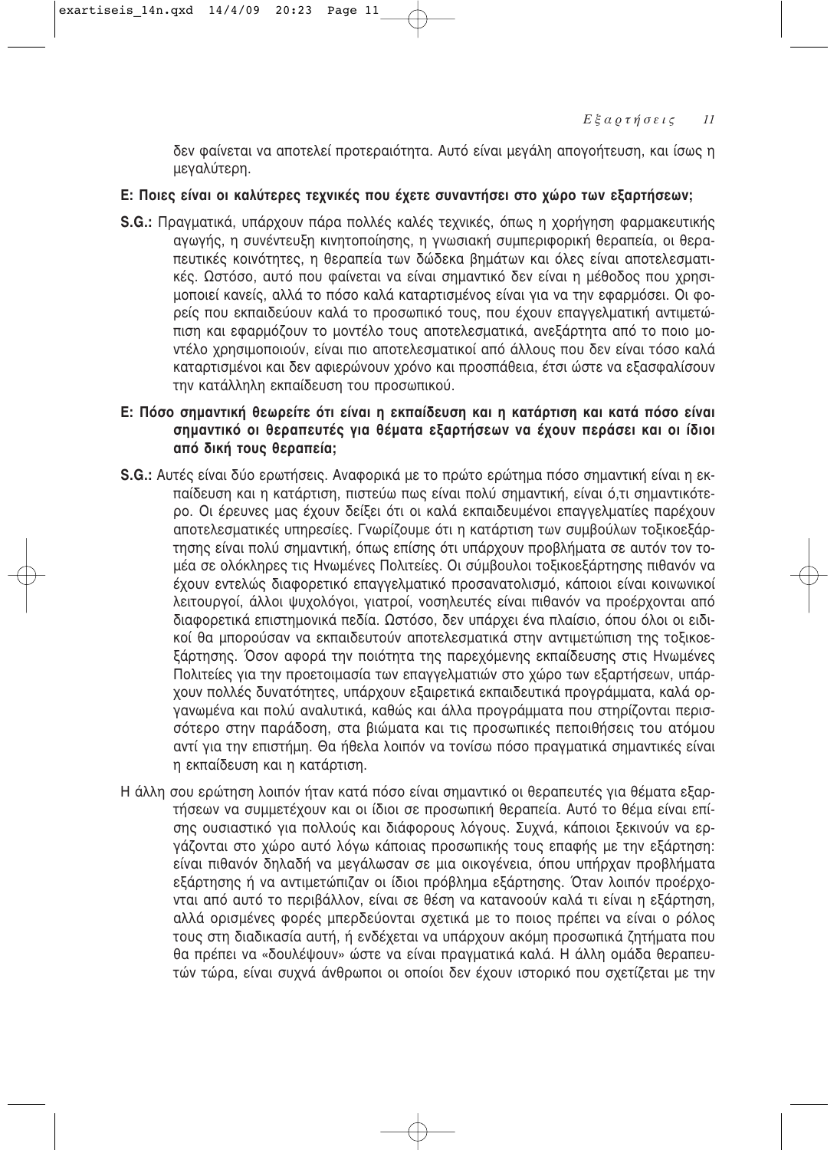exartiseis 14n.qxd 20:23 Page 11 14/4/09

> δεν φαίνεται να αποτελεί προτεραιότητα. Αυτό είναι μεγάλη απογοήτευση, και ίσως η μεναλύτερη.

### Ε: Ποιες είναι οι καλύτερες τεχνικές που έχετε συναντήσει στο χώρο των εξαρτήσεων:

- S.G.: Πραγματικά, υπάρχουν πάρα πολλές καλές τεχνικές, όπως η χορήγηση φαρμακευτικής αγωγής, η συνέντευξη κινητοποίησης, η γνωσιακή συμπεριφορική θεραπεία, οι θεραπευτικές κοινότητες, η θεραπεία των δώδεκα βημάτων και όλες είναι αποτελεσματικές. Ωστόσο, αυτό που φαίνεται να είναι σημαντικό δεν είναι η μέθοδος που χρησιμοποιεί κανείς, αλλά το πόσο καλά καταρτισμένος είναι για να την εφαρμόσει. Οι φορείς που εκπαιδεύουν καλά το προσωπικό τους, που έχουν επαγγελματική αντιμετώπιση και εφαρμόζουν το μοντέλο τους αποτελεσματικά, ανεξάρτητα από το ποιο μοντέλο χρησιμοποιούν, είναι πιο αποτελεσματικοί από άλλους που δεν είναι τόσο καλά καταρτισμένοι και δεν αφιερώνουν χρόνο και προσπάθεια, έτσι ώστε να εξασφαλίσουν την κατάλληλη εκπαίδευση του προσωπικού.
- Ε: Πόσο σημαντική θεωρείτε ότι είναι η εκπαίδευση και η κατάρτιση και κατά πόσο είναι σημαντικό οι θεραπευτές για θέματα εξαρτήσεων να έχουν περάσει και οι ίδιοι από δική τους θεραπεία;
- S.G.: Αυτές είναι δύο ερωτήσεις. Αναφορικά με το πρώτο ερώτημα πόσο σημαντική είναι η εκπαίδευση και η κατάρτιση, πιστεύω πως είναι πολύ σημαντική, είναι ό,τι σημαντικότερο. Οι έρευνες μας έχουν δείξει ότι οι καλά εκπαιδευμένοι επαγγελματίες παρέχουν αποτελεσματικές υπηρεσίες. Γνωρίζουμε ότι η κατάρτιση των συμβούλων τοξικοεξάρτησης είναι πολύ σημαντική, όπως επίσης ότι υπάρχουν προβλήματα σε αυτόν τον τομέα σε ολόκληρες τις Ηνωμένες Πολιτείες. Οι σύμβουλοι τοξικοεξάρτησης πιθανόν να έχουν εντελώς διαφορετικό επαγγελματικό προσανατολισμό, κάποιοι είναι κοινωνικοί λειτουργοί, άλλοι ψυχολόγοι, γιατροί, γοσηλευτές είναι πιθανόν να προέρχονται από διαφορετικά επιστημονικά πεδία. Ωστόσο, δεν υπάρχει ένα πλαίσιο, όπου όλοι οι ειδικοί θα μπορούσαν να εκπαιδευτούν αποτελεσματικά στην αντιμετώπιση της τοξικοεξάρτησης. Όσον αφορά την ποιότητα της παρεχόμενης εκπαίδευσης στις Ηνωμένες Πολιτείες για την προετοιμασία των επαγγελματιών στο χώρο των εξαρτήσεων, υπάρχουν πολλές δυνατότητες, υπάρχουν εξαιρετικά εκπαιδευτικά προγράμματα, καλά οργανωμένα και πολύ αναλυτικά, καθώς και άλλα προγράμματα που στηρίζονται περισσότερο στην παράδοση, στα βιώματα και τις προσωπικές πεποιθήσεις του ατόμου αντί για την επιστήμη. Θα ήθελα λοιπόν να τονίσω πόσο πραγματικά σημαντικές είναι η εκπαίδευση και η κατάρτιση.
- Η άλλη σου ερώτηση λοιπόν ήταν κατά πόσο είναι σημαντικό οι θεραπευτές για θέματα εξαρτήσεων να συμμετέχουν και οι ίδιοι σε προσωπική θεραπεία. Αυτό το θέμα είναι επίσης ουσιαστικό για πολλούς και διάφορους λόγους. Συχνά, κάποιοι ξεκινούν να εργάζονται στο χώρο αυτό λόγω κάποιας προσωπικής τους επαφής με την εξάρτηση: είναι πιθανόν δηλαδή να μεγάλωσαν σε μια οικογένεια, όπου υπήρχαν προβλήματα εξάρτησης ή να αντιμετώπιζαν οι ίδιοι πρόβλημα εξάρτησης. Όταν λοιπόν προέρχονται από αυτό το περιβάλλον, είναι σε θέση να κατανοούν καλά τι είναι η εξάρτηση, αλλά ορισμένες φορές μπερδεύονται σχετικά με το ποιος πρέπει να είναι ο ρόλος τους στη διαδικασία αυτή, ή ενδέχεται να υπάρχουν ακόμη προσωπικά ζητήματα που θα πρέπει να «δουλέψουν» ώστε να είναι πραγματικά καλά. Η άλλη ομάδα θεραπευτών τώρα, είναι συχνά άνθρωποι οι οποίοι δεν έχουν ιστορικό που σχετίζεται με την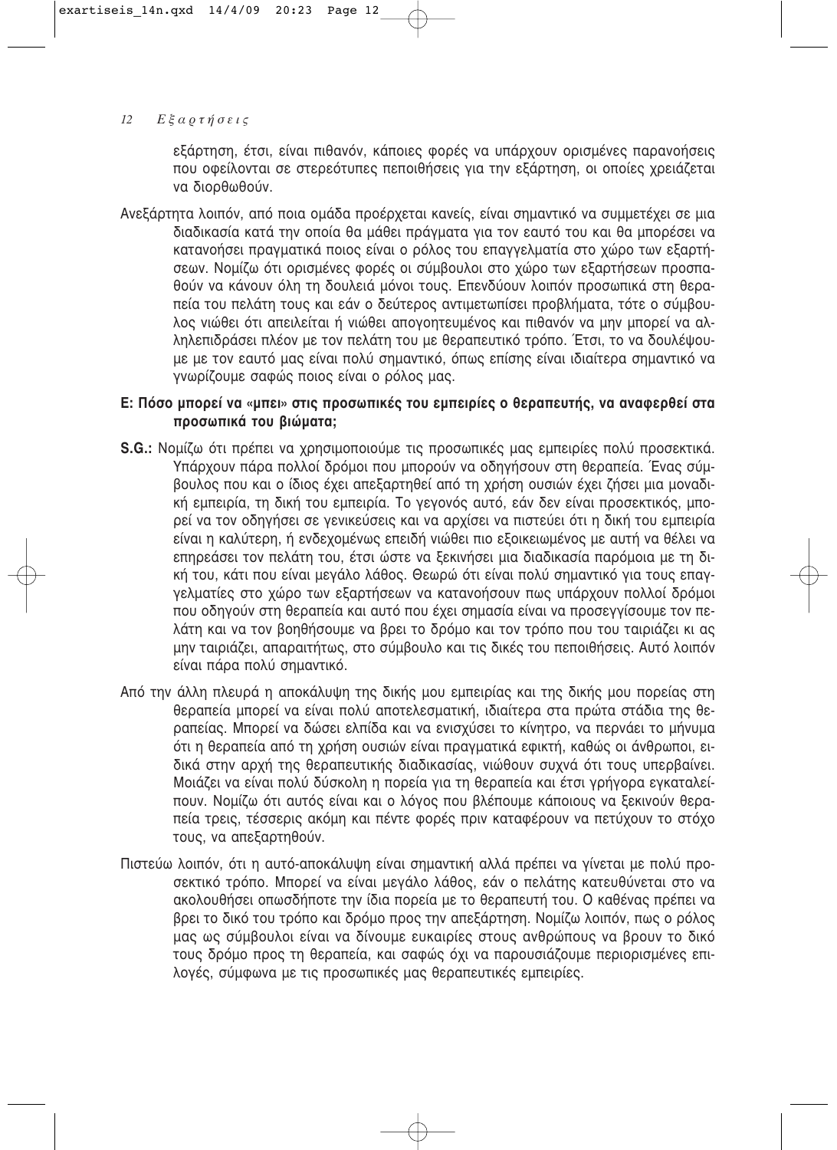εξάρτηση, έτσι, είναι πιθανόν, κάποιες φορές να υπάρχουν ορισμένες παρανοήσεις που οφείλονται σε στερεότυπες πεποιθήσεις για την εξάρτηση, οι οποίες χρειάζεται να διορθωθούν.

Ανεξάρτητα λοιπόν, από ποια ομάδα προέρχεται κανείς, είναι σημαντικό να συμμετέχει σε μια διαδικασία κατά την οποία θα μάθει πράγματα για τον εαυτό του και θα μπορέσει να κατανοήσει πραγματικά ποιος είναι ο ρόλος του επαγγελματία στο χώρο των εξαρτήσεων. Νομίζω ότι ορισμένες φορές οι σύμβουλοι στο χώρο των εξαρτήσεων προσπαθούν να κάνουν όλη τη δουλειά μόνοι τους. Επενδύουν λοιπόν προσωπικά στη θεραπεία του πελάτη τους και εάν ο δεύτερος αντιμετωπίσει προβλήματα, τότε ο σύμβουλος νιώθει ότι απειλείται ή νιώθει απογοητευμένος και πιθανόν να μην μπορεί να αλληλεπιδράσει πλέον με τον πελάτη του με θεραπευτικό τρόπο. Έτσι, το να δουλέψουμε με τον εαυτό μας είναι πολύ σημαντικό, όπως επίσης είναι ιδιαίτερα σημαντικό να γνωρίζουμε σαφώς ποιος είναι ο ρόλος μας.

# Ε: Πόσο μπορεί να «μπει» στις προσωπικές του εμπειρίες ο θεραπευτής, να αναφερθεί στα προσωπικά του βιώματα;

- S.G.: Νομίζω ότι πρέπει να χρησιμοποιούμε τις προσωπικές μας εμπειρίες πολύ προσεκτικά. Υπάρχουν πάρα πολλοί δρόμοι που μπορούν να οδηγήσουν στη θεραπεία. Ένας σύμβουλός που και ο ίδιος έχει απεξαρτηθεί από τη χρήση ουσιών έχει ζήσει μια μοναδική εμπειρία, τη δική του εμπειρία. Το γεγονός αυτό, εάν δεν είναι προσεκτικός, μπορεί να τον οδηγήσει σε γενικεύσεις και να αρχίσει να πιστεύει ότι η δική του εμπειρία είναι η καλύτερη, ή ενδεχομένως επειδή νιώθει πιο εξοικειωμένος με αυτή να θέλει να επηρεάσει τον πελάτη του, έτσι ώστε να ξεκινήσει μια διαδικασία παρόμοια με τη δική του, κάτι που είναι μεγάλο λάθος. Θεωρώ ότι είναι πολύ σημαντικό για τους επαγγελματίες στο χώρο των εξαρτήσεων να κατανοήσουν πως υπάρχουν πολλοί δρόμοι που οδηγούν στη θεραπεία και αυτό που έχει σημασία είναι να προσεγγίσουμε τον πελάτη και να τον βοηθήσουμε να βρει το δρόμο και τον τρόπο που του ταιριάζει κι ας μην ταιριάζει, απαραιτήτως, στο σύμβουλο και τις δικές του πεποιθήσεις. Αυτό λοιπόν είναι πάρα πολύ σημαντικό.
- Από την άλλη πλευρά η αποκάλυψη της δικής μου εμπειρίας και της δικής μου πορείας στη θεραπεία μπορεί να είναι πολύ αποτελεσματική, ιδιαίτερα στα πρώτα στάδια της θεραπείας. Μπορεί να δώσει ελπίδα και να ενισχύσει το κίνητρο, να περνάει το μήνυμα ότι η θεραπεία από τη χρήση ουσιών είναι πραγματικά εφικτή, καθώς οι άνθρωποι, ειδικά στην αρχή της θεραπευτικής διαδικασίας, νιώθουν συχνά ότι τους υπερβαίνει. Μοιάζει να είναι πολύ δύσκολη η πορεία για τη θεραπεία και έτσι γρήγορα εγκαταλείπουν. Νομίζω ότι αυτός είναι και ο λόγος που βλέπουμε κάποιους να ξεκινούν θεραπεία τρεις, τέσσερις ακόμη και πέντε φορές πριν καταφέρουν να πετύχουν το στόχο τους, να απεξαρτηθούν.
- Πιστεύω λοιπόν, ότι η αυτό-αποκάλυψη είναι σημαντική αλλά πρέπει να γίνεται με πολύ προσεκτικό τρόπο. Μπορεί να είναι μεγάλο λάθος, εάν ο πελάτης κατευθύνεται στο να ακολουθήσει οπωσδήποτε την ίδια πορεία με το θεραπευτή του. Ο καθένας πρέπει να βρει το δικό του τρόπο και δρόμο προς την απεξάρτηση. Νομίζω λοιπόν, πως ο ρόλος μας ως σύμβουλοι είναι να δίνουμε ευκαιρίες στους ανθρώπους να βρουν το δικό τους δρόμο προς τη θεραπεία, και σαφώς όχι να παρουσιάζουμε περιορισμένες επιλογές, σύμφωνα με τις προσωπικές μας θεραπευτικές εμπειρίες.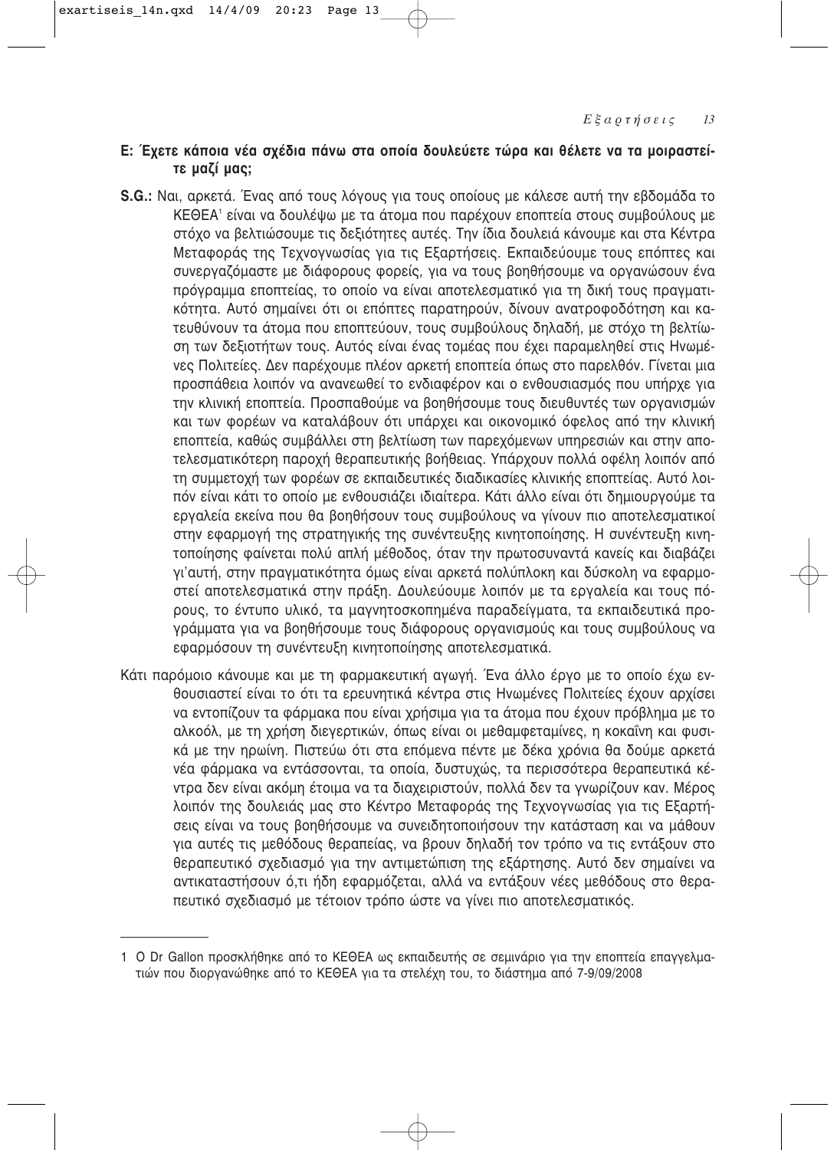# Ε: Έχετε κάποια νέα σχέδια πάνω στα οποία δουλεύετε τώρα και θέλετε να τα μοιραστεί**τε μαζί μας;**

exartiseis\_14n.qxd 14/4/09 20:23 Page 13

- **S.G.:** Ναι, αρκετά. Ένας από τους λόγους για τους οποίους με κάλεσε αυτή την εβδομάδα το ΚΕΘΕΑ<sup>1</sup> είναι να δουλέψω με τα άτομα που παρέχουν εποπτεία στους συμβούλους με στόχο να βελτιώσουμε τις δεξιότητες αυτές. Την ίδια δουλειά κάνουμε και στα Κέντρα Μεταφοράς της Τεχνογνωσίας για τις Εξαρτήσεις. Εκπαιδεύουμε τους επόπτες και συνεργαζόμαστε με διάφορους φορείς, για να τους βοηθήσουμε να οργανώσουν ένα πρόγραμμα εποπτείας, το οποίο να είναι αποτελεσματικό για τη δική τους πραγματι-Κότητα. Αυτό σημαίνει ότι οι επόπτες παρατηρούν, δίνουν ανατροφοδότηση και κατευθύνουν τα άτομα που εποπτεύουν, τους συμβούλους δηλαδή, με στόχο τη βελτίωση των δεξιοτήτων τους. Αυτός είναι ένας τομέας που έχει παραμεληθεί στις Ηνωμένες Πολιτείες. Δεν παρέχουμε πλέον αρκετή εποπτεία όπως στο παρελθόν. Γίνεται μια προσπάθεια λοιπόν να ανανεωθεί το ενδιαφέρον και ο ενθουσιασμός που υπήρχε για την κλινική εποπτεία. Προσπαθούμε να βοηθήσουμε τους διευθυντές των οργανισμών και των φορέων να καταλάβουν ότι υπάρχει και οικονομικό όφελος από την κλινική εποπτεία, καθώς συμβάλλει στη βελτίωση των παρεχόμενων υπηρεσιών και στην αποτελεσματικότερη παροχή θεραπευτικής βοήθειας. Υπάρχουν πολλά οφέλη λοιπόν από τη συμμετοχή των φορέων σε εκπαιδευτικές διαδικασίες κλινικής εποπτείας. Αυτό λοιπόν είναι κάτι το οποίο με ενθουσιάζει ιδιαίτερα. Κάτι άλλο είναι ότι δημιουργούμε τα εργαλεία εκείνα που θα βοηθήσουν τους συμβούλους να γίνουν πιο αποτελεσματικοί στην εφαρμογή της στρατηγικής της συνέντευξης κινητοποίησης. Η συνέντευξη κινητοποίησης φαίνεται πολύ απλή μέθοδος, όταν την πρωτοσυναντά κανείς και διαβάζει γι' αυτή, στην πραγματικότητα όμως είναι αρκετά πολύπλοκη και δύσκολη να εφαρμοστεί αποτελεσματικά στην πράξη. Δουλεύουμε λοιπόν με τα εργαλεία και τους πόρους, το έντυπο υλικό, τα μαγνητοσκοπημένα παραδείγματα, τα εκπαιδευτικά προγράμματα για να βοηθήσουμε τους διάφορους οργανισμούς και τους συμβούλους να εφαρμόσουν τη συνέντευξη κινητοποίησης αποτελεσματικά.
- Κάτι παρόμοιο κάνουμε και με τη φαρμακευτική αγωγή. Ένα άλλο έργο με το οποίο έχω ενθουσιαστεί είναι το ότι τα ερευνητικά κέντρα στις Ηνωμένες Πολιτείες έχουν αρχίσει να εντοπίζουν τα φάρμακα που είναι χρήσιμα για τα άτομα που έχουν πρόβλημα με το αλκοόλ, με τη χρήση διεγερτικών, όπως είναι οι μεθαμφεταμίνες, η κοκαΐνη και φυσικά με την ηρωίνη. Πιστεύω ότι στα επόμενα πέντε με δέκα χρόνια θα δούμε αρκετά νέα φάρμακα να εντάσσονται, τα οποία, δυστυχώς, τα περισσότερα θεραπευτικά κέντρα δεν είναι ακόμη έτοιμα να τα διαχειριστούν, πολλά δεν τα γνωρίζουν καν. Μέρος λοιπόν της δουλειάς μας στο Κέντρο Μεταφοράς της Τεχνογνωσίας για τις Εξαρτήσεις είναι να τους βοηθήσουμε να συνειδητοποιήσουν την κατάσταση και να μάθουν για αυτές τις μεθόδους θεραπείας, να βρουν δηλαδή τον τρόπο να τις εντάξουν στο θεραπευτικό σχεδιασμό για την αντιμετώπιση της εξάρτησης. Αυτό δεν σημαίνει να αντικαταστήσουν ό,τι ήδη εφαρμόζεται, αλλά να εντάξουν νέες μεθόδους στο θεραπευτικό σχεδιασμό με τέτοιον τρόπο ώστε να γίνει πιο αποτελεσματικός.

<sup>1</sup> O Dr Gallon προσκλήθηκε από το ΚΕΘΕΑ ως εκπαιδευτής σε σεμινάριο για την εποπτεία επαγγελματιών που διοργανώθηκε από το ΚΕΘΕΑ για τα στελέχη του, το διάστημα από 7-9/09/2008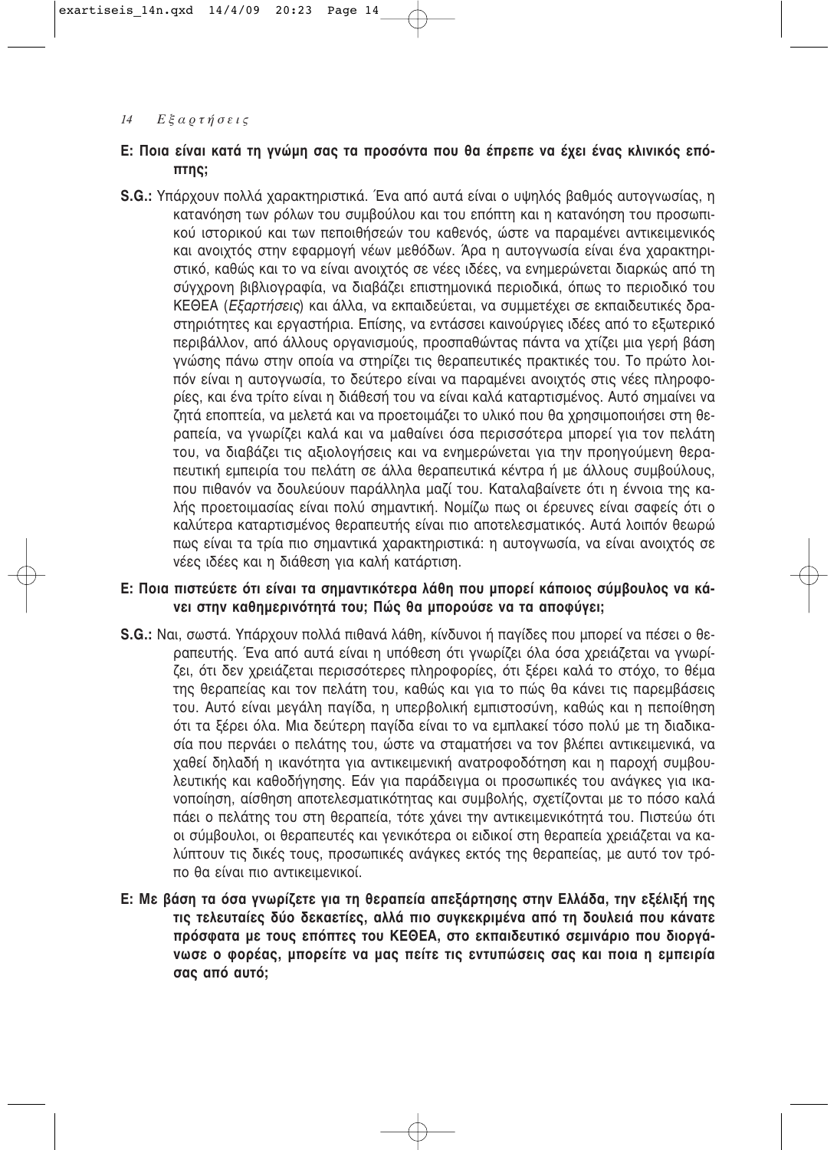# Ε: Ποια είναι κατά τη γνώμη σας τα προσόντα που θα έπρεπε να έχει ένας κλινικός επόптпс;

S.G.: Υπάρχουν πολλά χαρακτηριστικά. Ένα από αυτά είναι ο υψηλός βαθμός αυτογνωσίας, η κατανόηση των ρόλων του συμβούλου και του επόπτη και η κατανόηση του προσωπικού ιστορικού και των πεποιθήσεών του καθενός, ώστε να παραμένει αντικειμενικός και ανοιχτός στην εφαρμογή νέων μεθόδων. Άρα η αυτογνωσία είναι ένα χαρακτηριστικό, καθώς και το να είναι ανοιχτός σε νέες ιδέες, να ενημερώνεται διαρκώς από τη σύγχρονη βιβλιονραφία, να διαβάζει επιστημονικά περιοδικά, όπως το περιοδικό του ΚΕΘΕΑ (Εξαρτήσεις) και άλλα, να εκπαιδεύεται, να συμμετέχει σε εκπαιδευτικές δραστηριότητες και εργαστήρια. Επίσης, να εντάσσει καινούργιες ιδέες από το εξωτερικό περιβάλλον, από άλλους οργανισμούς, προσπαθώντας πάντα να χτίζει μια γερή βάση γνώσης πάνω στην οποία να στηρίζει τις θεραπευτικές πρακτικές του. Το πρώτο λοιπόν είναι η αυτοννωσία, το δεύτερο είναι να παραμένει ανοιχτός στις νέες πληροφορίες, και ένα τρίτο είναι η διάθεσή του να είναι καλά καταρτισμένος. Αυτό σημαίνει να ζητά εποπτεία, να μελετά και να προετοιμάζει το υλικό που θα χρησιμοποιήσει στη θεραπεία, να γνωρίζει καλά και να μαθαίνει όσα περισσότερα μπορεί για τον πελάτη του, να διαβάζει τις αξιολογήσεις και να ενημερώνεται για την προηγούμενη θεραπευτική εμπειρία του πελάτη σε άλλα θεραπευτικά κέντρα ή με άλλους συμβούλους, που πιθανόν να δουλεύουν παράλληλα μαζί του. Καταλαβαίνετε ότι η έννοια της καλής προετοιμασίας είναι πολύ σημαντική. Νομίζω πως οι έρευνες είναι σαφείς ότι ο καλύτερα καταρτισμένος θεραπευτής είναι πιο αποτελεσματικός. Αυτά λοιπόν θεωρώ πως είναι τα τρία πιο σημαντικά χαρακτηριστικά: η αυτογνωσία, να είναι ανοιχτός σε νέες ιδέες και η διάθεση για καλή κατάρτιση.

# Ε: Ποια πιστεύετε ότι είναι τα σημαντικότερα λάθη που μπορεί κάποιος σύμβουλος να κάνει στην καθημερινότητά του; Πώς θα μπορούσε να τα αποφύγει;

- S.G.: Ναι, σωστά. Υπάρχουν πολλά πιθανά λάθη, κίνδυνοι ή παγίδες που μπορεί να πέσει ο θεραπευτής. Ένα από αυτά είναι η υπόθεση ότι γνωρίζει όλα όσα χρειάζεται να γνωρίζει, ότι δεν χρειάζεται περισσότερες πληροφορίες, ότι ξέρει καλά το στόχο, το θέμα της θεραπείας και τον πελάτη του, καθώς και για το πώς θα κάνει τις παρεμβάσεις του. Αυτό είναι μεγάλη παγίδα, η υπερβολική εμπιστοσύνη, καθώς και η πεποίθηση ότι τα ξέρει όλα. Μια δεύτερη παγίδα είναι το να εμπλακεί τόσο πολύ με τη διαδικασία που περνάει ο πελάτης του, ώστε να σταματήσει να τον βλέπει αντικειμενικά, να χαθεί δηλαδή η ικανότητα για αντικειμενική ανατροφοδότηση και η παροχή συμβουλευτικής και καθοδήγησης. Εάν για παράδειγμα οι προσωπικές του ανάγκες για ικανοποίηση, αίσθηση αποτελεσματικότητας και συμβολής, σχετίζονται με το πόσο καλά πάει ο πελάτης του στη θεραπεία, τότε χάνει την αντικειμενικότητά του. Πιστεύω ότι οι σύμβουλοι, οι θεραπευτές και γενικότερα οι ειδικοί στη θεραπεία χρειάζεται να καλύπτουν τις δικές τους, προσωπικές ανάγκες εκτός της θεραπείας, με αυτό τον τρόπο θα είναι πιο αντικειμενικοί.
- Ε: Με βάση τα όσα γνωρίζετε για τη θεραπεία απεξάρτησης στην Ελλάδα, την εξέλιξή της τις τελευταίες δύο δεκαετίες, αλλά πιο συγκεκριμένα από τη δουλειά που κάνατε πρόσφατα με τους επόπτες του ΚΕΘΕΑ, στο εκπαιδευτικό σεμινάριο που διοργάνωσε ο φορέας, μπορείτε να μας πείτε τις εντυπώσεις σας και ποια η εμπειρία σας από αυτό;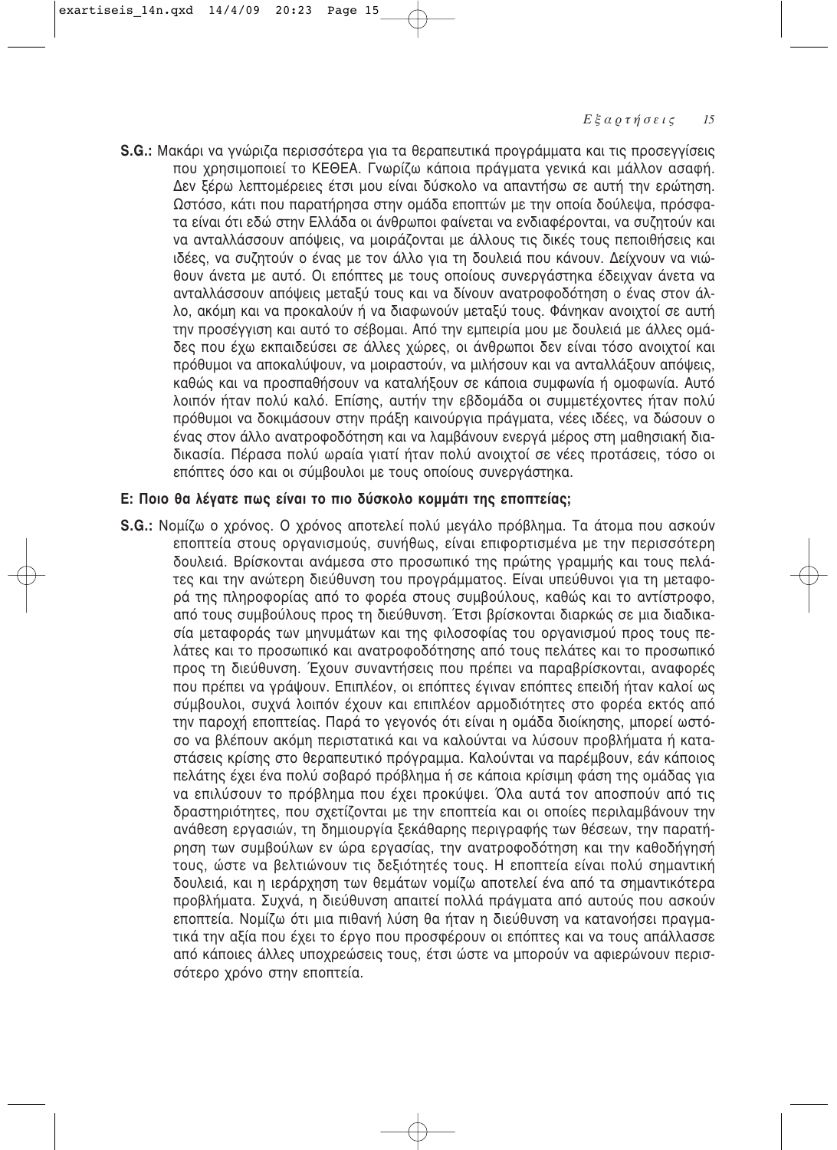S.G.: Μακάρι να γνώριζα περισσότερα για τα θεραπευτικά προγράμματα και τις προσεγγίσεις που χρησιμοποιεί το ΚΕΘΕΑ. Γνωρίζω κάποια πράγματα γενικά και μάλλον ασαφή. Δεν ξέρω λεπτομέρειες έτσι μου είναι δύσκολο να απαντήσω σε αυτή την ερώτηση. Ωστόσο, κάτι που παρατήρησα στην ομάδα εποπτών με την οποία δούλεψα, πρόσφατα είναι ότι εδώ στην Ελλάδα οι άνθρωποι φαίνεται να ενδιαφέρονται, να συζητούν και να ανταλλάσσουν απόψεις, να μοιράζονται με άλλους τις δικές τους πεποιθήσεις και ιδέες, να συζητούν ο ένας με τον άλλο για τη δουλειά που κάνουν. Δείχνουν να νιώθουν άνετα με αυτό. Οι επόπτες με τους οποίους συνεργάστηκα έδειχναν άνετα να ανταλλάσσουν απόψεις μεταξύ τους και να δίνουν ανατροφοδότηση ο ένας στον άλλο, ακόμη και να προκαλούν ή να διαφωνούν μεταξύ τους. Φάνηκαν ανοιχτοί σε αυτή την προσέγγιση και αυτό το σέβομαι. Από την εμπειρία μου με δουλειά με άλλες ομάδες που έχω εκπαιδεύσει σε άλλες χώρες, οι άνθρωποι δεν είναι τόσο ανοιχτοί και πρόθυμοι να αποκαλύψουν, να μοιραστούν, να μιλήσουν και να ανταλλάξουν απόψεις, καθώς και να προσπαθήσουν να καταλήξουν σε κάποια συμφωνία ή ομοφωνία. Αυτό λοιπόν ήταν πολύ καλό. Επίσης, αυτήν την εβδομάδα οι συμμετέχοντες ήταν πολύ πρόθυμοι να δοκιμάσουν στην πράξη καινούργια πράγματα, νέες ιδέες, να δώσουν ο ένας στον άλλο ανατροφοδότηση και να λαμβάνουν ενεργά μέρος στη μαθησιακή διαδικασία. Πέρασα πολύ ωραία γιατί ήταν πολύ ανοιχτοί σε νέες προτάσεις, τόσο οι επόπτες όσο και οι σύμβουλοι με τους οποίους συνεργάστηκα.

# Ε: Ποιο θα λέγατε πως είναι το πιο δύσκολο κομμάτι της εποπτείας;

exartiseis 14n.qxd 14/4/09

 $20:23$ 

Page 15

S.G.: Νομίζω ο χρόνος. Ο χρόνος αποτελεί πολύ μεγάλο πρόβλημα. Τα άτομα που ασκούν εποπτεία στους οργανισμούς, συνήθως, είναι επιφορτισμένα με την περισσότερη δουλειά. Βρίσκονται ανάμεσα στο προσωπικό της πρώτης γραμμής και τους πελάτες και την ανώτερη διεύθυνση του προγράμματος. Είναι υπεύθυνοι για τη μεταφορά της πληροφορίας από το φορέα στους συμβούλους, καθώς και το αντίστροφο, από τους συμβούλους προς τη διεύθυνση. Έτσι βρίσκονται διαρκώς σε μια διαδικασία μεταφοράς των μηνυμάτων και της φιλοσοφίας του οργανισμού προς τους πελάτες και το προσωπικό και ανατροφοδότησης από τους πελάτες και το προσωπικό προς τη διεύθυνση. Έχουν συναντήσεις που πρέπει να παραβρίσκονται, αναφορές που πρέπει να γράψουν. Επιπλέον, οι επόπτες έγιναν επόπτες επειδή ήταν καλοί ως σύμβουλοι, συχνά λοιπόν έχουν και επιπλέον αρμοδιότητες στο φορέα εκτός από την παροχή εποπτείας. Παρά το γεγονός ότι είναι η ομάδα διοίκησης, μπορεί ωστόσο να βλέπουν ακόμη περιστατικά και να καλούνται να λύσουν προβλήματα ή καταστάσεις κρίσης στο θεραπευτικό πρόγραμμα. Καλούνται να παρέμβουν, εάν κάποιος πελάτης έχει ένα πολύ σοβαρό πρόβλημα ή σε κάποια κρίσιμη φάση της ομάδας για να επιλύσουν το πρόβλημα που έχει προκύψει. Όλα αυτά τον αποσπούν από τις δραστηριότητες, που σχετίζονται με την εποπτεία και οι οποίες περιλαμβάνουν την ανάθεση εργασιών, τη δημιουργία ξεκάθαρης περιγραφής των θέσεων, την παρατήρηση των συμβούλων εν ώρα εργασίας, την ανατροφοδότηση και την καθοδήγησή τους, ώστε να βελτιώνουν τις δεξιότητές τους. Η εποπτεία είναι πολύ σημαντική δουλειά, και η ιεράρχηση των θεμάτων νομίζω αποτελεί ένα από τα σημαντικότερα προβλήματα. Συχνά, η διεύθυνση απαιτεί πολλά πράγματα από αυτούς που ασκούν εποπτεία. Νομίζω ότι μια πιθανή λύση θα ήταν η διεύθυνση να κατανοήσει πραγματικά την αξία που έχει το έργο που προσφέρουν οι επόπτες και να τους απάλλασσε από κάποιες άλλες υποχρεώσεις τους, έτσι ώστε να μπορούν να αφιερώνουν περισσότερο χρόνο στην εποπτεία.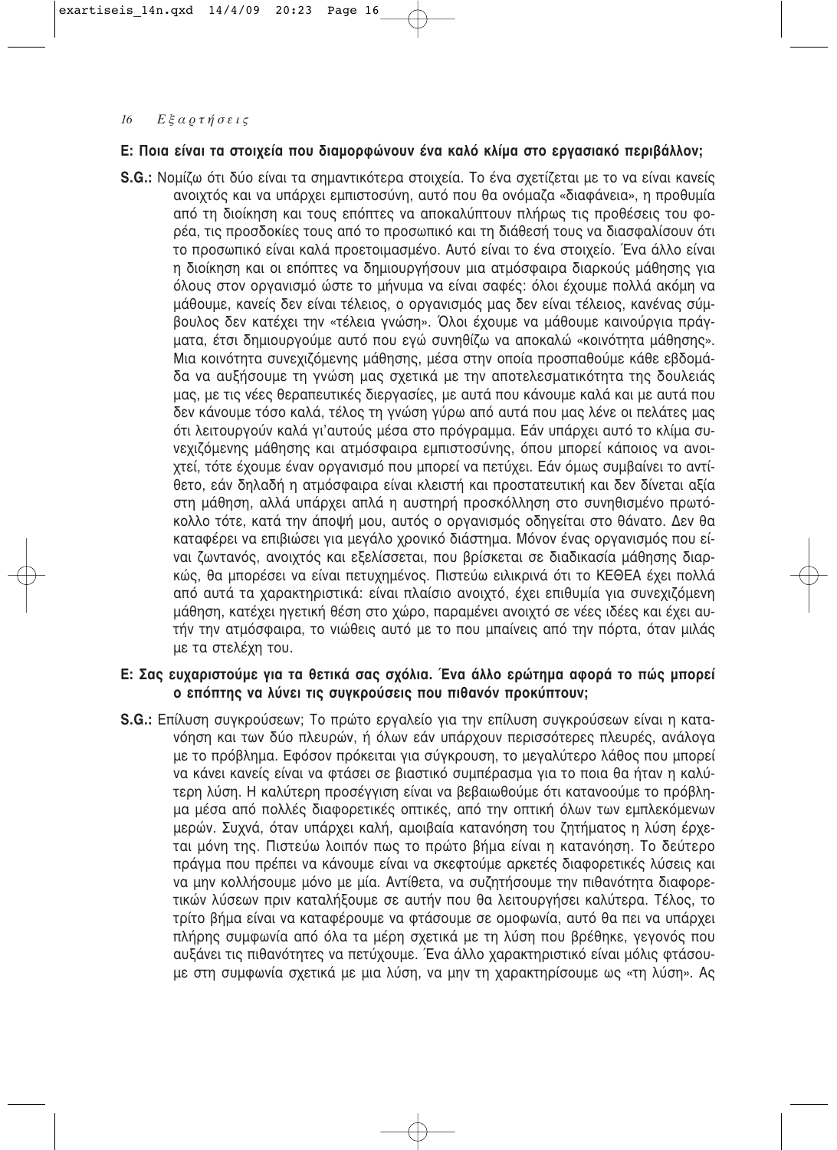# **Ε: Ποια είναι τα στοιχεία που διαμορφώνουν ένα καλό κλίμα στο εργασιακό περιβάλλον;**

**S.G.:** Νομίζω ότι δύο είναι τα σημαντικότερα στοιχεία. Το ένα σχετίζεται με το να είναι κανείς ανοιχτός και να υπάρχει εμπιστοσύνη, αυτό που θα ονόμαζα «διαφάνεια», η προθυμία από τη διοίκηση και τους επόπτες να αποκαλύπτουν πλήρως τις προθέσεις του φορέα, τις προσδοκίες τους από το προσωπικό και τη διάθεσή τους να διασφαλίσουν ότι το προσωπικό είναι καλά προετοιμασμένο. Αυτό είναι το ένα στοιχείο. Ένα άλλο είναι η διοίκηση και οι επόπτες να δημιουργήσουν μια ατμόσφαιρα διαρκούς μάθησης για óλους στον οργανισμό ώστε το μήνυμα να είναι σαφές: όλοι έχουμε πολλά ακόμη να μάθουμε, κανείς δεν είναι τέλειος, ο οργανισμός μας δεν είναι τέλειος, κανένας σύμβουλος δεν κατέχει την «τέλεια γνώση». Όλοι έχουμε να μάθουμε καινούργια πράγματα, έτσι δημιουργούμε αυτό που εγώ συνηθίζω να αποκαλώ «κοινότητα μάθησης». Μια κοινότητα συνεχιζόμενης μάθησης, μέσα στην οποία προσπαθούμε κάθε εβδομάδα να αυξήσουμε τη γνώση μας σχετικά με την αποτελεσματικότητα της δουλειάς μας, με τις νέες θεραπευτικές διεργασίες, με αυτά που κάνουμε καλά και με αυτά που δεν κάνουμε τόσο καλά, τέλος τη γνώση γύρω από αυτά που μας λένε οι πελάτες μας ότι λειτουργούν καλά γι' αυτούς μέσα στο πρόγραμμα. Εάν υπάρχει αυτό το κλίμα συνεχιζόμενης μάθησης και ατμόσφαιρα εμπιστοσύνης, όπου μπορεί κάποιος να ανοιχτεί, τότε έχουμε έναν οργανισμό που μπορεί να πετύχει. Εάν όμως συμβαίνει το αντίθετο, εάν δηλαδή η ατμόσφαιρα είναι κλειστή και προστατευτική και δεν δίνεται αξία στη μάθηση, αλλά υπάρχει απλά η αυστηρή προσκόλληση στο συνηθισμένο πρωτό-ΚΟλλο τότε, κατά την άποψή μου, αυτός ο οργανισμός οδηγείται στο θάνατο. Δεν θα καταφέρει να επιβιώσει για μεγάλο χρονικό διάστημα. Μόνον ένας οργανισμός που είναι ζωντανός, ανοιχτός και εξελίσσεται, που βρίσκεται σε διαδικασία μάθησης διαρ-Κώς, θα μπορέσει να είναι πετυχημένος. Πιστεύω ειλικρινά ότι το ΚΕΘΕΑ έχει πολλά από αυτά τα χαρακτηριστικά: είναι πλαίσιο ανοιχτό, έχει επιθυμία για συνεχιζόμενη μάθηση, κατέχει ηγετική θέση στο χώρο, παραμένει ανοιχτό σε νέες ιδέες και έχει αυτήν την ατμόσφαιρα, το νιώθεις αυτό με το που μπαίνεις από την πόρτα, όταν μιλάς με τα στελέχη του.

# Ε: Σας ευχαριστούμε για τα θετικά σας σχόλια. Ένα άλλο ερώτημα αφορά το πώς μπορεί **ο επόπτης να λύνει τις συγκρούσεις που πιθανόν προκύπτουν;**

S.G.: Επίλυση συγκρούσεων; Το πρώτο εργαλείο για την επίλυση συγκρούσεων είναι η κατανόηση και των δύο πλευρών, ή όλων εάν υπάρχουν περισσότερες πλευρές, ανάλογα με το πρόβλημα. Εφόσον πρόκειται για σύγκρουση, το μεγαλύτερο λάθος που μπορεί να κάνει κανείς είναι να φτάσει σε βιαστικό συμπέρασμα για το ποια θα ήταν η καλύτερη λύση. Η καλύτερη προσέγγιση είναι να βεβαιωθούμε ότι κατανοούμε το πρόβλημα μέσα από πολλές διαφορετικές οπτικές, από την οπτική όλων των εμπλεκόμενων μερών. Συχνά, όταν υπάρχει καλή, αμοιβαία κατανόηση του ζητήματος η λύση έρχεται μόνη της. Πιστεύω λοιπόν πως το πρώτο βήμα είναι η κατανόηση. Το δεύτερο πράγμα που πρέπει να κάνουμε είναι να σκεφτούμε αρκετές διαφορετικές λύσεις και να μην κολλήσουμε μόνο με μία. Αντίθετα, να συζητήσουμε την πιθανότητα διαφορετικών λύσεων πριν καταλήξουμε σε αυτήν που θα λειτουργήσει καλύτερα. Τέλος, το τρίτο βήμα είναι να καταφέρουμε να φτάσουμε σε ομοφωνία, αυτό θα πει να υπάρχει πλήρης συμφωνία από όλα τα μέρη σχετικά με τη λύση που βρέθηκε, γεγονός που αυξάνει τις πιθανότητες να πετύχουμε. Ένα άλλο χαρακτηριστικό είναι μόλις φτάσουμε στη συμφωνία σχετικά με μια λύση, να μην τη χαρακτηρίσουμε ως «τη λύση». Ας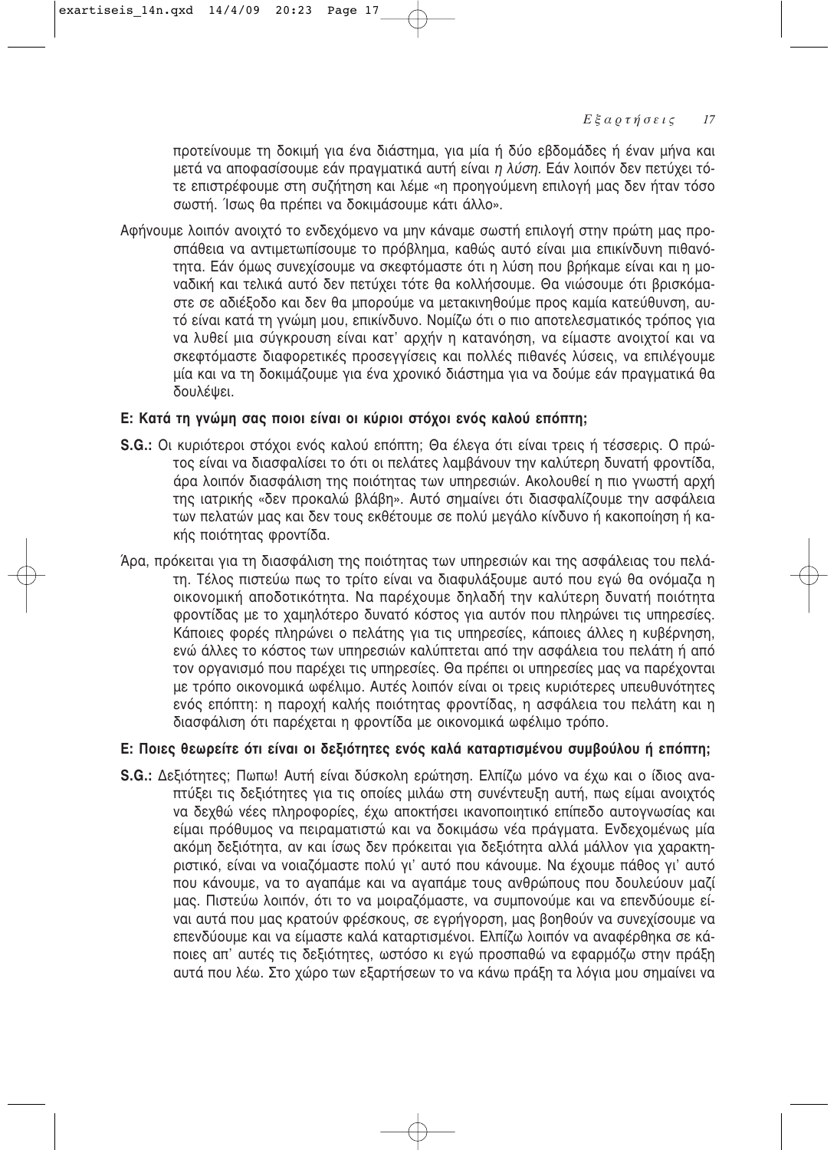προτείνουμε τη δοκιμή για ένα διάστημα, για μία ή δύο εβδομάδες ή έναν μήνα και μετά να αποφασίσουμε εάν πραγματικά αυτή είναι η λύση. Εάν λοιπόν δεν πετύχει τότε επιστρέφουμε στη συζήτηση και λέμε «η προηγούμενη επιλογή μας δεν ήταν τόσο σωστή. Ίσως θα πρέπει να δοκιμάσουμε κάτι άλλο».

Αφήνουμε λοιπόν ανοιχτό το ενδεχόμενο να μην κάναμε σωστή επιλογή στην πρώτη μας προσπάθεια να αντιμετωπίσουμε το πρόβλημα, καθώς αυτό είναι μια επικίνδυνη πιθανότητα. Εάν όμως συνεχίσουμε να σκεφτόμαστε ότι η λύση που βρήκαμε είναι και η μοναδική και τελικά αυτό δεν πετύχει τότε θα κολλήσουμε. Θα νιώσουμε ότι βρισκόμαστε σε αδιέξοδο και δεν θα μπορούμε να μετακινηθούμε προς καμία κατεύθυνση, αυτό είναι κατά τη γνώμη μου, επικίνδυνο. Νομίζω ότι ο πιο αποτελεσματικός τρόπος για να λυθεί μια σύγκρουση είναι κατ' αρχήν η κατανόηση, να είμαστε ανοιχτοί και να σκεφτόμαστε διαφορετικές προσεγγίσεις και πολλές πιθανές λύσεις, να επιλέγουμε μία και να τη δοκιμάζουμε για ένα χρονικό διάστημα για να δούμε εάν πραγματικά θα δουλέψει.

## Ε: Κατά τη γνώμη σας ποιοι είναι οι κύριοι στόχοι ενός καλού επόπτη;

- S.G.: Οι κυριότεροι στόχοι ενός καλού επόπτη; Θα έλεγα ότι είναι τρεις ή τέσσερις. Ο πρώτος είναι να διασφαλίσει το ότι οι πελάτες λαμβάνουν την καλύτερη δυνατή φροντίδα, άρα λοιπόν διασφάλιση της ποιότητας των υπηρεσιών. Ακολουθεί η πιο γνωστή αρχή της ιατρικής «δεν προκαλώ βλάβη». Αυτό σημαίνει ότι διασφαλίζουμε την ασφάλεια των πελατών μας και δεν τους εκθέτουμε σε πολύ μεγάλο κίνδυνο ή κακοποίηση ή κακής ποιότητας φροντίδα.
- Άρα, πρόκειται για τη διασφάλιση της ποιότητας των υπηρεσιών και της ασφάλειας του πελάτη. Τέλος πιστεύω πως το τρίτο είναι να διαφυλάξουμε αυτό που εγώ θα ονόμαζα η οικονομική αποδοτικότητα. Να παρέχουμε δηλαδή την καλύτερη δυνατή ποιότητα φροντίδας με το χαμηλότερο δυνατό κόστος για αυτόν που πληρώνει τις υπηρεσίες. Κάποιες φορές πληρώνει ο πελάτης για τις υπηρεσίες, κάποιες άλλες η κυβέρνηση, ενώ άλλες το κόστος των υπηρεσιών καλύπτεται από την ασφάλεια του πελάτη ή από τον οργανισμό που παρέχει τις υπηρεσίες. Θα πρέπει οι υπηρεσίες μας να παρέχονται με τρόπο οικονομικά ωφέλιμο. Αυτές λοιπόν είναι οι τρεις κυριότερες υπευθυνότητες ενός επόπτη: η παροχή καλής ποιότητας φροντίδας, η ασφάλεια του πελάτη και η διασφάλιση ότι παρέχεται η φροντίδα με οικονομικά ωφέλιμο τρόπο.

# Ε: Ποιες θεωρείτε ότι είναι οι δεξιότητες ενός καλά καταρτισμένου συμβούλου ή επόπτη;

S.G.: Δεξιότητες; Πωπω! Αυτή είναι δύσκολη ερώτηση. Ελπίζω μόνο να έχω και ο ίδιος αναπτύξει τις δεξιότητες για τις οποίες μιλάω στη συνέντευξη αυτή, πως είμαι ανοιχτός να δεχθώ νέες πληροφορίες, έχω αποκτήσει ικανοποιητικό επίπεδο αυτογνωσίας και είμαι πρόθυμος να πειραματιστώ και να δοκιμάσω νέα πράγματα. Ενδεχομένως μία ακόμη δεξιότητα, αν και ίσως δεν πρόκειται για δεξιότητα αλλά μάλλον για χαρακτηριστικό, είναι να νοιαζόμαστε πολύ γι' αυτό που κάνουμε. Να έχουμε πάθος γι' αυτό που κάνουμε, να το αγαπάμε και να αγαπάμε τους ανθρώπους που δουλεύουν μαζί μας. Πιστεύω λοιπόν, ότι το να μοιραζόμαστε, να συμπονούμε και να επενδύουμε είναι αυτά που μας κρατούν φρέσκους, σε εγρήγορση, μας βοηθούν να συνεχίσουμε να επενδύουμε και να είμαστε καλά καταρτισμένοι. Ελπίζω λοιπόν να αναφέρθηκα σε κάποιες απ' αυτές τις δεξιότητες, ωστόσο κι εγώ προσπαθώ να εφαρμόζω στην πράξη αυτά που λέω. Στο χώρο των εξαρτήσεων το να κάνω πράξη τα λόγια μου σημαίνει να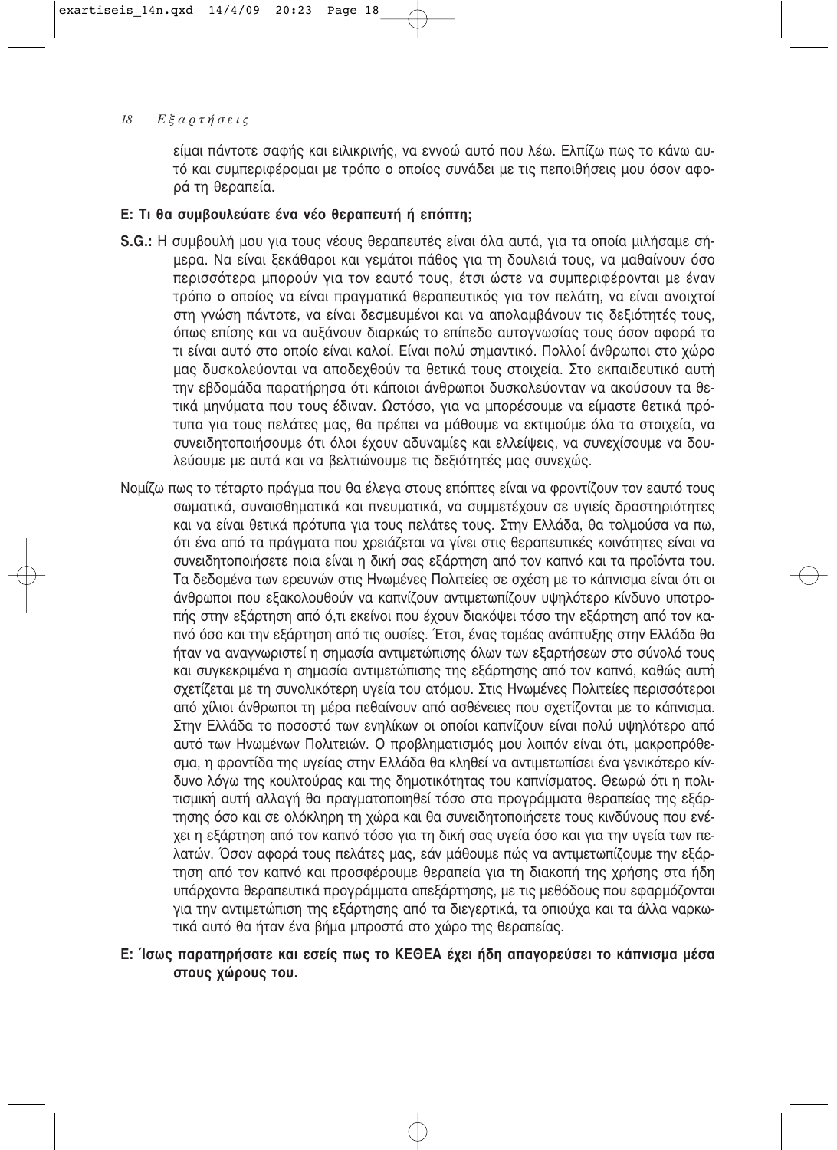> είμαι πάντοτε σαφής και ειλικρινής, να εννοώ αυτό που λέω. Ελπίζω πως το κάνω αυτό και συμπεριφέρομαι με τρόπο ο οποίος συνάδει με τις πεποιθήσεις μου όσον αφορά τη θεραπεία.

# Ε: Τι θα συμβουλεύατε ένα νέο θεραπευτή ή επόπτη;

- S.G.: Η συμβουλή μου για τους νέους θεραπευτές είναι όλα αυτά, για τα οποία μιλήσαμε σήμερα. Να είναι ξεκάθαροι και νεμάτοι πάθος νια τη δουλειά τους, να μαθαίνουν όσο περισσότερα μπορούν για τον εαυτό τους, έτσι ώστε να συμπεριφέρονται με έναν τρόπο ο οποίος να είναι πραγματικά θεραπευτικός για τον πελάτη, να είναι ανοιχτοί στη γνώση πάντοτε, να είναι δεσμευμένοι και να απολαμβάνουν τις δεξιότητές τους. όπως επίσης και να αυξάνουν διαρκώς το επίπεδο αυτοννωσίας τους όσον αφορά το τι είναι αυτό στο οποίο είναι καλοί. Είναι πολύ σημαντικό. Πολλοί άνθρωποι στο χώρο μας δυσκολεύονται να αποδεχθούν τα θετικά τους στοιχεία. Στο εκπαιδευτικό αυτή την εβδομάδα παρατήρησα ότι κάποιοι άνθρωποι δυσκολεύονταν να ακούσουν τα θετικά μηνύματα που τους έδιναν. Ωστόσο, για να μπορέσουμε να είμαστε θετικά πρότυπα για τους πελάτες μας, θα πρέπει να μάθουμε να εκτιμούμε όλα τα στοιχεία, να συνειδητοποιήσουμε ότι όλοι έχουν αδυναμίες και ελλείψεις, να συνεχίσουμε να δουλεύουμε με αυτά και να βελτιώνουμε τις δεξιότητές μας συνεχώς.
- Νομίζω πως το τέταρτο πράγμα που θα έλεγα στους επόπτες είναι να φροντίζουν τον εαυτό τους σωματικά, συναισθηματικά και πνευματικά, να συμμετέχουν σε υγιείς δραστηριότητες και να είναι θετικά πρότυπα για τους πελάτες τους. Στην Ελλάδα, θα τολμούσα να πω, ότι ένα από τα πράγματα που χρειάζεται να γίνει στις θεραπευτικές κοινότητες είναι να συνειδητοποιήσετε ποια είναι η δική σας εξάρτηση από τον καπνό και τα προϊόντα του. Τα δεδομένα των ερευνών στις Ηνωμένες Πολιτείες σε σχέση με το κάπνισμα είναι ότι οι άνθρωποι που εξακολουθούν να καπνίζουν αντιμετωπίζουν υψηλότερο κίνδυνο υποτροπής στην εξάρτηση από ό,τι εκείνοι που έχουν διακόψει τόσο την εξάρτηση από τον καπνό όσο και την εξάρτηση από τις ουσίες. Έτσι, ένας τομέας ανάπτυξης στην Ελλάδα θα ήταν να αναγνωριστεί η σημασία αντιμετώπισης όλων των εξαρτήσεων στο σύνολό τους και συγκεκριμένα η σημασία αντιμετώπισης της εξάρτησης από τον καπνό, καθώς αυτή σχετίζεται με τη συνολικότερη υνεία του ατόμου. Στις Ηνωμένες Πολιτείες περισσότεροι από χίλιοι άνθρωποι τη μέρα πεθαίνουν από ασθένειες που σχετίζονται με το κάπνισμα. Στην Ελλάδα το ποσοστό των ενηλίκων οι οποίοι καπνίζουν είναι πολύ υψηλότερο από αυτό των Ηνωμένων Πολιτειών. Ο προβληματισμός μου λοιπόν είναι ότι, μακροπρόθεσμα, η φροντίδα της υγείας στην Ελλάδα θα κληθεί να αντιμετωπίσει ένα γενικότερο κίνδυνο λόγω της κουλτούρας και της δημοτικότητας του καπνίσματος. Θεωρώ ότι η πολιτισμική αυτή αλλαγή θα πραγματοποιηθεί τόσο στα προγράμματα θεραπείας της εξάρτησης όσο και σε ολόκληρη τη χώρα και θα συνειδητοποιήσετε τους κινδύνους που ενέχει η εξάρτηση από τον καπνό τόσο για τη δική σας υγεία όσο και για την υγεία των πελατών. Όσον αφορά τους πελάτες μας, εάν μάθουμε πώς να αντιμετωπίζουμε την εξάρτηση από τον καπνό και προσφέρουμε θεραπεία για τη διακοπή της χρήσης στα ήδη υπάρχοντα θεραπευτικά προγράμματα απεξάρτησης, με τις μεθόδους που εφαρμόζονται για την αντιμετώπιση της εξάρτησης από τα διεγερτικά, τα οπιούχα και τα άλλα ναρκωτικά αυτό θα ήταν ένα βήμα μπροστά στο χώρο της θεραπείας.
- Ε: Ίσως παρατηρήσατε και εσείς πως το ΚΕΘΕΑ έχει ήδη απαγορεύσει το κάπνισμα μέσα στους χώρους του.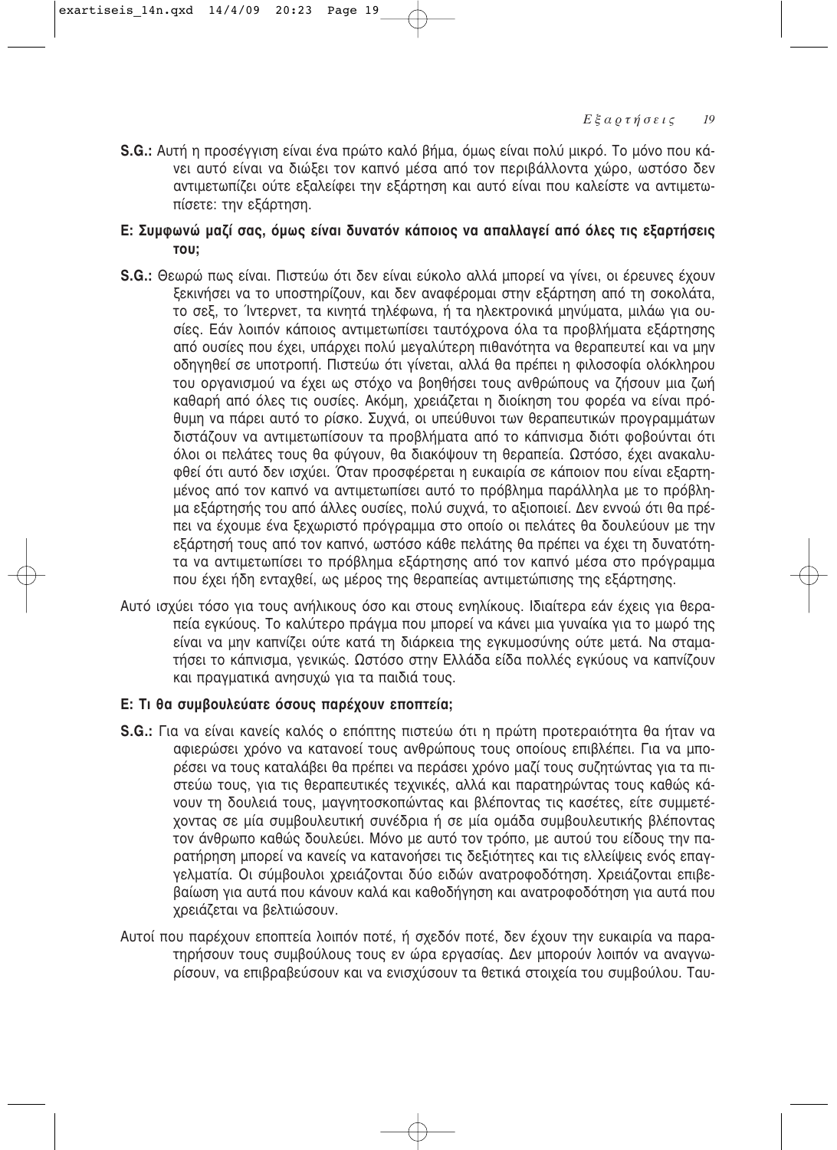S.G.: Αυτή η προσέγγιση είναι ένα πρώτο καλό βήμα, όμως είναι πολύ μικρό. Το μόνο που κάνει αυτό είναι να διώξει τον καπνό μέσα από τον περιβάλλοντα χώρο, ωστόσο δεν αντιμετωπίζει ούτε εξαλείφει την εξάρτηση και αυτό είναι που καλείστε να αντιμετωπίσετε: την εξάρτηση.

# Ε: Συμφωνώ μαζί σας, όμως είναι δυνατόν κάποιος να απαλλαγεί από όλες τις εξαρτήσεις TOU:

- **S.G.:** Θεωρώ πως είναι. Πιστεύω ότι δεν είναι εύκολο αλλά μπορεί να γίνει, οι έρευνες έχουν ξεκινήσει να το υποστηρίζουν, και δεν αναφέρομαι στην εξάρτηση από τη σοκολάτα, το σεξ, το Ίντερνετ, τα κινητά τηλέφωνα, ή τα ηλεκτρονικά μηνύματα, μιλάω για ουσίες. Εάν λοιπόν κάποιος αντιμετωπίσει ταυτόχρονα όλα τα προβλήματα εξάρτησης από ουσίες που έχει, υπάρχει πολύ μεγαλύτερη πιθανότητα να θεραπευτεί και να μην οδηγηθεί σε υποτροπή. Πιστεύω ότι γίνεται, αλλά θα πρέπει η φιλοσοφία ολόκληρου του οργανισμού να έχει ως στόχο να βοηθήσει τους ανθρώπους να ζήσουν μια ζωή καθαρή από όλες τις ουσίες. Ακόμη, χρειάζεται η διοίκηση του φορέα να είναι πρόθυμη να πάρει αυτό το ρίσκο. Συχνά, οι υπεύθυνοι των θεραπευτικών προγραμμάτων διστάζουν να αντιμετωπίσουν τα προβλήματα από το κάπνισμα διότι φοβούνται ότι όλοι οι πελάτες τους θα φύγουν, θα διακόψουν τη θεραπεία. Ωστόσο, έχει ανακαλυφθεί ότι αυτό δεν ισχύει. Όταν προσφέρεται η ευκαιρία σε κάποιον που είναι εξαρτημένος από τον καπνό να αντιμετωπίσει αυτό το πρόβλημα παράλληλα με το πρόβλημα εξάρτησής του από άλλες ουσίες, πολύ συχνά, το αξιοποιεί. Δεν εννοώ ότι θα πρέπει να έχουμε ένα ξεχωριστό πρόγραμμα στο οποίο οι πελάτες θα δουλεύουν με την εξάρτησή τους από τον καπνό, ωστόσο κάθε πελάτης θα πρέπει να έχει τη δυνατότητα να αντιμετωπίσει το πρόβλημα εξάρτησης από τον καπνό μέσα στο πρόγραμμα που έχει ήδη ενταχθεί, ως μέρος της θεραπείας αντιμετώπισης της εξάρτησης.
- Aυτό ισχύει τόσο για τους ανήλικους όσο και στους ενηλίκους. Ιδιαίτερα εάν έχεις για θεραπεία ενκύους. Το καλύτερο πράνμα που μπορεί να κάνει μια νυναίκα νια το μωρό της είναι να μην καπνίζει ούτε κατά τη διάρκεια της εγκυμοσύνης ούτε μετά. Να σταματήσει το κάπνισμα, γενικώς. Ωστόσο στην Ελλάδα είδα πολλές εγκύους να καπνίζουν και πρανματικά ανησυχώ νια τα παιδιά τους.

### **Ε: Τι θα συμβουλεύατε όσους παρέχουν εποπτεία;**

exartiseis\_14n.qxd 14/4/09 20:23 Page 19

- **S.G.:** Για να είναι κανείς καλός ο επόπτης πιστεύω ότι η πρώτη προτεραιότητα θα ήταν να αφιερώσει χρόνο να κατανοεί τους ανθρώπους τους οποίους επιβλέπει. Για να μπορέσει να τους καταλάβει θα πρέπει να περάσει χρόνο μαζί τους συζητώντας για τα πιστεύω τους, για τις θεραπευτικές τεχνικές, αλλά και παρατηρώντας τους καθώς κά-VOUV τη δουλειά τους, μαγνητοσκοπώντας και βλέποντας τις κασέτες, είτε συμμετέχοντας σε μία συμβουλευτική συνέδρια ή σε μία ομάδα συμβουλευτικής βλέποντας τον άνθρωπο καθώς δουλεύει. Μόνο με αυτό τον τρόπο, με αυτού του είδους την παρατήρηση μπορεί να κανείς να κατανοήσει τις δεξιότητες και τις ελλείψεις ενός επαγγελματία. Οι σύμβουλοι χρειάζονται δύο ειδών ανατροφοδότηση. Χρειάζονται επιβεβαίωση για αυτά που κάνουν καλά και καθοδήγηση και ανατροφοδότηση για αυτά που χρειάζεται να βελτιώσουν.
- Aυτοί που παρέχουν εποπτεία λοιπόν ποτέ, ή σχεδόν ποτέ, δεν έχουν την ευκαιρία να παρατηρήσουν τους συμβούλους τους εν ώρα εργασίας. Δεν μπορούν λοιπόν να αναγνωρίσουν, να επιβραβεύσουν και να ενισχύσουν τα θετικά στοιχεία του συμβούλου. Ταυ-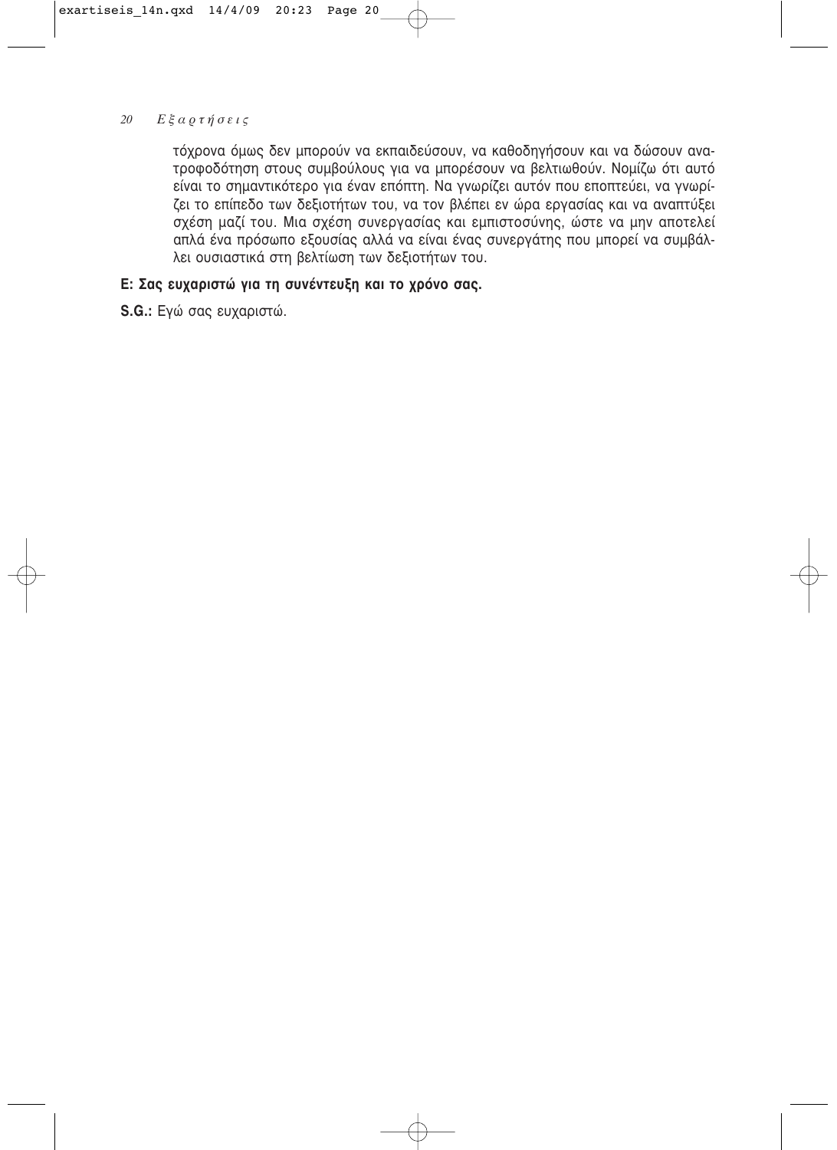τόχρονα όμως δεν μπορούν να εκπαιδεύσουν, να καθοδηγήσουν και να δώσουν ανατροφοδότηση στους συμβούλους για να μπορέσουν να βελτιωθούν. Νομίζω ότι αυτό είναι το σημαντικότερο για έναν επόπτη. Να γνωρίζει αυτόν που εποπτεύει, να γνωρίζει το επίπεδο των δεξιοτήτων του, να τον βλέπει εν ώρα εργασίας και να αναπτύξει σχέση μαζί του. Μια σχέση συνεργασίας και εμπιστοσύνης, ώστε να μην αποτελεί απλά ένα πρόσωπο εξουσίας αλλά να είναι ένας συνεργάτης που μπορεί να συμβάλλει ουσιαστικά στη βελτίωση των δεξιοτήτων του.

# Ε: Σας ευχαριστώ για τη συνέντευξη και το χρόνο σας.

S.G.: Εγώ σας ευχαριστώ.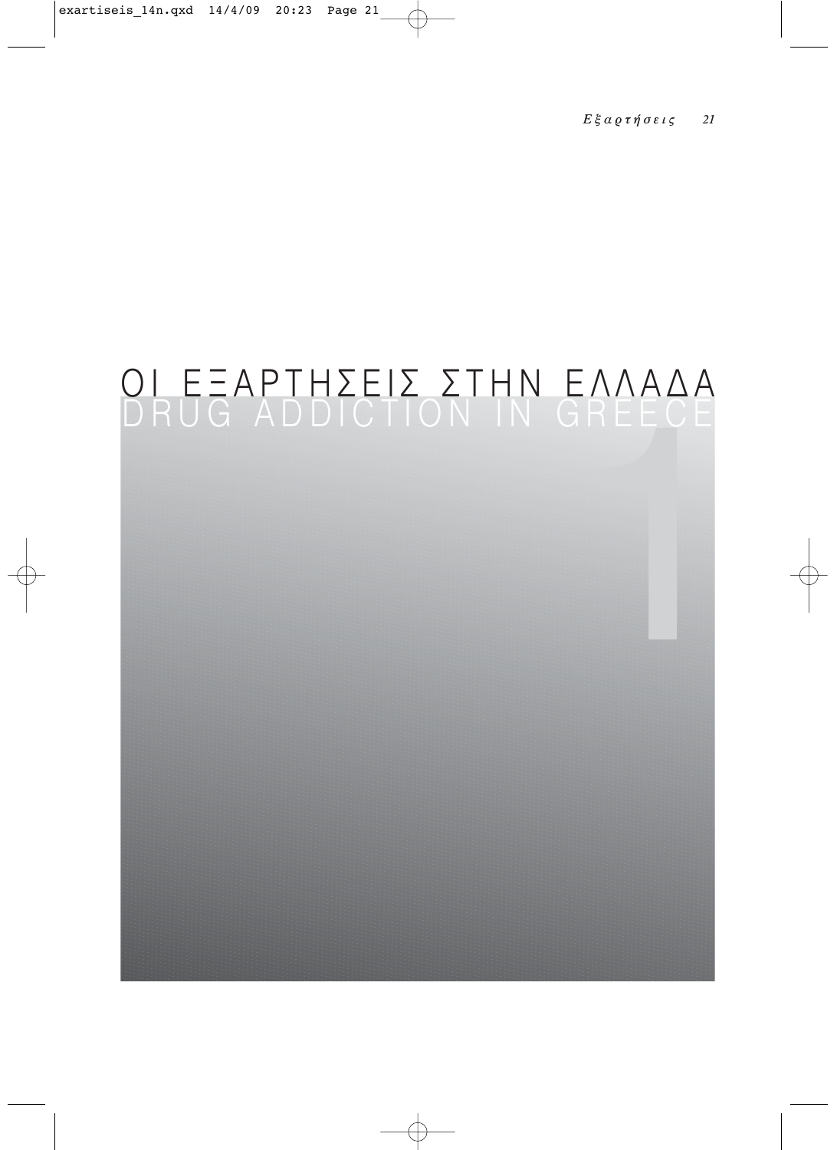# <u>OL EEAPTHΣEIΣ ΣΤΗΝ ΕΛΛΑΔΑ</u><br>DRUG ADDICTION IN GREECE</u>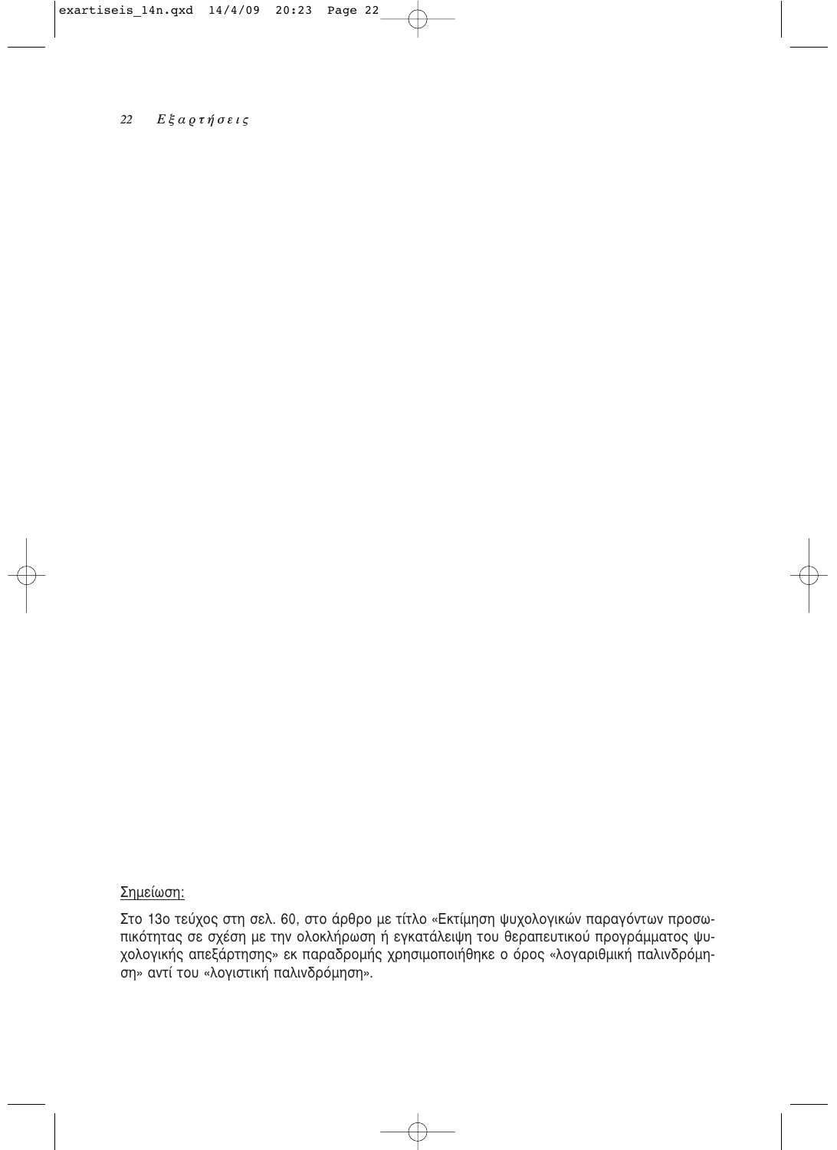# Σημείωση:

Στο 13ο τεύχος στη σελ. 60, στο άρθρο με τίτλο «Εκτίμηση ψυχολογικών παραγόντων προσωπικότητας σε σχέση με την ολοκλήρωση ή εγκατάλειψη του θεραπευτικού προγράμματος ψυχολογικής απεξάρτησης» εκ παραδρομής χρησιμοποιήθηκε ο όρος «λογαριθμική παλινδρόμηση» αντί του «λογιστική παλινδρόμηση».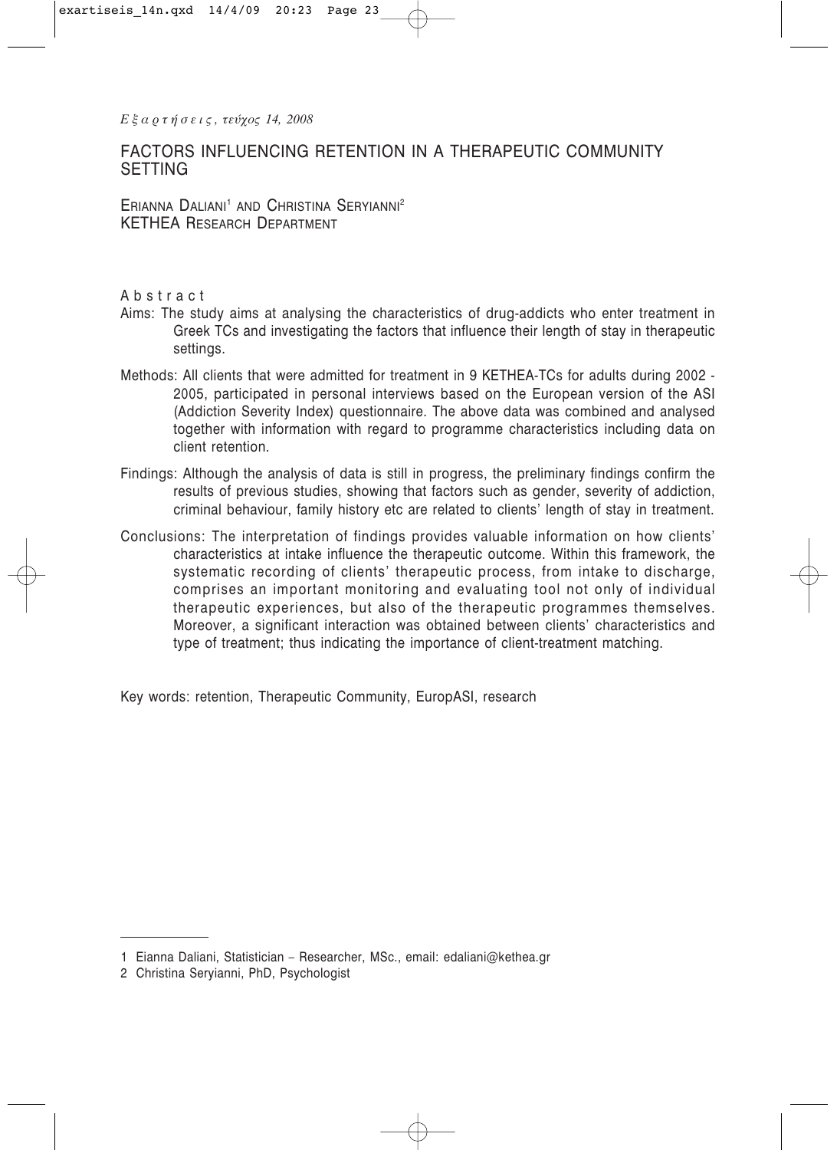*Ε ξ α ρ τ ή σ ε ι ς , τεύχος 14, 2008*

# FACTORS INFLUENCING RETENTION IN A THERAPEUTIC COMMUNITY **SETTING**

ERIANNA DALIANI<sup>1</sup> AND CHRISTINA SERYIANNI<sup>2</sup> KETHEA RESEARCH DEPARTMENT

Abstract

- Aims: The study aims at analysing the characteristics of drug-addicts who enter treatment in Greek TCs and investigating the factors that influence their length of stay in therapeutic settings.
- Methods: All clients that were admitted for treatment in 9 KETHEA-TCs for adults during 2002 2005, participated in personal interviews based on the European version of the ASI (Addiction Severity Index) questionnaire. The above data was combined and analysed together with information with regard to programme characteristics including data on client retention.
- Findings: Although the analysis of data is still in progress, the preliminary findings confirm the results of previous studies, showing that factors such as gender, severity of addiction, criminal behaviour, family history etc are related to clients' length of stay in treatment.
- Conclusions: The interpretation of findings provides valuable information on how clients' characteristics at intake influence the therapeutic outcome. Within this framework, the systematic recording of clients' therapeutic process, from intake to discharge, comprises an important monitoring and evaluating tool not only of individual therapeutic experiences, but also of the therapeutic programmes themselves. Moreover, a significant interaction was obtained between clients' characteristics and type of treatment; thus indicating the importance of client-treatment matching.

Key words: retention, Therapeutic Community, EuropASI, research

2 Christina Seryianni, PhD, Psychologist

<sup>1</sup> Eianna Daliani, Statistician – Researcher, MSc., email: edaliani@kethea.gr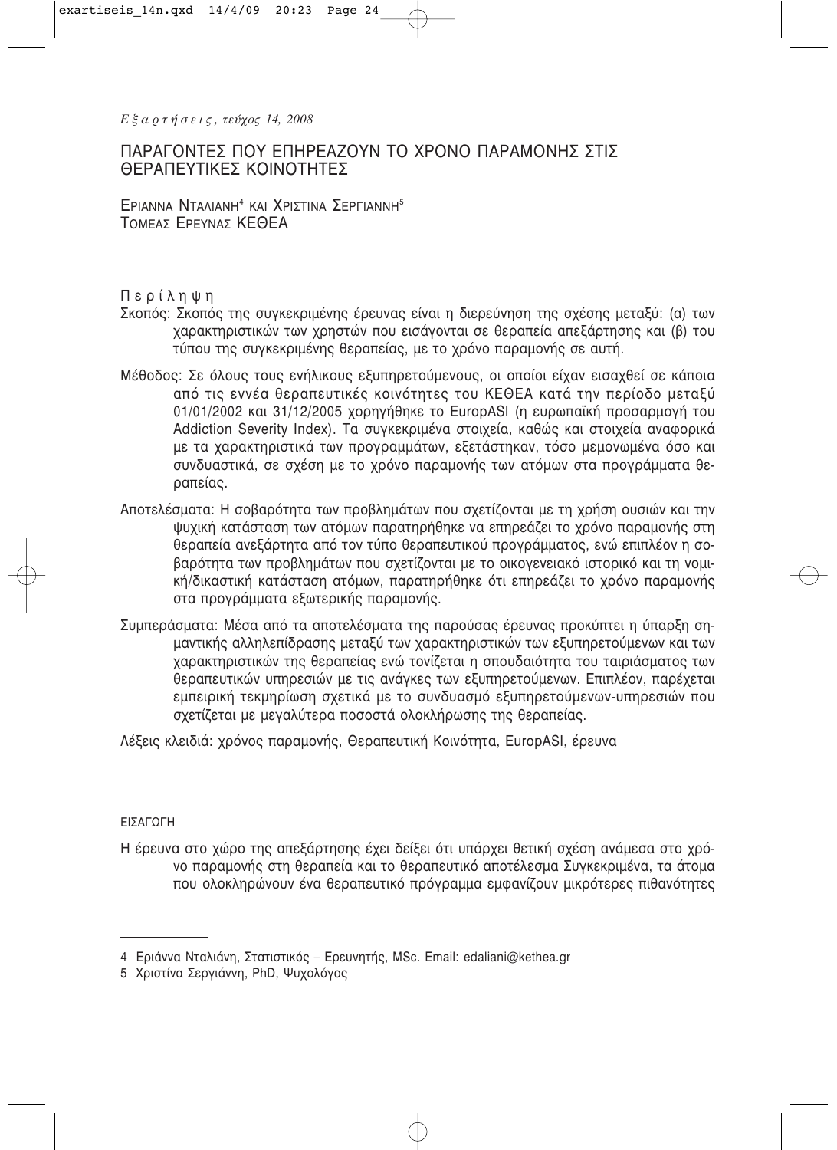Εξαρτήσεις, τεύχος 14, 2008

# ΠΑΡΑΓΟΝΤΕΣ ΠΟΥ ΕΠΗΡΕΑΖΟΥΝ ΤΟ ΧΡΟΝΟ ΠΑΡΑΜΟΝΗΣ ΣΤΙΣ ΘΕΡΑΠΕΥΤΙΚΕΣ ΚΟΙΝΟΤΗΤΕΣ

ΕΡΙΑΝΝΑ ΝΤΑΛΙΑΝΗ<sup>4</sup> ΚΑΙ ΧΡΙΣΤΙΝΑ ΣΕΡΓΙΑΝΝΗ<sup>5</sup> TOMFAY EPFYNAY KEOEA

Περίληψη

- Σκοπός: Σκοπός της συγκεκριμένης έρευνας είναι η διερεύνηση της σχέσης μεταξύ; (α) των γαρακτηριστικών των χρηστών που εισάγονται σε θεραπεία απεξάρτησης και (β) του τύπου της συγκεκριμένης θεραπείας, με το χρόνο παραμονής σε αυτή.
- Μέθοδος: Σε όλους τους ενήλικους εξυπηρετούμενους, οι οποίοι είχαν εισαχθεί σε κάποια από τις εννέα θεραπευτικές κοινότητες του ΚΕΘΕΑ κατά την περίοδο μεταξύ 01/01/2002 και 31/12/2005 χορηγήθηκε το EuropASI (η ευρωπαϊκή προσαρμογή του Addiction Severity Index). Τα συγκεκριμένα στοιχεία, καθώς και στοιχεία αναφορικά με τα χαρακτηριστικά των προγραμμάτων, εξετάστηκαν, τόσο μεμονωμένα όσο και συνδυαστικά, σε σχέση με το χρόνο παραμονής των ατόμων στα προγράμματα θεραπείας.
- Αποτελέσματα: Η σοβαρότητα των προβλημάτων που σχετίζονται με τη χρήση ουσιών και την ψυχική κατάσταση των ατόμων παρατηρήθηκε να επηρεάζει το χρόνο παραμονής στη θεραπεία ανεξάρτητα από τον τύπο θεραπευτικού προγράμματος, ενώ επιπλέον η σοβαρότητα των προβλημάτων που σχετίζονται με το οικογενειακό ιστορικό και τη νομική/δικαστική κατάσταση ατόμων, παρατηρήθηκε ότι επηρεάζει το χρόνο παραμονής στα προγράμματα εξωτερικής παραμονής.
- Συμπεράσματα: Μέσα από τα αποτελέσματα της παρούσας έρευνας προκύπτει η ύπαρξη σημαντικής αλληλεπίδρασης μεταξύ των χαρακτηριστικών των εξυπηρετούμενων και των χαρακτηριστικών της θεραπείας ενώ τονίζεται η σπουδαιότητα του ταιριάσματος των θεραπευτικών υπηρεσιών με τις ανάγκες των εξυπηρετούμενων. Επιπλέον, παρέχεται εμπειρική τεκμηρίωση σχετικά με το συνδυασμό εξυπηρετούμενων-υπηρεσιών που σχετίζεται με μεγαλύτερα ποσοστά ολοκλήρωσης της θεραπείας.

Λέξεις κλειδιά: χρόνος παραμονής, Θεραπευτική Κοινότητα, EuropASI, έρευνα

## **FIΣAΓOΓH**

Η έρευνα στο χώρο της απεξάρτησης έχει δείξει ότι υπάρχει θετική σχέση ανάμεσα στο χρόνο παραμονής στη θεραπεία και το θεραπευτικό αποτέλεσμα Συγκεκριμένα, τα άτομα που ολοκληρώνουν ένα θεραπευτικό πρόγραμμα εμφανίζουν μικρότερες πιθανότητες

<sup>4</sup> Εριάννα Νταλιάνη, Στατιστικός - Ερευνητής, MSc. Email: edaliani@kethea.gr

<sup>5</sup> Χριστίνα Σεργιάννη, PhD, Ψυχολόγος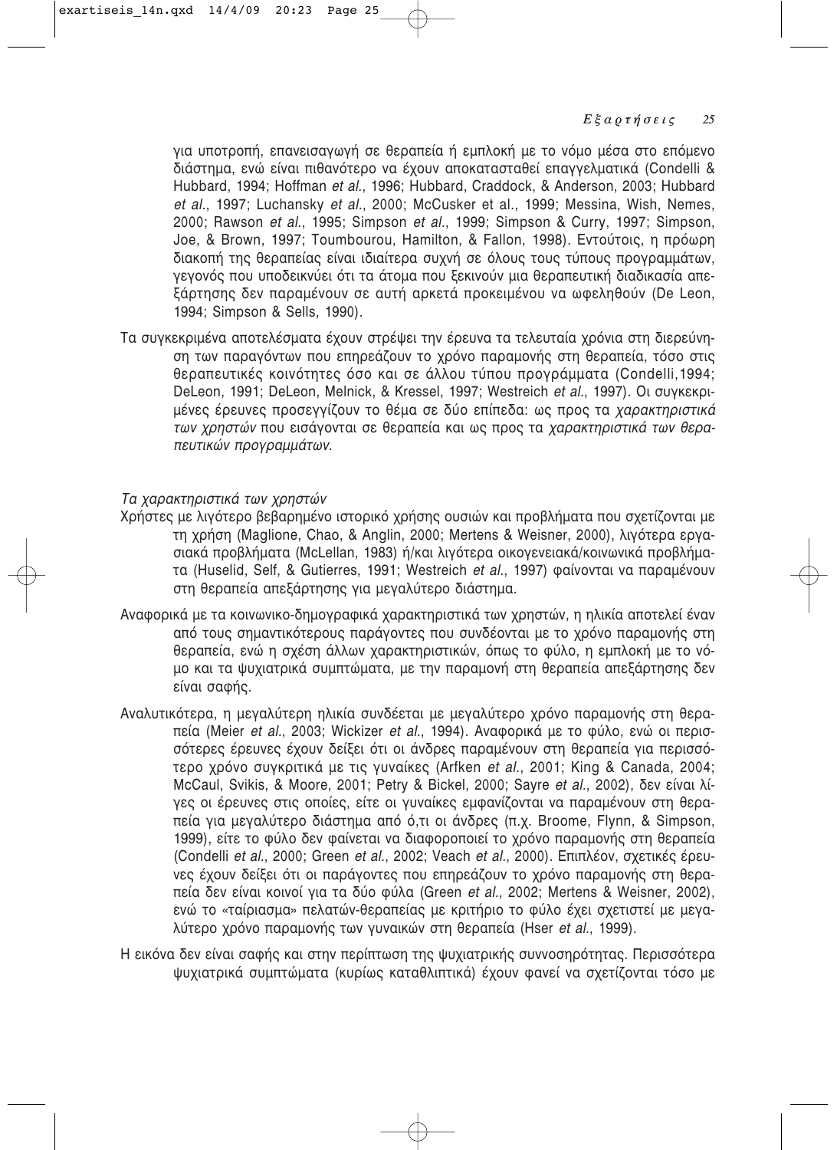για υποτροπή, επανεισαγωγή σε θεραπεία ή εμπλοκή με το νόμο μέσα στο επόμενο διάστημα, ενώ είναι πιθανότερο να έχουν αποκατασταθεί επαγγελματικά (Condelli & Hubbard, 1994; Hoffman *et al.*, 1996; Hubbard, Craddock, & Anderson, 2003; Hubbard *et al.*, 1997; Luchansky *et al.*, 2000; McCusker et al., 1999; Messina, Wish, Nemes, 2000; Rawson *et al.*, 1995; Simpson *et al.*, 1999; Simpson & Curry, 1997; Simpson, Joe, & Brown, 1997; Toumbourou, Hamilton, & Fallon, 1998). Εντούτοις, η πρόωρη διακοπή της θεραπείας είναι ιδιαίτερα συχνή σε όλους τους τύπους προγραμμάτων, γενονός που υποδεικνύει ότι τα άτομα που ξεκινούν μια θεραπευτική διαδικασία απεξάρτησης δεν παραμένουν σε αυτή αρκετά προκειμένου να ωφεληθούν (De Leon, 1994; Simpson & Sells, 1990).

Τα συγκεκριμένα αποτελέσματα έχουν στρέψει την έρευνα τα τελευταία χρόνια στη διερεύνηση των παραγόντων που επηρεάζουν το χρόνο παραμονής στη θεραπεία, τόσο στις θεραπευτικές κοινότητες όσο και σε άλλου τύπου προγράμματα (Condelli,1994; DeLeon, 1991; DeLeon, Melnick, & Kressel, 1997; Westreich *et al.*, 1997). Οι συγκεκριμένες έρευνες προσεννίζουν το θέμα σε δύο επίπεδα; ως προς τα χ*αρακτηριστικά των χρηστών* που εισάγονται σε θεραπεία και ως προς τα *χαρακτηριστικά των θεραπευτικών προγραμμάτων.* 

*Τα χαρακτηριστικά των χρηστών* 

- Χρήστες με λιγότερο βεβαρημένο ιστορικό χρήσης ουσιών και προβλήματα που σχετίζονται με τη χρήση (Maglione, Chao, & Anglin, 2000; Mertens & Weisner, 2000), λιγότερα εργασιακά προβλήματα (McLellan, 1983) ή/και λιγότερα οικογενειακά/κοινωνικά προβλήματα (Huselid, Self, & Gutierres, 1991; Westreich *et al.*, 1997) φαίνονται να παραμένουν στη θεραπεία απεξάρτησης για μεγαλύτερο διάστημα.
- Aναφορικά με τα κοινωνικο-δημογραφικά χαρακτηριστικά των χρηστών, η ηλικία αποτελεί έναν από τους σημαντικότερους παράγοντες που συνδέονται με το χρόνο παραμονής στη θεραπεία, ενώ η σχέση άλλων χαρακτηριστικών, όπως το φύλο, η εμπλοκή με το νόμο και τα ψυχιατρικά συμπτώματα, με την παραμονή στη θεραπεία απεξάρτησης δεν είναι σαφής.
- Αναλυτικότερα, η μεγαλύτερη ηλικία συνδέεται με μεγαλύτερο χρόνο παραμονής στη θερατιεία (Meier *et al.*, 2003; Wickizer *et al.*, 1994). Αναφορικά με το φύλο, ενώ οι περισσότερες έρευνες έχουν δείξει ότι οι άνδρες παραμένουν στη θεραπεία για περισσότερο χρόνο συγκριτικά με τις γυναίκες (Arfken et al., 2001; King & Canada, 2004; McCaul, Svikis, & Moore, 2001; Petry & Bickel, 2000; Sayre *et al.*, 2002), δεν είναι λίγες οι έρευνες στις οποίες, είτε οι γυναίκες εμφανίζονται να παραμένουν στη θεραπεία για μεγαλύτερο διάστημα από ό,τι οι άνδρες (π.χ. Broome, Flynn, & Simpson, 1999), είτε το φύλο δεν φαίνεται να διαφοροποιεί το χρόνο παραμονής στη θεραπεία (Condelli *et al.*, 2000; Green *et al.*, 2002; Veach *et al.*, 2000). Επιπλέον, σχετικές έρευνες έχουν δείξει ότι οι παράγοντες που επηρεάζουν το χρόνο παραμονής στη θεραπεία δεν είναι κοινοί για τα δύο φύλα (Green *et al.*, 2002; Mertens & Weisner, 2002), ενώ το «ταίριασμα» πελατών-θεραπείας με κριτήριο το φύλο έχει σχετιστεί με μεγαλύτερο χρόνο παραμονής των γυναικών στη θεραπεία (Hser *et al.*, 1999).
- Η εικόνα δεν είναι σαφής και στην περίπτωση της ψυχιατρικής συννοσηρότητας. Περισσότερα ψυχιατρικά συμπτώματα (κυρίως καταθλιπτικά) έχουν φανεί να σχετίζονται τόσο με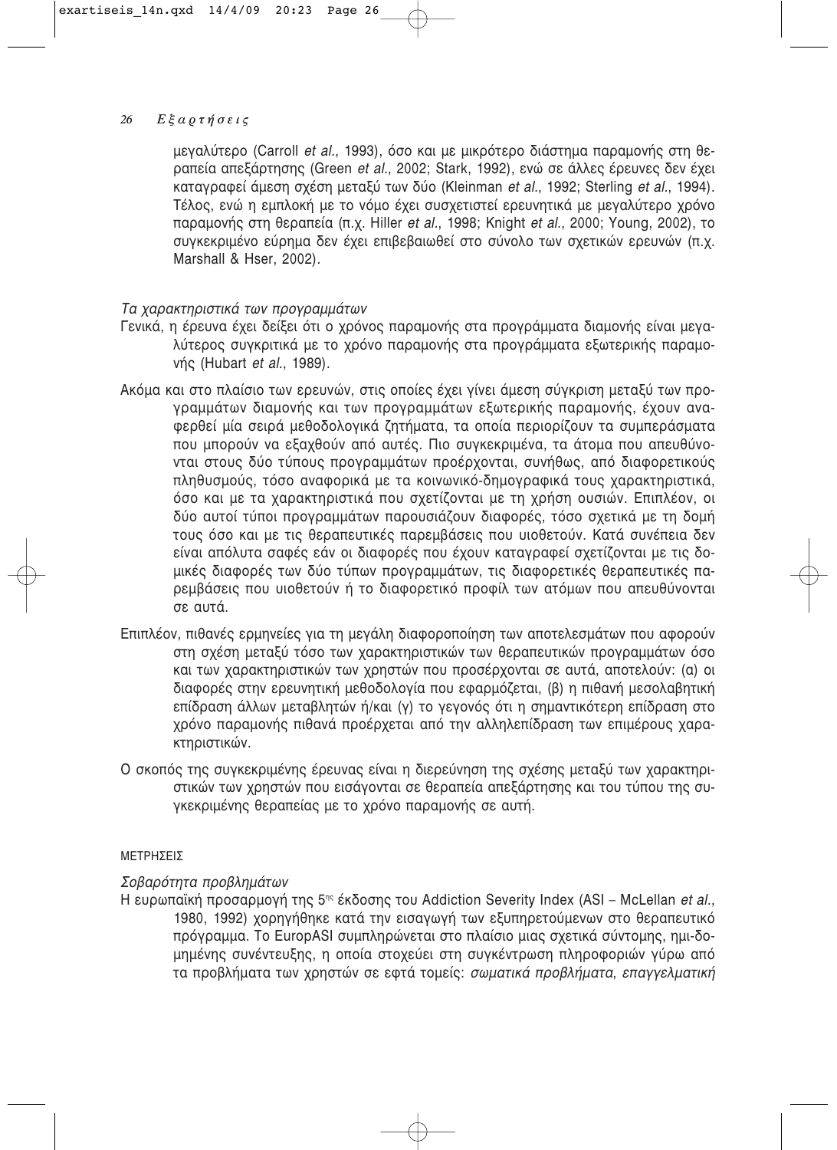$\mu$ εγαλύτερο (Carroll *et al.*, 1993), όσο και με μικρότερο διάστημα παραμονής στη θεραπεία απεξάρτησης (Green *et al.*, 2002; Stark, 1992), ενώ σε άλλες έρευνες δεν έχει καταγραφεί άμεση σχέση μεταξύ των δύο (Kleinman *et al.*, 1992; Sterling *et al.*, 1994). Τέλος, ενώ η εμπλοκή με το νόμο έχει συσχετιστεί ερευνητικά με μεναλύτερο χρόνο παραμονής στη θεραπεία (π.χ. Hiller *et al.*, 1998; Knight *et al.*, 2000; Young, 2002), το συγκεκριμένο εύρημα δεν έχει επιβεβαιωθεί στο σύνολο των σχετικών ερευνών (π.χ. Marshall & Hser, 2002).

### *Τα χαρακτηριστικά των προγραμμάτων*

- Γενικά, η έρευνα έχει δείξει ότι ο χρόνος παραμονής στα προγράμματα διαμονής είναι μεγαλύτερος συγκριτικά με το χρόνο παραμονής στα προγράμματα εξωτερικής παραμονής (Hubart *et al.*, 1989).
- Aκόμα και στο πλαίσιο των ερευνών, στις οποίες έχει γίνει άμεση σύγκριση μεταξύ των προγραμμάτων διαμονής και των προγραμμάτων εξωτερικής παραμονής, έχουν αναφερθεί μία σειρά μεθοδολογικά ζητήματα, τα οποία περιορίζουν τα συμπεράσματα που μπορούν να εξαχθούν από αυτές. Πιο συγκεκριμένα, τα άτομα που απευθύνο-Vται στους δύο τύπους προγραμμάτων προέρχονται, συνήθως, από διαφορετικούς πληθυσμούς, τόσο αναφορικά με τα κοινωνικό-δημογραφικά τους χαρακτηριστικά, όσο και με τα χαρακτηριστικά που σχετίζονται με τη χρήση ουσιών. Επιπλέον, οι δύο αυτοί τύποι προγραμμάτων παρουσιάζουν διαφορές, τόσο σχετικά με τη δομή τους όσο και με τις θεραπευτικές παρεμβάσεις που υιοθετούν. Κατά συνέπεια δεν είναι απόλυτα σαφές εάν οι διαφορές που έχουν καταγραφεί σχετίζονται με τις δομικές διαφορές των δύο τύπων προγραμμάτων, τις διαφορετικές θεραπευτικές παρεμβάσεις που υιοθετούν ή το διαφορετικό προφίλ των ατόμων που απευθύνονται σε αυτά.
- Επιπλέον, πιθανές ερμηνείες για τη μεγάλη διαφοροποίηση των αποτελεσμάτων που αφορούν στη σχέση μεταξύ τόσο των χαρακτηριστικών των θεραπευτικών προγραμμάτων όσο και των χαρακτηριστικών των χρηστών που προσέρχονται σε αυτά, αποτελούν: (α) οι διαφορές στην ερευνητική μεθοδολογία που εφαρμόζεται, (β) η πιθανή μεσολαβητική επίδραση άλλων μεταβλητών ή/και (γ) το γεγονός ότι η σημαντικότερη επίδραση στο χρόνο παραμονής πιθανά προέρχεται από την αλληλεπίδραση των επιμέρους χαρα-Κτηριστικών.
- Ο σκοπός της συγκεκριμένης έρευνας είναι η διερεύνηση της σχέσης μεταξύ των χαρακτηριστικών των χρηστών που εισάγονται σε θεραπεία απεξάρτησης και του τύπου της συγκεκριμένης θεραπείας με το χρόνο παραμονής σε αυτή.

### ΜΕΤΡΗΣΕΙΣ

### Σοβαρότητα προβλημάτων

H ευρωπαϊκή προσαρμογή της 5<sup>ης</sup> έκδοσης του Addiction Severity Index (ASI – McLellan *et al.*, 1980, 1992) χορηγήθηκε κατά την εισαγωγή των εξυπηρετούμενων στο θεραπευτικό πρόγραμμα. Το EuropASI συμπληρώνεται στο πλαίσιο μιας σχετικά σύντομης, ημι-δομημένης συνέντευξης, η οποία στοχεύει στη συγκέντρωση πληροφοριών γύρω από τα προβλήματα των χρηστών σε εφτά τομείς: σωματικά προβλήματα, επαγγελματική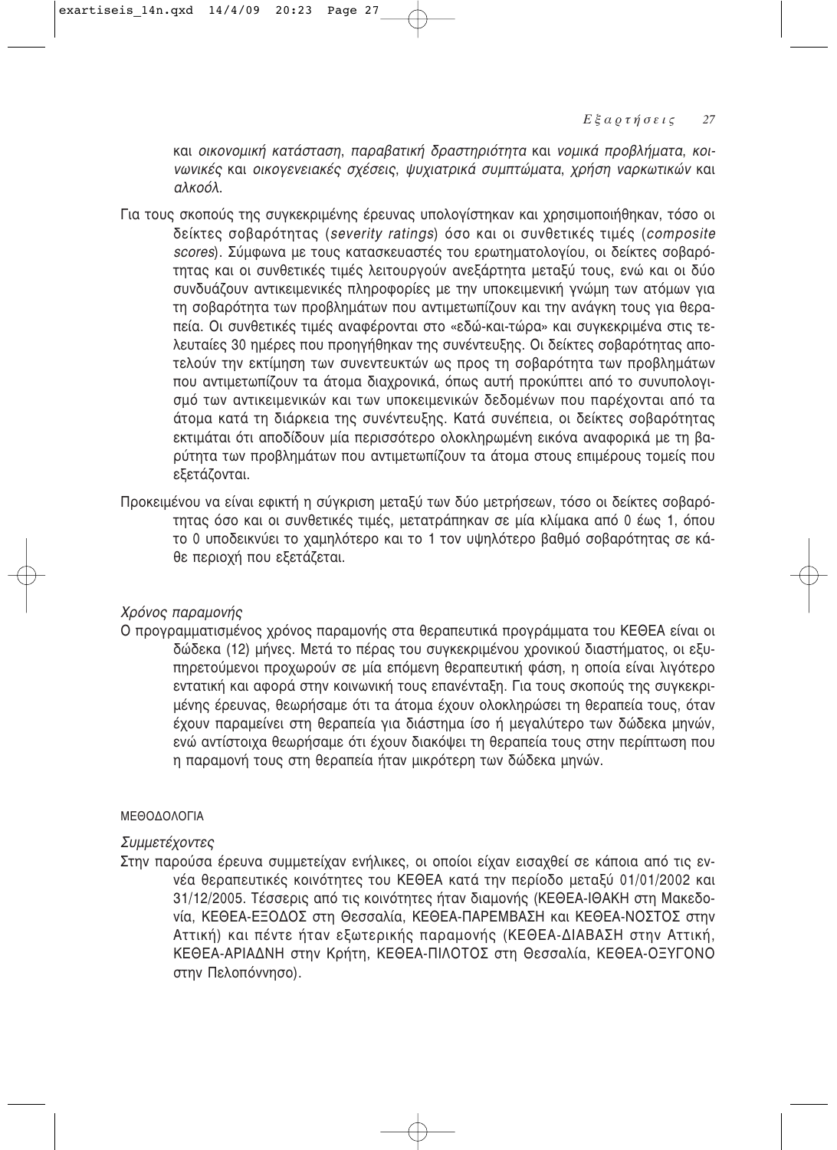και οικονομική κατάσταση, παραβατική δραστηριότητα και νομικά προβλήματα, κοινωνικές και οικογενειακές σχέσεις, ψυχιατρικά συμπτώματα, χρήση ναρκωτικών και αλκοόλ.

20:23 Page 27

14/4/09

- Για τους σκοπούς της συγκεκριμένης έρευνας υπολογίστηκαν και χρησιμοποιήθηκαν, τόσο οι δείκτες σοβαρότητας (severity ratings) όσο και οι συνθετικές τιμές (composite scores). Σύμφωνα με τους κατασκευαστές του ερωτηματολογίου, οι δείκτες σοβαρότητας και οι συνθετικές τιμές λειτουργούν ανεξάρτητα μεταξύ τους, ενώ και οι δύο συνδυάζουν αντικειμενικές πληροφορίες με την υποκειμενική γνώμη των ατόμων για τη σοβαρότητα των προβλημάτων που αντιμετωπίζουν και την ανάγκη τους για θεραπεία. Οι συνθετικές τιμές αναφέρονται στο «εδώ-και-τώρα» και συνκεκριμένα στις τελευταίες 30 ημέρες που προηγήθηκαν της συνέντευξης. Οι δείκτες σοβαρότητας αποτελούν την εκτίμηση των συνεντευκτών ως προς τη σοβαρότητα των προβλημάτων που αντιμετωπίζουν τα άτομα διαχρονικά, όπως αυτή προκύπτει από το συνυπολογισμό των αντικειμενικών και των υποκειμενικών δεδομένων που παρέχονται από τα άτομα κατά τη διάρκεια της συνέντευξης. Κατά συνέπεια, οι δείκτες σοβαρότητας εκτιμάται ότι αποδίδουν μία περισσότερο ολοκληρωμένη εικόνα αναφορικά με τη βαρύτητα των προβλημάτων που αντιμετωπίζουν τα άτομα στους επιμέρους τομείς που εξετάζονται.
- Προκειμένου να είναι εφικτή η σύγκριση μεταξύ των δύο μετρήσεων, τόσο οι δείκτες σοβαρότητας όσο και οι συνθετικές τιμές, μετατράπηκαν σε μία κλίμακα από 0 έως 1, όπου το 0 υποδεικνύει το χαμηλότερο και το 1 τον υψηλότερο βαθμό σοβαρότητας σε κάθε περιοχή που εξετάζεται.

### Χρόνος παραμονής

exartiseis 14n.qxd

Ο προγραμματισμένος χρόνος παραμονής στα θεραπευτικά προγράμματα του ΚΕΘΕΑ είναι οι δώδεκα (12) μήνες. Μετά το πέρας του συγκεκριμένου χρονικού διαστήματος, οι εξυπηρετούμενοι προχωρούν σε μία επόμενη θεραπευτική φάση, η οποία είναι λιγότερο εντατική και αφορά στην κοινωνική τους επανένταξη. Για τους σκοπούς της συγκεκριμένης έρευνας, θεωρήσαμε ότι τα άτομα έχουν ολοκληρώσει τη θεραπεία τους, όταν έχουν παραμείνει στη θεραπεία για διάστημα ίσο ή μεγαλύτερο των δώδεκα μηνών, ενώ αντίστοιχα θεωρήσαμε ότι έχουν διακόψει τη θεραπεία τους στην περίπτωση που η παραμονή τους στη θεραπεία ήταν μικρότερη των δώδεκα μηνών.

### ΜΕΘΟΔΟΛΟΓΙΑ

# Συμμετέχοντες

Στην παρούσα έρευνα συμμετείχαν ενήλικες, οι οποίοι είχαν εισαχθεί σε κάποια από τις εννέα θεραπευτικές κοινότητες του ΚΕΘΕΑ κατά την περίοδο μεταξύ 01/01/2002 και 31/12/2005. Τέσσερις από τις κοινότητες ήταν διαμονής (ΚΕΘΕΑ-ΙΘΑΚΗ στη Μακεδονία, ΚΕΘΕΑ-ΕΞΟΔΟΣ στη Θεσσαλία, ΚΕΘΕΑ-ΠΑΡΕΜΒΑΣΗ και ΚΕΘΕΑ-ΝΟΣΤΟΣ στην Αττική) και πέντε ήταν εξωτερικής παραμονής (ΚΕΘΕΑ-ΔΙΑΒΑΣΗ στην Αττική, ΚΕΘΕΑ-ΑΡΙΑΔΝΗ στην Κρήτη, ΚΕΘΕΑ-ΠΙΛΟΤΟΣ στη Θεσσαλία, ΚΕΘΕΑ-ΟΞΥΓΟΝΟ στην Πελοπόννησο).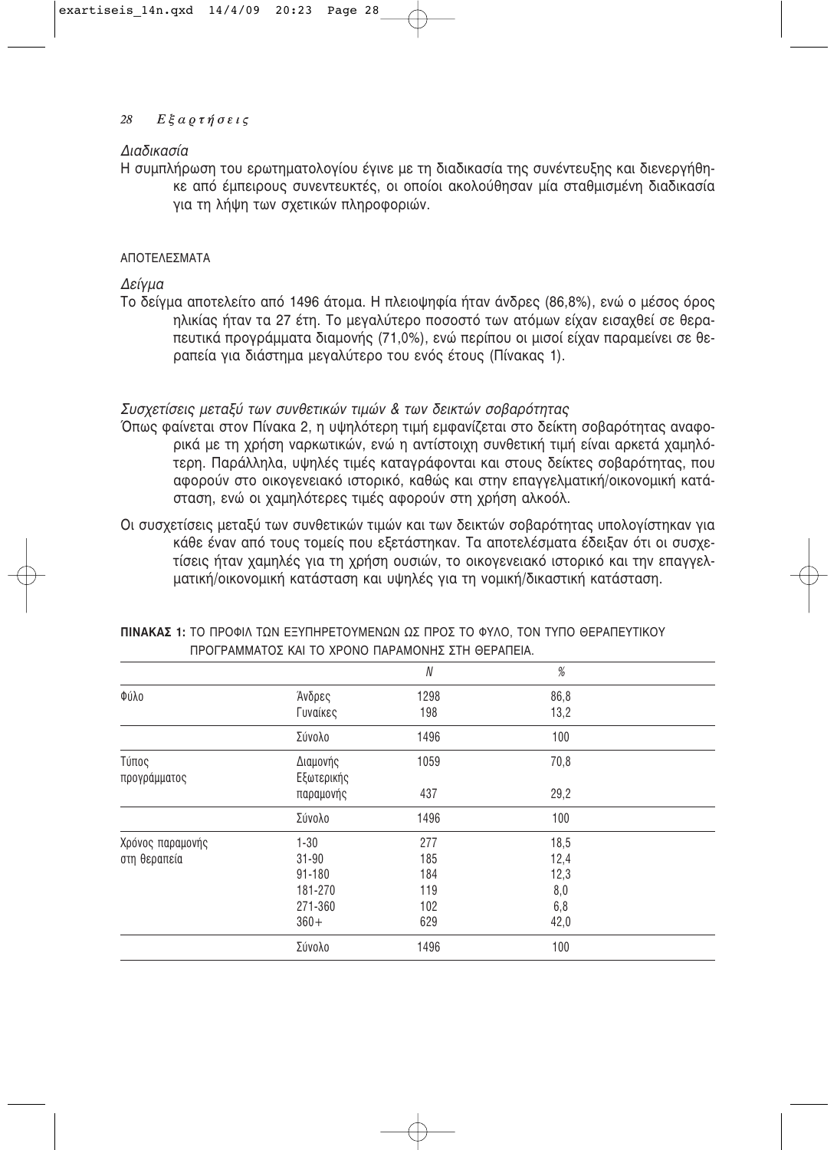## $\Delta$ ιαδικασία

Η συμπλήρωση του ερωτηματολογίου έγινε με τη διαδικασία της συνέντευξης και διενεργήθηκε από έμπειρους συνεντευκτές, οι οποίοι ακολούθησαν μία σταθμισμένη διαδικασία για τη λήψη των σχετικών πληροφοριών.

## AΠΟΤΕΛΕΣΜΑΤΑ

## $\Delta$ *είγμα*

Το δείγμα αποτελείτο από 1496 άτομα. Η πλειοψηφία ήταν άνδρες (86,8%), ενώ ο μέσος όρος ηλικίας ήταν τα 27 έτη. Το μεγαλύτερο ποσοστό των ατόμων είχαν εισαχθεί σε θεραπευτικά προγράμματα διαμονής (71,0%), ενώ περίπου οι μισοί είχαν παραμείνει σε θεραπεία για διάστημα μεγαλύτερο του ενός έτους (Πίνακας 1).

### Συσχετίσεις μεταξύ των συνθετικών τιμών & των δεικτών σοβαρότητας

- Όπως φαίνεται στον Πίνακα 2, η υψηλότερη τιμή εμφανίζεται στο δείκτη σοβαρότητας αναφορικά με τη χρήση ναρκωτικών, ενώ η αντίστοιχη συνθετική τιμή είναι αρκετά χαμηλότερη. Παράλληλα, υψηλές τιμές καταγράφονται και στους δείκτες σοβαρότητας, που αφορούν στο οικογενειακό ιστορικό, καθώς και στην επαγγελματική/οικονομική κατάσταση, ενώ οι χαμηλότερες τιμές αφορούν στη χρήση αλκοόλ.
- Οι συσχετίσεις μεταξύ των συνθετικών τιμών και των δεικτών σοβαρότητας υπολογίστηκαν για κάθε έναν από τους τομείς που εξετάστηκαν. Τα αποτελέσματα έδειξαν ότι οι συσχετίσεις ήταν χαμηλές για τη χρήση ουσιών, το οικογενειακό ιστορικό και την επαγγελματική/οικονομική κατάσταση και υψηλές για τη νομική/δικαστική κατάσταση.

|                  |            | N    | $\%$ |  |
|------------------|------------|------|------|--|
| Φύλο             | Άνδρες     | 1298 | 86,8 |  |
|                  | Γυναίκες   | 198  | 13,2 |  |
|                  | Σύνολο     | 1496 | 100  |  |
| Τύπος            | Διαμονής   | 1059 | 70,8 |  |
| προγράμματος     | Εξωτερικής |      |      |  |
|                  | παραμονής  | 437  | 29,2 |  |
|                  | Σύνολο     | 1496 | 100  |  |
| Χρόνος παραμονής | $1 - 30$   | 277  | 18,5 |  |
| στη θεραπεία     | $31 - 90$  | 185  | 12,4 |  |
|                  | 91-180     | 184  | 12,3 |  |
|                  | 181-270    | 119  | 8,0  |  |
|                  | 271-360    | 102  | 6,8  |  |
|                  | $360+$     | 629  | 42,0 |  |
|                  | Σύνολο     | 1496 | 100  |  |

### ΠΙΝΑΚΑΣ 1: ΤΟ ΠΡΟΦΙΛ ΤΩΝ ΕΞΥΠΗΡΕΤΟΥΜΕΝΩΝ ΩΣ ΠΡΟΣ ΤΟ ΦΥΛΟ, ΤΟΝ ΤΥΠΟ ΘΕΡΑΠΕΥΤΙΚΟΥ ΠΡΟΓΡΑΜΜΑΤΟΣ ΚΑΙ ΤΟ ΧΡΟΝΟ ΠΑΡΑΜΟΝΗΣ ΣΤΗ ΘΕΡΑΠΕΙΑ.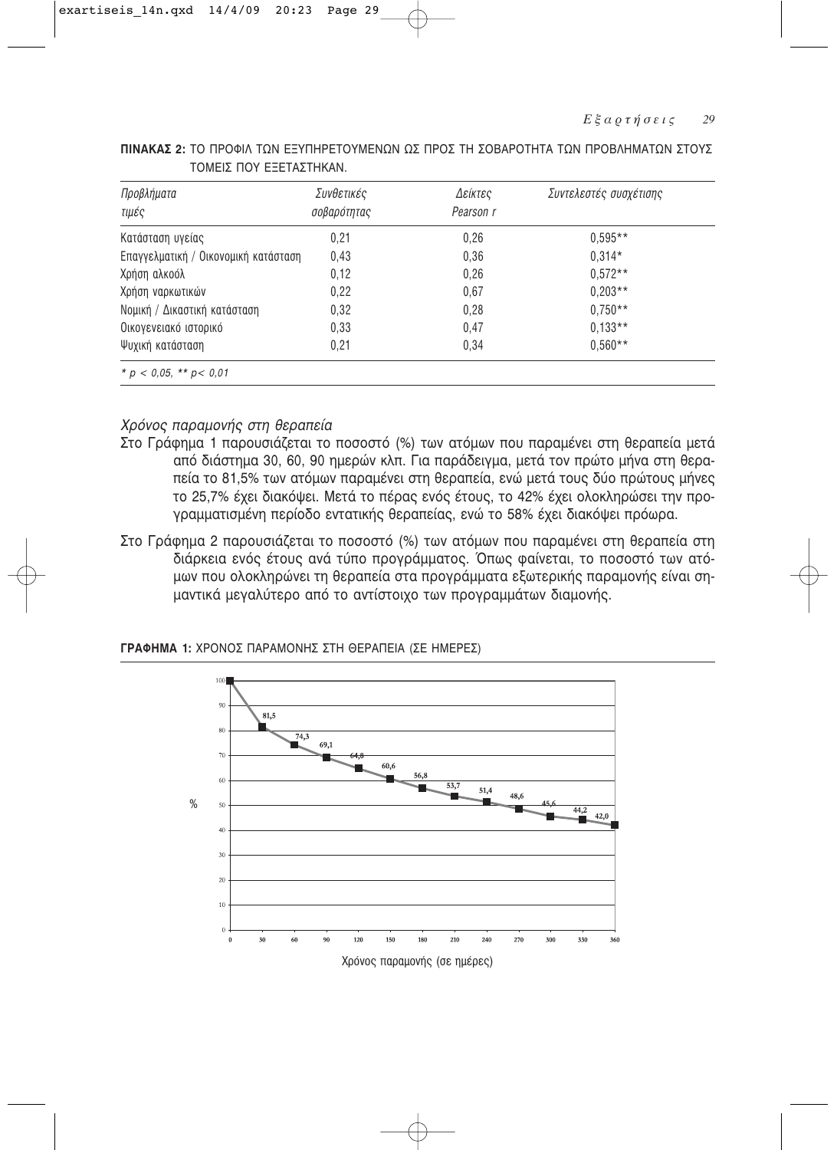| Προβλήματα<br>τιμές                  | Συνθετικές<br>σοβαρότητας | Δείκτες<br>Pearson r | Συντελεστές συσχέτισης |
|--------------------------------------|---------------------------|----------------------|------------------------|
| Κατάσταση υγείας                     | 0,21                      | 0,26                 | $0.595**$              |
| Επαγγελματική / Οικονομική κατάσταση | 0.43                      | 0,36                 | $0.314*$               |
| Χρήση αλκοόλ                         | 0,12                      | 0.26                 | $0.572**$              |
| Χρήση ναρκωτικών                     | 0,22                      | 0.67                 | $0.203**$              |
| Νομική / Δικαστική κατάσταση         | 0,32                      | 0,28                 | $0.750**$              |
| Οικογενειακό ιστορικό                | 0.33                      | 0.47                 | $0.133**$              |
| Ψυχική κατάσταση                     | 0,21                      | 0.34                 | $0.560**$              |
| * $p$ < 0,05, ** $p$ < 0,01          |                           |                      |                        |

# ΠΙΝΑΚΑΣ 2: ΤΟ ΠΡΟΦΙΛ ΤΩΝ ΕΞΥΠΗΡΕΤΟΥΜΕΝΩΝ ΩΣ ΠΡΟΣ ΤΗ ΣΟΒΑΡΟΤΗΤΑ ΤΩΝ ΠΡΟΒΛΗΜΑΤΩΝ ΣΤΟΥΣ ΤΟΜΕΙΣ ΠΟΥ ΕΞΕΤΑΣΤΗΚΑΝ.

## *Χρόνος παραμονής στη θεραπεία*

- Στο Γράφημα 1 παρουσιάζεται το ποσοστό (%) των ατόμων που παραμένει στη θεραπεία μετά από διάστημα 30, 60, 90 ημερών κλπ. Για παράδειγμα, μετά τον πρώτο μήνα στη θεραπεία το 81,5% των ατόμων παραμένει στη θεραπεία, ενώ μετά τους δύο πρώτους μήνες το 25,7% έχει διακόψει. Μετά το πέρας ενός έτους, το 42% έχει ολοκληρώσει την προγραμματισμένη περίοδο εντατικής θεραπείας, ενώ το 58% έχει διακόψει πρόωρα.
- Στο Γράφημα 2 παρουσιάζεται το ποσοστό (%) των ατόμων που παραμένει στη θεραπεία στη διάρκεια ενός έτους ανά τύπο προγράμματος. Όπως φαίνεται, το ποσοστό των ατόμων που ολοκληρώνει τη θεραπεία στα προγράμματα εξωτερικής παραμονής είναι σημαντικά μεγαλύτερο από το αντίστοιχο των προγραμμάτων διαμονής.

### ΓΡΑΦΗΜΑ 1: ΧΡΟΝΟΣ ΠΑΡΑΜΟΝΗΣ ΣΤΗ ΘΕΡΑΠΕΙΑ (ΣΕ ΗΜΕΡΕΣ)

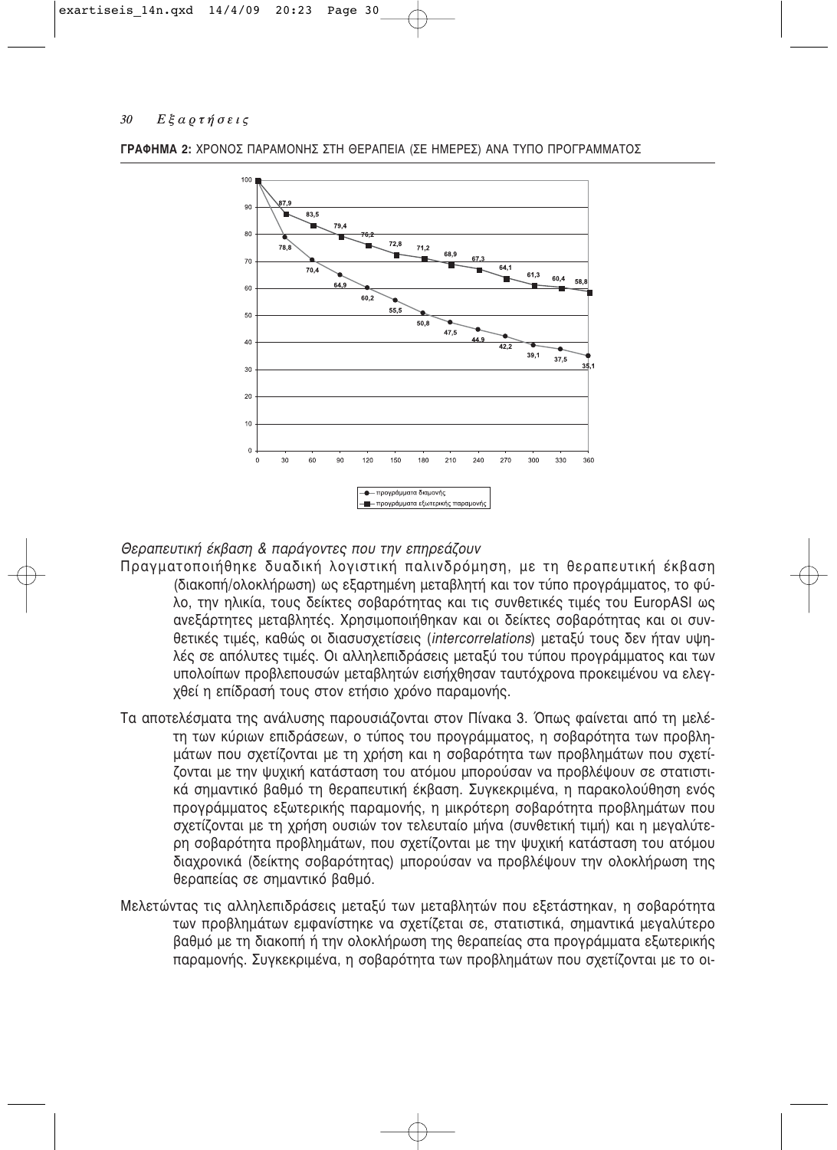### $30^{\circ}$ Εξαρτήσεις

ΓΡΑΦΗΜΑ 2: ΧΡΟΝΟΣ ΠΑΡΑΜΟΝΗΣ ΣΤΗ ΘΕΡΑΠΕΙΑ (ΣΕ ΗΜΕΡΕΣ) ΑΝΑ ΤΥΠΟ ΠΡΟΓΡΑΜΜΑΤΟΣ



Θεραπευτική έκβαση & παράγοντες που την επηρεάζουν

- Πραγματοποιήθηκε δυαδική λογιστική παλινδρόμηση, με τη θεραπευτική έκβαση (διακοπή/ολοκλήρωση) ως εξαρτημένη μεταβλητή και τον τύπο προγράμματος, το φύλο, την ηλικία, τους δείκτες σοβαρότητας και τις συνθετικές τιμές του EuropASI ως ανεξάρτητες μεταβλητές. Χρησιμοποιήθηκαν και οι δείκτες σοβαρότητας και οι συνθετικές τιμές, καθώς οι διασυσχετίσεις (intercorrelations) μεταξύ τους δεν ήταν υψηλές σε απόλυτες τιμές. Οι αλληλεπιδράσεις μεταξύ του τύπου προγράμματος και των υπολοίπων προβλεπουσών μεταβλητών εισήχθησαν ταυτόχρονα προκειμένου να ελεγχθεί η επίδρασή τους στον ετήσιο χρόνο παραμονής.
- Τα αποτελέσματα της ανάλυσης παρουσιάζονται στον Πίνακα 3. Όπως φαίνεται από τη μελέτη των κύριων επιδράσεων, ο τύπος του προγράμματος, η σοβαρότητα των προβλημάτων που σχετίζονται με τη χρήση και η σοβαρότητα των προβλημάτων που σχετίζονται με την ψυχική κατάσταση του ατόμου μπορούσαν να προβλέψουν σε στατιστικά σημαντικό βαθμό τη θεραπευτική έκβαση. Συγκεκριμένα, η παρακολούθηση ενός προγράμματος εξωτερικής παραμονής, η μικρότερη σοβαρότητα προβλημάτων που σχετίζονται με τη χρήση ουσιών τον τελευταίο μήνα (συνθετική τιμή) και η μεγαλύτερη σοβαρότητα προβλημάτων, που σχετίζονται με την ψυχική κατάσταση του ατόμου διαχρονικά (δείκτης σοβαρότητας) μπορούσαν να προβλέψουν την ολοκλήρωση της θεραπείας σε σημαντικό βαθμό.
- Μελετώντας τις αλληλεπιδράσεις μεταξύ των μεταβλητών που εξετάστηκαν, η σοβαρότητα των προβλημάτων εμφανίστηκε να σχετίζεται σε, στατιστικά, σημαντικά μεγαλύτερο βαθμό με τη διακοπή ή την ολοκλήρωση της θεραπείας στα προγράμματα εξωτερικής παραμονής. Συνκεκριμένα, η σοβαρότητα των προβλημάτων που σχετίζονται με το οι-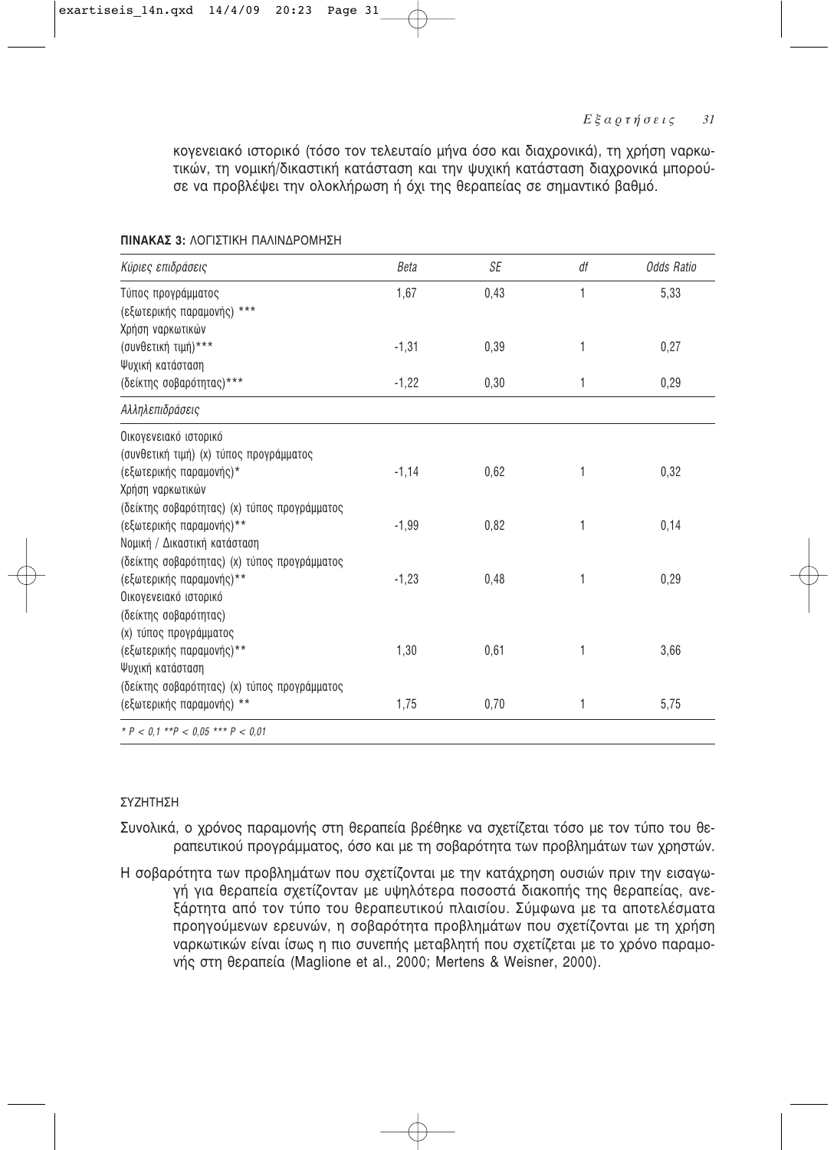κογενειακό ιστορικό (τόσο τον τελευταίο μήνα όσο και διαχρονικά), τη χρήση ναρκωτικών, τη νομική/δικαστική κατάσταση και την ψυχική κατάσταση διαχρονικά μπορούσε να προβλέψει την ολοκλήρωση ή όχι της θεραπείας σε σημαντικό βαθμό.

### **ΠΙΝΑΚΑΣ 3: ΛΟΓΙΣΤΙΚΗ ΠΑΛΙΝΔΡΟΜΗΣΗ**

exartiseis\_14n.qxd 14/4/09 20:23 Page 31

| Κύριες επιδράσεις                            | <b>Beta</b> | <b>SE</b> | df | <b>Odds Ratio</b> |
|----------------------------------------------|-------------|-----------|----|-------------------|
| Τύπος προγράμματος                           | 1,67        | 0,43      | 1  | 5,33              |
| (εξωτερικής παραμονής) ***                   |             |           |    |                   |
| Χρήση ναρκωτικών                             |             |           |    |                   |
| (συνθετική τιμή) ***                         | $-1,31$     | 0,39      | 1  | 0.27              |
| Ψυχική κατάσταση                             |             |           |    |                   |
| (δείκτης σοβαρότητας)***                     | $-1,22$     | 0,30      | 1  | 0,29              |
| Αλληλεπιδράσεις                              |             |           |    |                   |
| Οικογενειακό ιστορικό                        |             |           |    |                   |
| (συνθετική τιμή) (x) τύπος προγράμματος      |             |           |    |                   |
| (εξωτερικής παραμονής)*                      | $-1,14$     | 0,62      | 1  | 0,32              |
| Χρήση ναρκωτικών                             |             |           |    |                   |
| (δείκτης σοβαρότητας) (x) τύπος προγράμματος |             |           |    |                   |
| (εξωτερικής παραμονής)**                     | $-1,99$     | 0,82      | 1  | 0,14              |
| Νομική / Δικαστική κατάσταση                 |             |           |    |                   |
| (δείκτης σοβαρότητας) (x) τύπος προγράμματος |             |           |    |                   |
| (εξωτερικής παραμονής)**                     | $-1,23$     | 0,48      | 1  | 0,29              |
| Οικογενειακό ιστορικό                        |             |           |    |                   |
| (δείκτης σοβαρότητας)                        |             |           |    |                   |
| (x) τύπος προγράμματος                       |             |           |    |                   |
| (εξωτερικής παραμονής)**                     | 1,30        | 0,61      | 1  | 3,66              |
| Ψυχική κατάσταση                             |             |           |    |                   |
| (δείκτης σοβαρότητας) (x) τύπος προγράμματος |             |           |    |                   |
| (εξωτερικής παραμονής) **                    | 1,75        | 0,70      | 1  | 5,75              |
| * $P < 0.1$ ** $P < 0.05$ *** $P < 0.01$     |             |           |    |                   |

### ΣΥΖΗΤΗΣΗ

Συνολικά, ο χρόνος παραμονής στη θεραπεία βρέθηκε να σχετίζεται τόσο με τον τύπο του θεραπευτικού προγράμματος, όσο και με τη σοβαρότητα των προβλημάτων των χρηστών.

Η σοβαρότητα των προβλημάτων που σχετίζονται με την κατάχρηση ουσιών πριν την εισαγωγή για θεραπεία σχετίζονταν με υψηλότερα ποσοστά διακοπής της θεραπείας, ανεξάρτητα από τον τύπο του θεραπευτικού πλαισίου. Σύμφωνα με τα αποτελέσματα προηγούμενων ερευνών, η σοβαρότητα προβλημάτων που σχετίζονται με τη χρήση vαρκωτικών είναι ίσως η πιο συνεπής μεταβλητή που σχετίζεται με το χρόνο παραμονής στη θεραπεία (Maglione et al., 2000; Mertens & Weisner, 2000).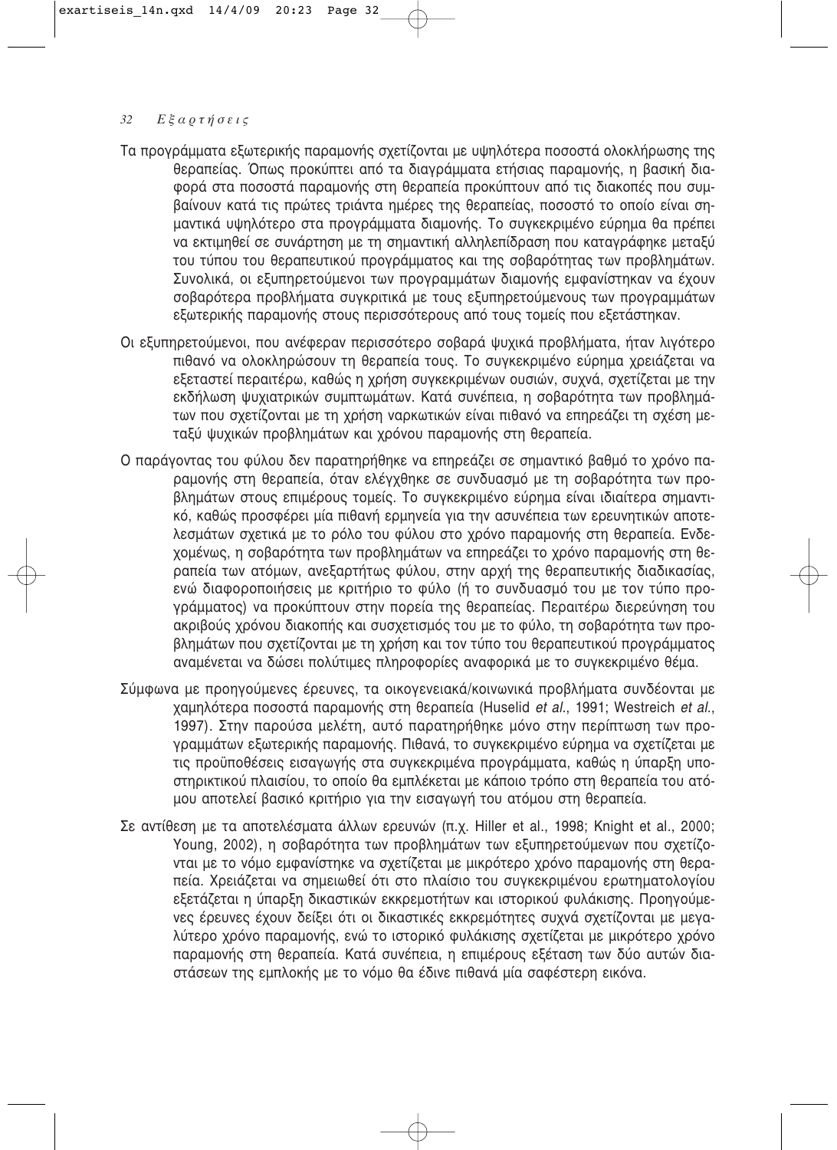- Τα προγράμματα εξωτερικής παραμονής σχετίζονται με υψηλότερα ποσοστά ολοκλήρωσης της θεραπείας. Όπως προκύπτει από τα διαγράμματα ετήσιας παραμονής, η βασική διαφορά στα ποσοστά παραμονής στη θεραπεία προκύπτουν από τις διακοπές που συμβαίνουν κατά τις πρώτες τριάντα ημέρες της θεραπείας, ποσοστό το οποίο είναι σημαντικά υψηλότερο στα προγράμματα διαμονής. Το συγκεκριμένο εύρημα θα πρέπει να εκτιμηθεί σε συνάρτηση με τη σημαντική αλληλεπίδραση που καταγράφηκε μεταξύ του τύπου του θεραπευτικού προγράμματος και της σοβαρότητας των προβλημάτων. Συνολικά, οι εξυπηρετούμενοι των προγραμμάτων διαμονής εμφανίστηκαν να έχουν σοβαρότερα προβλήματα συγκριτικά με τους εξυπηρετούμενους των προγραμμάτων εξωτερικής παραμονής στους περισσότερους από τους τομείς που εξετάστηκαν.
- Οι εξυπηρετούμενοι, που ανέφεραν περισσότερο σοβαρά ψυχικά προβλήματα, ήταν λιγότερο πιθανό να ολοκληρώσουν τη θεραπεία τους. Το συγκεκριμένο εύρημα χρειάζεται να εξεταστεί περαιτέρω, καθώς η χρήση συνκεκριμένων ουσιών, συχνά, σχετίζεται με την εκδήλωση ψυχιατρικών συμπτωμάτων. Κατά συνέπεια, η σοβαρότητα των προβλημάτων που σχετίζονται με τη χρήση ναρκωτικών είναι πιθανό να επηρεάζει τη σχέση μεταξύ ψυχικών προβλημάτων και χρόνου παραμονής στη θεραπεία.
- Ο παράγοντας του φύλου δεν παρατηρήθηκε να επηρεάζει σε σημαντικό βαθμό το χρόνο παραμονής στη θεραπεία, όταν ελέγχθηκε σε συνδυασμό με τη σοβαρότητα των προβλημάτων στους επιμέρους τομείς. Το συγκεκριμένο εύρημα είναι ιδιαίτερα σημαντικό, καθώς προσφέρει μία πιθανή ερμηνεία για την ασυνέπεια των ερευνητικών αποτελεσμάτων σχετικά με το ρόλο του φύλου στο χρόνο παραμονής στη θεραπεία. Ενδεχομένως, η σοβαρότητα των προβλημάτων να επηρεάζει το χρόνο παραμονής στη θεραπεία των ατόμων, ανεξαρτήτως φύλου, στην αρχή της θεραπευτικής διαδικασίας. ενώ διαφοροποιήσεις με κριτήριο το φύλο (ή το συνδυασμό του με τον τύπο προγράμματος) να προκύπτουν στην πορεία της θεραπείας. Περαιτέρω διερεύνηση του ακριβούς χρόνου διακοπής και συσχετισμός του με το φύλο, τη σοβαρότητα των προβλημάτων που σχετίζονται με τη χρήση και τον τύπο του θεραπευτικού προγράμματος αναμένεται να δώσει πολύτιμες πληροφορίες αναφορικά με το συγκεκριμένο θέμα.
- Σύμφωνα με προηνούμενες έρευνες, τα οικονενειακά/κοινωνικά προβλήματα συνδέονται με χαμηλότερα ποσοστά παραμονής στη θεραπεία (Huselid *et al.*, 1991; Westreich *et al.*, 1997). Στην παρούσα μελέτη, αυτό παρατηρήθηκε μόνο στην περίπτωση των προγραμμάτων εξωτερικής παραμονής. Πιθανά, το συγκεκριμένο εύρημα να σχετίζεται με τις προϋποθέσεις εισαγωγής στα συγκεκριμένα προγράμματα, καθώς η ύπαρξη υποστηρικτικού πλαισίου, το οποίο θα εμπλέκεται με κάποιο τρόπο στη θεραπεία του ατόμου αποτελεί βασικό κριτήριο για την εισαγωγή του ατόμου στη θεραπεία.
- Σε αντίθεση με τα αποτελέσματα άλλων ερευνών (π.χ. Hiller et al., 1998; Knight et al., 2000; Young, 2002), η σοβαρότητα των προβλημάτων των εξυπηρετούμενων που σχετίζονται με το νόμο εμφανίστηκε να σχετίζεται με μικρότερο χρόνο παραμονής στη θεραπεία. Χρειάζεται να σημειωθεί ότι στο πλαίσιο του συγκεκριμένου ερωτηματολογίου εξετάζεται η ύπαρξη δικαστικών εκκρεμοτήτων και ιστορικού φυλάκισης. Προηγούμενες έρευνες έχουν δείξει ότι οι δικαστικές εκκρεμότητες συχνά σχετίζονται με μεγαλύτερο χρόνο παραμονής, ενώ το ιστορικό φυλάκισης σχετίζεται με μικρότερο χρόνο παραμονής στη θεραπεία. Κατά συνέπεια, η επιμέρους εξέταση των δύο αυτών διαστάσεων της εμπλοκής με το νόμο θα έδινε πιθανά μία σαφέστερη εικόνα.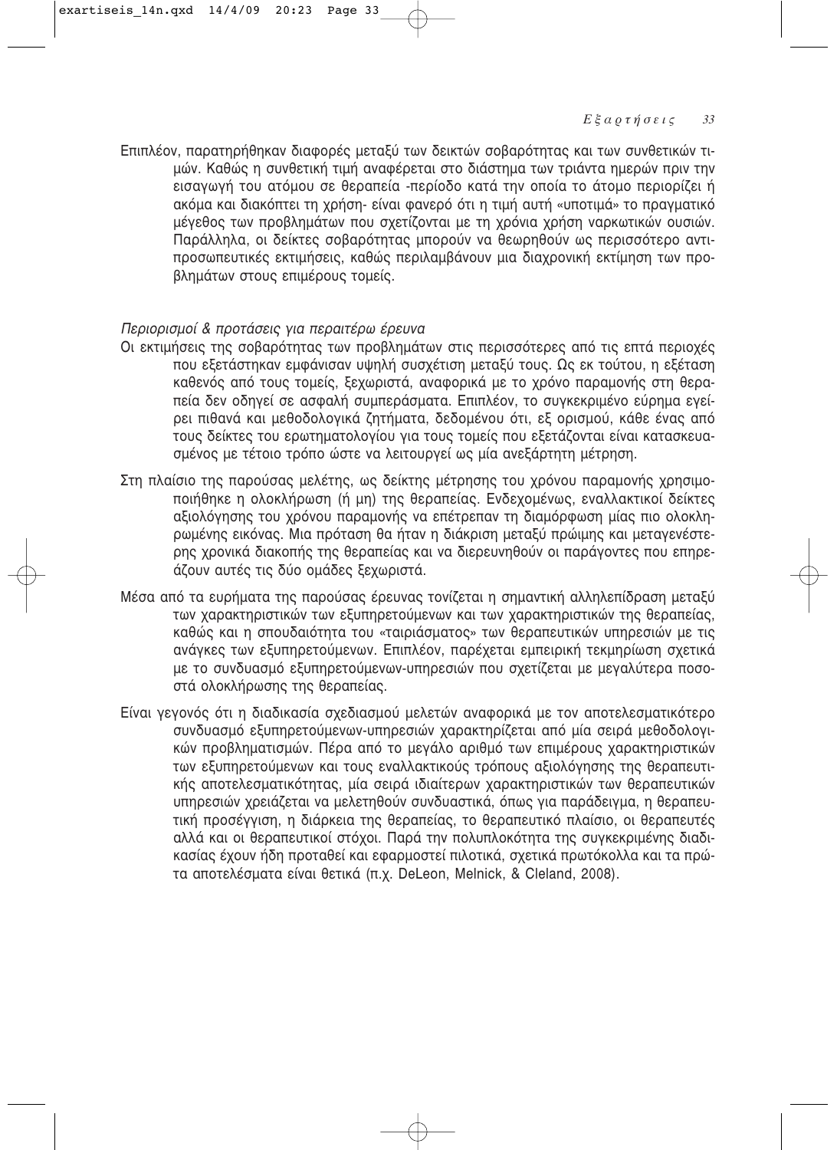Επιπλέον, παρατηρήθηκαν διαφορές μεταξύ των δεικτών σοβαρότητας και των συνθετικών τιμών. Καθώς η συνθετική τιμή αναφέρεται στο διάστημα των τριάντα ημερών πριν την εισαγωγή του ατόμου σε θεραπεία -περίοδο κατά την οποία το άτομο περιορίζει ή ακόμα και διακόπτει τη χρήση- είναι φανερό ότι η τιμή αυτή «υποτιμά» το πραγματικό μένεθος των προβλημάτων που σχετίζονται με τη χρόνια χρήση ναρκωτικών ουσιών. Παράλληλα, οι δείκτες σοβαρότητας μπορούν να θεωρηθούν ως περισσότερο αντιπροσωπευτικές εκτιμήσεις, καθώς περιλαμβάνουν μια διαχρονική εκτίμηση των προβλημάτων στους επιμέρους τομείς.

# Περιορισμοί & προτάσεις για περαιτέρω έρευνα

20:23 Page 33

exartiseis 14n.qxd 14/4/09

- Οι εκτιμήσεις της σοβαρότητας των προβλημάτων στις περισσότερες από τις επτά περιοχές που εξετάστηκαν εμφάνισαν υψηλή συσχέτιση μεταξύ τους. Ως εκ τούτου, η εξέταση καθενός από τους τομείς, ξεχωριστά, αναφορικά με το χρόνο παραμονής στη θεραπεία δεν οδηνεί σε ασφαλή συμπεράσματα. Επιπλέον, το συνκεκριμένο εύρημα ενείρει πιθανά και μεθοδολογικά ζητήματα, δεδομένου ότι, εξ ορισμού, κάθε ένας από τους δείκτες του ερωτηματολογίου για τους τομείς που εξετάζονται είναι κατασκευασμένος με τέτοιο τρόπο ώστε να λειτουργεί ως μία ανεξάρτητη μέτρηση.
- Στη πλαίσιο της παρούσας μελέτης, ως δείκτης μέτρησης του χρόνου παραμονής χρησιμοποιήθηκε η ολοκλήρωση (ή μη) της θεραπείας. Ενδεχομένως, εναλλακτικοί δείκτες αξιολόγησης του χρόνου παραμονής να επέτρεπαν τη διαμόρφωση μίας πιο ολοκληρωμένης εικόνας. Μια πρόταση θα ήταν η διάκριση μεταξύ πρώιμης και μεταγενέστερης χρονικά διακοπής της θεραπείας και να διερευνηθούν οι παράγοντες που επηρεάζουν αυτές τις δύο ομάδες ξεχωριστά.
- Μέσα από τα ευρήματα της παρούσας έρευνας τονίζεται η σημαντική αλληλεπίδραση μεταξύ των χαρακτηριστικών των εξυπηρετούμενων και των χαρακτηριστικών της θεραπείας, καθώς και η σπουδαιότητα του «ταιριάσματος» των θεραπευτικών υπηρεσιών με τις ανάγκες των εξυπηρετούμενων. Επιπλέον, παρέχεται εμπειρική τεκμηρίωση σχετικά με το συνδυασμό εξυπηρετούμενων-υπηρεσιών που σχετίζεται με μεγαλύτερα ποσοστά ολοκλήρωσης της θεραπείας.
- Είναι γεγονός ότι η διαδικασία σχεδιασμού μελετών αναφορικά με τον αποτελεσματικότερο συνδυασμό εξυπηρετούμενων-υπηρεσιών χαρακτηρίζεται από μία σειρά μεθοδολογικών προβληματισμών. Πέρα από το μεγάλο αριθμό των επιμέρους χαρακτηριστικών των εξυπηρετούμενων και τους εναλλακτικούς τρόπους αξιολόγησης της θεραπευτικής αποτελεσματικότητας, μία σειρά ιδιαίτερων χαρακτηριστικών των θεραπευτικών υπηρεσιών χρειάζεται να μελετηθούν συνδυαστικά, όπως για παράδειγμα, η θεραπευτική προσέγγιση, η διάρκεια της θεραπείας, το θεραπευτικό πλαίσιο, οι θεραπευτές αλλά και οι θεραπευτικοί στόχοι. Παρά την πολυπλοκότητα της συγκεκριμένης διαδικασίας έχουν ήδη προταθεί και εφαρμοστεί πιλοτικά, σχετικά πρωτόκολλα και τα πρώτα αποτελέσματα είναι θετικά (π.χ. DeLeon, Melnick, & Cleland, 2008).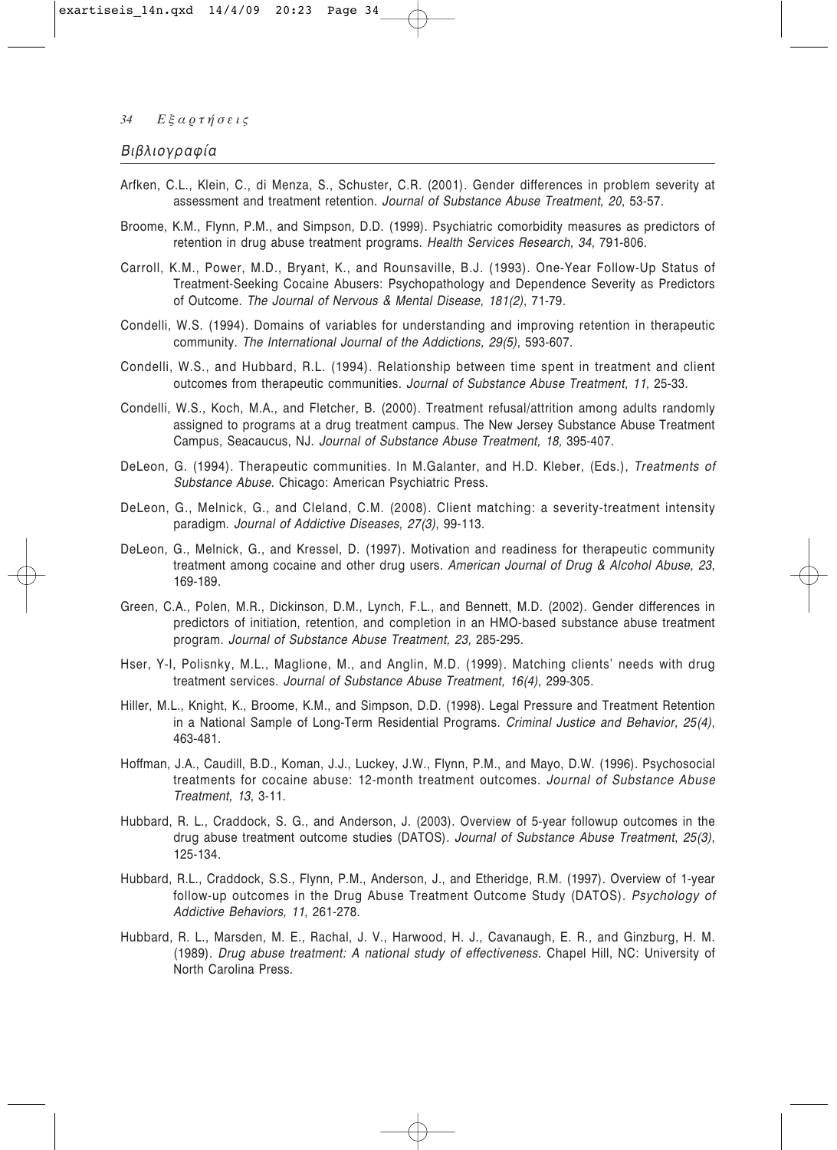### Βιβλιογραφία

- Arfken, C.L., Klein, C., di Menza, S., Schuster, C.R. (2001). Gender differences in problem severity at assessment and treatment retention. Journal of Substance Abuse Treatment, 20, 53-57.
- Broome, K.M., Flynn, P.M., and Simpson, D.D. (1999). Psychiatric comorbidity measures as predictors of retention in drug abuse treatment programs. Health Services Research, 34, 791-806.
- Carroll, K.M., Power, M.D., Bryant, K., and Rounsaville, B.J. (1993). One-Year Follow-Up Status of Treatment-Seeking Cocaine Abusers: Psychopathology and Dependence Severity as Predictors of Outcome. The Journal of Nervous & Mental Disease, 181(2), 71-79.
- Condelli, W.S. (1994). Domains of variables for understanding and improving retention in therapeutic community. The International Journal of the Addictions, 29(5), 593-607.
- Condelli, W.S., and Hubbard, R.L. (1994). Relationship between time spent in treatment and client outcomes from therapeutic communities. Journal of Substance Abuse Treatment, 11, 25-33.
- Condelli, W.S., Koch, M.A., and Fletcher, B. (2000). Treatment refusal/attrition among adults randomly assigned to programs at a drug treatment campus. The New Jersey Substance Abuse Treatment Campus, Seacaucus, NJ. Journal of Substance Abuse Treatment, 18, 395-407.
- DeLeon, G. (1994). Therapeutic communities. In M.Galanter, and H.D. Kleber, (Eds.), Treatments of Substance Abuse. Chicago: American Psychiatric Press.
- DeLeon, G., Melnick, G., and Cleland, C.M. (2008). Client matching: a severity-treatment intensity paradigm. Journal of Addictive Diseases, 27(3), 99-113.
- DeLeon, G., Melnick, G., and Kressel, D. (1997). Motivation and readiness for therapeutic community treatment among cocaine and other drug users. American Journal of Drug & Alcohol Abuse, 23, 169-189.
- Green, C.A., Polen, M.R., Dickinson, D.M., Lynch, F.L., and Bennett, M.D. (2002). Gender differences in predictors of initiation, retention, and completion in an HMO-based substance abuse treatment program. Journal of Substance Abuse Treatment, 23, 285-295.
- Hser, Y-I, Polisnky, M.L., Maglione, M., and Anglin, M.D. (1999). Matching clients' needs with drug treatment services. Journal of Substance Abuse Treatment, 16(4), 299-305.
- Hiller, M.L., Knight, K., Broome, K.M., and Simpson, D.D. (1998). Legal Pressure and Treatment Retention in a National Sample of Long-Term Residential Programs. Criminal Justice and Behavior, 25(4), 463-481.
- Hoffman, J.A., Caudill, B.D., Koman, J.J., Luckey, J.W., Flynn, P.M., and Mayo, D.W. (1996). Psychosocial treatments for cocaine abuse: 12-month treatment outcomes. Journal of Substance Abuse Treatment, 13, 3-11.
- Hubbard, R. L., Craddock, S. G., and Anderson, J. (2003). Overview of 5-year followup outcomes in the drug abuse treatment outcome studies (DATOS). Journal of Substance Abuse Treatment, 25(3), 125-134.
- Hubbard, R.L., Craddock, S.S., Flynn, P.M., Anderson, J., and Etheridge, R.M. (1997). Overview of 1-year follow-up outcomes in the Drug Abuse Treatment Outcome Study (DATOS). Psychology of Addictive Behaviors, 11, 261-278.
- Hubbard, R. L., Marsden, M. E., Rachal, J. V., Harwood, H. J., Cavanaugh, E. R., and Ginzburg, H. M. (1989). Drug abuse treatment: A national study of effectiveness. Chapel Hill, NC: University of North Carolina Press.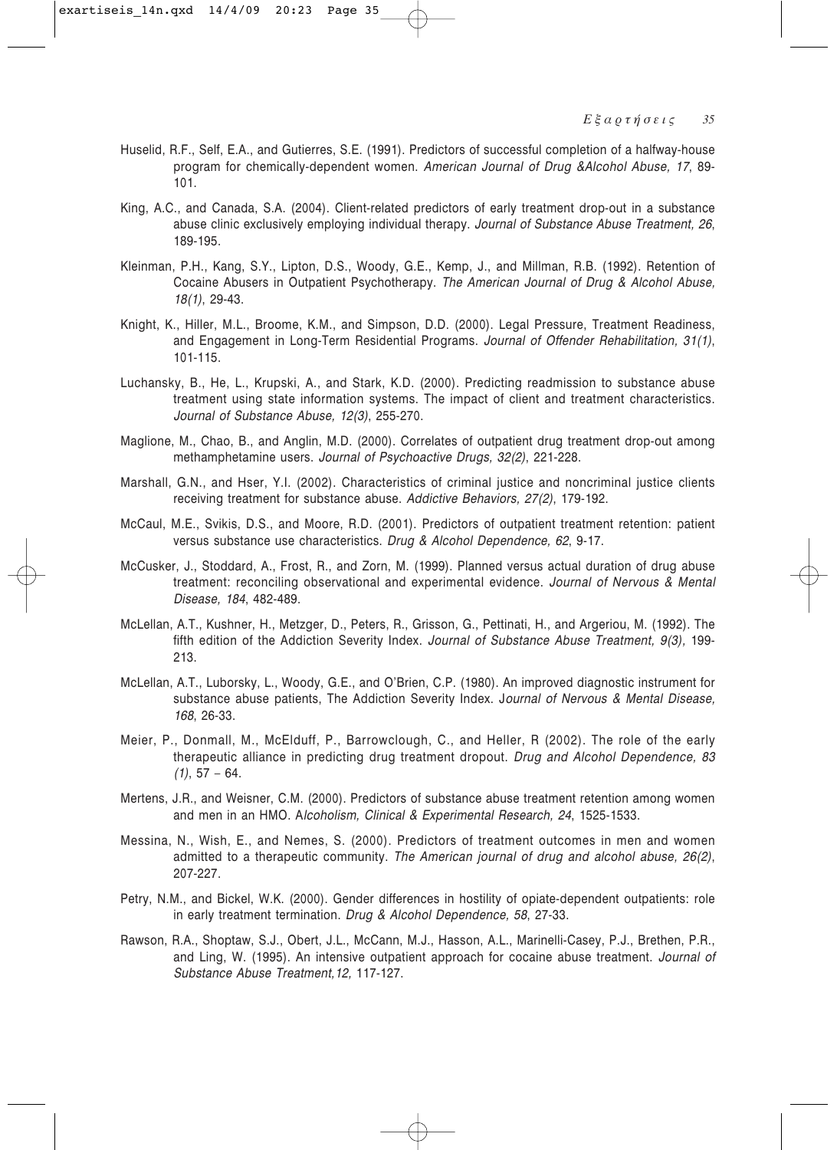Huselid, R.F., Self, E.A., and Gutierres, S.E. (1991). Predictors of successful completion of a halfway-house program for chemically-dependent women. *American Journal of Drug &Alcohol Abuse, 17*, 89- 101.

exartiseis\_14n.qxd 14/4/09 20:23 Page 35

- King, A.C., and Canada, S.A. (2004). Client-related predictors of early treatment drop-out in a substance abuse clinic exclusively employing individual therapy. *Journal of Substance Abuse Treatment, 26*, 189-195.
- Kleinman, P.H., Kang, S.Y., Lipton, D.S., Woody, G.E., Kemp, J., and Millman, R.B. (1992). Retention of Cocaine Abusers in Outpatient Psychotherapy. *The American Journal of Drug & Alcohol Abuse, 18(1)*, 29-43.
- Knight, K., Hiller, M.L., Broome, K.M., and Simpson, D.D. (2000). Legal Pressure, Treatment Readiness, and Engagement in Long-Term Residential Programs. *Journal of Offender Rehabilitation, 31(1)*, 101-115.
- Luchansky, B., He, L., Krupski, A., and Stark, K.D. (2000). Predicting readmission to substance abuse treatment using state information systems. The impact of client and treatment characteristics. *Journal of Substance Abuse, 12(3)*, 255-270.
- Maglione, M., Chao, B., and Anglin, M.D. (2000). Correlates of outpatient drug treatment drop-out among methamphetamine users. *Journal of Psychoactive Drugs, 32(2)*, 221-228.
- Marshall, G.N., and Hser, Y.I. (2002). Characteristics of criminal justice and noncriminal justice clients receiving treatment for substance abuse. *Addictive Behaviors, 27(2)*, 179-192.
- McCaul, M.E., Svikis, D.S., and Moore, R.D. (2001). Predictors of outpatient treatment retention: patient versus substance use characteristics. *Drug & Alcohol Dependence, 62*, 9-17.
- McCusker, J., Stoddard, A., Frost, R., and Zorn, M. (1999). Planned versus actual duration of drug abuse treatment: reconciling observational and experimental evidence. *Journal of Nervous & Mental Disease, 184*, 482-489.
- McLellan, A.T., Kushner, H., Metzger, D., Peters, R., Grisson, G., Pettinati, H., and Argeriou, M. (1992). The fifth edition of the Addiction Severity Index. *Journal of Substance Abuse Treatment, 9(3),* 199- 213.
- McLellan, A.T., Luborsky, L., Woody, G.E., and O'Brien, C.P. (1980). An improved diagnostic instrument for substance abuse patients, The Addiction Severity Index. J*ournal of Nervous & Mental Disease, 168*, 26-33.
- Meier, P., Donmall, M., McElduff, P., Barrowclough, C., and Heller, R (2002). The role of the early therapeutic alliance in predicting drug treatment dropout. *Drug and Alcohol Dependence, 83 (1)*, 57 – 64.
- Mertens, J.R., and Weisner, C.M. (2000). Predictors of substance abuse treatment retention among women and men in an HMO. A*lcoholism, Clinical & Experimental Research, 24*, 1525-1533.
- Messina, N., Wish, E., and Nemes, S. (2000). Predictors of treatment outcomes in men and women admitted to a therapeutic community. *The American journal of drug and alcohol abuse, 26(2)*, 207-227.
- Petry, N.M., and Bickel, W.K. (2000). Gender differences in hostility of opiate-dependent outpatients: role in early treatment termination. *Drug & Alcohol Dependence, 58*, 27-33.
- Rawson, R.A., Shoptaw, S.J., Obert, J.L., McCann, M.J., Hasson, A.L., Marinelli-Casey, P.J., Brethen, P.R., and Ling, W. (1995). An intensive outpatient approach for cocaine abuse treatment. *Journal of Substance Abuse Treatment,12,* 117-127.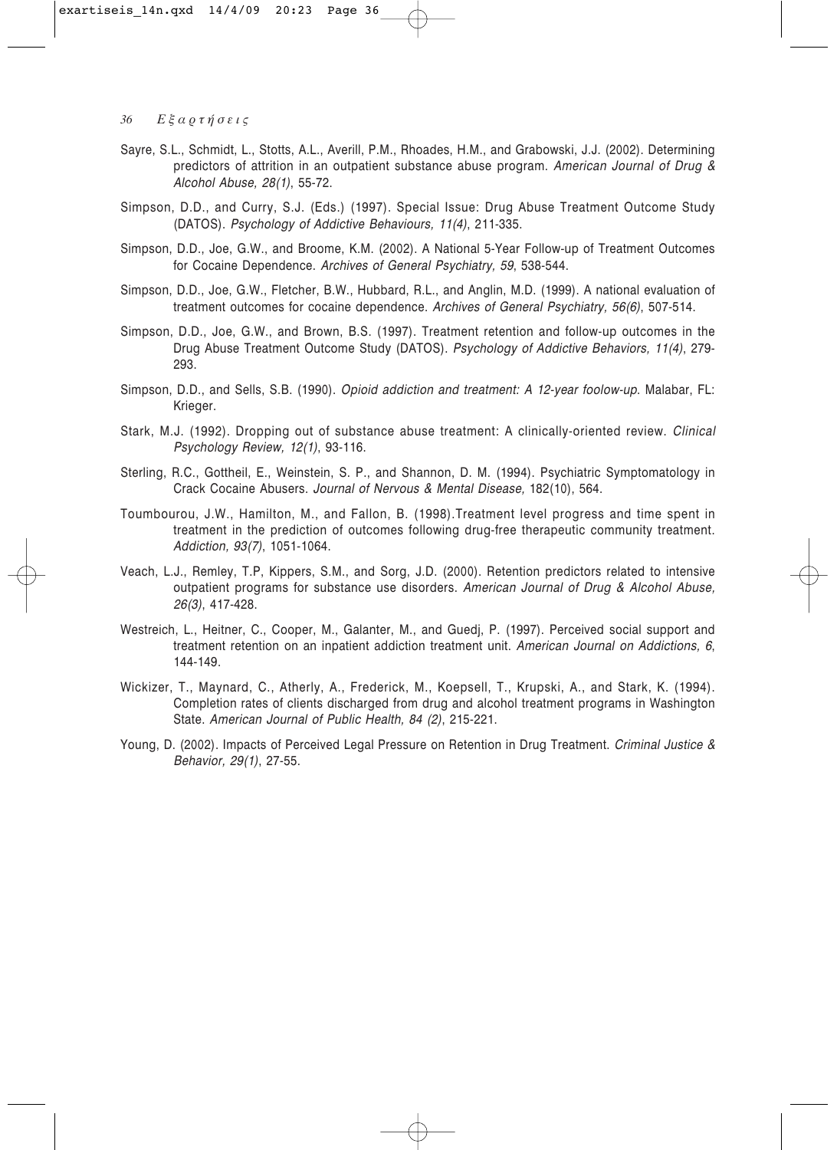- Sayre, S.L., Schmidt, L., Stotts, A.L., Averill, P.M., Rhoades, H.M., and Grabowski, J.J. (2002). Determining predictors of attrition in an outpatient substance abuse program. *American Journal of Drug & Alcohol Abuse, 28(1)*, 55-72.
- Simpson, D.D., and Curry, S.J. (Eds.) (1997). Special Issue: Drug Abuse Treatment Outcome Study (DATOS). *Psychology of Addictive Behaviours, 11(4)*, 211-335.
- Simpson, D.D., Joe, G.W., and Broome, K.M. (2002). A National 5-Year Follow-up of Treatment Outcomes for Cocaine Dependence. *Archives of General Psychiatry, 59*, 538-544.
- Simpson, D.D., Joe, G.W., Fletcher, B.W., Hubbard, R.L., and Anglin, M.D. (1999). A national evaluation of treatment outcomes for cocaine dependence. *Archives of General Psychiatry, 56(6)*, 507-514.
- Simpson, D.D., Joe, G.W., and Brown, B.S. (1997). Treatment retention and follow-up outcomes in the Drug Abuse Treatment Outcome Study (DATOS). *Psychology of Addictive Behaviors, 11(4)*, 279- 293.
- Simpson, D.D., and Sells, S.B. (1990). *Opioid addiction and treatment: A 12-year foolow-up*. Malabar, FL: Krieger.
- Stark, M.J. (1992). Dropping out of substance abuse treatment: A clinically-oriented review. *Clinical Psychology Review, 12(1)*, 93-116.
- Sterling, R.C., Gottheil, E., Weinstein, S. P., and Shannon, D. M. (1994). Psychiatric Symptomatology in Crack Cocaine Abusers. *Journal of Nervous & Mental Disease,* 182(10), 564.
- Toumbourou, J.W., Hamilton, M., and Fallon, B. (1998).Treatment level progress and time spent in treatment in the prediction of outcomes following drug-free therapeutic community treatment. *Addiction, 93(7)*, 1051-1064.
- Veach, L.J., Remley, T.P, Kippers, S.M., and Sorg, J.D. (2000). Retention predictors related to intensive outpatient programs for substance use disorders. *American Journal of Drug & Alcohol Abuse, 26(3)*, 417-428.
- Westreich, L., Heitner, C., Cooper, M., Galanter, M., and Guedj, P. (1997). Perceived social support and treatment retention on an inpatient addiction treatment unit. *American Journal on Addictions, 6*, 144-149.
- Wickizer, T., Maynard, C., Atherly, A., Frederick, M., Koepsell, T., Krupski, A., and Stark, K. (1994). Completion rates of clients discharged from drug and alcohol treatment programs in Washington State. *American Journal of Public Health, 84 (2)*, 215-221.
- Young, D. (2002). Impacts of Perceived Legal Pressure on Retention in Drug Treatment. *Criminal Justice & Behavior, 29(1)*, 27-55.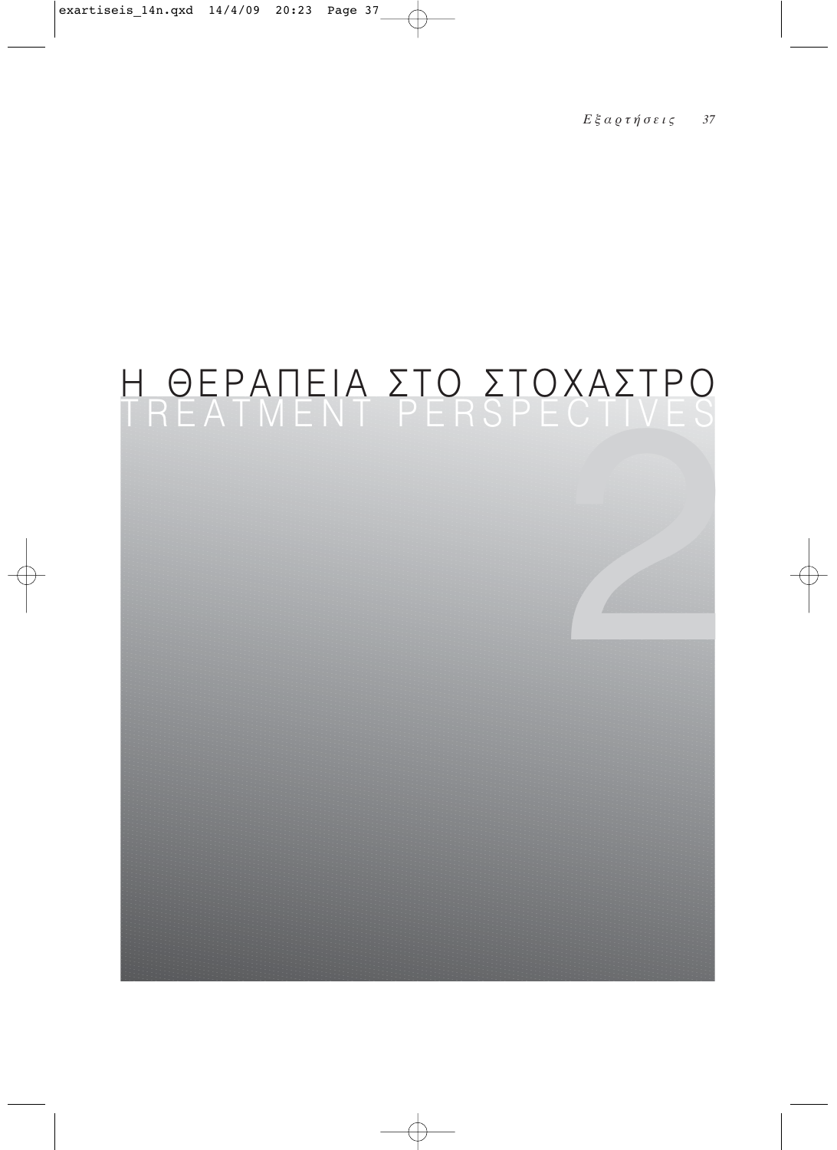$E \xi a \varrho \tau \eta \sigma \varepsilon \iota$ ς 37

# <u>Η ΘΕΡΑΠΕΙΑ ΣΤΟ ΣΤΟΧΑΣΤΡΟ</u><br>ΤΒΕΑΤΜΕΝΤ PERSPECTIVES</u>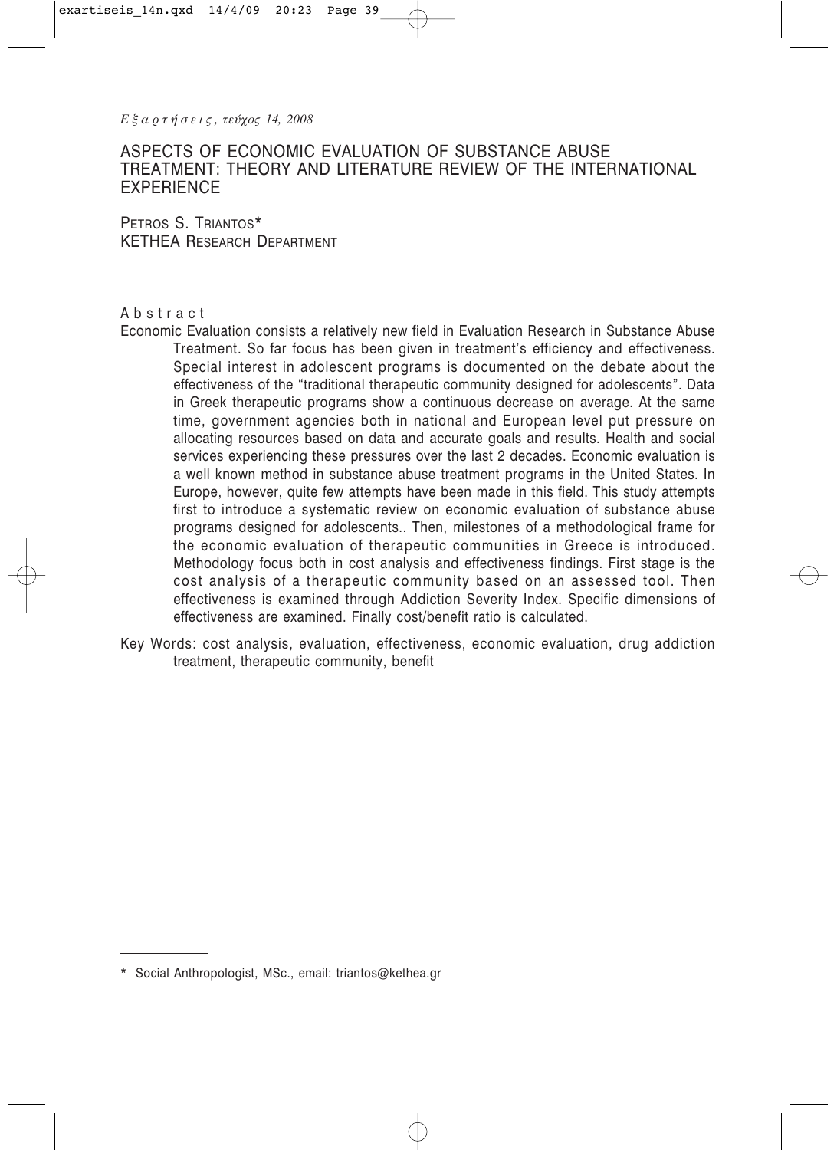*Ε ξ α ρ τ ή σ ε ι ς , τεύχος 14, 2008*

# ASPECTS OF ECONOMIC EVALUATION OF SUBSTANCE ABUSE TREATMENT: THEORY AND LITERATURE REVIEW OF THE INTERNATIONAL EXPERIENCE

PETROS S. TRIANTOS\* KETHEA RESEARCH DEPARTMENT

Abstract

- Economic Evaluation consists a relatively new field in Evaluation Research in Substance Abuse Treatment. So far focus has been given in treatment's efficiency and effectiveness. Special interest in adolescent programs is documented on the debate about the effectiveness of the "traditional therapeutic community designed for adolescents". Data in Greek therapeutic programs show a continuous decrease on average. At the same time, government agencies both in national and European level put pressure on allocating resources based on data and accurate goals and results. Health and social services experiencing these pressures over the last 2 decades. Economic evaluation is a well known method in substance abuse treatment programs in the United States. In Europe, however, quite few attempts have been made in this field. This study attempts first to introduce a systematic review on economic evaluation of substance abuse programs designed for adolescents.. Then, milestones of a methodological frame for the economic evaluation of therapeutic communities in Greece is introduced. Methodology focus both in cost analysis and effectiveness findings. First stage is the cost analysis of a therapeutic community based on an assessed tool. Then effectiveness is examined through Addiction Severity Index. Specific dimensions of effectiveness are examined. Finally cost/benefit ratio is calculated.
- Key Words: cost analysis, evaluation, effectiveness, economic evaluation, drug addiction treatment, therapeutic community, benefit

<sup>\*</sup> Social Anthropologist, MSc., email: triantos@kethea.gr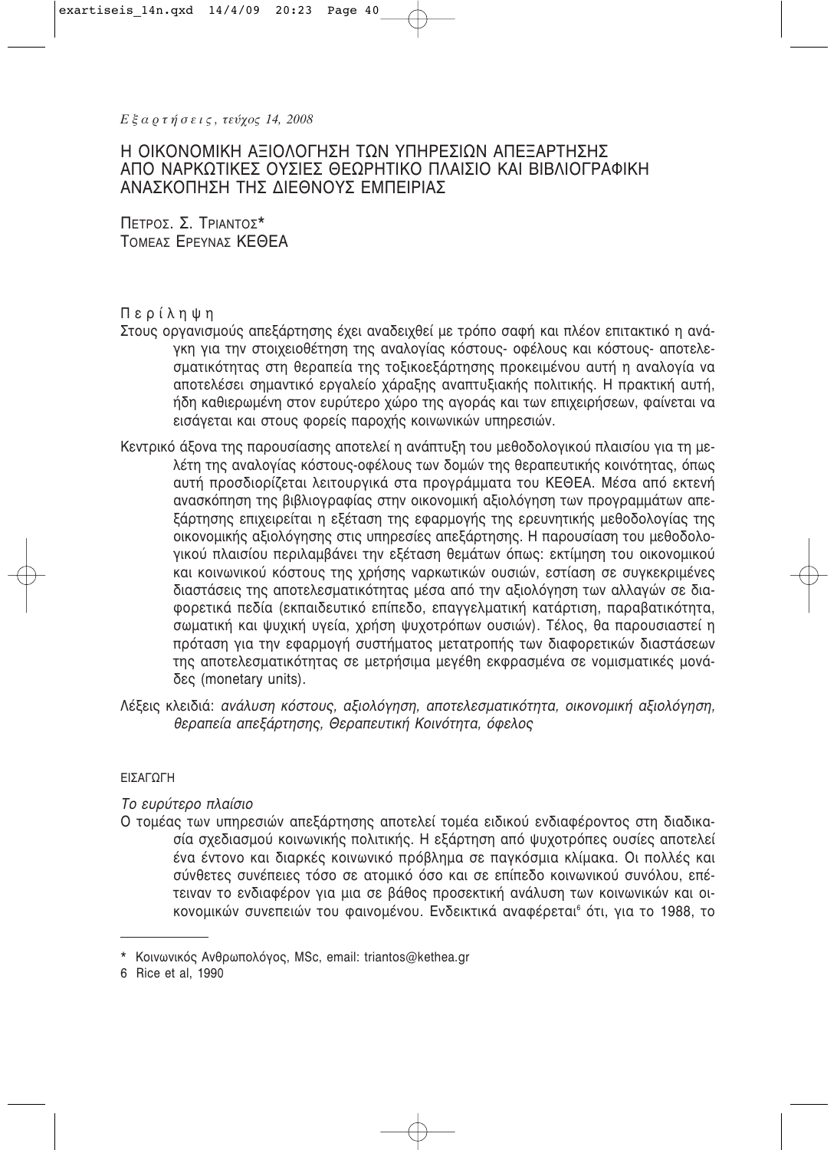*Ε ξ α ρ τ ή σ ε ι ς , τεύχος 14, 2008*

# Η ΟΙΚΟΝΟΜΙΚΉ ΑΞΙΟΛΟΓΗΣΗ ΤΩΝ ΥΠΗΡΕΣΙΩΝ ΑΠΕΞΑΡΤΗΣΗΣ ΑΠΟ ΝΑΡΚΩΤΙΚΕΣ ΟΥΣΙΕΣ ΘΕΩΡΗΤΙΚΟ ΠΛΑΙΣΙΟ ΚΑΙ ΒΙΒΛΙΟΓΡΑΦΙΚΗ ΑΝΑΣΚΟΠΗΣΗ ΤΗΣ ΔΙΕΘΝΟΥΣ ΕΜΠΕΙΡΙΑΣ

ΠΕΤΡΟΣ. Σ. ΤΡΙΑΝΤΟΣ<sup>\*</sup> ΤΟΜΕΑΣ ΕΡΕΥΝΑΣ ΚΕΘΕΑ

 $\prod$  $E$  $D$  $(\lambda$  $n \oplus n$ 

- Στους οργανισμούς απεξάρτησης έχει αναδειχθεί με τρόπο σαφή και πλέον επιτακτικό η ανά-ΥΚη για την στοιχειοθέτηση της αναλογίας κόστους- οφέλους και κόστους- αποτελεσματικότητας στη θεραπεία της τοξικοεξάρτησης προκειμένου αυτή η αναλογία να αποτελέσει σημαντικό εργαλείο χάραξης αναπτυξιακής πολιτικής. Η πρακτική αυτή, ήδη καθιερωμένη στον ευρύτερο χώρο της αγοράς και των επιχειρήσεων, φαίνεται να εισάγεται και στους φορείς παροχής κοινωνικών υπηρεσιών.
- Κεντρικό άξονα της παρουσίασης αποτελεί η ανάπτυξη του μεθοδολογικού πλαισίου για τη μελέτη της αναλογίας κόστους-οφέλους των δομών της θεραπευτικής κοινότητας, όπως αυτή προσδιορίζεται λειτουργικά στα προγράμματα του ΚΕΘΕΑ. Μέσα από εκτενή ανασκόπηση της βιβλιογραφίας στην οικονομική αξιολόγηση των προγραμμάτων απεξάρτησης επιχειρείται η εξέταση της εφαρμογής της ερευνητικής μεθοδολογίας της οικονομικής αξιολόγησης στις υπηρεσίες απεξάρτησης. Η παρουσίαση του μεθοδολογικού πλαισίου περιλαμβάνει την εξέταση θεμάτων όπως: εκτίμηση του οικονομικού και κοινωνικού κόστους της χρήσης ναρκωτικών ουσιών, εστίαση σε συγκεκριμένες διαστάσεις της αποτελεσματικότητας μέσα από την αξιολόγηση των αλλαγών σε διαφορετικά πεδία (εκπαιδευτικό επίπεδο, επαγγελματική κατάρτιση, παραβατικότητα, σωματική και ψυχική υγεία, χρήση ψυχοτρόπων ουσιών). Τέλος, θα παρουσιαστεί η πρόταση για την εφαρμογή συστήματος μετατροπής των διαφορετικών διαστάσεων της αποτελεσματικότητας σε μετρήσιμα μεγέθη εκφρασμένα σε νομισματικές μονάδες (monetary units).
- Λέξεις κλειδιά: *ανάλυση κόστους, αξιολόγηση, αποτελεσματικότητα, οικονομική αξιολόγηση,* θεραπεία απεξάρτησης, Θεραπευτική Κοινότητα, όφελος

### ΕΙΣΑΓΩΓΗ

### *Το ευρύτερο πλαίσιο*

Ο τομέας των υπηρεσιών απεξάρτησης αποτελεί τομέα ειδικού ενδιαφέροντος στη διαδικασία σχεδιασμού κοινωνικής πολιτικής. Η εξάρτηση από ψυχοτρόπες ουσίες αποτελεί ένα έντονο και διαρκές κοινωνικό πρόβλημα σε παγκόσμια κλίμακα. Οι πολλές και σύνθετες συνέπειες τόσο σε ατομικό όσο και σε επίπεδο κοινωνικού συνόλου, επέτειναν το ενδιαφέρον για μια σε βάθος προσεκτική ανάλυση των κοινωνικών και οι-ΚΟΥΟμικών συνεπειών του φαινομένου. Ενδεικτικά αναφέρεται<sup>6</sup> ότι, για το 1988, το

<sup>\*</sup> Κοινωνικός Ανθρωπολόγος, MSc, email: triantos@kethea.gr

<sup>6</sup> Rice et al, 1990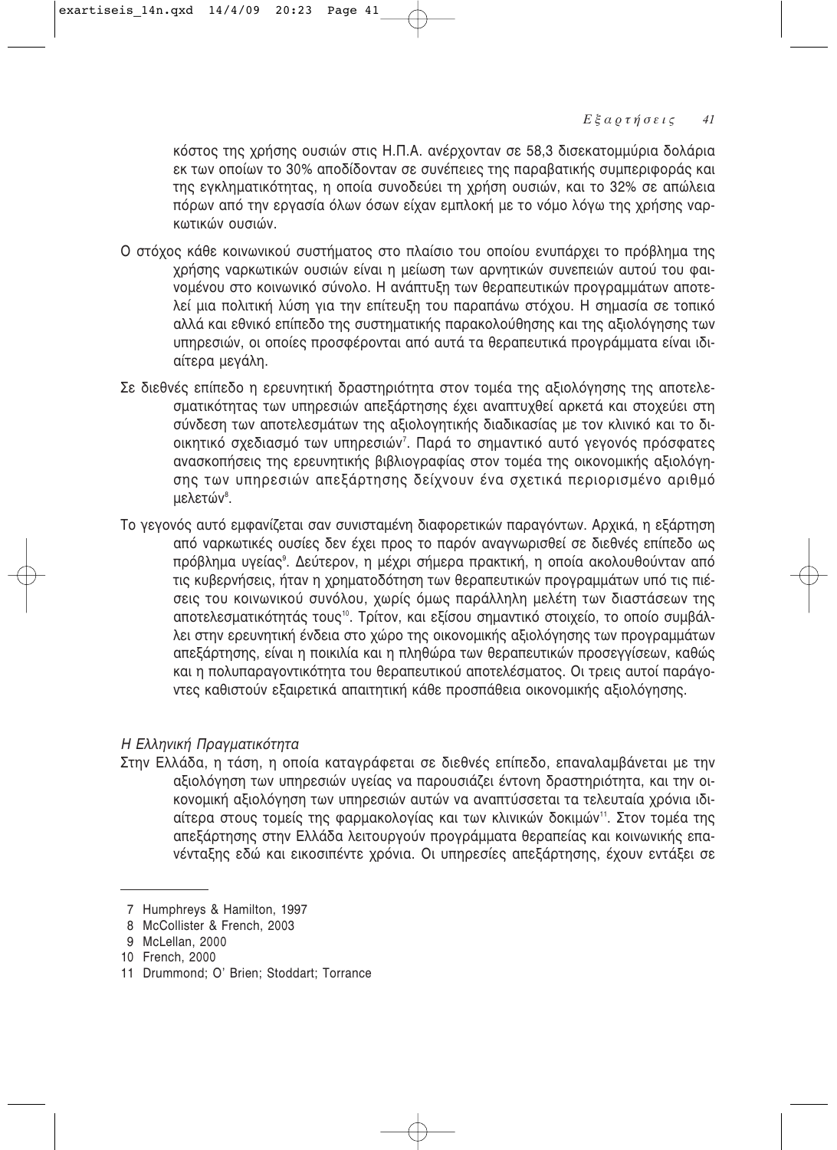exartiseis\_14n.qxd 14/4/09 20:23 Page 41

Κόστος της χρήσης ουσιών στις Η.Π.Α. ανέρχονταν σε 58,3 δισεκατομμύρια δολάρια εκ των οποίων το 30% αποδίδονταν σε συνέπειες της παραβατικής συμπεριφοράς και της εγκληματικότητας, η οποία συνοδεύει τη χρήση ουσιών, και το 32% σε απώλεια πόρων από την εργασία όλων όσων είχαν εμπλοκή με το νόμο λόγω της χρήσης ναρ-Κωτικών ουσιών.

- Ο στόχος κάθε κοινωνικού συστήματος στο πλαίσιο του οποίου ενυπάρχει το πρόβλημα της χρήσης ναρκωτικών ουσιών είναι η μείωση των αρνητικών συνεπειών αυτού του φαινομένου στο κοινωνικό σύνολο. Η ανάπτυξη των θεραπευτικών προνραμμάτων αποτελεί μια πολιτική λύση για την επίτευξη του παραπάνω στόχου. Η σημασία σε τοπικό αλλά και εθνικό επίπεδο της συστηματικής παρακολούθησης και της αξιολόγησης των υπηρεσιών, οι οποίες προσφέρονται από αυτά τα θεραπευτικά προγράμματα είναι ιδιαίτερα μεγάλη.
- Σε διεθνές επίπεδο η ερευνητική δραστηριότητα στον τομέα της αξιολόγησης της αποτελεσματικότητας των υπηρεσιών απεξάρτησης έχει αναπτυχθεί αρκετά και στοχεύει στη σύνδεση των αποτελεσμάτων της αξιολογητικής διαδικασίας με τον κλινικό και το διοικητικό σχεδιασμό των υπηρεσιών<sup>7</sup>. Παρά το σημαντικό αυτό γεγονός πρόσφατες ανασκοπήσεις της ερευνητικής βιβλιογραφίας στον τομέα της οικονομικής αξιολόγησης των υπηρεσιών απεξάρτησης δείχνουν ένα σχετικά περιορισμένο αριθμό μελετών".
- <u>Το νενονός αυτό εμφανίζεται σαν συνισταμένη διαφορετικών παρανόντων. Αρχικά, η εξάρτηση </u> από ναρκωτικές ουσίες δεν έχει προς το παρόν αναγνωρισθεί σε διεθνές επίπεδο ως πρόβλημα υγείας<sup>»</sup>. Δεύτερον, η μέχρι σήμερα πρακτική, η οποία ακολουθούνταν από τις κυβερνήσεις, ήταν η χρηματοδότηση των θεραπευτικών προγραμμάτων υπό τις πιέσεις του κοινωνικού συνόλου, χωρίς όμως παράλληλη μελέτη των διαστάσεων της αποτελεσματικότητάς τους<sup>10</sup>. Τρίτον, και εξίσου σημαντικό στοιχείο, το οποίο συμβάλλει στην ερευνητική ένδεια στο χώρο της οικονομικής αξιολόγησης των προγραμμάτων απεξάρτησης, είναι η ποικιλία και η πληθώρα των θεραπευτικών προσεγγίσεων, καθώς και η πολυπαραγοντικότητα του θεραπευτικού αποτελέσματος. Οι τρεις αυτοί παράγοντες καθιστούν εξαιρετικά απαιτητική κάθε προσπάθεια οικονομικής αξιολόγησης.

### Η Ελληνική Πραγματικότητα

Στην Ελλάδα, η τάση, η οποία καταγράφεται σε διεθνές επίπεδο, επαναλαμβάνεται με την αξιολόγηση των υπηρεσιών υγείας να παρουσιάζει έντονη δραστηριότητα, και την οικονομική αξιολόγηση των υπηρεσιών αυτών να αναπτύσσεται τα τελευταία χρόνια ιδιαίτερα στους τομείς της φαρμακολογίας και των κλινικών δοκιμών<sup>11</sup>. Στον τομέα της απεξάρτησης στην Ελλάδα λειτουργούν προγράμματα θεραπείας και κοινωνικής επανένταξης εδώ και εικοσιπέντε χρόνια. Οι υπηρεσίες απεξάρτησης, έχουν εντάξει σε

10 French, 2000

<sup>7</sup> Humphreys & Hamilton, 1997

<sup>8</sup> McCollister & French, 2003

<sup>9</sup> McLellan, 2000

<sup>11</sup> Drummond; O' Brien; Stoddart; Torrance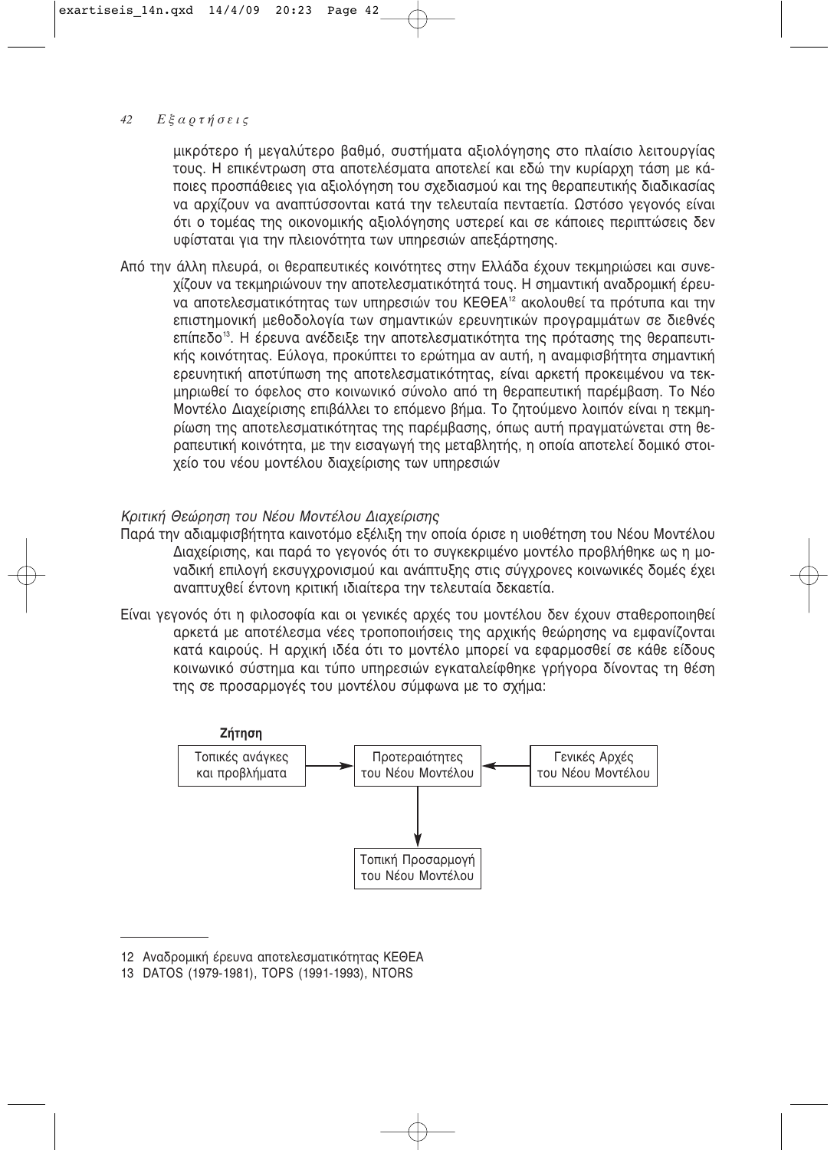μικρότερο ή μεγαλύτερο βαθμό, συστήματα αξιολόγησης στο πλαίσιο λειτουργίας τους. Η επικέντρωση στα αποτελέσματα αποτελεί και εδώ την κυρίαρχη τάση με κάποιες προσπάθειες για αξιολόγηση του σχεδιασμού και της θεραπευτικής διαδικασίας να αρχίζουν να αναπτύσσονται κατά την τελευταία πενταετία. Ωστόσο γεγονός είναι ότι ο τομέας της οικονομικής αξιολόγησης υστερεί και σε κάποιες περιπτώσεις δεν υφίσταται για την πλειονότητα των υπηρεσιών απεξάρτησης.

Aπό την άλλη πλευρά, οι θεραπευτικές κοινότητες στην Ελλάδα έχουν τεκμηριώσει και συνεχίζουν να τεκμηριώνουν την αποτελεσματικότητά τους. Η σημαντική αναδρομική έρευνα αποτελεσματικότητας των υπηρεσιών του ΚΕΘΕΑ<sup>12</sup> ακολουθεί τα πρότυπα και την επιστημονική μεθοδολογία των σημαντικών ερευνητικών προγραμμάτων σε διεθνές επίπεδο<sup>13</sup>. Η έρευνα ανέδειξε την αποτελεσματικότητα της πρότασης της θεραπευτικής κοινότητας. Εύλογα, προκύπτει το ερώτημα αν αυτή, η αναμφισβήτητα σημαντική ερευνητική αποτύπωση της αποτελεσματικότητας, είναι αρκετή προκειμένου να τεκμηριωθεί το όφελος στο κοινωνικό σύνολο από τη θεραπευτική παρέμβαση. Το Νέο Μοντέλο Διαχείρισης επιβάλλει το επόμενο βήμα. Το ζητούμενο λοιπόν είναι η τεκμηρίωση της αποτελεσματικότητας της παρέμβασης, όπως αυτή πραγματώνεται στη θεραπευτική κοινότητα, με την εισαγωγή της μεταβλητής, η οποία αποτελεί δομικό στοιχείο του νέου μοντέλου διαχείρισης των υπηρεσιών

### *Κριτική Θεώρηση του Νέου Μοντέλου Διαχείρισης*

- Παρά την αδιαμφισβήτητα καινοτόμο εξέλιξη την οποία όρισε η υιοθέτηση του Νέου Μοντέλου Διαχείρισης, και παρά το γεγονός ότι το συγκεκριμένο μοντέλο προβλήθηκε ως η μοναδική επιλογή εκσυγχρονισμού και ανάπτυξης στις σύγχρονες κοινωνικές δομές έχει αναπτυχθεί έντονη κριτική ιδιαίτερα την τελευταία δεκαετία.
- Είναι γεγονός ότι η φιλοσοφία και οι γενικές αρχές του μοντέλου δεν έχουν σταθεροποιηθεί αρκετά με αποτέλεσμα νέες τροποποιήσεις της αρχικής θεώρησης να εμφανίζονται κατά καιρούς. Η αρχική ιδέα ότι το μοντέλο μπορεί να εφαρμοσθεί σε κάθε είδους κοινωνικό σύστημα και τύπο υπηρεσιών εγκαταλείφθηκε γρήγορα δίνοντας τη θέση της σε προσαρμογές του μοντέλου σύμφωνα με το σχήμα:



<sup>12</sup> Αναδρομική έρευνα αποτελεσματικότητας KEΘEA

<sup>13</sup> DATOS (1979-1981), TOPS (1991-1993), NTORS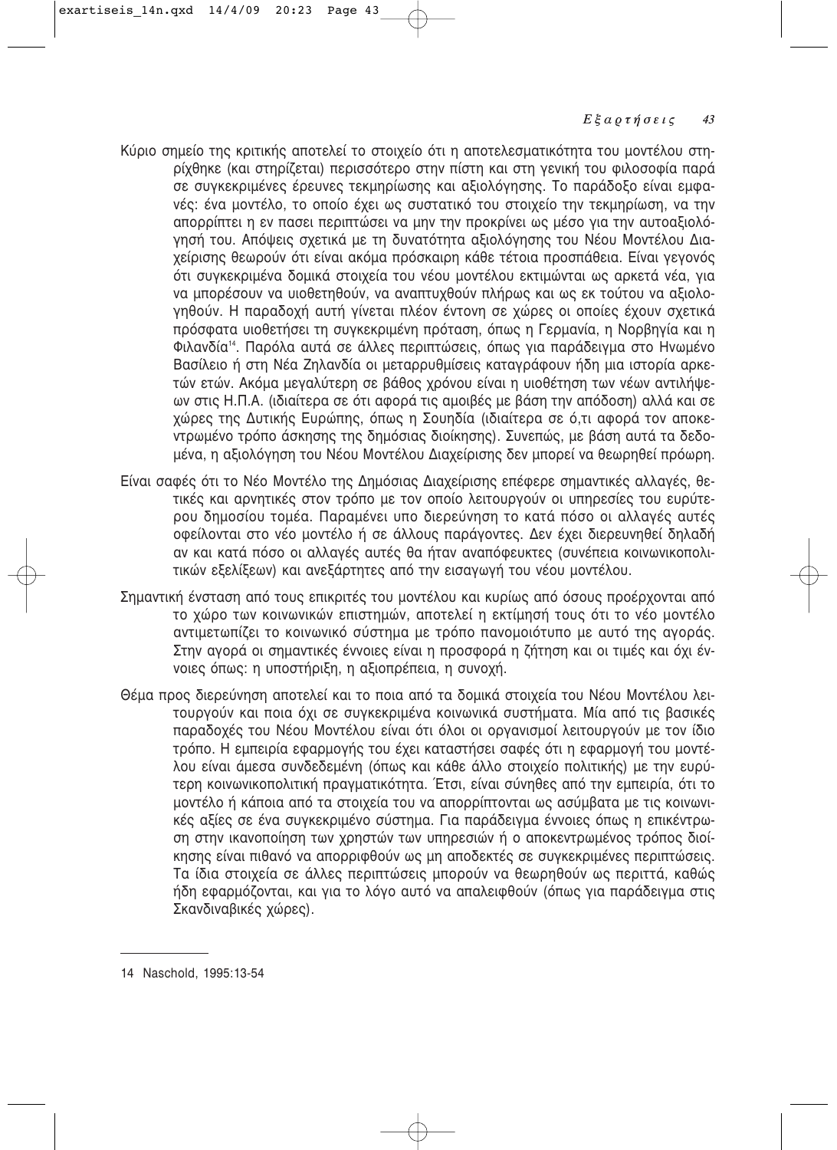- Κύριο σημείο της κριτικής αποτελεί το στοιχείο ότι η αποτελεσματικότητα του μοντέλου στηρίχθηκε (και στηρίζεται) περισσότερο στην πίστη και στη γενική του φιλοσοφία παρά σε συγκεκριμένες έρευνες τεκμηρίωσης και αξιολόγησης. Το παράδοξο είναι εμφανές: ένα μοντέλο, το οποίο έχει ως συστατικό του στοιχείο την τεκμηρίωση, να την απορρίπτει η εν πασει περιπτώσει να μην την προκρίνει ως μέσο για την αυτοαξιολόγησή του. Απόψεις σχετικά με τη δυνατότητα αξιολόγησης του Νέου Μοντέλου Διαχείρισης θεωρούν ότι είναι ακόμα πρόσκαιρη κάθε τέτοια προσπάθεια. Είναι γεγονός ότι συγκεκριμένα δομικά στοιχεία του νέου μοντέλου εκτιμώνται ως αρκετά νέα, για να μπορέσουν να υιοθετηθούν, να αναπτυχθούν πλήρως και ως εκ τούτου να αξιολογηθούν. Η παραδοχή αυτή γίνεται πλέον έντονη σε χώρες οι οποίες έχουν σχετικά πρόσφατα υιοθετήσει τη συγκεκριμένη πρόταση, όπως η Γερμανία, η Νορβηγία και η Φιλανδία<sup>14</sup>. Παρόλα αυτά σε άλλες περιπτώσεις, όπως για παράδειγμα στο Ηνωμένο Βασίλειο ή στη Νέα Ζηλανδία οι μεταρρυθμίσεις καταγράφουν ήδη μια ιστορία αρκετών ετών. Ακόμα μεγαλύτερη σε βάθος χρόνου είναι η υιοθέτηση των νέων αντιλήψεων στις Η.Π.Α. (ιδιαίτερα σε ότι αφορά τις αμοιβές με βάση την απόδοση) αλλά και σε γώρες της Δυτικής Ευρώπης, όπως η Σουηδία (ιδιαίτερα σε ό,τι αφορά τον αποκεντρωμένο τρόπο άσκησης της δημόσιας διοίκησης). Συνεπώς, με βάση αυτά τα δεδομένα, η αξιολόγηση του Νέου Μοντέλου Διαχείρισης δεν μπορεί να θεωρηθεί πρόωρη.
- Είναι σαφές ότι το Νέο Μοντέλο της Δημόσιας Διαχείρισης επέφερε σημαντικές αλλαγές, θετικές και αρνητικές στον τρόπο με τον οποίο λειτουργούν οι υπηρεσίες του ευρύτερου δημοσίου τομέα. Παραμένει υπο διερεύνηση το κατά πόσο οι αλλαγές αυτές οφείλονται στο νέο μοντέλο ή σε άλλους παράγοντες. Δεν έχει διερευνηθεί δηλαδή αν και κατά πόσο οι αλλαγές αυτές θα ήταν αναπόφευκτες (συνέπεια κοινωνικοπολιτικών εξελίξεων) και ανεξάρτητες από την εισαγωγή του νέου μοντέλου.
- Σημαντική ένσταση από τους επικριτές του μοντέλου και κυρίως από όσους προέρχονται από το χώρο των κοινωνικών επιστημών, αποτελεί η εκτίμησή τους ότι το νέο μοντέλο αντιμετωπίζει το κοινωνικό σύστημα με τρόπο πανομοιότυπο με αυτό της αγοράς. Στην αγορά οι σημαντικές έννοιες είναι η προσφορά η ζήτηση και οι τιμές και όχι έννοιες όπως: η υποστήριξη, η αξιοπρέπεια, η συνοχή.
- Θέμα προς διερεύνηση αποτελεί και το ποια από τα δομικά στοιχεία του Νέου Μοντέλου λειτουργούν και ποια όχι σε συγκεκριμένα κοινωνικά συστήματα. Μία από τις βασικές ταραδοχές του Νέου Μοντέλου είναι ότι όλοι οι οργανισμοί λειτουργούν με τον ίδιο τρόπο. Η εμπειρία εφαρμογής του έχει καταστήσει σαφές ότι η εφαρμογή του μοντέλου είναι άμεσα συνδεδεμένη (όπως και κάθε άλλο στοιχείο πολιτικής) με την ευρύτερη κοινωνικοπολιτική πραγματικότητα. Έτσι, είναι σύνηθες από την εμπειρία, ότι το μοντέλο ή κάποια από τα στοιχεία του να απορρίπτονται ως ασύμβατα με τις κοινωνικές αξίες σε ένα συγκεκριμένο σύστημα. Για παράδειγμα έννοιες όπως η επικέντρωση στην ικανοποίηση των χρηστών των υπηρεσιών ή ο αποκεντρωμένος τρόπος διοίκησης είναι πιθανό να απορριφθούν ως μη αποδεκτές σε συγκεκριμένες περιπτώσεις. Τα ίδια στοιχεία σε άλλες περιπτώσεις μπορούν να θεωρηθούν ως περιττά, καθώς ήδη εφαρμόζονται, και για το λόγο αυτό να απαλειφθούν (όπως για παράδειγμα στις Σκανδιναβικές χώρες).

14 Naschold, 1995:13-54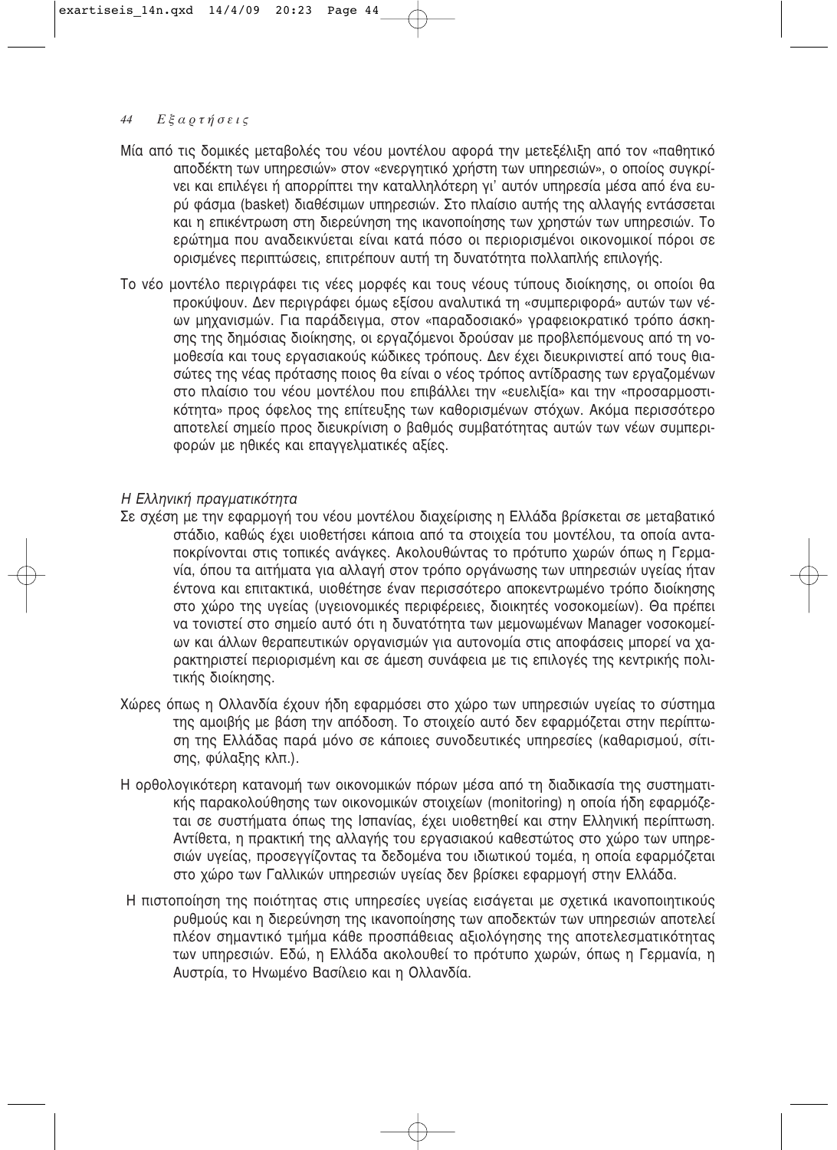- Μία από τις δομικές μεταβολές του νέου μοντέλου αφορά την μετεξέλιξη από τον «παθητικό αποδέκτη των υπηρεσιών» στον «ενεργητικό χρήστη των υπηρεσιών», ο οποίος συγκρίνει και επιλέγει ή απορρίπτει την καταλληλότερη γι' αυτόν υπηρεσία μέσα από ένα ευρύ φάσμα (basket) διαθέσιμων υπηρεσιών. Στο πλαίσιο αυτής της αλλαγής εντάσσεται και η επικέντρωση στη διερεύνηση της ικανοποίησης των χρηστών των υπηρεσιών. Το ερώτημα που αναδεικνύεται είναι κατά πόσο οι περιορισμένοι οικονομικοί πόροι σε ορισμένες περιπτώσεις, επιτρέπουν αυτή τη δυνατότητα πολλαπλής επιλογής.
- Το νέο μοντέλο περιγράφει τις νέες μορφές και τους νέους τύπους διοίκησης, οι οποίοι θα προκύψουν. Δεν περιγράφει όμως εξίσου αναλυτικά τη «συμπεριφορά» αυτών των νέων μηχανισμών. Για παράδειγμα, στον «παραδοσιακό» γραφειοκρατικό τρόπο άσκησης της δημόσιας διοίκησης, οι εργαζόμενοι δρούσαν με προβλεπόμενους από τη νομοθεσία και τους εργασιακούς κώδικες τρόπους. Δεν έχει διευκρινιστεί από τους θιασώτες της νέας πρότασης ποιος θα είναι ο νέος τρόπος αντίδρασης των ερναζομένων στο πλαίσιο του νέου μοντέλου που επιβάλλει την «ευελιξία» και την «προσαρμοστι-Κότητα» προς όφελος της επίτευξης των καθορισμένων στόχων. Ακόμα περισσότερο αποτελεί σημείο προς διευκρίνιση ο βαθμός συμβατότητας αυτών των νέων συμπερι-Φορών με ηθικές και επαγγελματικές αξίες.

### *Η Ελληνική πρανματικότητα*

- Σε σχέση με την εφαρμογή του νέου μοντέλου διαχείρισης η Ελλάδα βρίσκεται σε μεταβατικό στάδιο, καθώς έχει υιοθετήσει κάποια από τα στοιχεία του μοντέλου, τα οποία ανταποκρίνονται στις τοπικές ανάγκες. Ακολουθώντας το πρότυπο χωρών όπως η Γερμαvία, όπου τα αιτήματα για αλλαγή στον τρόπο οργάνωσης των υπηρεσιών υγείας ήταν έντονα και επιτακτικά, υιοθέτησε έναν περισσότερο αποκεντρωμένο τρόπο διοίκησης στο χώρο της υγείας (υγειονομικές περιφέρειες, διοικητές νοσοκομείων). Θα πρέπει vα τονιστεί στο σημείο αυτό ότι η δυνατότητα των μεμονωμένων Manager νοσοκομείων και άλλων θεραπευτικών οργανισμών για αυτονομία στις αποφάσεις μπορεί να χαpακτηριστεί περιορισμένη και σε άμεση συνάφεια με τις επιλογές της κεντρικής πολιτικής διοίκησης.
- Χώρες όπως η Ολλανδία έχουν ήδη εφαρμόσει στο χώρο των υπηρεσιών υνείας το σύστημα της αμοιβής με βάση την απόδοση. Το στοιχείο αυτό δεν εφαρμόζεται στην περίπτωση της Ελλάδας παρά μόνο σε κάποιες συνοδευτικές υπηρεσίες (καθαρισμού, σίτισης, φύλαξης κλπ.).
- Η ορθολογικότερη κατανομή των οικονομικών πόρων μέσα από τη διαδικασία της συστηματικής παρακολούθησης των οικονομικών στοιχείων (monitoring) η οποία ήδη εφαρμόζεται σε συστήματα όπως της Ισπανίας, έχει υιοθετηθεί και στην Ελληνική περίπτωση. Αντίθετα, η πρακτική της αλλαγής του εργασιακού καθεστώτος στο χώρο των υπηρεσιών υγείας, προσεγγίζοντας τα δεδομένα του ιδιωτικού τομέα, η οποία εφαρμόζεται στο χώρο των Γαλλικών υπηρεσιών υγείας δεν βρίσκει εφαρμογή στην Ελλάδα.
- Η πιστοποίηση της ποιότητας στις υπηρεσίες υγείας εισάγεται με σχετικά ικανοποιητικούς  $\rho$ υθμούς και η διερεύνηση της ικανοποίησης των αποδεκτών των υπηρεσιών αποτελεί πλέον σημαντικό τμήμα κάθε προσπάθειας αξιολόγησης της αποτελεσματικότητας των υπηρεσιών. Εδώ, η Ελλάδα ακολουθεί το πρότυπο χωρών, όπως η Γερμανία, η Αυστρία, το Ηνωμένο Βασίλειο και η Ολλανδία.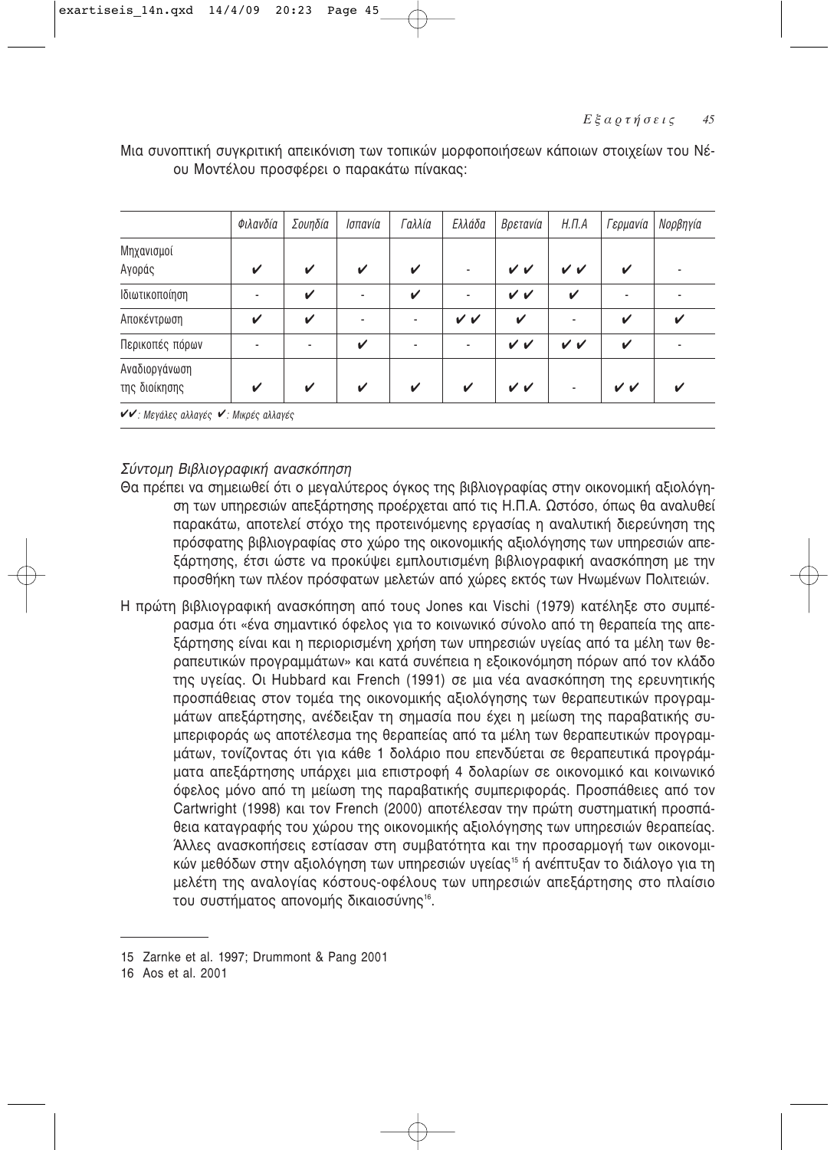|                                       | Φιλανδία | Σουηδία      | Ισπανία | Γαλλία       | Ελλάδα | Βρετανία | $H.\Pi.A$                | Γερμανία | Νορβηγία |
|---------------------------------------|----------|--------------|---------|--------------|--------|----------|--------------------------|----------|----------|
| Μηχανισμοί<br>Αγοράς                  | V        | ✓            | V       | V            |        | V V      | VV                       | V        |          |
| Ιδιωτικοποίηση                        |          | $\checkmark$ |         | $\checkmark$ |        | VV       | V                        |          |          |
| Αποκέντρωση                           | ✓        | $\checkmark$ |         | ۰            | VV     | ✓        | $\overline{\phantom{a}}$ | V        | V        |
| Περικοπές πόρων                       | ٠        |              | V       | ٠            |        | VV       | V V                      | V        |          |
| Αναδιοργάνωση<br>της διοίκησης        | V        | V            | V       | V            | V      | v v      |                          | V V      | V        |
| νν: Μεγάλες αλλαγές ν: Μικρές αλλαγές |          |              |         |              |        |          |                          |          |          |

Μια συνοπτική συγκριτική απεικόνιση των τοπικών μορφοποιήσεων κάποιων στοιχείων του Νέου Μοντέλου προσφέρει ο παρακάτω πίνακας:

### *Σύντομη Βιβλιογραφική ανασκόπηση*

- Θα πρέπει να σημειωθεί ότι ο μεγαλύτερος όγκος της βιβλιογραφίας στην οικονομική αξιολόγηση των υπηρεσιών απεξάρτησης προέρχεται από τις Η.Π.Α. Ωστόσο, όπως θα αναλυθεί παρακάτω, αποτελεί στόχο της προτεινόμενης εργασίας η αναλυτική διερεύνηση της πρόσφατης βιβλιογραφίας στο χώρο της οικονομικής αξιολόγησης των υπηρεσιών απεξάρτησης, έτσι ώστε να προκύψει εμπλουτισμένη βιβλιογραφική ανασκόπηση με την προσθήκη των πλέον πρόσφατων μελετών από χώρες εκτός των Ηνωμένων Πολιτειών.
- Η πρώτη βιβλιογραφική ανασκόπηση από τους Jones και Vischi (1979) κατέληξε στο συμπέρασμα ότι «ένα σημαντικό όφελος για το κοινωνικό σύνολο από τη θεραπεία της απεξάρτησης είναι και η περιορισμένη χρήση των υπηρεσιών υγείας από τα μέλη των θεραπευτικών προγραμμάτων» και κατά συνέπεια η εξοικονόμηση πόρων από τον κλάδο της υγείας. Οι Hubbard και French (1991) σε μια νέα ανασκόπηση της ερευνητικής προσπάθειας στον τομέα της οικονομικής αξιολόγησης των θεραπευτικών προγραμμάτων απεξάρτησης, ανέδειξαν τη σημασία που έχει η μείωση της παραβατικής συμπεριφοράς ως αποτέλεσμα της θεραπείας από τα μέλη των θεραπευτικών προγραμμάτων, τονίζοντας ότι για κάθε 1 δολάριο που επενδύεται σε θεραπευτικά προγράμματα απεξάρτησης υπάρχει μια επιστροφή 4 δολαρίων σε οικονομικό και κοινωνικό όφελος μόνο από τη μείωση της παραβατικής συμπεριφοράς. Προσπάθειες από τον Cartwright (1998) και τον French (2000) αποτέλεσαν την πρώτη συστηματική προσπάθεια καταγραφής του χώρου της οικονομικής αξιολόγησης των υπηρεσιών θεραπείας. Άλλες ανασκοπήσεις εστίασαν στη συμβατότητα και την προσαρμογή των οικονομικών μεθόδων στην αξιολόγηση των υπηρεσιών υγείας<sup>15</sup> ή ανέπτυξαν το διάλογο για τη μελέτη της αναλογίας κόστους-οφέλους των υπηρεσιών απεξάρτησης στο πλαίσιο του συστήματος απονομής δικαιοσύνης<sup>16</sup>.

<sup>15</sup> Zarnke et al. 1997; Drummont & Pang 2001

<sup>16</sup> Aos et al. 2001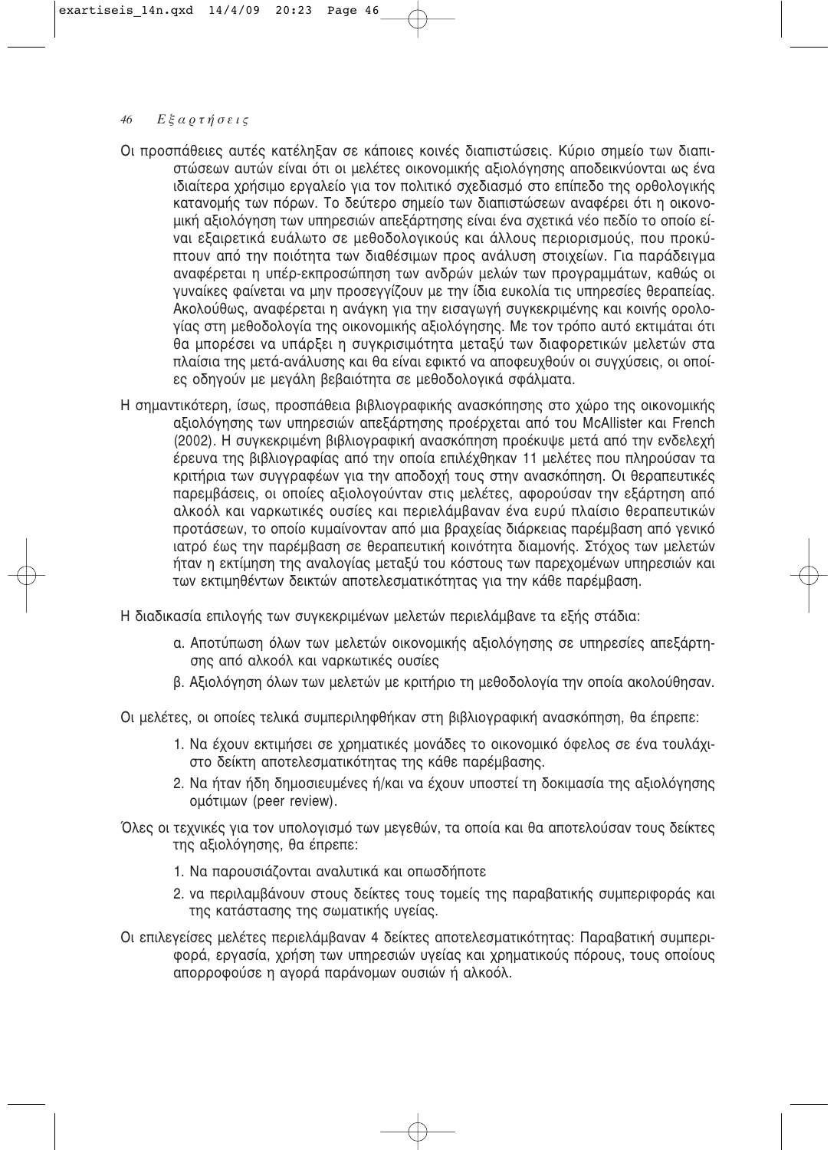- Οι προσπάθειες αυτές κατέληξαν σε κάποιες κοινές διαπιστώσεις. Κύριο σημείο των διαπιστώσεων αυτών είναι ότι οι μελέτες οικονομικής αξιολόγησης αποδεικνύονται ως ένα ιδιαίτερα χρήσιμο εργαλείο για τον πολιτικό σχεδιασμό στο επίπεδο της ορθολογικής κατανομής των πόρων. Το δεύτερο σημείο των διαπιστώσεων αναφέρει ότι η οικονομική αξιολόγηση των υπηρεσιών απεξάρτησης είναι ένα σχετικά νέο πεδίο το οποίο είναι εξαιρετικά ευάλωτο σε μεθοδολογικούς και άλλους περιορισμούς, που προκύπτουν από την ποιότητα των διαθέσιμων προς ανάλυση στοιχείων. Για παράδεινμα αναφέρεται η υπέρ-εκπροσώπηση των ανδρών μελών των προγραμμάτων, καθώς οι γυναίκες φαίνεται να μην προσεγγίζουν με την ίδια ευκολία τις υπηρεσίες θεραπείας. Aκολούθως, αναφέρεται η ανάγκη για την εισαγωγή συγκεκριμένης και κοινής ορολογίας στη μεθοδολογία της οικονομικής αξιολόγησης. Με τον τρόπο αυτό εκτιμάται ότι ια μπορέσει να υπάρξει η συγκρισιμότητα μεταξύ των διαφορετικών μελετών στα πλαίσια της μετά-ανάλυσης και θα είναι εφικτό να αποφευχθούν οι συγχύσεις, οι οποίες οδηγούν με μεγάλη βεβαιότητα σε μεθοδολογικά σφάλματα.
- Η σημαντικότερη, ίσως, προσπάθεια βιβλιογραφικής ανασκόπησης στο χώρο της οικονομικής αξιολόγησης των υπηρεσιών απεξάρτησης προέρχεται από του McAllister και French (2002). Η συγκεκριμένη βιβλιογραφική ανασκόπηση προέκυψε μετά από την ενδελεχή έρευνα της βιβλιογραφίας από την οποία επιλέχθηκαν 11 μελέτες που πληρούσαν τα Κριτήρια των συγγραφέων για την αποδοχή τους στην ανασκόπηση. Οι θεραπευτικές παρεμβάσεις, οι οποίες αξιολογούνταν στις μελέτες, αφορούσαν την εξάρτηση από αλκοόλ και ναρκωτικές ουσίες και περιελάμβαναν ένα ευρύ πλαίσιο θεραπευτικών προτάσεων, το οποίο κυμαίνονταν από μια βραχείας διάρκειας παρέμβαση από νενικό ιατρό έως την παρέμβαση σε θεραπευτική κοινότητα διαμονής. Στόχος των μελετών ήταν η εκτίμηση της αναλογίας μεταξύ του κόστους των παρεχομένων υπηρεσιών και των εκτιμηθέντων δεικτών αποτελεσματικότητας για την κάθε παρέμβαση.

Η διαδικασία επιλογής των συγκεκριμένων μελετών περιελάμβανε τα εξής στάδια:

- α. Αποτύπωση όλων των μελετών οικονομικής αξιολόγησης σε υπηρεσίες απεξάρτησης από αλκοόλ και ναρκωτικές ουσίες
- β. Αξιολόγηση όλων των μελετών με κριτήριο τη μεθοδολογία την οποία ακολούθησαν.
- Οι μελέτες, οι οποίες τελικά συμπεριληφθήκαν στη βιβλιογραφική ανασκόπηση, θα έπρεπε:
	- 1. Να έχουν εκτιμήσει σε χρηματικές μονάδες το οικονομικό όφελος σε ένα τουλάχιστο δείκτη αποτελεσματικότητας της κάθε παρέμβασης.
	- 2. Να ήταν ήδη δημοσιευμένες ή/και να έχουν υποστεί τη δοκιμασία της αξιολόγησης ομότιμων (peer review).
- Όλες οι τεχνικές για τον υπολογισμό των μεγεθών, τα οποία και θα αποτελούσαν τους δείκτες της αξιολόγησης, θα έπρεπε:
	- 1. Να παρουσιάζονται αναλυτικά και οπωσδήποτε
	- 2. να περιλαμβάνουν στους δείκτες τους τομείς της παραβατικής συμπεριφοράς και της κατάστασης της σωματικής υγείας.
- Οι επιλεγείσες μελέτες περιελάμβαναν 4 δείκτες αποτελεσματικότητας: Παραβατική συμπεριφορά, εργασία, χρήση των υπηρεσιών υγείας και χρηματικούς πόρους, τους οποίους απορροφούσε η αγορά παράνομων ουσιών ή αλκοόλ.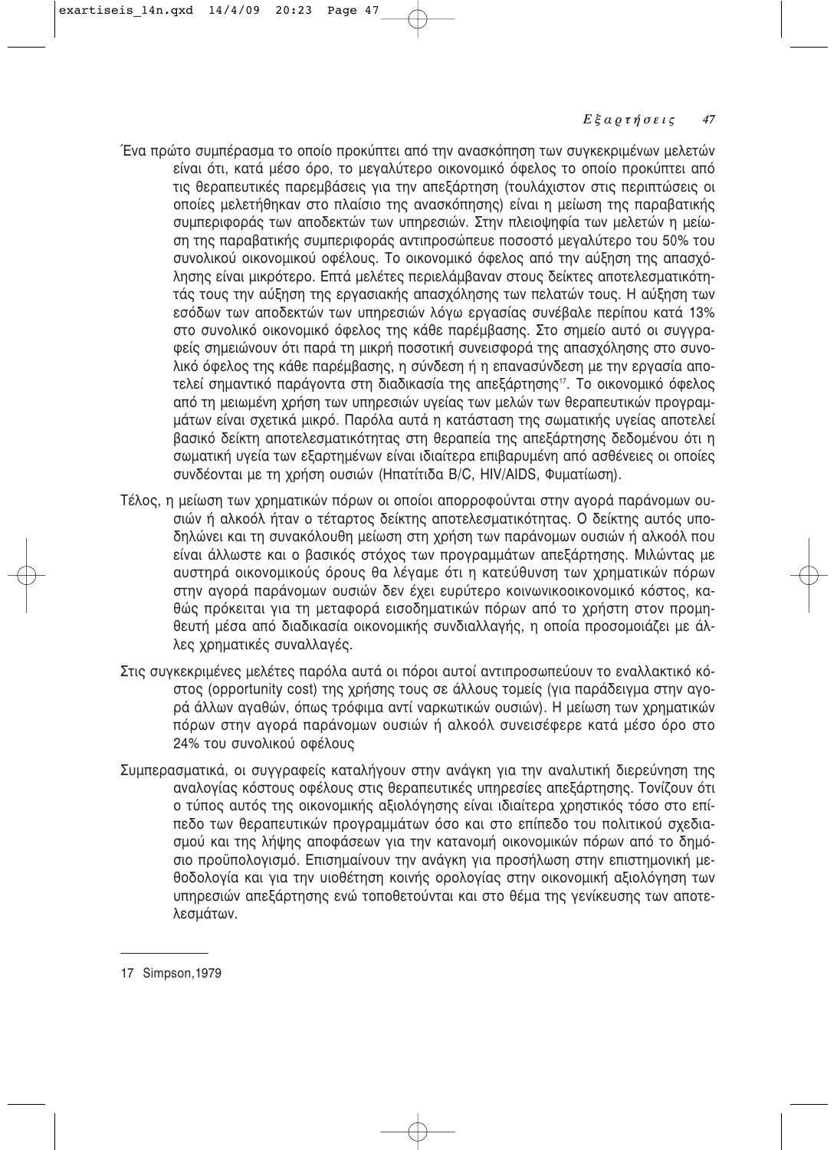- Ένα πρώτο συμπέρασμα το οποίο προκύπτει από την ανασκόπηση των συγκεκριμένων μελετών είναι ότι, κατά μέσο όρο, το μεγαλύτερο οικονομικό όφελος το οποίο προκύπτει από τις θεραπευτικές παρεμβάσεις για την απεξάρτηση (τουλάχιστον στις περιπτώσεις οι οποίες μελετήθηκαν στο πλαίσιο της ανασκόπησης) είναι η μείωση της παραβατικής συμπεριφοράς των αποδεκτών των υπηρεσιών. Στην πλειοψηφία των μελετών η μείωση της παραβατικής συμπεριφοράς αντιπροσώπευε ποσοστό μεγαλύτερο του 50% του συνολικού οικονομικού οφέλους. Το οικονομικό όφελος από την αύξηση της απασχόλησης είναι μικρότερο. Επτά μελέτες περιελάμβαναν στους δείκτες αποτελεσματικότητάς τους την αύξηση της εργασιακής απασχόλησης των πελατών τους. Η αύξηση των εσόδων των αποδεκτών των υπηρεσιών λόγω εργασίας συνέβαλε περίπου κατά 13% στο συνολικό οικονομικό όφελος της κάθε παρέμβασης. Στο σημείο αυτό οι συγγρα-Φείς σημειώνουν ότι παρά τη μικρή ποσοτική συνεισφορά της απασχόλησης στο συνολικό όφελος της κάθε παρέμβασης, η σύνδεση ή η επανασύνδεση με την εργασία αποτελεί σημαντικό παράγοντα στη διαδικασία της απεξάρτησης<sup>17</sup>. Το οικονομικό όφελος από τη μειωμένη χρήση των υπηρεσιών υγείας των μελών των θεραπευτικών προγραμμάτων είναι σχετικά μικρό. Παρόλα αυτά η κατάσταση της σωματικής υγείας αποτελεί βασικό δείκτη αποτελεσματικότητας στη θεραπεία της απεξάρτησης δεδομένου ότι η σωματική υγεία των εξαρτημένων είναι ιδιαίτερα επιβαρυμένη από ασθένειες οι οποίες συνδέονται με τη χρήση ουσιών (Ηπατίτιδα Β/C, HIV/AIDS, Φυματίωση).
- Τέλος, η μείωση των χρηματικών πόρων οι οποίοι απορροφούνται στην αγορά παράνομων ουσιών ή αλκοόλ ήταν ο τέταρτος δείκτης αποτελεσματικότητας. Ο δείκτης αυτός υποδηλώνει και τη συνακόλουθη μείωση στη χρήση των παράνομων ουσιών ή αλκοόλ που είναι άλλωστε και ο βασικός στόχος των προγραμμάτων απεξάρτησης. Μιλώντας με αυστηρά οικονομικούς όρους θα λέγαμε ότι η κατεύθυνση των χρηματικών πόρων στην ανορά παράνομων ουσιών δεν έχει ευρύτερο κοινωνικοοικονομικό κόστος, καθώς πρόκειται για τη μεταφορά εισοδηματικών πόρων από το χρήστη στον προμηθευτή μέσα από διαδικασία οικονομικής συνδιαλλαγής, η οποία προσομοιάζει με άλλες χρηματικές συναλλαγές.
- Στις συγκεκριμένες μελέτες παρόλα αυτά οι πόροι αυτοί αντιπροσωπεύουν το εναλλακτικό κόστος (opportunity cost) της χρήσης τους σε άλλους τομείς (για παράδειγμα στην ανορά άλλων αγαθών, όπως τρόφιμα αντί ναρκωτικών ουσιών). Η μείωση των χρηματικών πόρων στην αγορά παράνομων ουσιών ή αλκοόλ συνεισέφερε κατά μέσο όρο στο 24% του συνολικού οφέλους
- Συμπερασματικά, οι συγγραφείς καταλήγουν στην ανάγκη για την αναλυτική διερεύνηση της αναλογίας κόστους οφέλους στις θεραπευτικές υπηρεσίες απεξάρτησης. Τονίζουν ότι ο τύπος αυτός της οικονομικής αξιολόγησης είναι ιδιαίτερα χρηστικός τόσο στο επίπεδο των θεραπευτικών προγραμμάτων όσο και στο επίπεδο του πολιτικού σχεδιασμού και της λήψης αποφάσεων για την κατανομή οικονομικών πόρων από το δημόσιο προϋπολογισμό. Επισημαίνουν την ανάγκη για προσήλωση στην επιστημονική μεθοδολογία και για την υιοθέτηση κοινής ορολογίας στην οικονομική αξιολόγηση των υπηρεσιών απεξάρτησης ενώ τοποθετούνται και στο θέμα της γενίκευσης των αποτελεσμάτων.

<sup>17</sup> Simpson,1979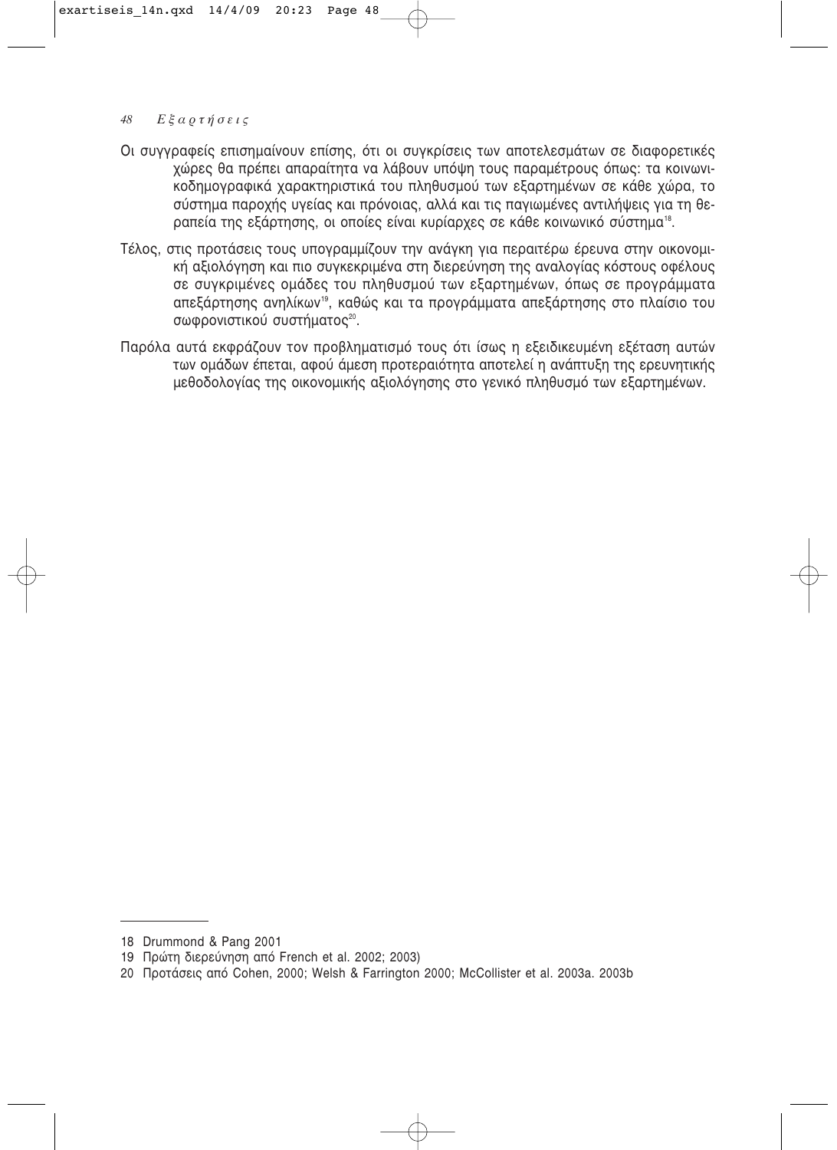- Οι συγγραφείς επισημαίνουν επίσης, ότι οι συγκρίσεις των αποτελεσμάτων σε διαφορετικές χώρες θα πρέπει απαραίτητα να λάβουν υπόψη τους παραμέτρους όπως: τα κοινωνι-**ΚΟδημογραφικά χαρακτηριστικά του πληθυσμού των εξαρτημένων σε κάθε χώρα, το** σύστημα παροχής υγείας και πρόνοιας, αλλά και τις παγιωμένες αντιλήψεις για τη θεραπεία της εξάρτησης, οι οποίες είναι κυρίαρχες σε κάθε κοινωνικό σύστημα<sup>18</sup>.
- Τέλος, στις προτάσεις τους υπογραμμίζουν την ανάγκη για περαιτέρω έρευνα στην οικονομική αξιολόγηση και πιο συγκεκριμένα στη διερεύνηση της αναλογίας κόστους οφέλους σε συγκριμένες ομάδες του πληθυσμού των εξαρτημένων, όπως σε προγράμματα απεξάρτησης ανηλίκων<sup>19</sup>, καθώς και τα προγράμματα απεξάρτησης στο πλαίσιο του σωφρονιστικού συστήματος<sup>20</sup>.
- Παρόλα αυτά εκφράζουν τον προβληματισμό τους ότι ίσως η εξειδικευμένη εξέταση αυτών των ομάδων έπεται, αφού άμεση προτεραιότητα αποτελεί η ανάπτυξη της ερευνητικής μεθοδολογίας της οικονομικής αξιολόγησης στο γενικό πληθυσμό των εξαρτημένων.

<sup>18</sup> Drummond & Pang 2001

<sup>19</sup> Πρώτη διερεύνηση από French et al. 2002; 2003)

<sup>20</sup> Προτάσεις από Cohen, 2000; Welsh & Farrington 2000; McCollister et al. 2003a. 2003b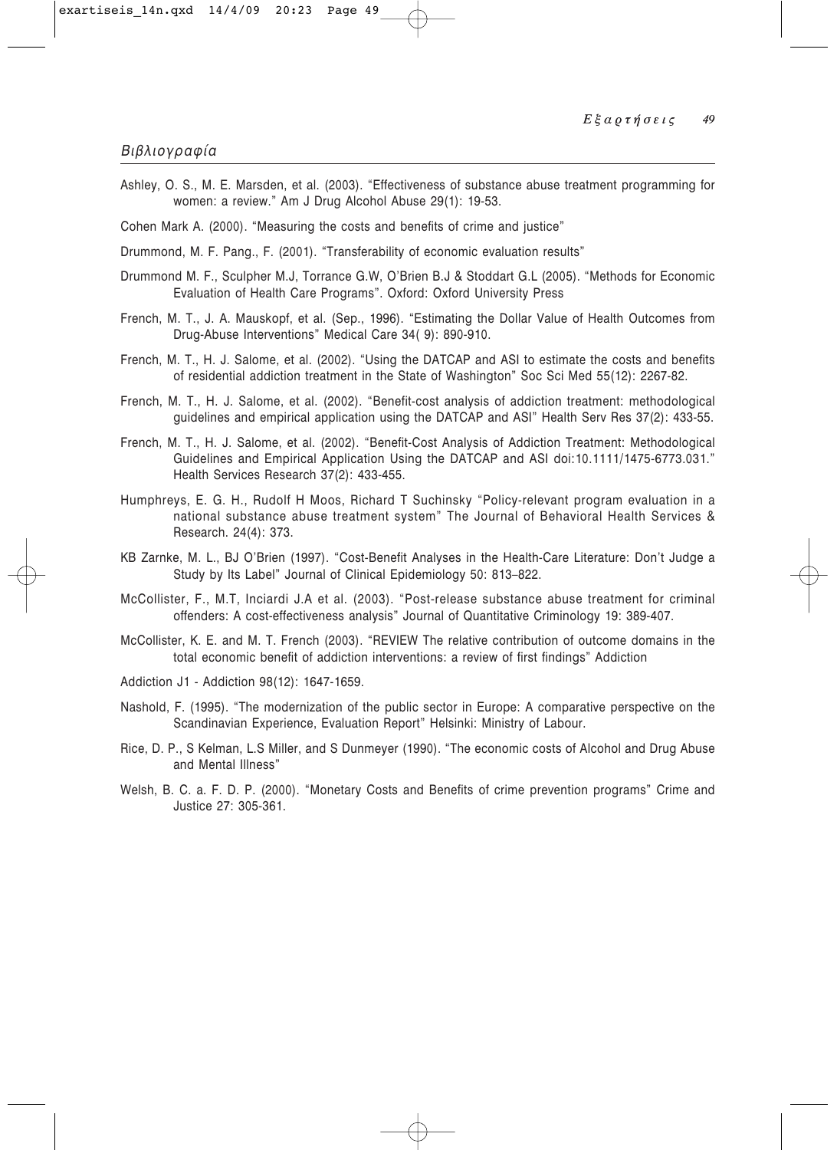### *Βιβλιογραφία*

Ashley, O. S., M. E. Marsden, et al. (2003). "Effectiveness of substance abuse treatment programming for women: a review." Am J Drug Alcohol Abuse 29(1): 19-53.

Cohen Mark A. (2000). "Measuring the costs and benefits of crime and justice"

Drummond, M. F. Pang., F. (2001). "Transferability of economic evaluation results"

- Drummond M. F., Sculpher M.J, Torrance G.W, O'Brien B.J & Stoddart G.L (2005). "Methods for Economic Evaluation of Health Care Programs". Oxford: Oxford University Press
- French, M. T., J. A. Mauskopf, et al. (Sep., 1996). "Estimating the Dollar Value of Health Outcomes from Drug-Abuse Interventions" Medical Care 34( 9): 890-910.
- French, M. T., H. J. Salome, et al. (2002). "Using the DATCAP and ASI to estimate the costs and benefits of residential addiction treatment in the State of Washington" Soc Sci Med 55(12): 2267-82.
- French, M. T., H. J. Salome, et al. (2002). "Benefit-cost analysis of addiction treatment: methodological guidelines and empirical application using the DATCAP and ASI" Health Serv Res 37(2): 433-55.
- French, M. T., H. J. Salome, et al. (2002). "Benefit-Cost Analysis of Addiction Treatment: Methodological Guidelines and Empirical Application Using the DATCAP and ASI doi:10.1111/1475-6773.031." Health Services Research 37(2): 433-455.
- Humphreys, E. G. H., Rudolf H Moos, Richard T Suchinsky "Policy-relevant program evaluation in a national substance abuse treatment system" The Journal of Behavioral Health Services & Research. 24(4): 373.
- KB Zarnke, M. L., BJ O'Brien (1997). "Cost-Benefit Analyses in the Health-Care Literature: Don't Judge a Study by Its Label" Journal of Clinical Epidemiology 50: 813–822.
- McCollister, F., M.T, Inciardi J.A et al. (2003). "Post-release substance abuse treatment for criminal offenders: A cost-effectiveness analysis" Journal of Quantitative Criminology 19: 389-407.
- McCollister, K. E. and M. T. French (2003). "REVIEW The relative contribution of outcome domains in the total economic benefit of addiction interventions: a review of first findings" Addiction

Addiction J1 - Addiction 98(12): 1647-1659.

- Nashold, F. (1995). "The modernization of the public sector in Europe: A comparative perspective on the Scandinavian Experience, Evaluation Report" Helsinki: Ministry of Labour.
- Rice, D. P., S Kelman, L.S Miller, and S Dunmeyer (1990). "The economic costs of Alcohol and Drug Abuse and Mental Illness"
- Welsh, B. C. a. F. D. P. (2000). "Monetary Costs and Benefits of crime prevention programs" Crime and Justice 27: 305-361.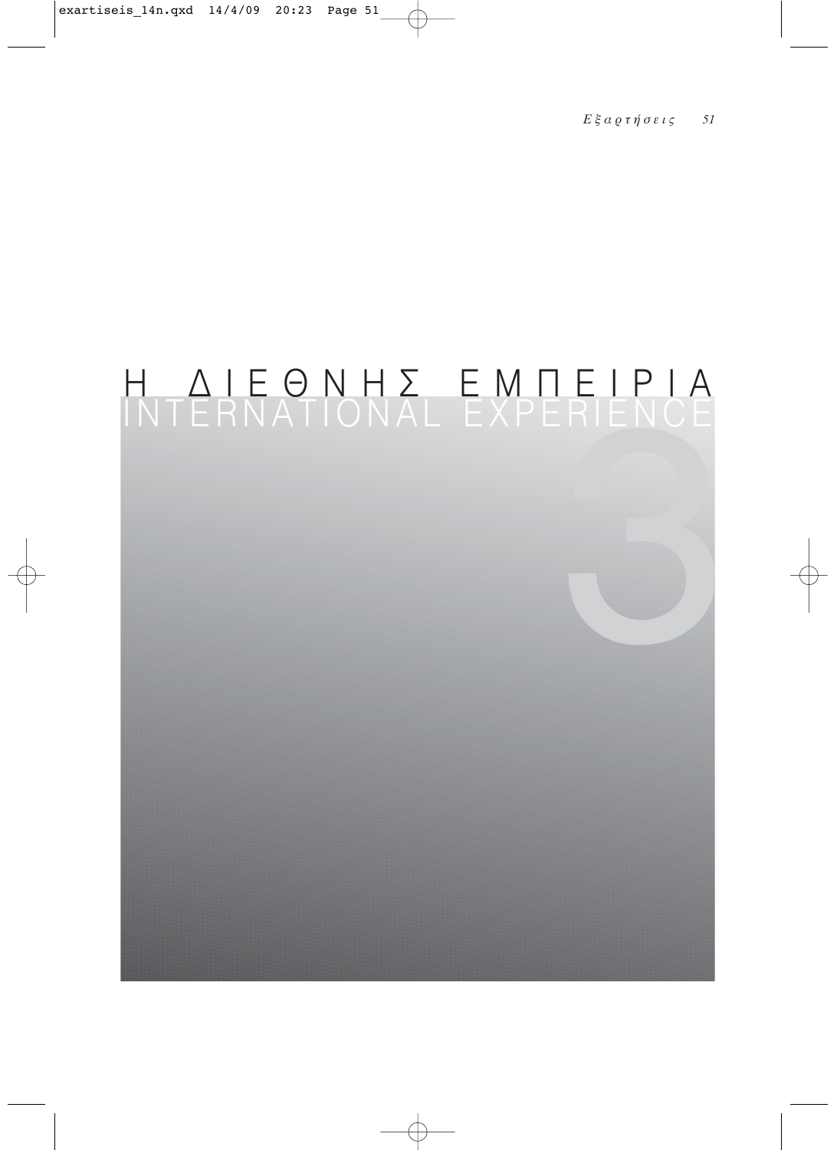$E \xi \alpha \varrho \tau \eta \sigma \varepsilon \iota \varsigma$  51

# H AIEONH E EMMEIPIA<br>INTERNATIONAL EXPERIENCE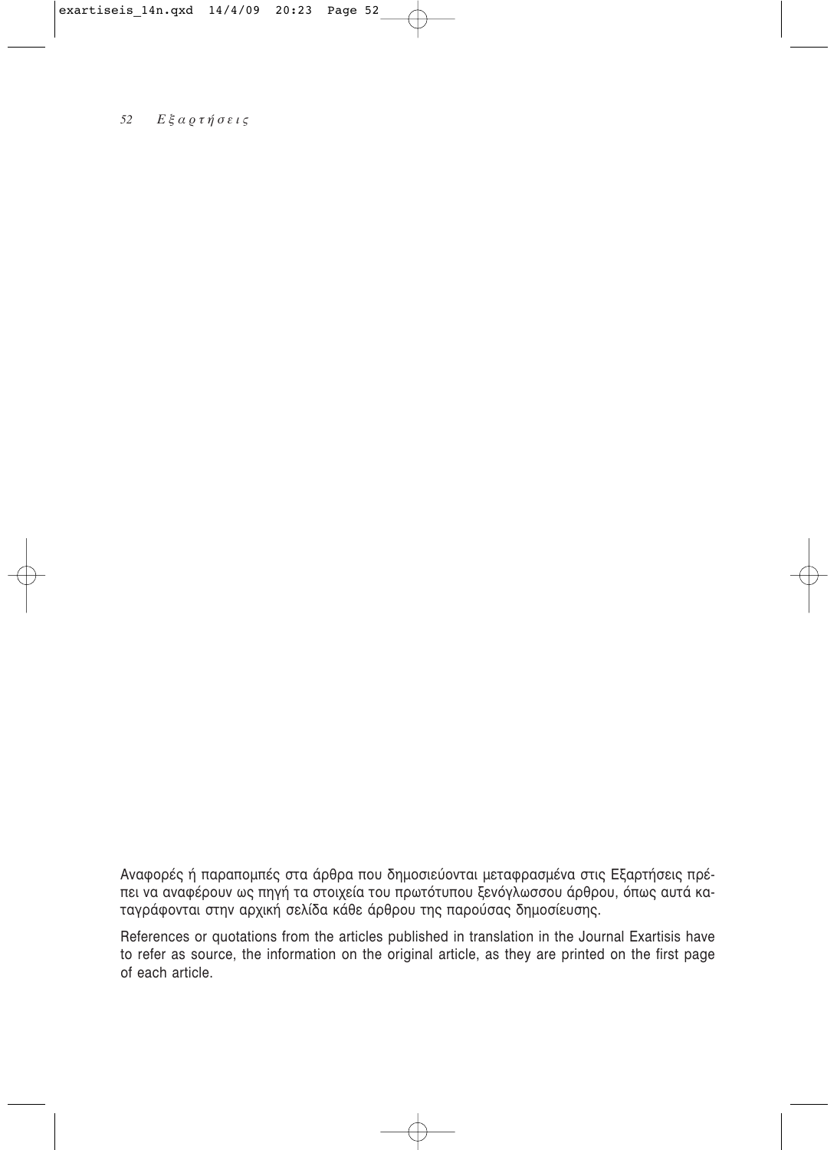52  $E$ ξαρτήσεις

Αναφορές ή παραπομπές στα άρθρα που δημοσιεύονται μεταφρασμένα στις Εξαρτήσεις πρέπει να αναφέρουν ως πηγή τα στοιχεία του πρωτότυπου ξενόγλωσσου άρθρου, όπως αυτά καταγράφονται στην αρχική σελίδα κάθε άρθρου της παρούσας δημοσίευσης.

References or quotations from the articles published in translation in the Journal Exartisis have to refer as source, the information on the original article, as they are printed on the first page of each article.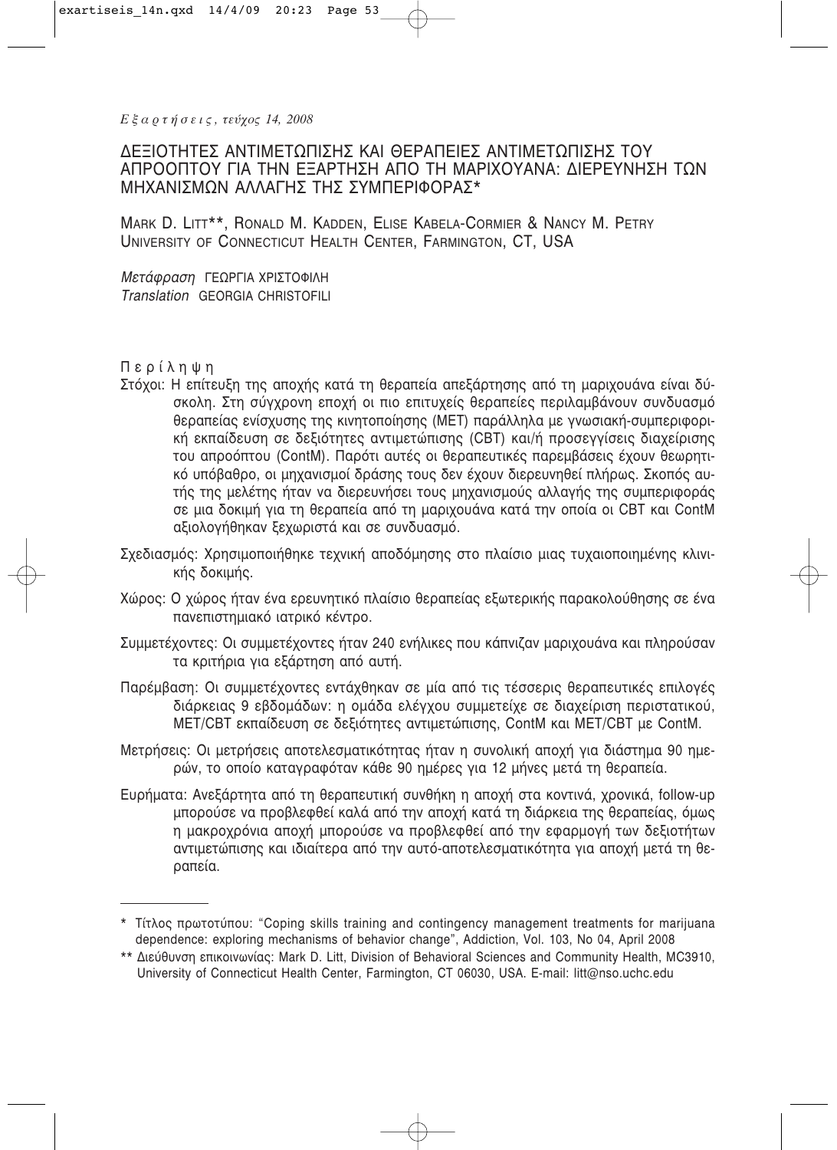*Ε ξ α ρ τ ή σ ε ι ς , τεύχος 14, 2008*

# ΔΕΞΙΟΤΗΤΕΣ ΑΝΤΙΜΕΤΩΠΙΣΗΣ ΚΑΙ ΘΕΡΑΠΕΙΕΣ ΑΝΤΙΜΕΤΩΠΙΣΗΣ ΤΟΥ ΑΠΡΟΟΠΤΟΥ ΓΙΑ ΤΗΝ ΕΞΑΡΤΗΣΗ ΑΠΟ ΤΗ ΜΑΡΙΧΟΥΑΝΑ: ΔΙΕΡΕΥΝΗΣΗ ΤΩΝ ΜΗΧΑΝΙΣΜΩΝ ΑΛΛΑΓΗΣ ΤΗΣ ΣΥΜΠΕΡΙΦΟΡΑΣ<sup>\*</sup>

MARK D. LITT\*\*, RONALD M. KADDEN, ELISE KABELA-CORMIER & NANCY M. PETRY UNIVERSITY OF CONNECTICUT HEALTH CENTER, FARMINGTON, CT, USA

*Μετάφραση* ΓΕΩΡΓΙΑ ΧΡΙΣΤΟΦΙΛΗ *Translation* GEORGIA CHRISTOFILI

Περίληψη

- Στόχοι: Η επίτευξη της αποχής κατά τη θεραπεία απεξάρτησης από τη μαριχουάνα είναι δύσκολη. Στη σύγχρονη εποχή οι πιο επιτυχείς θεραπείες περιλαμβάνουν συνδυασμό θεραπείας ενίσχυσης της κινητοποίησης (ΜΕΤ) παράλληλα με γνωσιακή-συμπεριφορική εκπαίδευση σε δεξιότητες αντιμετώπισης (CBT) και/ή προσεγγίσεις διαχείρισης του απροόπτου (ContM). Παρότι αυτές οι θεραπευτικές παρεμβάσεις έχουν θεωρητικό υπόβαθρο, οι μηχανισμοί δράσης τους δεν έχουν διερευνηθεί πλήρως. Σκοπός αυτής της μελέτης ήταν να διερευνήσει τους μηχανισμούς αλλαγής της συμπεριφοράς σε μια δοκιμή για τη θεραπεία από τη μαριχουάνα κατά την οποία οι CBT και ContM αξιολογήθηκαν ξεχωριστά και σε συνδυασμό.
- Σχεδιασμός: Χρησιμοποιήθηκε τεχνική αποδόμησης στο πλαίσιο μιας τυχαιοποιημένης κλινικής δοκιμής.
- Χώρος: Ο χώρος ήταν ένα ερευνητικό πλαίσιο θεραπείας εξωτερικής παρακολούθησης σε ένα πανεπιστημιακό ιατρικό κέντρο.
- Συμμετέχοντες: Οι συμμετέχοντες ήταν 240 ενήλικες που κάπνιζαν μαριχουάνα και πληρούσαν τα κριτήρια για εξάρτηση από αυτή.
- Παρέμβαση: Οι συμμετέχοντες εντάχθηκαν σε μία από τις τέσσερις θεραπευτικές επιλογές διάρκειας 9 εβδομάδων: η ομάδα ελέγχου συμμετείχε σε διαχείριση περιστατικού, MET/CBT εκπαίδευση σε δεξιότητες αντιμετώπισης, ContM και MET/CBT με ContM.
- Μετρήσεις: Οι μετρήσεις αποτελεσματικότητας ήταν η συνολική αποχή για διάστημα 90 ημερών, το οποίο καταγραφόταν κάθε 90 ημέρες για 12 μήνες μετά τη θεραπεία.
- Ευρήματα: Ανεξάρτητα από τη θεραπευτική συνθήκη η αποχή στα κοντινά, χρονικά, follow-up μπορούσε να προβλεφθεί καλά από την αποχή κατά τη διάρκεια της θεραπείας, όμως η μακροχρόνια αποχή μπορούσε να προβλεφθεί από την εφαρμογή των δεξιοτήτων αντιμετώπισης και ιδιαίτερα από την αυτό-αποτελεσματικότητα για αποχή μετά τη θεραπεία.

<sup>\*</sup> Τίτλος πρωτοτύπου: "Coping skills training and contingency management treatments for marijuana dependence: exploring mechanisms of behavior change", Addiction, Vol. 103, No 04, April 2008

<sup>\*\*</sup> Διεύθυνση επικοινωνίας: Mark D. Litt, Division of Behavioral Sciences and Community Health, MC3910, University of Connecticut Health Center, Farmington, CT 06030, USA. E-mail: litt@nso.uchc.edu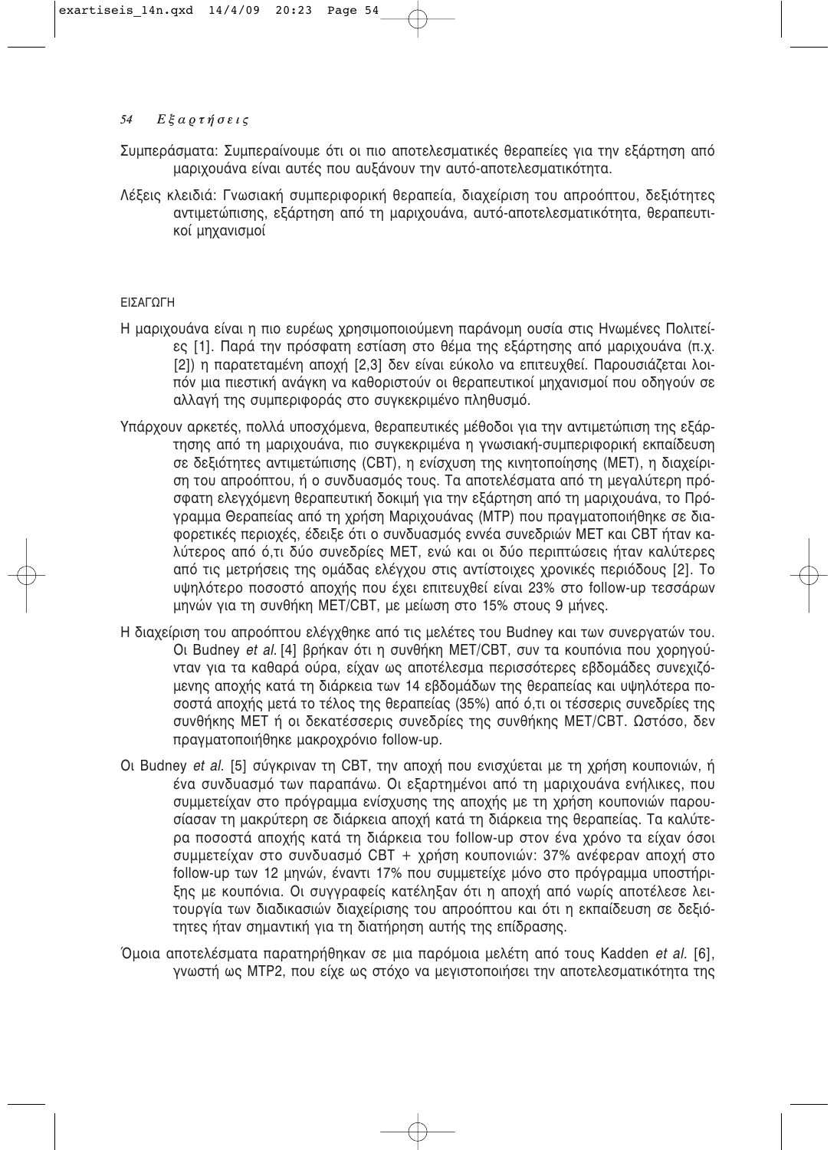Συμπεράσματα: Συμπεραίνουμε ότι οι πιο αποτελεσματικές θεραπείες για την εξάρτηση από μαριχουάνα είναι αυτές που αυξάνουν την αυτό-αποτελεσματικότητα.

<u>Λέξεις κλειδιά: Γνωσιακή συμπεριφορική θεραπεία. διαγείριση του απροόπτου, δεξιότητες </u> αντιμετώπισης, εξάρτηση από τη μαριχουάνα, αυτό-αποτελεσματικότητα, θεραπευτικοί μηχανισμοί

### ΕΙΣΑΓΩΓΗ

- Η μαριχουάνα είναι η πιο ευρέως χρησιμοποιούμενη παράνομη ουσία στις Ηνωμένες Πολιτείες [1]. Παρά την πρόσφατη εστίαση στο θέμα της εξάρτησης από μαριχουάνα (π.χ. [2]) η παρατεταμένη αποχή [2,3] δεν είναι εύκολο να επιτευχθεί. Παρουσιάζεται λοιπόν μια πιεστική ανάγκη να καθοριστούν οι θεραπευτικοί μηχανισμοί που οδηγούν σε αλλαγή της συμπεριφοράς στο συγκεκριμένο πληθυσμό.
- Υπάρχουν αρκετές, πολλά υποσχόμενα, θεραπευτικές μέθοδοι για την αντιμετώπιση της εξάρτησης από τη μαριχουάνα, πιο συγκεκριμένα η γνωσιακή-συμπεριφορική εκπαίδευση σε δεξιότητες αντιμετώπισης (CBT), η ενίσχυση της κινητοποίησης (MET), η διαχείριση του απροόπτου, ή ο συνδυασμός τους. Τα αποτελέσματα από τη μεγαλύτερη πρόσφατη ελεγχόμενη θεραπευτική δοκιμή για την εξάρτηση από τη μαριχουάνα, το Πρόγραμμα Θεραπείας από τη χρήση Μαριχουάνας (MTP) που πραγματοποιήθηκε σε διαφορετικές περιοχές, έδειξε ότι ο συνδυασμός εννέα συνεδριών ΜΕΤ και CBT ήταν καλύτερος από ό,τι δύο συνεδρίες MET, ενώ και οι δύο περιπτώσεις ήταν καλύτερες από τις μετρήσεις της ομάδας ελέγχου στις αντίστοιχες χρονικές περιόδους [2]. Το υψηλότερο ποσοστό αποχής που έχει επιτευχθεί είναι 23% στο follow-up τεσσάρων μηνών για τη συνθήκη ΜΕΤ/CBT, με μείωση στο 15% στους 9 μήνες.
- Η διαχείριση του απροόπτου ελέγχθηκε από τις μελέτες του Budney και των συνεργατών του. Οι Budney *et al.* [4] βρήκαν ότι η συνθήκη ΜΕΤ/CBT, συν τα κουπόνια που χορηγούνταν για τα καθαρά ούρα, είχαν ως αποτέλεσμα περισσότερες εβδομάδες συνεχιζόμενης αποχής κατά τη διάρκεια των 14 εβδομάδων της θεραπείας και υψηλότερα ποσοστά αποχής μετά το τέλος της θεραπείας (35%) από ό,τι οι τέσσερις συνεδρίες της συνθήκης MET ή οι δεκατέσσερις συνεδρίες της συνθήκης MET/CBT. Ωστόσο, δεν πραγματοποιήθηκε μακροχρόνιο follow-up.
- Οι Budney *et al.* [5] σύγκριναν τη CBT, την αποχή που ενισχύεται με τη χρήση κουπονιών, ή ένα συνδυασμό των παραπάνω. Οι εξαρτημένοι από τη μαριχουάνα ενήλικες, που συμμετείχαν στο πρόγραμμα ενίσχυσης της αποχής με τη χρήση κουπονιών παρουσίασαν τη μακρύτερη σε διάρκεια αποχή κατά τη διάρκεια της θεραπείας. Τα καλύτερα ποσοστά αποχής κατά τη διάρκεια του follow-up στον ένα χρόνο τα είχαν όσοι συμμετείχαν στο συνδυασμό CBT + χρήση κουπονιών: 37% ανέφεραν αποχή στο follow-up των 12 μηνών, έναντι 17% που συμμετείχε μόνο στο πρόνραμμα υποστήριξης με κουπόνια. Οι συγγραφείς κατέληξαν ότι η αποχή από νωρίς αποτέλεσε λειτουργία των διαδικασιών διαχείρισης του απροόπτου και ότι η εκπαίδευση σε δεξιότητες ήταν σημαντική για τη διατήρηση αυτής της επίδρασης.
- Όμοια αποτελέσματα παρατηρήθηκαν σε μια παρόμοια μελέτη από τους Kadden *et al.* [6], γνωστή ως MTP2, που είχε ως στόχο να μεγιστοποιήσει την αποτελεσματικότητα της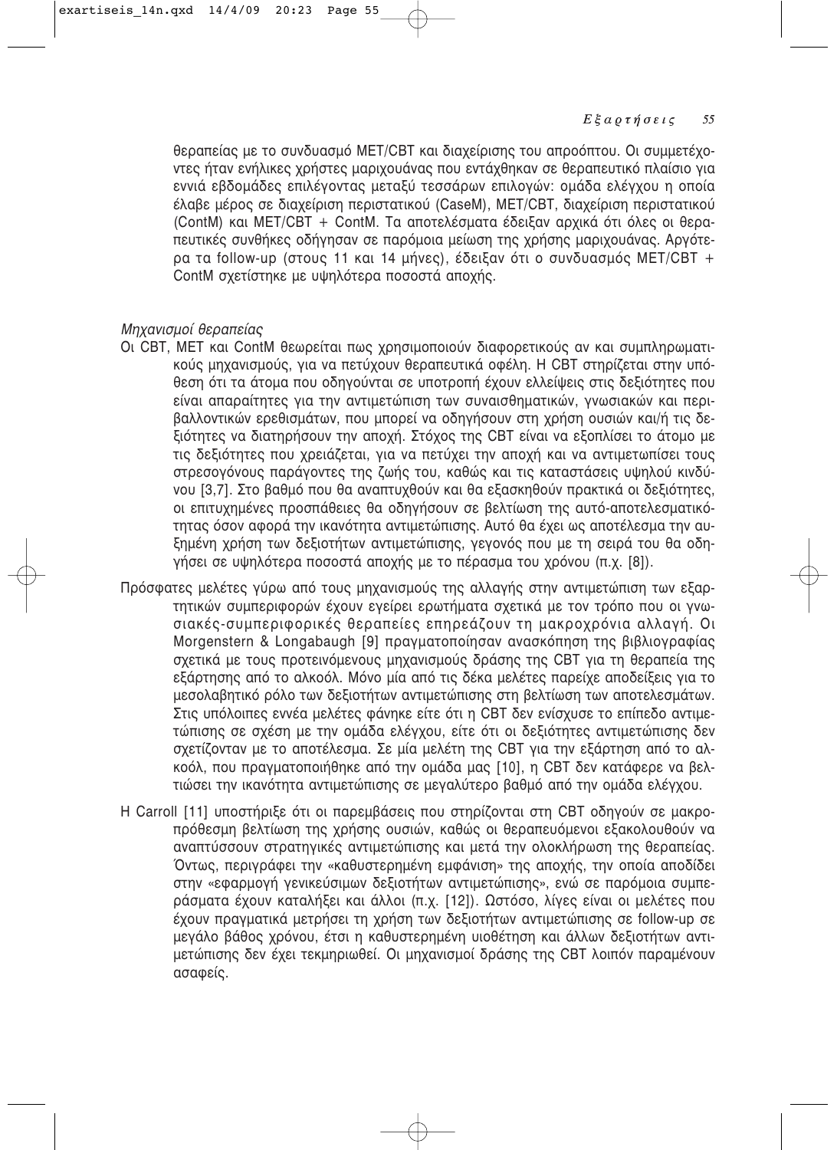exartiseis\_14n.qxd 14/4/09 20:23 Page 55

θεραπείας με το συνδυασμό MET/CBT και διαχείρισης του απροόπτου. Οι συμμετέχοντες ήταν ενήλικες χρήστες μαριχουάνας που εντάχθηκαν σε θεραπευτικό πλαίσιο για εννιά εβδομάδες επιλέγοντας μεταξύ τεσσάρων επιλογών: ομάδα ελέγχου η οποία έλαβε μέρος σε διαχείριση περιστατικού (CaseM), MET/CBT, διαχείριση περιστατικού (ContM) και MET/CBT + ContM. Τα αποτελέσματα έδειξαν αρχικά ότι όλες οι θεραπευτικές συνθήκες οδήγησαν σε παρόμοια μείωση της χρήσης μαριχουάνας. Αργότεpα τα follow-up (στους 11 και 14 μήνες), έδειξαν ότι ο συνδυασμός ΜΕΤ/CBT + ContM σχετίστηκε με υψηλότερα ποσοστά αποχής.

### *Μηχανισμοί θεραπείας*

- Οι CBT, ΜΕΤ και ContM θεωρείται πως χρησιμοποιούν διαφορετικούς αν και συμπληρωματικούς μηχανισμούς, για να πετύχουν θεραπευτικά οφέλη. Η CBT στηρίζεται στην υπόθεση ότι τα άτομα που οδηγούνται σε υποτροπή έχουν ελλείψεις στις δεξιότητες που είναι απαραίτητες για την αντιμετώπιση των συναισθηματικών, γνωσιακών και περιβαλλοντικών ερεθισμάτων, που μπορεί να οδηγήσουν στη χρήση ουσιών και/ή τις δεξιότητες να διατηρήσουν την αποχή. Στόχος της CBT είναι να εξοπλίσει το άτομο με τις δεξιότητες που χρειάζεται, για να πετύχει την αποχή και να αντιμετωπίσει τους στρεσογόνους παράγοντες της ζωής του, καθώς και τις καταστάσεις υψηλού κινδύνου [3,7]. Στο βαθμό που θα αναπτυχθούν και θα εξασκηθούν πρακτικά οι δεξιότητες, οι επιτυχημένες προσπάθειες θα οδηγήσουν σε βελτίωση της αυτό-αποτελεσματικότητας όσον αφορά την ικανότητα αντιμετώπισης. Αυτό θα έχει ως αποτέλεσμα την αυξημένη χρήση των δεξιοτήτων αντιμετώπισης, γεγονός που με τη σειρά του θα οδηγήσει σε υψηλότερα ποσοστά αποχής με το πέρασμα του χρόνου (π.χ. [8]).
- Πρόσφατες μελέτες γύρω από τους μηχανισμούς της αλλαγής στην αντιμετώπιση των εξαρτητικών συμπεριφορών έχουν εγείρει ερωτήματα σχετικά με τον τρόπο που οι γνωσιακές-συμπεριφορικές θεραπείες επηρεάζουν τη μακροχρόνια αλλαγή. Οι Morgenstern & Longabaugh [9] πραγματοποίησαν ανασκόπηση της βιβλιογραφίας σχετικά με τους προτεινόμενους μηχανισμούς δράσης της CBT για τη θεραπεία της εξάρτησης από το αλκοόλ. Μόνο μία από τις δέκα μελέτες παρείχε αποδείξεις για το μεσολαβητικό ρόλο των δεξιοτήτων αντιμετώπισης στη βελτίωση των αποτελεσμάτων. Στις υπόλοιπες εννέα μελέτες φάνηκε είτε ότι η CBT δεν ενίσχυσε το επίπεδο αντιμετώπισης σε σχέση με την ομάδα ελένχου, είτε ότι οι δεξιότητες αντιμετώπισης δεν σχετίζονταν με το αποτέλεσμα. Σε μία μελέτη της CBT για την εξάρτηση από το αλκοόλ, που πραγματοποιήθηκε από την ομάδα μας [10], η CBT δεν κατάφερε να βελτιώσει την ικανότητα αντιμετώπισης σε μεγαλύτερο βαθμό από την ομάδα ελέγχου.
- H Carroll [11] υποστήριξε ότι οι παρεμβάσεις που στηρίζονται στη CBT οδηγούν σε μακροπρόθεσμη βελτίωση της χρήσης ουσιών, καθώς οι θεραπευόμενοι εξακολουθούν να αναπτύσσουν στρατηγικές αντιμετώπισης και μετά την ολοκλήρωση της θεραπείας. Όντως, περιγράφει την «καθυστερημένη εμφάνιση» της αποχής, την οποία αποδίδει στην «εφαρμογή γενικεύσιμων δεξιοτήτων αντιμετώπισης», ενώ σε παρόμοια συμπεράσματα έχουν καταλήξει και άλλοι (π.χ. [12]). Ωστόσο, λίγες είναι οι μελέτες που έχουν πραγματικά μετρήσει τη χρήση των δεξιοτήτων αντιμετώπισης σε follow-up σε μεγάλο βάθος χρόνου, έτσι η καθυστερημένη υιοθέτηση και άλλων δεξιοτήτων αντιμετώπισης δεν έχει τεκμηριωθεί. Οι μηχανισμοί δράσης της CBT λοιπόν παραμένουν ασαφείς.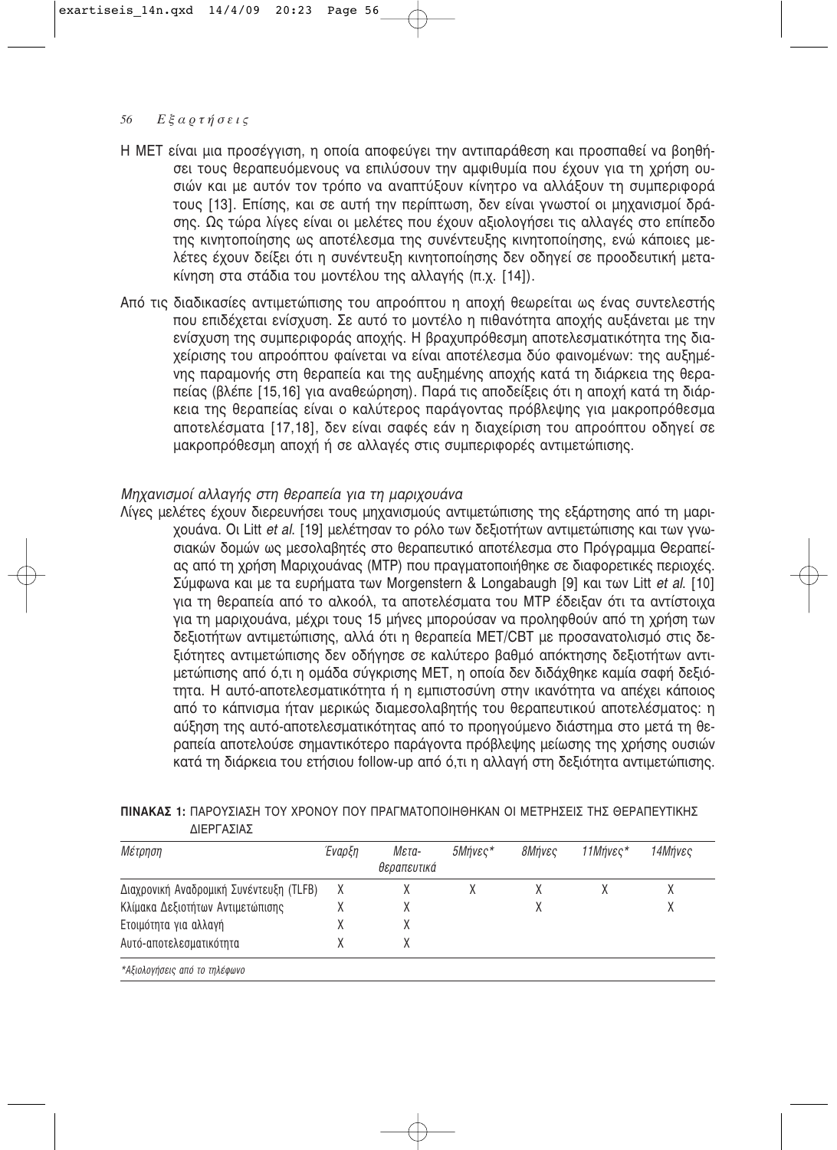- Η ΜΕΤ είναι μια προσέγγιση, η οποία αποφεύγει την αντιπαράθεση και προσπαθεί να βοηθήσει τους θεραπευόμενους να επιλύσουν την αμφιθυμία που έχουν για τη χρήση ουσιών και με αυτόν τον τρόπο να αναπτύξουν κίνητρο να αλλάξουν τη συμπεριφορά τους [13]. Επίσης, και σε αυτή την περίπτωση, δεν είναι γνωστοί οι μηχανισμοί δράσης. Ως τώρα λίγες είναι οι μελέτες που έχουν αξιολογήσει τις αλλαγές στο επίπεδο της κινητοποίησης ως αποτέλεσμα της συνέντευξης κινητοποίησης, ενώ κάποιες μελέτες έχουν δείξει ότι η συνέντευξη κινητοποίησης δεν οδηγεί σε προοδευτική μετακίνηση στα στάδια του μοντέλου της αλλαγής (π.χ. [14]).
- Aπό τις διαδικασίες αντιμετώπισης του απροόπτου η αποχή θεωρείται ως ένας συντελεστής που επιδέχεται ενίσχυση. Σε αυτό το μοντέλο η πιθανότητα αποχής αυξάνεται με την ενίσχυση της συμπεριφοράς αποχής. Η βραχυπρόθεσμη αποτελεσματικότητα της διαχείρισης του απροόπτου φαίνεται να είναι αποτέλεσμα δύο φαινομένων: της αυξημένης παραμονής στη θεραπεία και της αυξημένης αποχής κατά τη διάρκεια της θεραπείας (βλέπε [15,16] για αναθεώρηση). Παρά τις αποδείξεις ότι η αποχή κατά τη διάρκεια της θεραπείας είναι ο καλύτερος παράγοντας πρόβλεψης για μακροπρόθεσμα αποτελέσματα [17,18], δεν είναι σαφές εάν η διαχείριση του απροόπτου οδηγεί σε μακροπρόθεσμη αποχή ή σε αλλαγές στις συμπεριφορές αντιμετώπισης.

### *Μηχανισμοί αλλαγής στη θεραπεία για τη μαριχουάνα*

Λίγες μελέτες έχουν διερευνήσει τους μηχανισμούς αντιμετώπισης της εξάρτησης από τη μαριχουάνα. Οι Litt *et al.* [19] μελέτησαν το ρόλο των δεξιοτήτων αντιμετώπισης και των γνωσιακών δομών ως μεσολαβητές στο θεραπευτικό αποτέλεσμα στο Πρόνραμμα Θεραπείας από τη χρήση Μαριχουάνας (MTP) που πραγματοποιήθηκε σε διαφορετικές περιοχές.  $Σύμφωνα και με τα ευρήματα των Morgenstern & Longabaugh [9] και των Litt$ *et al.* $[10]$ για τη θεραπεία από το αλκοόλ, τα αποτελέσματα του ΜΤΡ έδειξαν ότι τα αντίστοιχα για τη μαριχουάνα, μέχρι τους 15 μήνες μπορούσαν να προληφθούν από τη χρήση των δεξιοτήτων αντιμετώπισης, αλλά ότι η θεραπεία ΜΕΤ/CBT με προσανατολισμό στις δεξιότητες αντιμετώπισης δεν οδήγησε σε καλύτερο βαθμό απόκτησης δεξιοτήτων αντιμετώπισης από ό,τι η ομάδα σύγκρισης ΜΕΤ, η οποία δεν διδάχθηκε καμία σαφή δεξιότητα. Η αυτό-αποτελεσματικότητα ή η εμπιστοσύνη στην ικανότητα να απέχει κάποιος από το κάπνισμα ήταν μερικώς διαμεσολαβητής του θεραπευτικού αποτελέσματος: η αύξηση της αυτό-αποτελεσματικότητας από το προηγούμενο διάστημα στο μετά τη θεραπεία αποτελούσε σημαντικότερο παράγοντα πρόβλεψης μείωσης της χρήσης ουσιών κατά τη διάρκεια του ετήσιου follow-up από ό,τι η αλλαγή στη δεξιότητα αντιμετώπισης.

| ΠΙΝΑΚΑΣ 1: ΠΑΡΟΥΣΙΑΣΗ ΤΟΥ ΧΡΟΝΟΥ ΠΟΥ ΠΡΑΓΜΑΤΟΠΟΙΗΘΗΚΑΝ ΟΙ ΜΕΤΡΗΣΕΙΣ ΤΗΣ ΘΕΡΑΠΕΥΤΙΚΗΣ |  |  |  |
|--------------------------------------------------------------------------------------|--|--|--|
| ΔΙΕΡΓΑΣΙΑΣ                                                                           |  |  |  |

| Μέτρηση                                 | Έναρξη | Мєта-       | $5$ <i>Mnv<math>\epsilon</math>c</i> * | <i><b>8Mńvec</b></i> | 11Mnvec* | 14Μήνες |  |
|-----------------------------------------|--------|-------------|----------------------------------------|----------------------|----------|---------|--|
|                                         |        | θεραπευτικά |                                        |                      |          |         |  |
| Διαχρονική Αναδρομική Συνέντευξη (TLFB) | X      |             |                                        |                      |          |         |  |
| Κλίμακα Δεξιοτήτων Αντιμετώπισης        |        |             |                                        |                      |          |         |  |
| Ετοιμότητα για αλλαγή                   |        |             |                                        |                      |          |         |  |
| Αυτό-αποτελεσματικότητα                 |        |             |                                        |                      |          |         |  |
| *Αξιολογήσεις από το τηλέφωνο           |        |             |                                        |                      |          |         |  |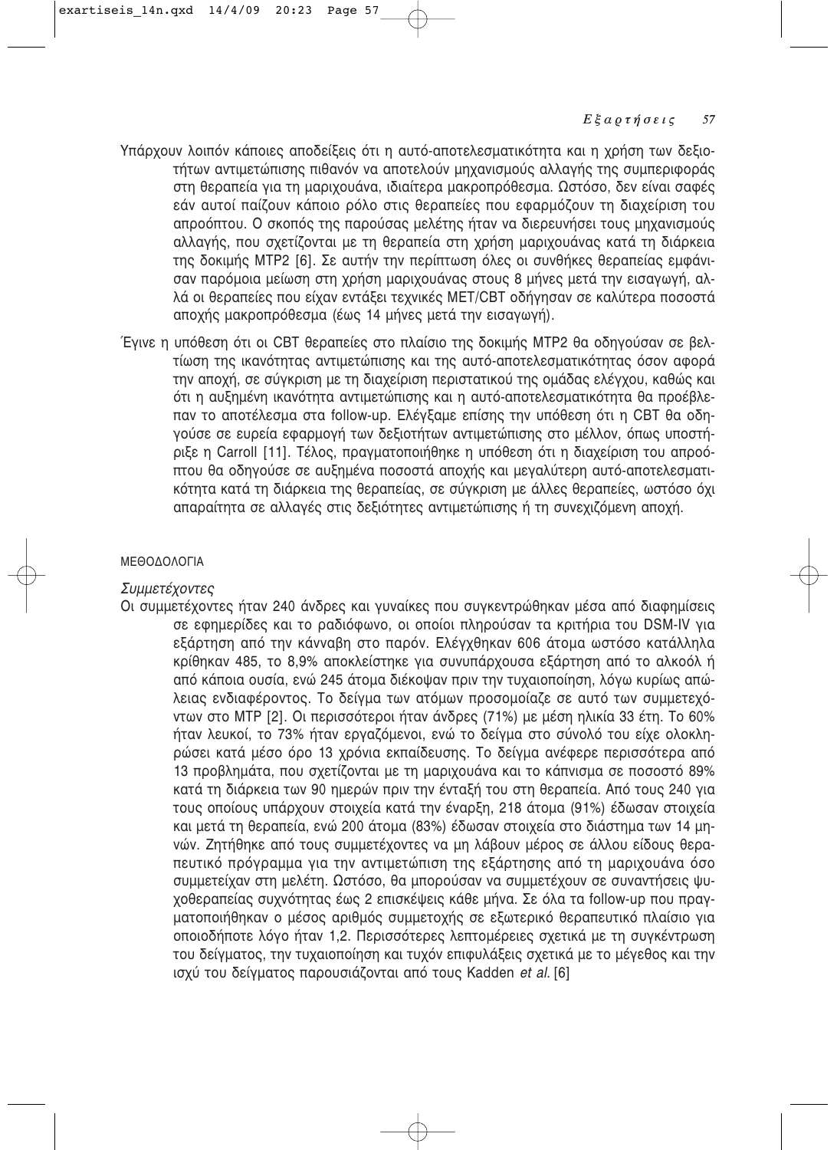- Υπάρχουν λοιπόν κάποιες αποδείξεις ότι η αυτό-αποτελεσματικότητα και η χρήση των δεξιοτήτων αντιμετώπισης πιθανόν να αποτελούν μηχανισμούς αλλαγής της συμπεριφοράς στη θεραπεία για τη μαριχουάνα, ιδιαίτερα μακροπρόθεσμα. Ωστόσο, δεν είναι σαφές εάν αυτοί παίζουν κάποιο ρόλο στις θεραπείες που εφαρμόζουν τη διαχείριση του απροόπτου. Ο σκοπός της παρούσας μελέτης ήταν να διερευνήσει τους μηχανισμούς αλλαγής, που σχετίζονται με τη θεραπεία στη χρήση μαριχουάνας κατά τη διάρκεια της δοκιμής MTP2 [6]. Σε αυτήν την περίπτωση όλες οι συνθήκες θεραπείας εμφάνισαν παρόμοια μείωση στη χρήση μαριχουάνας στους 8 μήνες μετά την εισαγωγή, αλλά οι θεραπείες που είχαν εντάξει τεχνικές ΜΕΤ/CBT οδήνησαν σε καλύτερα ποσοστά αποχής μακροπρόθεσμα (έως 14 μήνες μετά την εισαγωγή).
- Έγινε η υπόθεση ότι οι CBT θεραπείες στο πλαίσιο της δοκιμής MTP2 θα οδηγούσαν σε βελτίωση της ικανότητας αντιμετώπισης και της αυτό-αποτελεσματικότητας όσον αφορά την αποχή, σε σύγκριση με τη διαχείριση περιστατικού της ομάδας ελέγχου, καθώς και ότι η αυξημένη ικανότητα αντιμετώπισης και η αυτό-αποτελεσματικότητα θα προέβλεπαν το αποτέλεσμα στα follow-up. Ελέγξαμε επίσης την υπόθεση ότι η CBT θα οδηγούσε σε ευρεία εφαρμογή των δεξιοτήτων αντιμετώπισης στο μέλλον, όπως υποστήριξε η Carroll [11]. Τέλος, πραγματοποιήθηκε η υπόθεση ότι η διαχείριση του απροόπτου θα οδηγούσε σε αυξημένα ποσοστά αποχής και μεγαλύτερη αυτό-αποτελεσματικότητα κατά τη διάρκεια της θεραπείας, σε σύγκριση με άλλες θεραπείες, ωστόσο όχι απαραίτητα σε αλλαγές στις δεξιότητες αντιμετώπισης ή τη συνεχιζόμενη αποχή.

### ΜΕΘΟΔΟΛΟΓΙΑ

### Συμμετέχοντες

Οι συμμετέχοντες ήταν 240 άνδρες και γυναίκες που συγκεντρώθηκαν μέσα από διαφημίσεις σε εφημερίδες και το ραδιόφωνο, οι οποίοι πληρούσαν τα κριτήρια του DSM-IV για εξάρτηση από την κάνναβη στο παρόν. Ελέγχθηκαν 606 άτομα ωστόσο κατάλληλα κρίθηκαν 485, το 8,9% αποκλείστηκε για συνυπάρχουσα εξάρτηση από το αλκοόλ ή από κάποια ουσία, ενώ 245 άτομα διέκοψαν πριν την τυχαιοποίηση, λόγω κυρίως απώλειας ενδιαφέροντος. Το δείγμα των ατόμων προσομοίαζε σε αυτό των συμμετεχό-Vτων στο MTP [2]. Οι περισσότεροι ήταν άνδρες (71%) με μέση ηλικία 33 έτη. Το 60% ήταν λευκοί, το 73% ήταν εργαζόμενοι, ενώ το δείγμα στο σύνολό του είχε ολοκληρώσει κατά μέσο όρο 13 χρόνια εκπαίδευσης. Το δείγμα ανέφερε περισσότερα από 13 προβλημάτα, που σχετίζονται με τη μαριχουάνα και το κάπνισμα σε ποσοστό 89% κατά τη διάρκεια των 90 ημερών πριν την ένταξή του στη θεραπεία. Από τους 240 για τους οποίους υπάρχουν στοιχεία κατά την έναρξη, 218 άτομα (91%) έδωσαν στοιχεία και μετά τη θεραπεία, ενώ 200 άτομα (83%) έδωσαν στοιχεία στο διάστημα των 14 μηνών. Ζητήθηκε από τους συμμετέχοντες να μη λάβουν μέρος σε άλλου είδους θεραπευτικό πρόγραμμα για την αντιμετώπιση της εξάρτησης από τη μαριχουάνα όσο συμμετείχαν στη μελέτη. Ωστόσο, θα μπορούσαν να συμμετέχουν σε συναντήσεις ψυχοθεραπείας συχνότητας έως 2 επισκέψεις κάθε μήνα. Σε όλα τα follow-up που πραγματοποιήθηκαν ο μέσος αριθμός συμμετοχής σε εξωτερικό θεραπευτικό πλαίσιο για οποιοδήποτε λόγο ήταν 1,2. Περισσότερες λεπτομέρειες σχετικά με τη συγκέντρωση του δείγματος, την τυχαιοποίηση και τυχόν επιφυλάξεις σχετικά με το μέγεθος και την ισχύ του δείγματος παρουσιάζονται από τους Kadden et al. [6]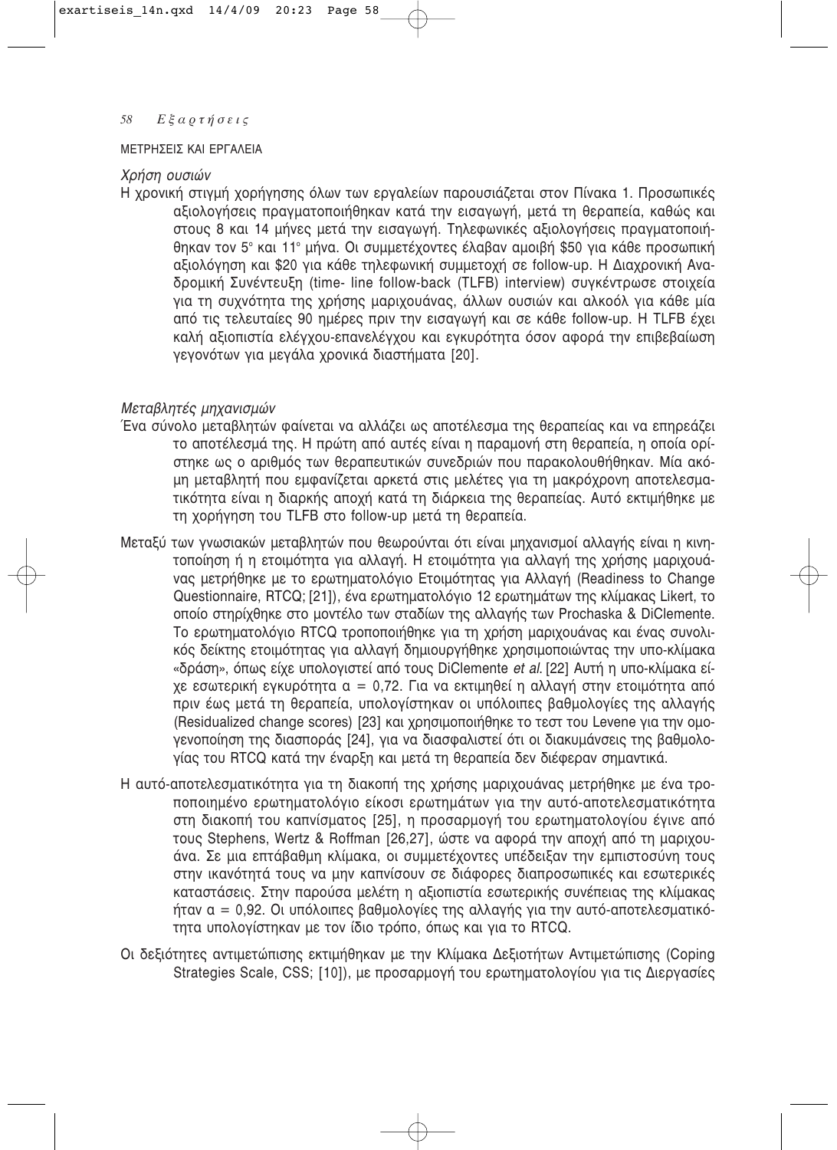### ΜΕΤΡΗΣΕΙΣ ΚΑΙ ΕΡΓΑΛΕΙΑ

### Χρήση ουσιών

Η χρονική στιγμή χορήγησης όλων των εργαλείων παρουσιάζεται στον Πίνακα 1. Προσωπικές αξιολογήσεις πραγματοποιήθηκαν κατά την εισαγωγή, μετά τη θεραπεία, καθώς και στους 8 και 14 μήνες μετά την εισαγωγή. Τηλεφωνικές αξιολογήσεις πραγματοποιήθηκαν τον 5° και 11° μήνα. Οι συμμετέχοντες έλαβαν αμοιβή \$50 για κάθε προσωπική αξιολόγηση και \$20 για κάθε τηλεφωνική συμμετοχή σε follow-up. Η Διαχρονική Αναδρομική Συνέντευξη (time- line follow-back (TLFB) interview) συγκέντρωσε στοιχεία για τη συχνότητα της χρήσης μαριχουάνας, άλλων ουσιών και αλκοόλ για κάθε μία από τις τελευταίες 90 ημέρες πριν την εισανωνή και σε κάθε follow-up. Η TLFB έχει καλή αξιοπιστία ελέγχου-επανελέγχου και εγκυρότητα όσον αφορά την επιβεβαίωση γεγονότων για μεγάλα χρονικά διαστήματα [20].

### Μεταβλητές μηχανισμών

- Ένα σύνολο μεταβλητών φαίνεται να αλλάζει ως αποτέλεσμα της θεραπείας και να επηρεάζει το αποτέλεσμά της. Η πρώτη από αυτές είναι η παραμονή στη θεραπεία, η οποία ορίστηκε ως ο αριθμός των θεραπευτικών συνεδριών που παρακολουθήθηκαν. Μία ακόμη μεταβλητή που εμφανίζεται αρκετά στις μελέτες για τη μακρόχρονη αποτελεσματικότητα είναι η διαρκής αποχή κατά τη διάρκεια της θεραπείας. Αυτό εκτιμήθηκε με τη χορήγηση του TLFB στο follow-up μετά τη θεραπεία.
- Μεταξύ των γνωσιακών μεταβλητών που θεωρούνται ότι είναι μηχανισμοί αλλαγής είναι η κινητοποίηση ή η ετοιμότητα για αλλαγή. Η ετοιμότητα για αλλαγή της χρήσης μαριχουάνας μετρήθηκε με το ερωτηματολόγιο Ετοιμότητας για Αλλαγή (Readiness to Change Questionnaire, RTCQ; [21]), ένα ερωτηματολόγιο 12 ερωτημάτων της κλίμακας Likert, το οποίο στηρίχθηκε στο μοντέλο των σταδίων της αλλαγής των Prochaska & DiClemente. Το ερωτηματολόγιο RTCQ τροποποιήθηκε για τη χρήση μαριχουάνας και ένας συνολικός δείκτης ετοιμότητας για αλλαγή δημιουργήθηκε χρησιμοποιώντας την υπο-κλίμακα «δράση», όπως είχε υπολογιστεί από τους DiClemente et al. [22] Αυτή η υπο-κλίμακα είχε εσωτερική εγκυρότητα α = 0,72. Για να εκτιμηθεί η αλλαγή στην ετοιμότητα από πριν έως μετά τη θεραπεία, υπολογίστηκαν οι υπόλοιπες βαθμολογίες της αλλαγής (Residualized change scores) [23] και χρησιμοποιήθηκε το τεστ του Levene για την ομογενοποίηση της διασποράς [24], για να διασφαλιστεί ότι οι διακυμάνσεις της βαθμολογίας του RTCQ κατά την έναρξη και μετά τη θεραπεία δεν διέφεραν σημαντικά.
- Η αυτό-αποτελεσματικότητα για τη διακοπή της χρήσης μαριχουάνας μετρήθηκε με ένα τροποποιημένο ερωτηματολόγιο είκοσι ερωτημάτων για την αυτό-αποτελεσματικότητα στη διακοπή του καπνίσματος [25], η προσαρμογή του ερωτηματολογίου έγινε από τους Stephens, Wertz & Roffman [26,27], ώστε να αφορά την αποχή από τη μαριχουάνα. Σε μια επτάβαθμη κλίμακα, οι συμμετέχοντες υπέδειξαν την εμπιστοσύνη τους στην ικανότητά τους να μην καπνίσουν σε διάφορες διαπροσωπικές και εσωτερικές καταστάσεις. Στην παρούσα μελέτη η αξιοπιστία εσωτερικής συνέπειας της κλίμακας ήταν α = 0.92. Οι υπόλοιπες βαθμολογίες της αλλαγής για την αυτό-αποτελεσματικότητα υπολογίστηκαν με τον ίδιο τρόπο, όπως και για το RTCQ.
- Οι δεξιότητες αντιμετώπισης εκτιμήθηκαν με την Κλίμακα Δεξιοτήτων Αντιμετώπισης (Coping Strategies Scale, CSS; [10]), με προσαρμογή του ερωτηματολογίου για τις Διεργασίες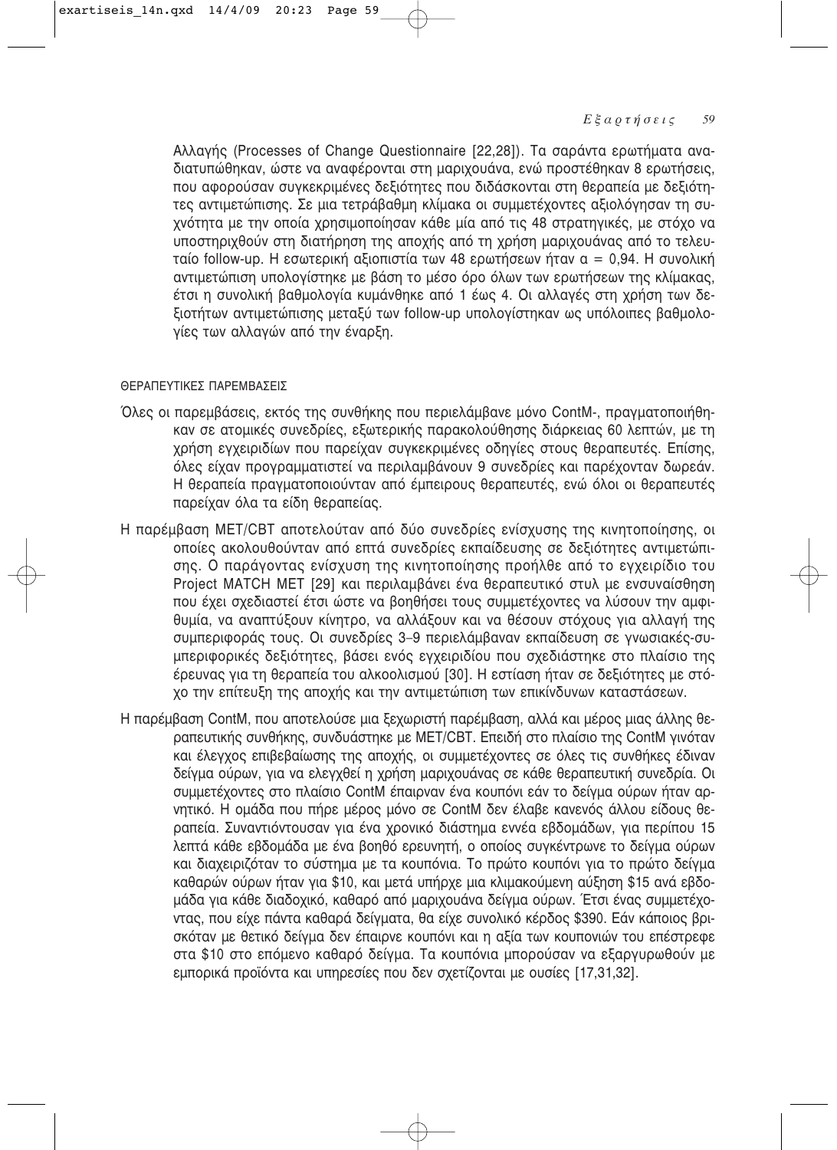exartiseis\_14n.qxd 14/4/09 20:23 Page 59

Aλλαγής (Processes of Change Questionnaire [22,28]). Τα σαράντα ερωτήματα αναδιατυπώθηκαν, ώστε να αναφέρονται στη μαριχουάνα, ενώ προστέθηκαν 8 ερωτήσεις, που αφορούσαν συγκεκριμένες δεξιότητες που διδάσκονται στη θεραπεία με δεξιότητες αντιμετώπισης. Σε μια τετράβαθμη κλίμακα οι συμμετέχοντες αξιολόγησαν τη συχνότητα με την οποία χρησιμοποίησαν κάθε μία από τις 48 στρατηγικές, με στόχο να υποστηριχθούν στη διατήρηση της αποχής από τη χρήση μαριχουάνας από το τελευταίο follow-up. Η εσωτερική αξιοπιστία των 48 ερωτήσεων ήταν  $a = 0.94$ . Η συνολική αντιμετώπιση υπολογίστηκε με βάση το μέσο όρο όλων των ερωτήσεων της κλίμακας, έτσι η συνολική βαθμολογία κυμάνθηκε από 1 έως 4. Οι αλλαγές στη χρήση των δεξιοτήτων αντιμετώπισης μεταξύ των follow-up υπολονίστηκαν ως υπόλοιπες βαθμολογίες των αλλαγών από την έναρξη.

### ΘΕΡΑΠΕΥΤΙΚΕΣ ΠΑΡΕΜΒΑΣΕΙΣ

- Όλες οι παρεμβάσεις, εκτός της συνθήκης που περιελάμβανε μόνο ContM-, πραγματοποιήθηκαν σε ατομικές συνεδρίες, εξωτερικής παρακολούθησης διάρκειας 60 λεπτών, με τη χρήση εγχειριδίων που παρείχαν συγκεκριμένες οδηγίες στους θεραπευτές. Επίσης, όλες είχαν προγραμματιστεί να περιλαμβάνουν 9 συνεδρίες και παρέχονταν δωρεάν. Η θεραπεία πραγματοποιούνταν από έμπειρους θεραπευτές, ενώ όλοι οι θεραπευτές παρείχαν όλα τα είδη θεραπείας.
- Η παρέμβαση MET/CBT αποτελούταν από δύο συνεδρίες ενίσχυσης της κινητοποίησης, οι οποίες ακολουθούνταν από επτά συνεδρίες εκπαίδευσης σε δεξιότητες αντιμετώπισης. Ο παράγοντας ενίσχυση της κινητοποίησης προήλθε από το εγχειρίδιο του Project MATCH MET [29] και περιλαμβάνει ένα θεραπευτικό στυλ με ενσυναίσθηση που έχει σχεδιαστεί έτσι ώστε να βοηθήσει τους συμμετέχοντες να λύσουν την αμφιθυμία, να αναπτύξουν κίνητρο, να αλλάξουν και να θέσουν στόχους για αλλαγή της συμπεριφοράς τους. Οι συνεδρίες 3–9 περιελάμβαναν εκπαίδευση σε γνωσιακές-συμπεριφορικές δεξιότητες, βάσει ενός εγχειριδίου που σχεδιάστηκε στο πλαίσιο της έρευνας για τη θεραπεία του αλκοολισμού [30]. Η εστίαση ήταν σε δεξιότητες με στόχο την επίτευξη της αποχής και την αντιμετώπιση των επικίνδυνων καταστάσεων.
- Η παρέμβαση ContM, που αποτελούσε μια ξεχωριστή παρέμβαση, αλλά και μέρος μιας άλλης θεραπευτικής συνθήκης, συνδυάστηκε με ΜΕΤ/CBT. Επειδή στο πλαίσιο της ContM γινόταν και έλεγχος επιβεβαίωσης της αποχής, οι συμμετέχοντες σε όλες τις συνθήκες έδιναν δείγμα ούρων, για να ελεγχθεί η χρήση μαριχουάνας σε κάθε θεραπευτική συνεδρία. Οι συμμετέχοντες στο πλαίσιο ContM έπαιρναν ένα κουπόνι εάν το δείγμα ούρων ήταν αρνητικό. Η ομάδα που πήρε μέρος μόνο σε ContM δεν έλαβε κανενός άλλου είδους θεραπεία. Συναντιόντουσαν για ένα χρονικό διάστημα εννέα εβδομάδων, για περίπου 15 λεπτά κάθε εβδομάδα με ένα βοηθό ερευνητή, ο οποίος συγκέντρωνε το δείγμα ούρων και διαχειριζόταν το σύστημα με τα κουπόνια. Το πρώτο κουπόνι για το πρώτο δείγμα καθαρών ούρων ήταν για \$10, και μετά υπήρχε μια κλιμακούμενη αύξηση \$15 ανά εβδομάδα για κάθε διαδοχικό, καθαρό από μαριχουάνα δείνμα ούρων. Έτσι ένας συμμετέχοντας, που είχε πάντα καθαρά δείγματα, θα είχε συνολικό κέρδος \$390. Εάν κάποιος βρισκόταν με θετικό δείγμα δεν έπαιρνε κουπόνι και η αξία των κουπονιών του επέστρεφε στα \$10 στο επόμενο καθαρό δείγμα. Τα κουπόνια μπορούσαν να εξαργυρωθούν με εμπορικά προϊόντα και υπηρεσίες που δεν σχετίζονται με ουσίες [17,31,32].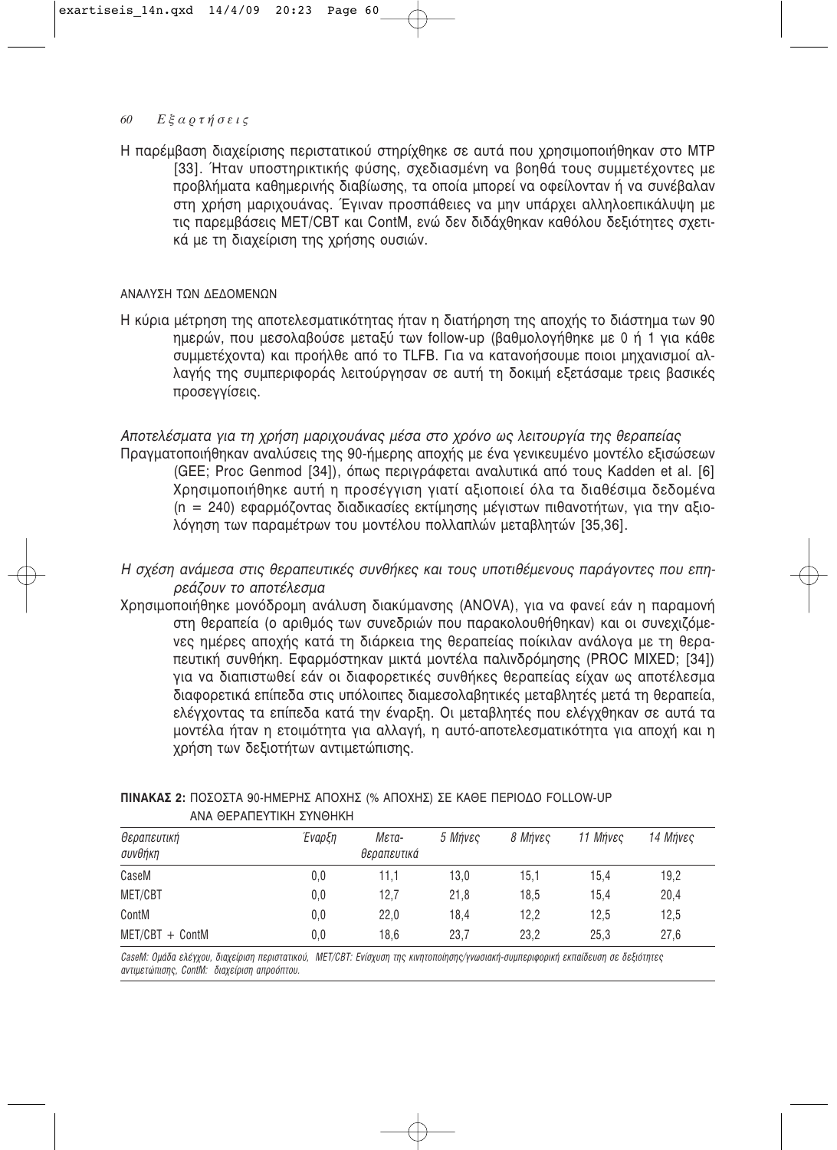Η παρέμβαση διαχείρισης περιστατικού στηρίχθηκε σε αυτά που χρησιμοποιήθηκαν στο MTP [33]. Ήταν υποστηρικτικής φύσης, σχεδιασμένη να βοηθά τους συμμετέχοντες με προβλήματα καθημερινής διαβίωσης, τα οποία μπορεί να οφείλονταν ή να συνέβαλαν στη χρήση μαριχουάνας. Έγιναν προσπάθειες να μην υπάρχει αλληλοεπικάλυψη με τις παρεμβάσεις MET/CBT και ContM, ενώ δεν διδάχθηκαν καθόλου δεξιότητες σχετικά με τη διαχείριση της χρήσης ουσιών.

### ANAAY∑H TON AFAOMENON

Η κύρια μέτρηση της αποτελεσματικότητας ήταν η διατήρηση της αποχής το διάστημα των 90 ημερών, που μεσολαβούσε μεταξύ των follow-up (βαθμολογήθηκε με 0 ή 1 για κάθε συμμετέχοντα) και προήλθε από το TLFB. Για να κατανοήσουμε ποιοι μηχανισμοί αλλαγής της συμπεριφοράς λειτούργησαν σε αυτή τη δοκιμή εξετάσαμε τρεις βασικές προσεννίσεις.

*Αποτελέσματα για τη χρήση μαριχουάνας μέσα στο χρόνο ως λειτουργία της θεραπείας* 

Πραγματοποιήθηκαν αναλύσεις της 90-ήμερης αποχής με ένα γενικευμένο μοντέλο εξισώσεων (GEE; Proc Genmod [34]), όπως περιγράφεται αναλυτικά από τους Kadden et al. [6] Χρησιμοποιήθηκε αυτή η προσέγγιση γιατί αξιοποιεί όλα τα διαθέσιμα δεδομένα (n = 240) εφαρμόζοντας διαδικασίες εκτίμησης μέγιστων πιθανοτήτων, για την αξιολόγηση των παραμέτρων του μοντέλου πολλαπλών μεταβλητών [35,36].

- *Η σχέση ανάμεσα στις θεραπευτικές συνθήκες και τους υποτιθέμενους παράγοντες που επη-* $\Omega$ εάζουν το αποτέλεσμα
- Χρησιμοποιήθηκε μονόδρομη ανάλυση διακύμανσης (ANOVA), για να φανεί εάν η παραμονή στη θεραπεία (ο αριθμός των συνεδριών που παρακολουθήθηκαν) και οι συνεχιζόμενες ημέρες αποχής κατά τη διάρκεια της θεραπείας ποίκιλαν ανάλογα με τη θεραπευτική συνθήκη. Εφαρμόστηκαν μικτά μοντέλα παλινδρόμησης (PROC MIXED; [34]) για να διαπιστωθεί εάν οι διαφορετικές συνθήκες θεραπείας είχαν ως αποτέλεσμα διαφορετικά επίπεδα στις υπόλοιπες διαμεσολαβητικές μεταβλητές μετά τη θεραπεία, ελέγχοντας τα επίπεδα κατά την έναρξη. Οι μεταβλητές που ελέγχθηκαν σε αυτά τα μοντέλα ήταν η ετοιμότητα για αλλαγή, η αυτό-αποτελεσματικότητα για αποχή και η χρήση των δεξιοτήτων αντιμετώπισης.

| Θεραπευτική<br>συνθήκη | Έναρξη | Μετα-<br>θεραπευτικά | 5 Mnvec | 8 Mńvec | 11 Mήνες | 14 Mńvec |
|------------------------|--------|----------------------|---------|---------|----------|----------|
| CaseM                  | 0,0    | 11.1                 | 13,0    | 15.1    | 15.4     | 19,2     |
| MET/CBT                | 0,0    | 12.7                 | 21.8    | 18.5    | 15.4     | 20,4     |
| ContM                  | 0,0    | 22.0                 | 18.4    | 12.2    | 12.5     | 12,5     |
| $MET/CBT + ContM$      | 0,0    | 18.6                 | 23,7    | 23.2    | 25,3     | 27,6     |

### **ΠΙΝΑΚΑΣ 2: ΠΟΣΟΣΤΑ 90-ΗΜΕΡΗΣ ΑΠΟΧΗΣ (% ΑΠΟΧΗΣ) ΣΕ ΚΑΘΕ ΠΕΡΙΟΔΟ FOLLOW-UP** ΑΝΑ ΘΕΡΑΠΕΥΤΙΚΗ ΣΥΝΘΗΚΗ

CaseM: Ομάδα ελέγχου, διαχείριση περιστατικού, ΜΕΤ/CBT: Ενίσχυση της κινητοποίησης/γνωσιακή-συμπεριφορική εκπαίδευση σε δεξιότητες  $a$ ντιμετώπισης, ContM: διαχείριση απροόπτου.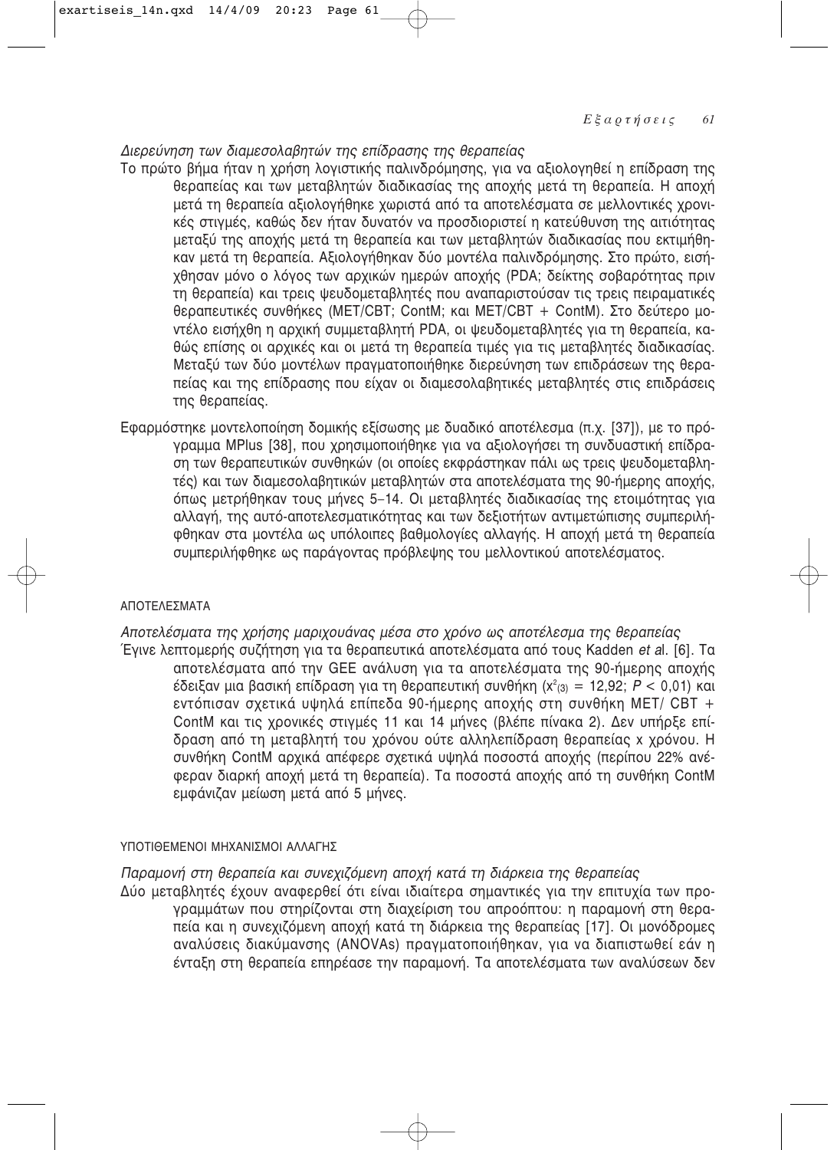### exartiseis\_14n.qxd 14/4/09 20:23 Page 61

### *Διερεύνηση των διαμεσολαβητών της επίδρασης της θεραπείας*

Το πρώτο βήμα ήταν η χρήση λογιστικής παλινδρόμησης, για να αξιολογηθεί η επίδραση της θεραπείας και των μεταβλητών διαδικασίας της αποχής μετά τη θεραπεία. Η αποχή μετά τη θεραπεία αξιολογήθηκε χωριστά από τα αποτελέσματα σε μελλοντικές χρονικές στιγμές, καθώς δεν ήταν δυνατόν να προσδιοριστεί η κατεύθυνση της αιτιότητας μεταξύ της αποχής μετά τη θεραπεία και των μεταβλητών διαδικασίας που εκτιμήθηκαν μετά τη θεραπεία. Αξιολογήθηκαν δύο μοντέλα παλινδρόμησης. Στο πρώτο, εισήχθησαν μόνο ο λόγος των αρχικών ημερών αποχής (PDA; δείκτης σοβαρότητας πριν τη θεραπεία) και τρεις ψευδομεταβλητές που αναπαριστούσαν τις τρεις πειραματικές θεραπευτικές συνθήκες (MET/CBT; ContM; και MET/CBT + ContM). Στο δεύτερο μο-Vτέλο εισήχθη η αρχική συμμεταβλητή PDA, οι ψευδομεταβλητές για τη θεραπεία, καθώς επίσης οι αρχικές και οι μετά τη θεραπεία τιμές για τις μεταβλητές διαδικασίας. Μεταξύ των δύο μοντέλων πραγματοποιήθηκε διερεύνηση των επιδράσεων της θεραπείας και της επίδρασης που είχαν οι διαμεσολαβητικές μεταβλητές στις επιδράσεις της θεραπείας.

Εφαρμόστηκε μοντελοποίηση δομικής εξίσωσης με δυαδικό αποτέλεσμα (π.χ. [37]), με το πρόγραμμα MPlus [38], που χρησιμοποιήθηκε για να αξιολογήσει τη συνδυαστική επίδραση των θεραπευτικών συνθηκών (οι οποίες εκφράστηκαν πάλι ως τρεις ψευδομεταβλητές) και των διαμεσολαβητικών μεταβλητών στα αποτελέσματα της 90-ήμερης αποχής, όπως μετρήθηκαν τους μήνες 5–14. Οι μεταβλητές διαδικασίας της ετοιμότητας για αλλαγή, της αυτό-αποτελεσματικότητας και των δεξιοτήτων αντιμετώπισης συμπεριλήφθηκαν στα μοντέλα ως υπόλοιπες βαθμολογίες αλλαγής. Η αποχή μετά τη θεραπεία συμπεριλήφθηκε ως παράγοντας πρόβλεψης του μελλοντικού αποτελέσματος.

### AΠΟΤΕΛΕΣΜΑΤΑ

Αποτελέσματα της χρήσης μαριχουάνας μέσα στο χρόνο ως αποτέλεσμα της θεραπείας Έγινε λεπτομερής συζήτηση για τα θεραπευτικά αποτελέσματα από τους Kadden *et a*l. [6]. Τα αποτελέσματα από την GEE ανάλυση για τα αποτελέσματα της 90-ήμερης αποχής έδειξαν μια βασική επίδραση για τη θεραπευτική συνθήκη (x²<sub>(3)</sub> = 12,92; *P* < 0,01) και εντόπισαν σχετικά υψηλά επίπεδα 90-ήμερης αποχής στη συνθήκη MET/ CBT + ContM και τις χρονικές στιγμές 11 και 14 μήνες (βλέπε πίνακα 2). Δεν υπήρξε επίδραση από τη μεταβλητή του χρόνου ούτε αλληλεπίδραση θεραπείας x χρόνου. Η συνθήκη ContM αρχικά απέφερε σχετικά υψηλά ποσοστά αποχής (περίπου 22% ανέφεραν διαρκή αποχή μετά τη θεραπεία). Τα ποσοστά αποχής από τη συνθήκη ContM εμφάνιζαν μείωση μετά από 5 μήνες.

### ΥΠΟΤΙΘΕΜΕΝΟΙ ΜΗΧΑΝΙΣΜΟΙ ΑΛΛΑΓΗΣ

*Παραμονή στη θεραπεία και συνεχιζόμενη αποχή κατά τη διάρκεια της θεραπείας* Δύο μεταβλητές έχουν αναφερθεί ότι είναι ιδιαίτερα σημαντικές για την επιτυχία των προγραμμάτων που στηρίζονται στη διαχείριση του απροόπτου: η παραμονή στη θεραπεία και η συνεχιζόμενη αποχή κατά τη διάρκεια της θεραπείας [17]. Οι μονόδρομες αναλύσεις διακύμανσης (ANOVAs) πραγματοποιήθηκαν, για να διαπιστωθεί εάν η

ένταξη στη θεραπεία επηρέασε την παραμονή. Τα αποτελέσματα των αναλύσεων δεν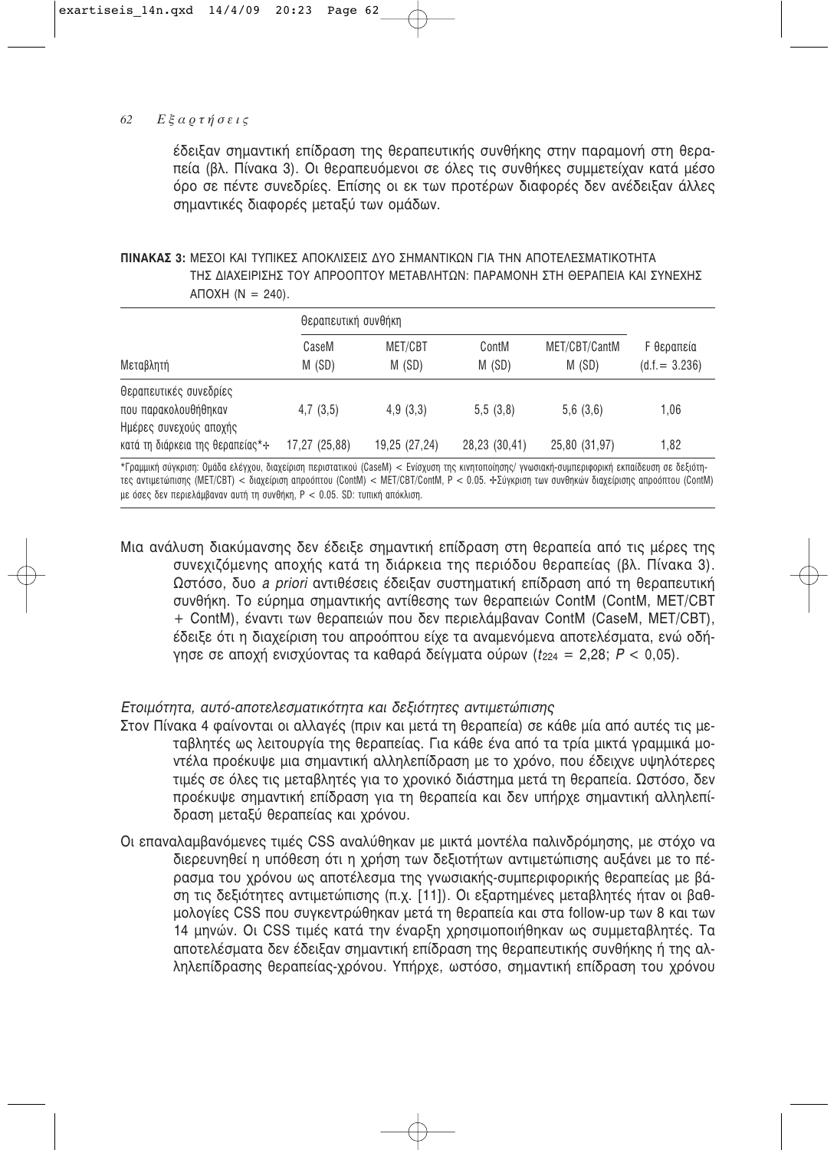έδειξαν σημαντική επίδραση της θεραπευτικής συνθήκης στην παραμονή στη θεραπεία (βλ. Πίνακα 3). Οι θεραπευόμενοι σε όλες τις συνθήκες συμμετείχαν κατά μέσο όρο σε πέντε συνεδρίες. Επίσης οι εκ των προτέρων διαφορές δεν ανέδειξαν άλλες σημαντικές διαφορές μεταξύ των ομάδων.

| ΠΙΝΑΚΑΣ 3: ΜΕΣΟΙ ΚΑΙ ΤΥΠΙΚΕΣ ΑΠΟΚΛΙΣΕΙΣ ΔΥΟ ΣΗΜΑΝΤΙΚΩΝ ΓΙΑ ΤΗΝ ΑΠΟΤΕΛΕΣΜΑΤΙΚΟΤΗΤΑ |
|-----------------------------------------------------------------------------------|
| ΤΗΣ ΔΙΑΧΕΙΡΙΣΗΣ ΤΟΥ ΑΠΡΟΟΠΤΟΥ ΜΕΤΑΒΛΗΤΩΝ: ΠΑΡΑΜΟΝΗ ΣΤΗ ΘΕΡΑΠΕΙΑ ΚΑΙ ΣΥΝΕΧΗΣ       |
| $ATOXH (N = 240)$ .                                                               |

|                                                                          | Θεραπευτική συνθήκη |                  |                |                        |                                       |
|--------------------------------------------------------------------------|---------------------|------------------|----------------|------------------------|---------------------------------------|
| Μεταβλητή                                                                | CaseM<br>M(SD)      | MET/CBT<br>M(SD) | ContM<br>M(SD) | MET/CBT/CantM<br>M(SD) | <b>F</b> θεραπεία<br>$(d.f. = 3.236)$ |
| θεραπευτικές συνεδρίες<br>που παρακολουθήθηκαν<br>Ημέρες συνεχούς αποχής | 4,7(3,5)            | 4,9(3,3)         | 5,5(3,8)       | 5,6(3,6)               | 1.06                                  |
| κατά τη διάρκεια της θεραπείας*+                                         | 17,27 (25,88)       | 19,25 (27,24)    | 28,23 (30,41)  | 25,80 (31,97)          | 1,82                                  |

\*Γραμμική σύνκριση: Ομάδα ελένχου. διαχείριση περιστατικού (CaseM) < Ενίσχυση της κινητοποίησης/ ννωσιακή-συμπεριφορική εκπαίδευση σε δεξιότητες αντιμετώπισης (MET/CBT) < διαχείριση απροόπτου (ContM) < MET/CBT/ContM, P < 0.05. +Σύγκριση των συνθηκών διαχείρισης απροόπτου (ContM) με όσες δεν περιελάμβαναν αυτή τη συνθήκη,  $P < 0.05$ . SD: τυπική απόκλιση.

<u>Μια ανάλυση διακύμανσης δεν έδειξε σημαντική επίδραση στη θεραπεία από τις μέρες της</u> συνεχιζόμενης αποχής κατά τη διάρκεια της περιόδου θεραπείας (βλ. Πίνακα 3). Ωστόσο, δυο *a priori* αντιθέσεις έδειξαν συστηματική επίδραση από τη θεραπευτική συνθήκη. Το εύρημα σημαντικής αντίθεσης των θεραπειών ContM (ContM, MET/CBT + ContM), έναντι των θεραπειών που δεν περιελάμβαναν ContM (CaseM, MET/CBT), έδειξε ότι η διαχείριση του απροόπτου είχε τα αναμενόμενα αποτελέσματα, ενώ οδήγησε σε αποχή ενισχύοντας τα καθαρά δείγματα ούρων (*t*<sub>224</sub> = 2,28; *P* < 0,05).

# *<i>Ēτοιμότητα, αυτό-αποτελεσματικότητα και δεξιότητες αντιμετώπισης*

- Στον Πίνακα 4 φαίνονται οι αλλαγές (πριν και μετά τη θεραπεία) σε κάθε μία από αυτές τις μεταβλητές ως λειτουργία της θεραπείας. Για κάθε ένα από τα τρία μικτά γραμμικά μοντέλα προέκυψε μια σημαντική αλληλεπίδραση με το χρόνο, που έδειχνε υψηλότερες τιμές σε όλες τις μεταβλητές για το χρονικό διάστημα μετά τη θεραπεία. Ωστόσο, δεν προέκυψε σημαντική επίδραση για τη θεραπεία και δεν υπήρχε σημαντική αλληλεπίδραση μεταξύ θεραπείας και χρόνου.
- Οι επαναλαμβανόμενες τιμές CSS αναλύθηκαν με μικτά μοντέλα παλινδρόμησης, με στόχο να διερευνηθεί η υπόθεση ότι η χρήση των δεξιοτήτων αντιμετώπισης αυξάνει με το πέρασμα του χρόνου ως αποτέλεσμα της γνωσιακής-συμπεριφορικής θεραπείας με βάση τις δεξιότητες αντιμετώπισης (π.χ. [11]). Οι εξαρτημένες μεταβλητές ήταν οι βαθμολογίες CSS που συγκεντρώθηκαν μετά τη θεραπεία και στα follow-up των 8 και των 14 μηνών. Οι CSS τιμές κατά την έναρξη χρησιμοποιήθηκαν ως συμμεταβλητές. Τα αποτελέσματα δεν έδειξαν σημαντική επίδραση της θεραπευτικής συνθήκης ή της αλληλεπίδρασης θεραπείας-χρόνου. Υπήρχε, ωστόσο, σημαντική επίδραση του χρόνου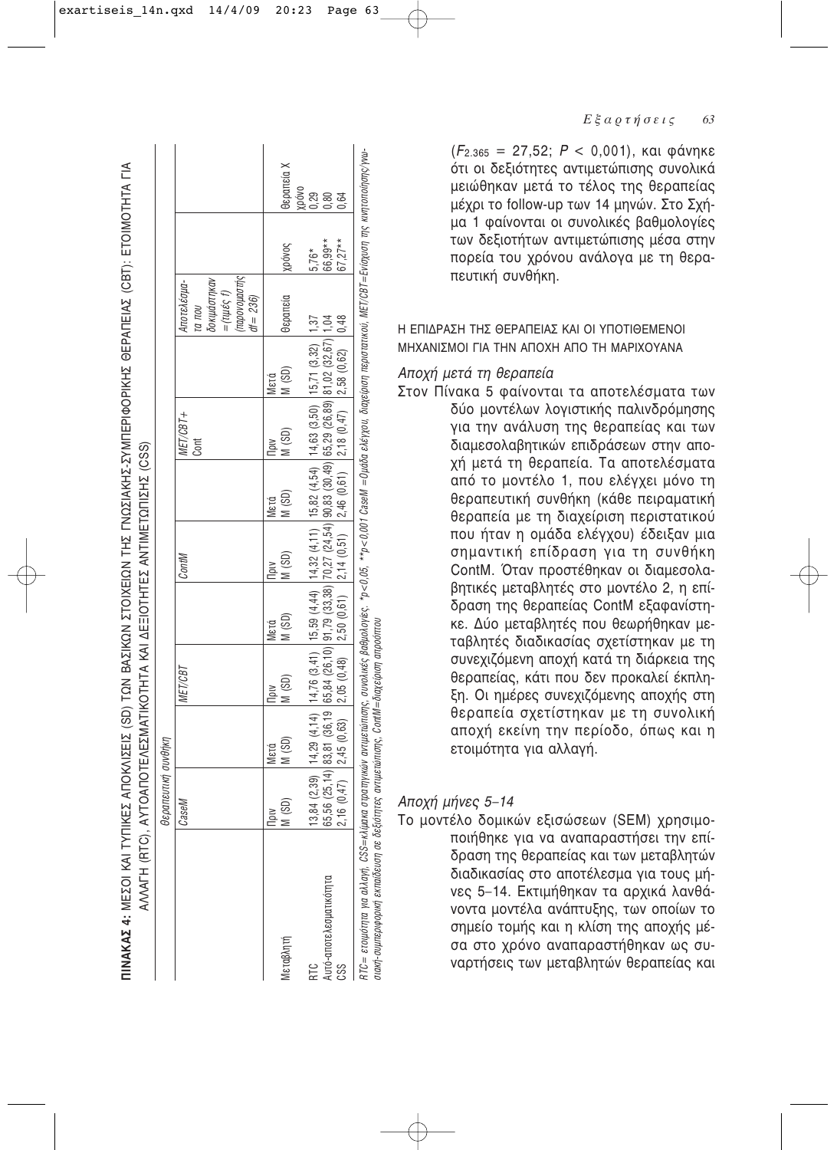$\leq$ 

|                                                                                                                          | θεραπευτική συνθήκη                                                                                                                                                  |                |                    |                                                                                                                                                                                                                                                                                                                                                                                                                                                                                                     |               |                |                  |               |                                                                                      |                                 |                      |
|--------------------------------------------------------------------------------------------------------------------------|----------------------------------------------------------------------------------------------------------------------------------------------------------------------|----------------|--------------------|-----------------------------------------------------------------------------------------------------------------------------------------------------------------------------------------------------------------------------------------------------------------------------------------------------------------------------------------------------------------------------------------------------------------------------------------------------------------------------------------------------|---------------|----------------|------------------|---------------|--------------------------------------------------------------------------------------|---------------------------------|----------------------|
|                                                                                                                          | CaseM                                                                                                                                                                |                | <i>MET/CBT</i>     |                                                                                                                                                                                                                                                                                                                                                                                                                                                                                                     | ContM         |                | MET/CBT+<br>Cont |               | παρονομαστης<br>δοκιμάστηκαν<br>Αποτελέσμα-<br>$=$ (rules f)<br>$df = 236$<br>πα που |                                 |                      |
| <b>Λεταβλητή</b>                                                                                                         | M(SD)<br>lolv                                                                                                                                                        | M (SD)<br>Μετά | M(SD)<br>$\approx$ | M(SD)<br>Μετά                                                                                                                                                                                                                                                                                                                                                                                                                                                                                       | M (SD)<br>low | M (SD)<br>Μετά | M(SD)<br>Πριν    | M(SD)<br>Μετά | Θεραπεία                                                                             | χρόνος                          | Θεραπεία Χ<br>0 AOOX |
| Αυτό-αποτελεσματικότητα                                                                                                  |                                                                                                                                                                      |                |                    | 65,56 (25,14) 83,81 (36,19   65,84 (26,10)  91,79 (33,38)  70,27 (24,54)  90,83 (30,49)  65,29 (26,89)  81,02 (32,67)  1,04<br>2,16 (0,47)  2,45 (0,63)  2,05 (0,48)  2,50 (0,61)  2,14 (0,51)  2,46 (0,61)  2,18 (0,47)  2,58 (0<br>$13,84$ (2,39) $\lfloor 14,29 \rfloor$ (4,14) $\lfloor 14,76 \rfloor$ (3,41) $\lfloor 15,59 \rfloor$ (4,44) $\lfloor 14,32 \rfloor$ (4,54) $\lfloor 15,82 \rfloor$ (4,54) $\lfloor 14,63 \rfloor$ (3,50) $\lfloor 15,71 \rfloor$ (3,32) $\lfloor 1,37 \rfloor$ |               |                |                  |               |                                                                                      | 66,99**<br>$67,27**$<br>$5.76*$ | 0,29<br>0,80<br>0,64 |
| σιακή-συμπεριφορική εκπαίδευση σε δεξιότητες αντιμετώπισης. ContM=διαχείριση απροόπτου<br>TC= ετοιμότητα για αλλαγή, CSS | i=κλίμακα στρατηγικών αντιμετώπισης, συνολικές βαθμολογίες. *ρ<0,05, **ρ<0,001 CaseM =Ομάδα ελέγχου, διαχείριση περιστατικού, MET/CBT=Ενίσχυση της κινητοποίησης/γνω |                |                    |                                                                                                                                                                                                                                                                                                                                                                                                                                                                                                     |               |                |                  |               |                                                                                      |                                 |                      |

 $(F_{2.365} = 27.52; P < 0.001)$ , και φάνηκε ότι οι δεξιότητες αντιμετώπισης συνολικά μειώθηκαν μετά το τέλος της θεραπείας μέχρι το follow-up των 14 μηνών. Στο Σχήμα 1 φαίνονται οι συνολικές βαθμολογίες των δεξιοτήτων αντιμετώπισης μέσα στην πορεία του χρόνου ανάλογα με τη θεραπευτική συνθήκη.

Η ΕΠΙΔΡΑΣΗ ΤΗΣ ΘΕΡΑΠΕΙΑΣ ΚΑΙ ΟΙ ΥΠΟΤΙΘΕΜΕΝΟΙ ΜΗΧΑΝΙΣΜΟΙ ΓΙΑ ΤΗΝ ΑΠΟΧΗ ΑΠΟ ΤΗ ΜΑΡΙΧΟΥΑΝΑ

### Αποχή μετά τη θεραπεία

Στον Πίνακα 5 φαίνονται τα αποτελέσματα των δύο μοντέλων λογιστικής παλινδρόμησης για την ανάλυση της θεραπείας και των διαμεσολαβητικών επιδράσεων στην αποχή μετά τη θεραπεία. Τα αποτελέσματα από το μοντέλο 1, που ελέγχει μόνο τη θεραπευτική συνθήκη (κάθε πειραματική θεραπεία με τη διαχείριση περιστατικού που ήταν η ομάδα ελέγχου) έδειξαν μια σημαντική επίδραση για τη συνθήκη ContM. Όταν προστέθηκαν οι διαμεσολαβητικές μεταβλητές στο μοντέλο 2, η επίδραση της θεραπείας ContM εξαφανίστηκε. Δύο μεταβλητές που θεωρήθηκαν μεταβλητές διαδικασίας σχετίστηκαν με τη συνεχιζόμενη αποχή κατά τη διάρκεια της θεραπείας, κάτι που δεν προκαλεί έκπληξη. Οι ημέρες συνεχιζόμενης αποχής στη θεραπεία σχετίστηκαν με τη συνολική αποχή εκείνη την περίοδο, όπως και η ετοιμότητα για αλλαγή.

### Αποχή μήνες 5-14

Το μοντέλο δομικών εξισώσεων (SEM) χρησιμοποιήθηκε για να αναπαραστήσει την επίδραση της θεραπείας και των μεταβλητών διαδικασίας στο αποτέλεσμα για τους μήνες 5-14. Εκτιμήθηκαν τα αρχικά λανθάνοντα μοντέλα ανάπτυξης, των οποίων το σημείο τομής και η κλίση της αποχής μέσα στο χρόνο αναπαραστήθηκαν ως συναρτήσεις των μεταβλητών θεραπείας και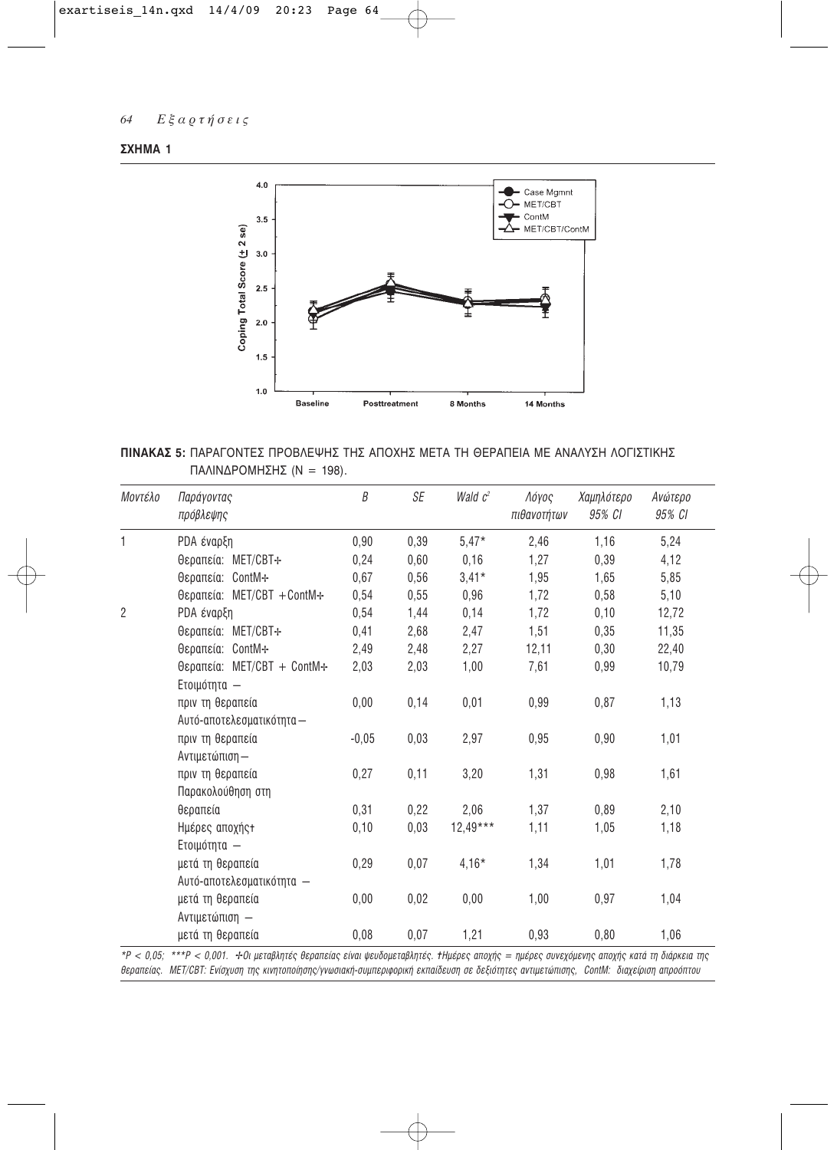### $E$ ξαρτήσεις 64

### ΣΧΗΜΑ 1



### ΠΙΝΑΚΑΣ 5: ΠΑΡΑΓΟΝΤΕΣ ΠΡΟΒΛΕΨΗΣ ΤΗΣ ΑΠΟΧΗΣ ΜΕΤΑ ΤΗ ΘΕΡΑΠΕΙΑ ΜΕ ΑΝΑΛΥΣΗ ΛΟΓΙΣΤΙΚΗΣ ΠΑΛΙΝΔΡΟΜΗΣΗΣ (Ν = 198).

| Μοντέλο | Παράγοντας<br>πρόβλεψης    | $\boldsymbol{B}$ | SE   | Wald $c^2$ | Λόγος<br>πιθανοτήτων | Χαμηλότερο<br>95% CI | Ανώτερο<br>95% CI |
|---------|----------------------------|------------------|------|------------|----------------------|----------------------|-------------------|
| 1       | PDA έναρξη                 | 0,90             | 0,39 | $5.47*$    | 2,46                 | 1,16                 | 5,24              |
|         | Θεραπεία: MET/CBT+         | 0,24             | 0,60 | 0,16       | 1,27                 | 0,39                 | 4,12              |
|         | Θεραπεία: ContM+           | 0,67             | 0,56 | $3,41*$    | 1,95                 | 1,65                 | 5,85              |
|         | Θεραπεία: MET/CBT + ContM+ | 0,54             | 0,55 | 0,96       | 1,72                 | 0,58                 | 5,10              |
| 2       | PDA έναρξη                 | 0,54             | 1,44 | 0,14       | 1,72                 | 0,10                 | 12,72             |
|         | Θεραπεία: MET/CBT+         | 0,41             | 2,68 | 2,47       | 1,51                 | 0,35                 | 11,35             |
|         | Θεραπεία: ContM+           | 2,49             | 2,48 | 2,27       | 12,11                | 0,30                 | 22,40             |
|         | Θεραπεία: MET/CBT + ContM+ | 2,03             | 2,03 | 1,00       | 7,61                 | 0,99                 | 10,79             |
|         | Ετοιμότητα -               |                  |      |            |                      |                      |                   |
|         | πριν τη θεραπεία           | 0,00             | 0,14 | 0,01       | 0,99                 | 0,87                 | 1,13              |
|         | Αυτό-αποτελεσματικότητα -  |                  |      |            |                      |                      |                   |
|         | πριν τη θεραπεία           | $-0,05$          | 0,03 | 2,97       | 0,95                 | 0,90                 | 1,01              |
|         | Αντιμετώπιση —             |                  |      |            |                      |                      |                   |
|         | πριν τη θεραπεία           | 0,27             | 0,11 | 3,20       | 1,31                 | 0,98                 | 1,61              |
|         | Παρακολούθηση στη          |                  |      |            |                      |                      |                   |
|         | θεραπεία                   | 0,31             | 0.22 | 2,06       | 1,37                 | 0.89                 | 2,10              |
|         | Ημέρες αποχής+             | 0, 10            | 0,03 | $12,49***$ | 1,11                 | 1,05                 | 1,18              |
|         | Ετοιμότητα -               |                  |      |            |                      |                      |                   |
|         | μετά τη θεραπεία           | 0,29             | 0,07 | $4,16*$    | 1,34                 | 1,01                 | 1,78              |
|         | Αυτό-αποτελεσματικότητα -  |                  |      |            |                      |                      |                   |
|         | μετά τη θεραπεία           | 0,00             | 0,02 | 0,00       | 1,00                 | 0,97                 | 1,04              |
|         | Αντιμετώπιση -             |                  |      |            |                      |                      |                   |
|         | μετά τη θεραπεία           | 0,08             | 0.07 | 1,21       | 0.93                 | 0,80                 | 1,06              |

θεραπείας. ΜΕΤ/CBT: Ενίσχυση της κινητοποίησης/γνωσιακή-συμπεριφορική εκπαίδευση σε δεξιότητες αντιμετώπισης, ContM: διαχείριση απροόπτου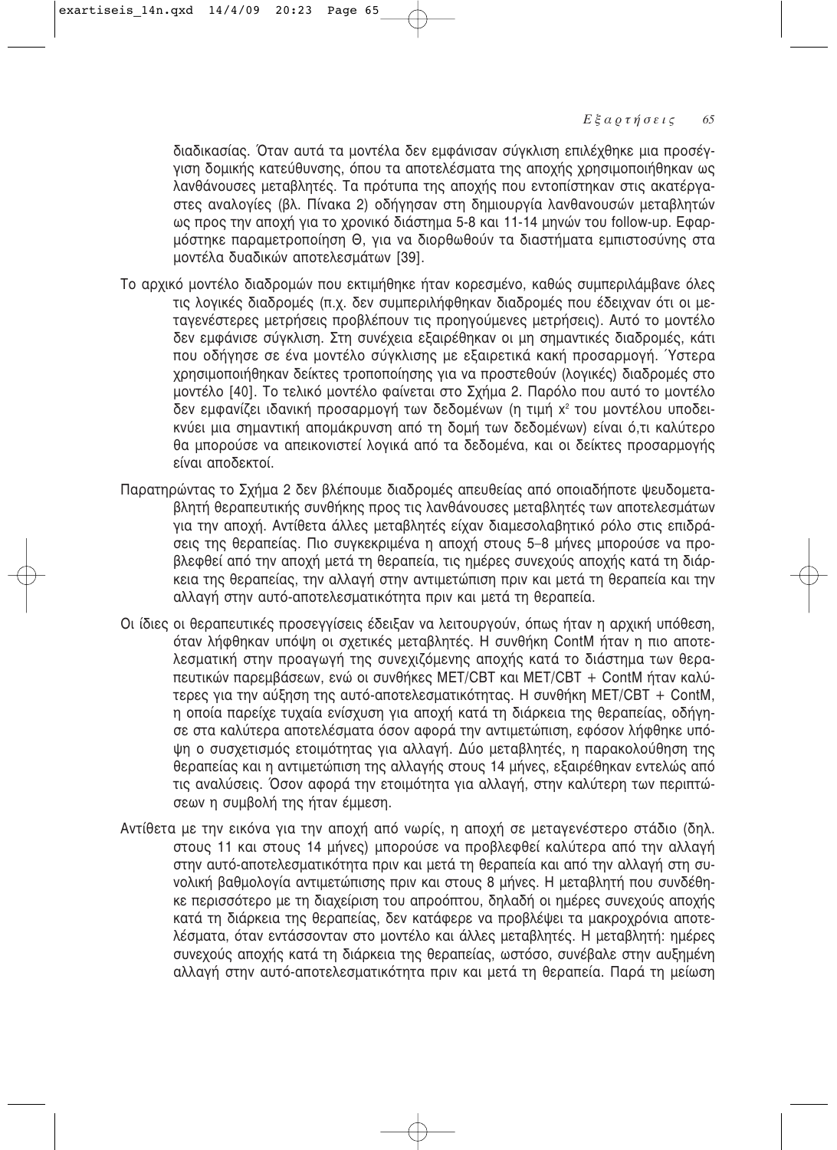διαδικασίας. Όταν αυτά τα μοντέλα δεν εμφάνισαν σύγκλιση επιλέχθηκε μια προσέγγιση δομικής κατεύθυνσης, όπου τα αποτελέσματα της αποχής χρησιμοποιήθηκαν ως λανθάνουσες μεταβλητές. Τα πρότυπα της αποχής που εντοπίστηκαν στις ακατέργαστες αναλογίες (βλ. Πίνακα 2) οδήγησαν στη δημιουργία λανθανουσών μεταβλητών ως προς την αποχή για το χρονικό διάστημα 5-8 και 11-14 μηνών του follow-up. Εφαρμόστηκε παραμετροποίηση Θ, για να διορθωθούν τα διαστήματα εμπιστοσύνης στα μοντέλα δυαδικών αποτελεσμάτων [39].

- Το αρχικό μοντέλο διαδρομών που εκτιμήθηκε ήταν κορεσμένο, καθώς συμπεριλάμβανε όλες τις λογικές διαδρομές (π.χ. δεν συμπεριλήφθηκαν διαδρομές που έδειχναν ότι οι μεταγενέστερες μετρήσεις προβλέπουν τις προηγούμενες μετρήσεις). Αυτό το μοντέλο δεν εμφάνισε σύγκλιση. Στη συνέχεια εξαιρέθηκαν οι μη σημαντικές διαδρομές, κάτι που οδήγησε σε ένα μοντέλο σύγκλισης με εξαιρετικά κακή προσαρμογή. Ύστερα χρησιμοποιήθηκαν δείκτες τροποποίησης για να προστεθούν (λογικές) διαδρομές στο μοντέλο [40]. Το τελικό μοντέλο φαίνεται στο Σχήμα 2. Παρόλο που αυτό το μοντέλο δεν εμφανίζει ιδανική προσαρμογή των δεδομένων (η τιμή χ<sup>2</sup> του μοντέλου υποδεικνύει μια σημαντική απομάκρυνση από τη δομή των δεδομένων) είναι ό,τι καλύτερο θα μπορούσε να απεικονιστεί λογικά από τα δεδομένα, και οι δείκτες προσαρμογής είναι αποδεκτοί.
- Παρατηρώντας το Σχήμα 2 δεν βλέπουμε διαδρομές απευθείας από οποιαδήποτε ψευδομεταβλητή θεραπευτικής συνθήκης προς τις λανθάνουσες μεταβλητές των αποτελεσμάτων για την αποχή. Αντίθετα άλλες μεταβλητές είχαν διαμεσολαβητικό ρόλο στις επιδράσεις της θεραπείας. Πιο συγκεκριμένα η αποχή στους 5–8 μήνες μπορούσε να προβλεφθεί από την αποχή μετά τη θεραπεία, τις ημέρες συνεχούς αποχής κατά τη διάρκεια της θεραπείας, την αλλαγή στην αντιμετώπιση πριν και μετά τη θεραπεία και την αλλαγή στην αυτό-αποτελεσματικότητα πριν και μετά τη θεραπεία.
- Οι ίδιες οι θεραπευτικές προσεγγίσεις έδειξαν να λειτουργούν, όπως ήταν η αρχική υπόθεση, όταν λήφθηκαν υπόψη οι σχετικές μεταβλητές. Η συνθήκη ContM ήταν η πιο αποτελεσματική στην προαγωγή της συνεχιζόμενης αποχής κατά το διάστημα των θεραπευτικών παρεμβάσεων, ενώ οι συνθήκες MET/CBT και MET/CBT + ContM ήταν καλύτερες για την αύξηση της αυτό-αποτελεσματικότητας. Η συνθήκη ΜΕΤ/CBT + ContM, η οποία παρείχε τυχαία ενίσχυση για αποχή κατά τη διάρκεια της θεραπείας, οδήγησε στα καλύτερα αποτελέσματα όσον αφορά την αντιμετώπιση, εφόσον λήφθηκε υπό-Ψη ο συσχετισμός ετοιμότητας για αλλαγή. Δύο μεταβλητές, η παρακολούθηση της θεραπείας και η αντιμετώπιση της αλλαγής στους 14 μήνες, εξαιρέθηκαν εντελώς από τις αναλύσεις. Όσον αφορά την ετοιμότητα για αλλαγή, στην καλύτερη των περιπτώσεων η συμβολή της ήταν έμμεση.
- Αντίθετα με την εικόνα για την αποχή από νωρίς, η αποχή σε μεταγενέστερο στάδιο (δηλ. στους 11 και στους 14 μήνες) μπορούσε να προβλεφθεί καλύτερα από την αλλαγή στην αυτό-αποτελεσματικότητα πριν και μετά τη θεραπεία και από την αλλαγή στη συνολική βαθμολογία αντιμετώπισης πριν και στους 8 μήνες. Η μεταβλητή που συνδέθηκε περισσότερο με τη διαχείριση του απροόπτου. δηλαδή οι ημέρες συνεχούς αποχής κατά τη διάρκεια της θεραπείας, δεν κατάφερε να προβλέψει τα μακροχρόνια αποτελέσματα, όταν εντάσσονταν στο μοντέλο και άλλες μεταβλητές. Η μεταβλητή: ημέρες συνεχούς αποχής κατά τη διάρκεια της θεραπείας, ωστόσο, συνέβαλε στην αυξημένη αλλαγή στην αυτό-αποτελεσματικότητα πριν και μετά τη θεραπεία. Παρά τη μείωση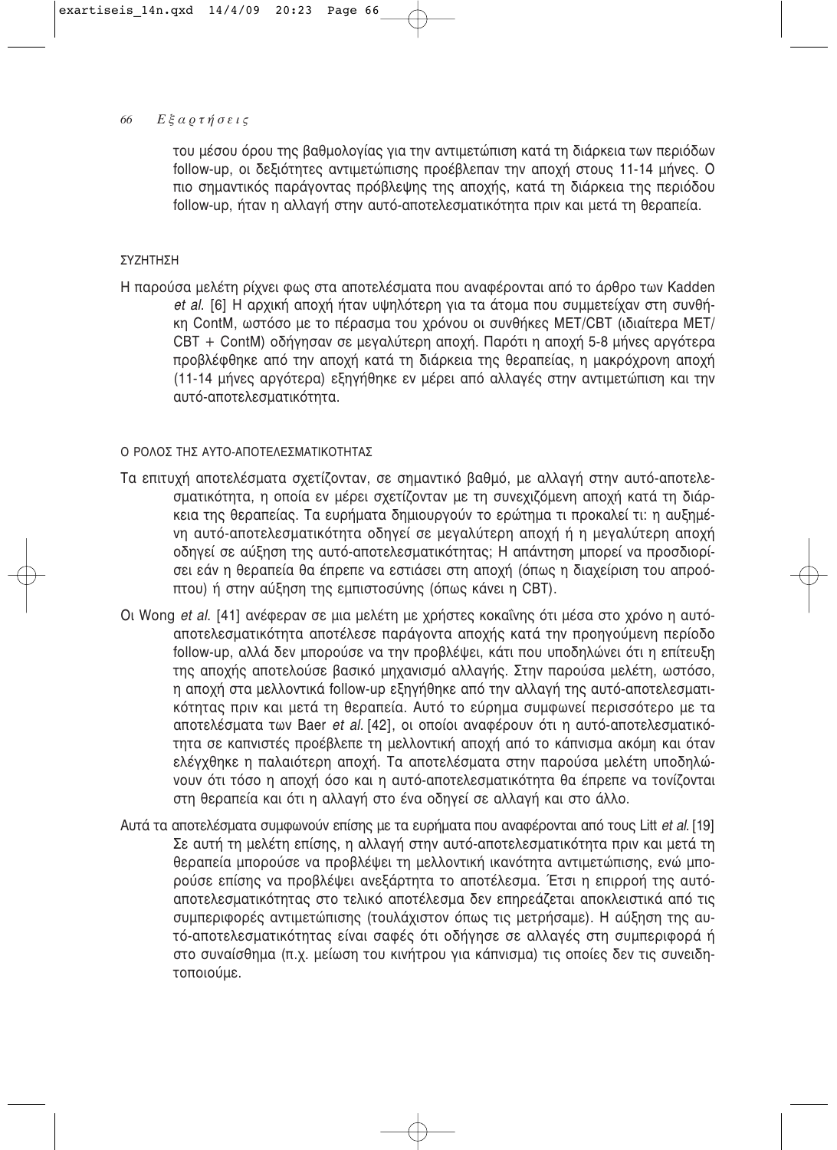του μέσου όρου της βαθμολογίας για την αντιμετώπιση κατά τη διάρκεια των περιόδων follow-up, οι δεξιότητες αντιμετώπισης προέβλεπαν την αποχή στους 11-14 μήνες. Ο πιο σημαντικός παράγοντας πρόβλεψης της αποχής, κατά τη διάρκεια της περιόδου follow-up, ήταν η αλλαγή στην αυτό-αποτελεσματικότητα πριν και μετά τη θεραπεία.

### ΣΥΖΗΤΗΣΗ

Η παρούσα μελέτη ρίχνει φως στα αποτελέσματα που αναφέρονται από το άρθρο των Kadden et al. [6] Η αρχική αποχή ήταν υψηλότερη για τα άτομα που συμμετείχαν στη συνθή-Kη ContM, ωστόσο με το πέρασμα του χρόνου οι συνθήκες ΜΕΤ/CBT (ιδιαίτερα ΜΕΤ/ CBT + ContM) οδήγησαν σε μεγαλύτερη αποχή. Παρότι η αποχή 5-8 μήνες αργότερα προβλέφθηκε από την αποχή κατά τη διάρκεια της θεραπείας, η μακρόχρονη αποχή (11-14 μήνες αργότερα) εξηγήθηκε εν μέρει από αλλαγές στην αντιμετώπιση και την αυτό-αποτελεσματικότητα.

### Ο ΡΟΛΟΣ ΤΗΣ ΑΥΤΟ-ΑΠΟΤΕΛΕΣΜΑΤΙΚΟΤΗΤΑΣ

- Τα επιτυχή αποτελέσματα σχετίζονταν, σε σημαντικό βαθμό, με αλλαγή στην αυτό-αποτελεσματικότητα, η οποία εν μέρει σχετίζονταν με τη συνεχιζόμενη αποχή κατά τη διάρκεια της θεραπείας. Τα ευρήματα δημιουργούν το ερώτημα τι προκαλεί τι: η αυξημέvη αυτό-αποτελεσματικότητα οδηγεί σε μεγαλύτερη αποχή ή η μεγαλύτερη αποχή οδηγεί σε αύξηση της αυτό-αποτελεσματικότητας; Η απάντηση μπορεί να προσδιορίσει εάν η θεραπεία θα έπρεπε να εστιάσει στη αποχή (όπως η διαχείριση του απροόπτου) ή στην αύξηση της εμπιστοσύνης (όπως κάνει η CBT).
- Οι Wong *et al.* [41] ανέφεραν σε μια μελέτη με χρήστες κοκαΐνης ότι μέσα στο χρόνο η αυτόαποτελεσματικότητα αποτέλεσε παράγοντα αποχής κατά την προηγούμενη περίοδο follow-up, αλλά δεν μπορούσε να την προβλέψει, κάτι που υποδηλώνει ότι η επίτευξη της αποχής αποτελούσε βασικό μηχανισμό αλλαγής. Στην παρούσα μελέτη, ωστόσο, η αποχή στα μελλοντικά follow-up εξηγήθηκε από την αλλαγή της αυτό-αποτελεσματικότητας πριν και μετά τη θεραπεία. Αυτό το εύρημα συμφωνεί περισσότερο με τα αποτελέσματα των Baer et al. [42], οι οποίοι αναφέρουν ότι η αυτό-αποτελεσματικότητα σε καπνιστές προέβλεπε τη μελλοντική αποχή από το κάπνισμα ακόμη και όταν ελέγχθηκε η παλαιότερη αποχή. Τα αποτελέσματα στην παρούσα μελέτη υποδηλώνουν ότι τόσο η αποχή όσο και η αυτό-αποτελεσματικότητα θα έπρεπε να τονίζονται στη θεραπεία και ότι η αλλαγή στο ένα οδηγεί σε αλλαγή και στο άλλο.
- Aυτά τα αποτελέσματα συμφωνούν επίσης με τα ευρήματα που αναφέρονται από τους Litt et al. [19] Σε αυτή τη μελέτη επίσης, η αλλαγή στην αυτό-αποτελεσματικότητα πριν και μετά τη θεραπεία μπορούσε να προβλέψει τη μελλοντική ικανότητα αντιμετώπισης, ενώ μπορούσε επίσης να προβλέψει ανεξάρτητα το αποτέλεσμα. Έτσι η επιρροή της αυτόαποτελεσματικότητας στο τελικό αποτέλεσμα δεν επηρεάζεται αποκλειστικά από τις συμπεριφορές αντιμετώπισης (τουλάχιστον όπως τις μετρήσαμε). Η αύξηση της αυτό-αποτελεσματικότητας είναι σαφές ότι οδήγησε σε αλλαγές στη συμπεριφορά ή στο συναίσθημα (π.χ. μείωση του κινήτρου για κάπνισμα) τις οποίες δεν τις συνειδητοποιούμε.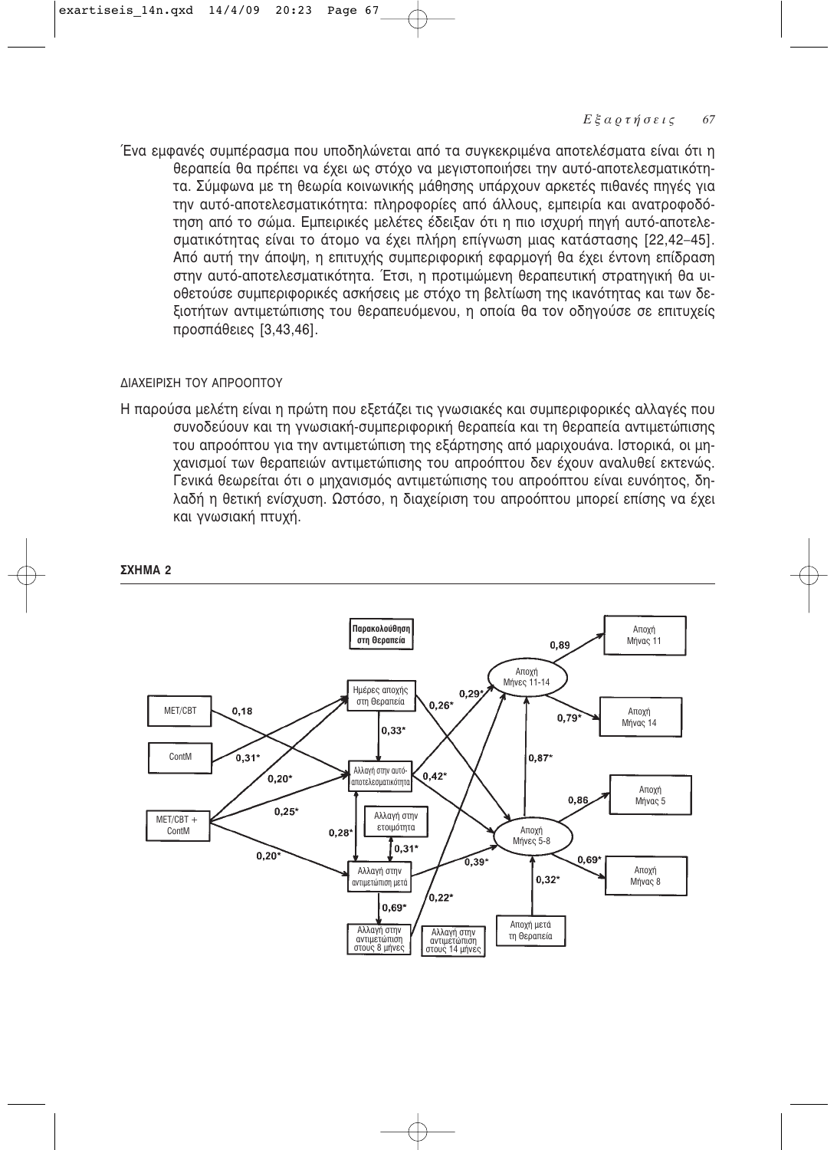Ένα εμφανές συμπέρασμα που υποδηλώνεται από τα συγκεκριμένα αποτελέσματα είναι ότι η θεραπεία θα πρέπει να έχει ως στόχο να μεγιστοποιήσει την αυτό-αποτελεσματικότητα. Σύμφωνα με τη θεωρία κοινωνικής μάθησης υπάρχουν αρκετές πιθανές πηγές για την αυτό-αποτελεσματικότητα: πληροφορίες από άλλους, εμπειρία και ανατροφοδότηση από το σώμα. Εμπειρικές μελέτες έδειξαν ότι η πιο ισχυρή πηγή αυτό-αποτελεσματικότητας είναι το άτομο να έχει πλήρη επίγνωση μιας κατάστασης [22,42-45]. Από αυτή την άποψη, η επιτυχής συμπεριφορική εφαρμογή θα έχει έντονη επίδραση στην αυτό-αποτελεσματικότητα. Έτσι, η προτιμώμενη θεραπευτική στρατηγική θα υιοθετούσε συμπεριφορικές ασκήσεις με στόχο τη βελτίωση της ικανότητας και των δεξιοτήτων αντιμετώπισης του θεραπευόμενου, η οποία θα τον οδηγούσε σε επιτυχείς προσπάθειες [3,43,46].

### ΔΙΑΧΕΙΡΙΣΗ ΤΟΥ ΑΠΡΟΟΠΤΟΥ

Η παρούσα μελέτη είναι η πρώτη που εξετάζει τις γνωσιακές και συμπεριφορικές αλλαγές που συνοδεύουν και τη γνωσιακή-συμπεριφορική θεραπεία και τη θεραπεία αντιμετώπισης του απροόπτου για την αντιμετώπιση της εξάρτησης από μαριχουάνα. Ιστορικά, οι μηγανισμοί των θεραπειών αντιμετώπισης του απροόπτου δεν έχουν αναλυθεί εκτενώς. Γενικά θεωρείται ότι ο μηχανισμός αντιμετώπισης του απροόπτου είναι ευνόητος, δηλαδή η θετική ενίσχυση. Ωστόσο, η διαχείριση του απροόπτου μπορεί επίσης να έχει και γνωσιακή πτυχή.



### ΣΧΗΜΑ<sub>2</sub>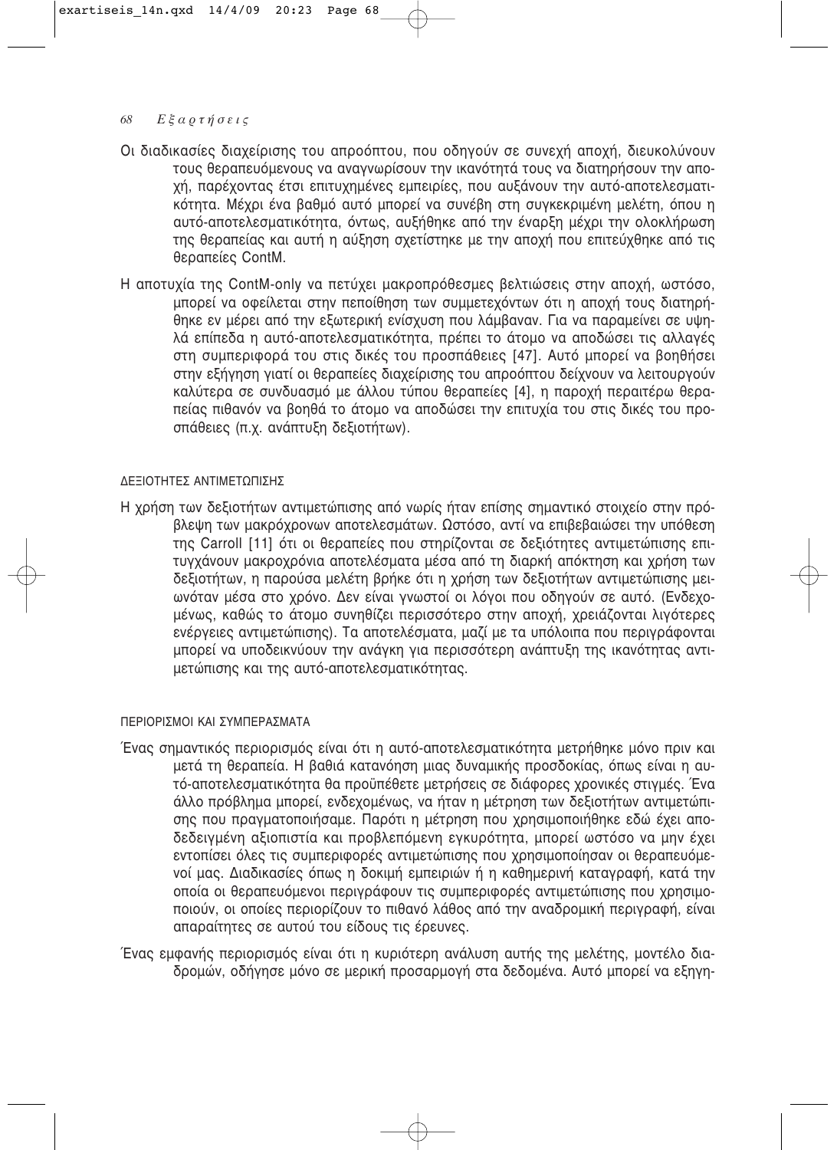- Οι διαδικασίες διαχείρισης του απροόπτου, που οδηγούν σε συνεχή αποχή, διευκολύνουν τους θεραπευόμενους να αναγνωρίσουν την ικανότητά τους να διατηρήσουν την αποχή, παρέχοντας έτσι επιτυχημένες εμπειρίες, που αυξάνουν την αυτό-αποτελεσματικότητα. Μέχρι ένα βαθμό αυτό μπορεί να συνέβη στη συγκεκριμένη μελέτη, όπου η αυτό-αποτελεσματικότητα, όντως, αυξήθηκε από την έναρξη μέχρι την ολοκλήρωση της θεραπείας και αυτή η αύξηση σχετίστηκε με την αποχή που επιτεύχθηκε από τις θεραπείες ContM.
- Η αποτυχία της ContM-only να πετύχει μακροπρόθεσμες βελτιώσεις στην αποχή, ωστόσο, μπορεί να οφείλεται στην πεποίθηση των συμμετεχόντων ότι η αποχή τους διατηρήθηκε εν μέρει από την εξωτερική ενίσχυση που λάμβαναν. Για να παραμείνει σε υψηλά επίπεδα η αυτό-αποτελεσματικότητα, πρέπει το άτομο να αποδώσει τις αλλαγές στη συμπεριφορά του στις δικές του προσπάθειες [47]. Αυτό μπορεί να βοηθήσει στην εξήγηση γιατί οι θεραπείες διαχείρισης του απροόπτου δείχνουν να λειτουργούν καλύτερα σε συνδυασμό με άλλου τύπου θεραπείες [4], η παροχή περαιτέρω θεραπείας πιθανόν να βοηθά το άτομο να αποδώσει την επιτυχία του στις δικές του προσπάθειες (π.χ. ανάπτυξη δεξιοτήτων).

### ΔΕΞΙΟΤΗΤΕΣ ΑΝΤΙΜΕΤΩΠΙΣΗΣ

Η χρήση των δεξιοτήτων αντιμετώπισης από νωρίς ήταν επίσης σημαντικό στοιχείο στην πρόβλεψη των μακρόχρονων αποτελεσμάτων, Ωστόσο, αντί να επιβεβαιώσει την υπόθεση της Carroll [11] ότι οι θεραπείες που στηρίζονται σε δεξιότητες αντιμετώπισης επιτυγχάνουν μακροχρόνια αποτελέσματα μέσα από τη διαρκή απόκτηση και χρήση των δεξιοτήτων, η παρούσα μελέτη βρήκε ότι η χρήση των δεξιοτήτων αντιμετώπισης μειωνόταν μέσα στο χρόνο. Δεν είναι γνωστοί οι λόγοι που οδηγούν σε αυτό. (Ενδεχομένως, καθώς το άτομο συνηθίζει περισσότερο στην αποχή, χρειάζονται λιγότερες ενέργειες αντιμετώπισης). Τα αποτελέσματα, μαζί με τα υπόλοιπα που περιγράφονται μπορεί να υποδεικνύουν την ανάγκη για περισσότερη ανάπτυξη της ικανότητας αντιμετώπισης και της αυτό-αποτελεσματικότητας.

### ΠΕΡΙΟΡΙΣΜΟΙ ΚΑΙ ΣΥΜΠΕΡΑΣΜΑΤΑ

- Ένας σημαντικός περιορισμός είναι ότι η αυτό-αποτελεσματικότητα μετρήθηκε μόνο πριν και μετά τη θεραπεία. Η βαθιά κατανόηση μιας δυναμικής προσδοκίας, όπως είναι η αυτό-αποτελεσματικότητα θα προϋπέθετε μετρήσεις σε διάφορες χρονικές στιγμές. Ένα άλλο πρόβλημα μπορεί, ενδεχομένως, να ήταν η μέτρηση των δεξιοτήτων αντιμετώπισης που πραγματοποιήσαμε. Παρότι η μέτρηση που χρησιμοποιήθηκε εδώ έχει αποδεδειγμένη αξιοπιστία και προβλεπόμενη εγκυρότητα, μπορεί ωστόσο να μην έχει εντοπίσει όλες τις συμπεριφορές αντιμετώπισης που χρησιμοποίησαν οι θεραπευόμενοί μας. Διαδικασίες όπως η δοκιμή εμπειριών ή η καθημερινή κατανραφή, κατά την οποία οι θεραπευόμενοι περιγράφουν τις συμπεριφορές αντιμετώπισης που χρησιμοποιούν, οι οποίες περιορίζουν το πιθανό λάθος από την αναδρομική περιγραφή, είναι απαραίτητες σε αυτού του είδους τις έρευνες.
- Ένας εμφανής περιορισμός είναι ότι η κυριότερη ανάλυση αυτής της μελέτης, μοντέλο διαδρομών, οδήγησε μόνο σε μερική προσαρμογή στα δεδομένα. Αυτό μπορεί να εξηγη-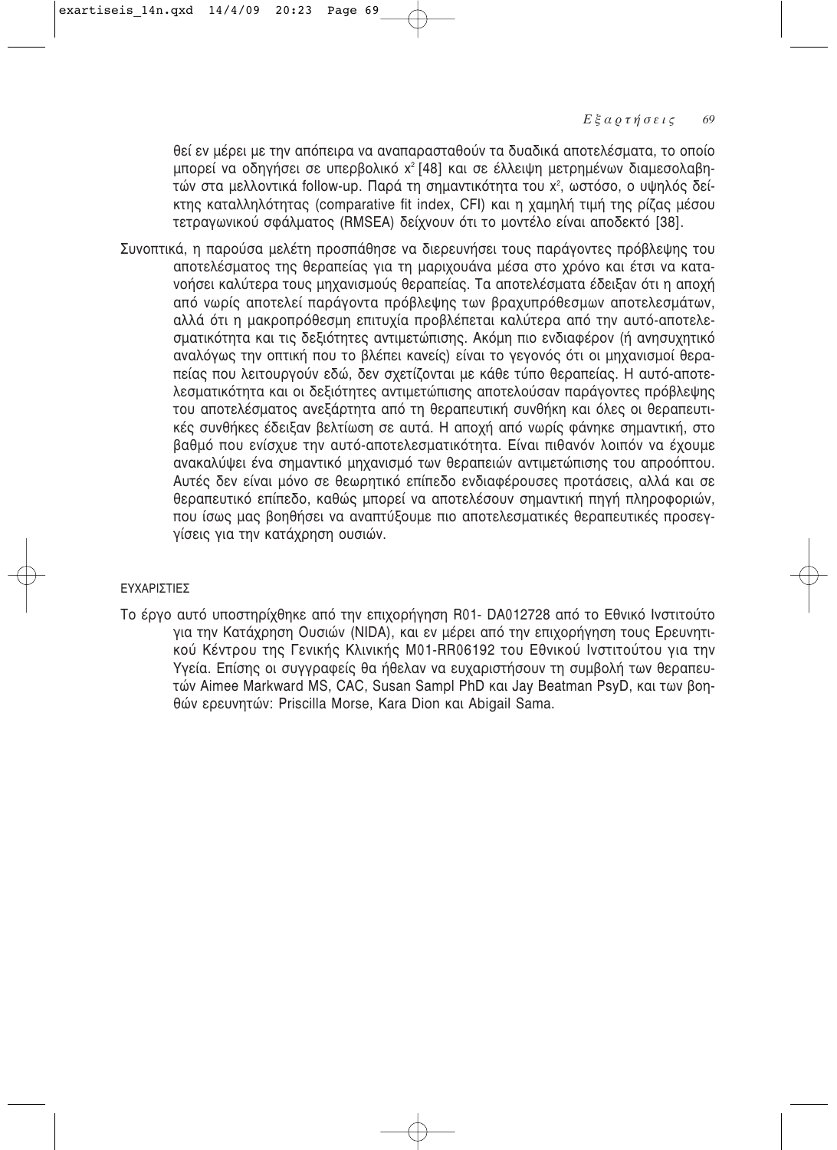θεί εν μέρει με την απόπειρα να αναπαρασταθούν τα δυαδικά αποτελέσματα, το οποίο μπορεί να οδηγήσει σε υπερβολικό χ<sup>2</sup> [48] και σε έλλειψη μετρημένων διαμεσολαβητών στα μελλοντικά follow-up. Παρά τη σημαντικότητα του χ<sup>2</sup>, ωστόσο, ο υψηλός δείκτης καταλληλότητας (comparative fit index, CFI) και η χαμηλή τιμή της ρίζας μέσου τετραγωνικού σφάλματος (RMSEA) δείχνουν ότι το μοντέλο είναι αποδεκτό [38].

Συνοπτικά, η παρούσα μελέτη προσπάθησε να διερευνήσει τους παράγοντες πρόβλεψης του αποτελέσματος της θεραπείας για τη μαριχουάνα μέσα στο χρόνο και έτσι να κατανοήσει καλύτερα τους μηχανισμούς θεραπείας. Τα αποτελέσματα έδειξαν ότι η αποχή από νωρίς αποτελεί παράγοντα πρόβλεψης των βραχυπρόθεσμων αποτελεσμάτων, αλλά ότι η μακροπρόθεσμη επιτυχία προβλέπεται καλύτερα από την αυτό-αποτελεσματικότητα και τις δεξιότητες αντιμετώπισης. Ακόμη πιο ενδιαφέρον (ή ανησυχητικό αναλόγως την οπτική που το βλέπει κανείς) είναι το γεγονός ότι οι μηχανισμοί θεραπείας που λειτουργούν εδώ, δεν σχετίζονται με κάθε τύπο θεραπείας. Η αυτό-αποτελεσματικότητα και οι δεξιότητες αντιμετώπισης αποτελούσαν παράγοντες πρόβλεψης του αποτελέσματος ανεξάρτητα από τη θεραπευτική συνθήκη και όλες οι θεραπευτικές συνθήκες έδειξαν βελτίωση σε αυτά. Η αποχή από νωρίς φάνηκε σημαντική, στο βαθμό που ενίσχυε την αυτό-αποτελεσματικότητα. Είναι πιθανόν λοιπόν να έχουμε ανακαλύψει ένα σημαντικό μηχανισμό των θεραπειών αντιμετώπισης του απροόπτου. Αυτές δεν είναι μόνο σε θεωρητικό επίπεδο ενδιαφέρουσες προτάσεις, αλλά και σε θεραπευτικό επίπεδο, καθώς μπορεί να αποτελέσουν σημαντική πηγή πληροφοριών, που ίσως μας βοηθήσει να αναπτύξουμε πιο αποτελεσματικές θεραπευτικές προσεγγίσεις για την κατάχρηση ουσιών.

### ΕΥΧΑΡΙΣΤΙΕΣ

Το έργο αυτό υποστηρίχθηκε από την επιχορήγηση R01- DA012728 από το Εθνικό Ινστιτούτο για την Κατάχρηση Ουσιών (NIDA), και εν μέρει από την επιχορήγηση τους Ερευνητικού Κέντρου της Γενικής Κλινικής M01-RR06192 του Εθνικού Ινστιτούτου για την Υγεία. Επίσης οι συγγραφείς θα ήθελαν να ευχαριστήσουν τη συμβολή των θεραπευτών Aimee Markward MS, CAC, Susan Sampl PhD και Jay Beatman PsyD, και των βοηθών ερευνητών: Priscilla Morse, Kara Dion και Abigail Sama.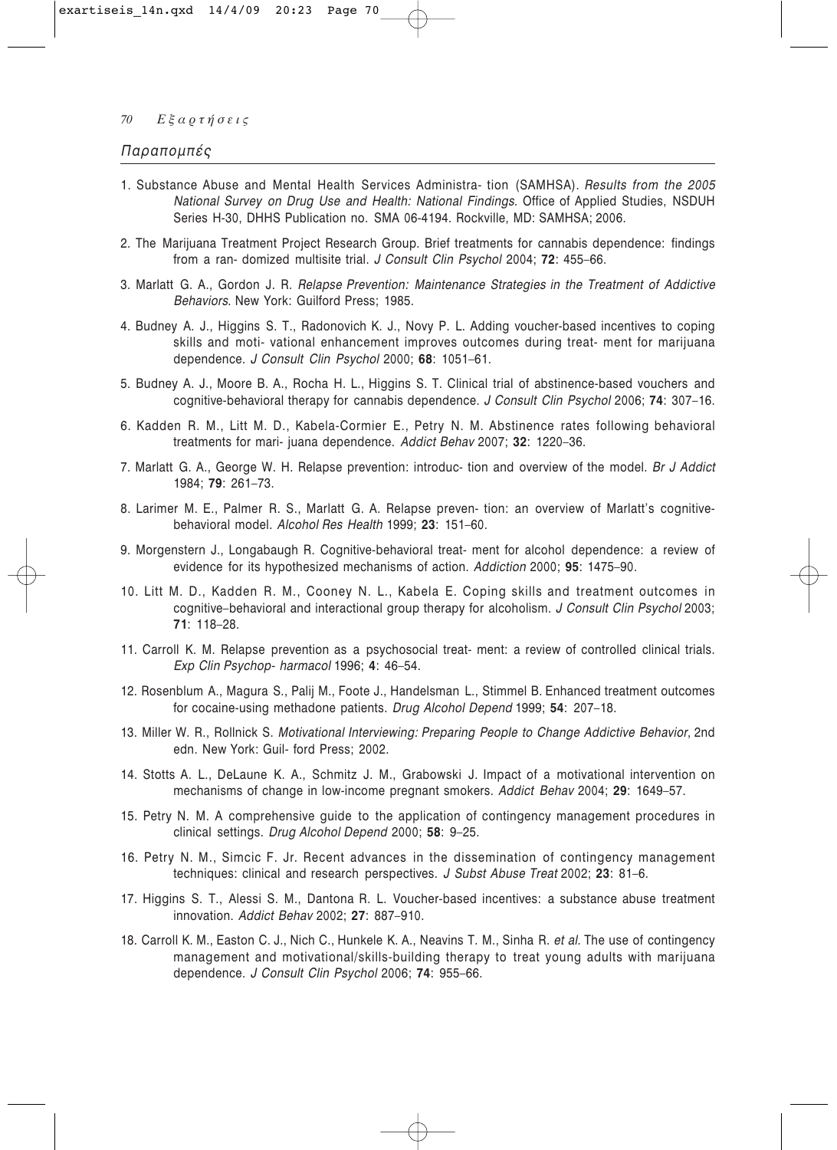### *Παραπομπές*

- 1. Substance Abuse and Mental Health Services Administra- tion (SAMHSA). *Results from the 2005 National Survey on Drug Use and Health: National Findings.* Office of Applied Studies, NSDUH Series H-30, DHHS Publication no. SMA 06-4194. Rockville, MD: SAMHSA; 2006.
- 2. The Marijuana Treatment Project Research Group. Brief treatments for cannabis dependence: findings from a ran- domized multisite trial. *J Consult Clin Psychol* 2004; **72**: 455–66.
- 3. Marlatt G. A., Gordon J. R. *Relapse Prevention: Maintenance Strategies in the Treatment of Addictive Behaviors*. New York: Guilford Press; 1985.
- 4. Budney A. J., Higgins S. T., Radonovich K. J., Novy P. L. Adding voucher-based incentives to coping skills and moti- vational enhancement improves outcomes during treat- ment for marijuana dependence. *J Consult Clin Psychol* 2000; **68**: 1051–61.
- 5. Budney A. J., Moore B. A., Rocha H. L., Higgins S. T. Clinical trial of abstinence-based vouchers and cognitive-behavioral therapy for cannabis dependence. *J Consult Clin Psychol* 2006; **74**: 307–16.
- 6. Kadden R. M., Litt M. D., Kabela-Cormier E., Petry N. M. Abstinence rates following behavioral treatments for mari- juana dependence. *Addict Behav* 2007; **32**: 1220–36.
- 7. Marlatt G. A., George W. H. Relapse prevention: introduc- tion and overview of the model. *Br J Addict* 1984; **79**: 261–73.
- 8. Larimer M. E., Palmer R. S., Marlatt G. A. Relapse preven- tion: an overview of Marlatt's cognitivebehavioral model. *Alcohol Res Health* 1999; **23**: 151–60.
- 9. Morgenstern J., Longabaugh R. Cognitive-behavioral treat- ment for alcohol dependence: a review of evidence for its hypothesized mechanisms of action. *Addiction* 2000; **95**: 1475–90.
- 10. Litt M. D., Kadden R. M., Cooney N. L., Kabela E. Coping skills and treatment outcomes in cognitive–behavioral and interactional group therapy for alcoholism. *J Consult Clin Psychol* 2003; **71**: 118–28.
- 11. Carroll K. M. Relapse prevention as a psychosocial treat- ment: a review of controlled clinical trials. *Exp Clin Psychop- harmacol* 1996; **4**: 46–54.
- 12. Rosenblum A., Magura S., Palij M., Foote J., Handelsman L., Stimmel B. Enhanced treatment outcomes for cocaine-using methadone patients. *Drug Alcohol Depend* 1999; **54**: 207–18.
- 13. Miller W. R., Rollnick S. *Motivational Interviewing: Preparing People to Change Addictive Behavior*, 2nd edn. New York: Guil- ford Press; 2002.
- 14. Stotts A. L., DeLaune K. A., Schmitz J. M., Grabowski J. Impact of a motivational intervention on mechanisms of change in low-income pregnant smokers. *Addict Behav* 2004; **29**: 1649–57.
- 15. Petry N. M. A comprehensive guide to the application of contingency management procedures in clinical settings. *Drug Alcohol Depend* 2000; **58**: 9–25.
- 16. Petry N. M., Simcic F. Jr. Recent advances in the dissemination of contingency management techniques: clinical and research perspectives. *J Subst Abuse Treat* 2002; **23**: 81–6.
- 17. Higgins S. T., Alessi S. M., Dantona R. L. Voucher-based incentives: a substance abuse treatment innovation. *Addict Behav* 2002; **27**: 887–910.
- 18. Carroll K. M., Easton C. J., Nich C., Hunkele K. A., Neavins T. M., Sinha R. *et al.* The use of contingency management and motivational/skills-building therapy to treat young adults with marijuana dependence. *J Consult Clin Psychol* 2006; **74**: 955–66.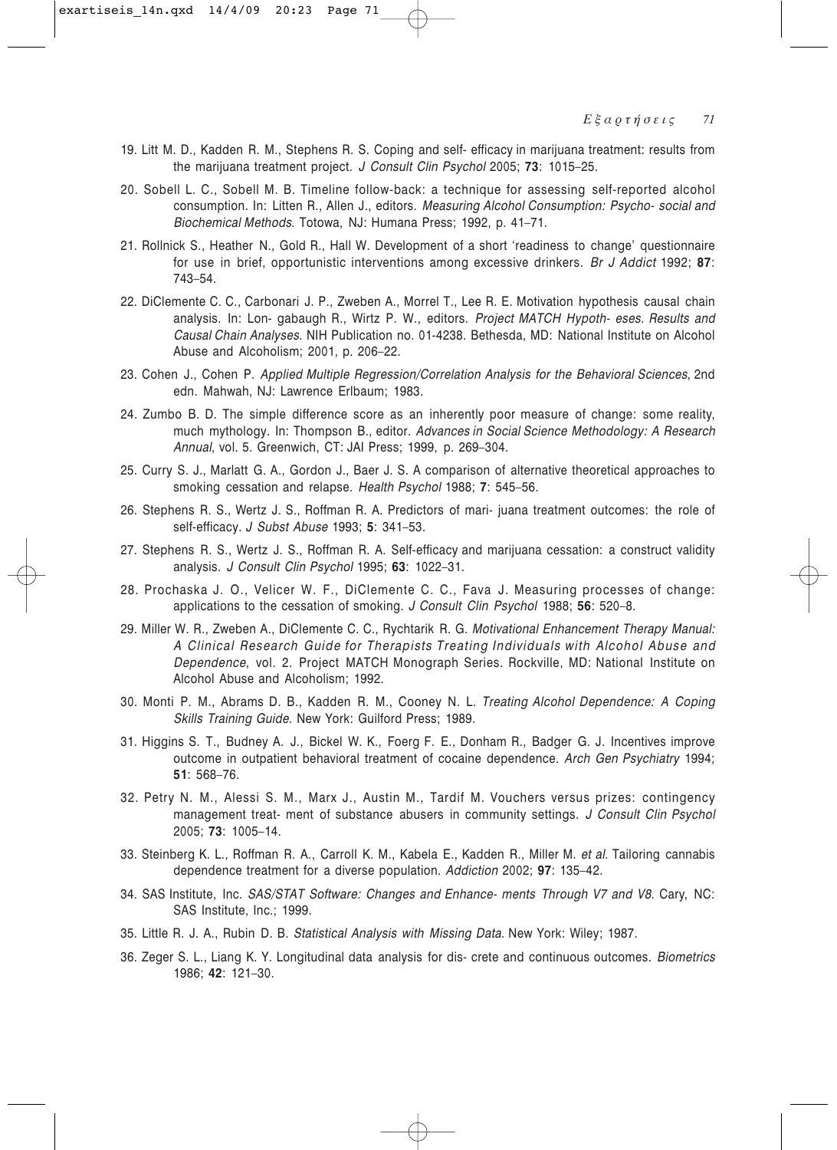- 19. Litt M. D., Kadden R. M., Stephens R. S. Coping and self- efficacy in marijuana treatment: results from the marijuana treatment project. *J Consult Clin Psychol* 2005; **73**: 1015–25.
- 20. Sobell L. C., Sobell M. B. Timeline follow-back: a technique for assessing self-reported alcohol consumption. In: Litten R., Allen J., editors. *Measuring Alcohol Consumption: Psycho- social and Biochemical Methods*. Totowa, NJ: Humana Press; 1992, p. 41–71.
- 21. Rollnick S., Heather N., Gold R., Hall W. Development of a short 'readiness to change' questionnaire for use in brief, opportunistic interventions among excessive drinkers. *Br J Addict* 1992; **87**: 743–54.
- 22. DiClemente C. C., Carbonari J. P., Zweben A., Morrel T., Lee R. E. Motivation hypothesis causal chain analysis. In: Lon- gabaugh R., Wirtz P. W., editors. *Project MATCH Hypoth- eses. Results and Causal Chain Analyses.* NIH Publication no. 01-4238. Bethesda, MD: National Institute on Alcohol Abuse and Alcoholism; 2001, p. 206–22.
- 23. Cohen J., Cohen P. *Applied Multiple Regression/Correlation Analysis for the Behavioral Sciences*, 2nd edn. Mahwah, NJ: Lawrence Erlbaum; 1983.
- 24. Zumbo B. D. The simple difference score as an inherently poor measure of change: some reality, much mythology. In: Thompson B., editor. *Advances in Social Science Methodology: A Research Annual*, vol. 5. Greenwich, CT: JAI Press; 1999, p. 269–304.
- 25. Curry S. J., Marlatt G. A., Gordon J., Baer J. S. A comparison of alternative theoretical approaches to smoking cessation and relapse. *Health Psychol* 1988; **7**: 545–56.
- 26. Stephens R. S., Wertz J. S., Roffman R. A. Predictors of mari- juana treatment outcomes: the role of self-efficacy. *J Subst Abuse* 1993; **5**: 341–53.
- 27. Stephens R. S., Wertz J. S., Roffman R. A. Self-efficacy and marijuana cessation: a construct validity analysis. *J Consult Clin Psychol* 1995; **63**: 1022–31.
- 28. Prochaska J. O., Velicer W. F., DiClemente C. C., Fava J. Measuring processes of change: applications to the cessation of smoking. *J Consult Clin Psychol* 1988; **56**: 520–8.
- 29. Miller W. R., Zweben A., DiClemente C. C., Rychtarik R. G. *Motivational Enhancement Therapy Manual: A Clinical Research Guide for Therapists Treating Individuals with Alcohol Abuse and Dependence*, vol. 2. Project MATCH Monograph Series. Rockville, MD: National Institute on Alcohol Abuse and Alcoholism; 1992.
- 30. Monti P. M., Abrams D. B., Kadden R. M., Cooney N. L. *Treating Alcohol Dependence: A Coping Skills Training Guide*. New York: Guilford Press; 1989.
- 31. Higgins S. T., Budney A. J., Bickel W. K., Foerg F. E., Donham R., Badger G. J. Incentives improve outcome in outpatient behavioral treatment of cocaine dependence. *Arch Gen Psychiatry* 1994; **51**: 568–76.
- 32. Petry N. M., Alessi S. M., Marx J., Austin M., Tardif M. Vouchers versus prizes: contingency management treat- ment of substance abusers in community settings. *J Consult Clin Psychol* 2005; **73**: 1005–14.
- 33. Steinberg K. L., Roffman R. A., Carroll K. M., Kabela E., Kadden R., Miller M. *et al.* Tailoring cannabis dependence treatment for a diverse population. *Addiction* 2002; **97**: 135–42.
- 34. SAS Institute, Inc. *SAS/STAT Software: Changes and Enhance- ments Through V7 and V8*. Cary, NC: SAS Institute, Inc.; 1999.
- 35. Little R. J. A., Rubin D. B. *Statistical Analysis with Missing Data*. New York: Wiley; 1987.
- 36. Zeger S. L., Liang K. Y. Longitudinal data analysis for dis- crete and continuous outcomes. *Biometrics* 1986; **42**: 121–30.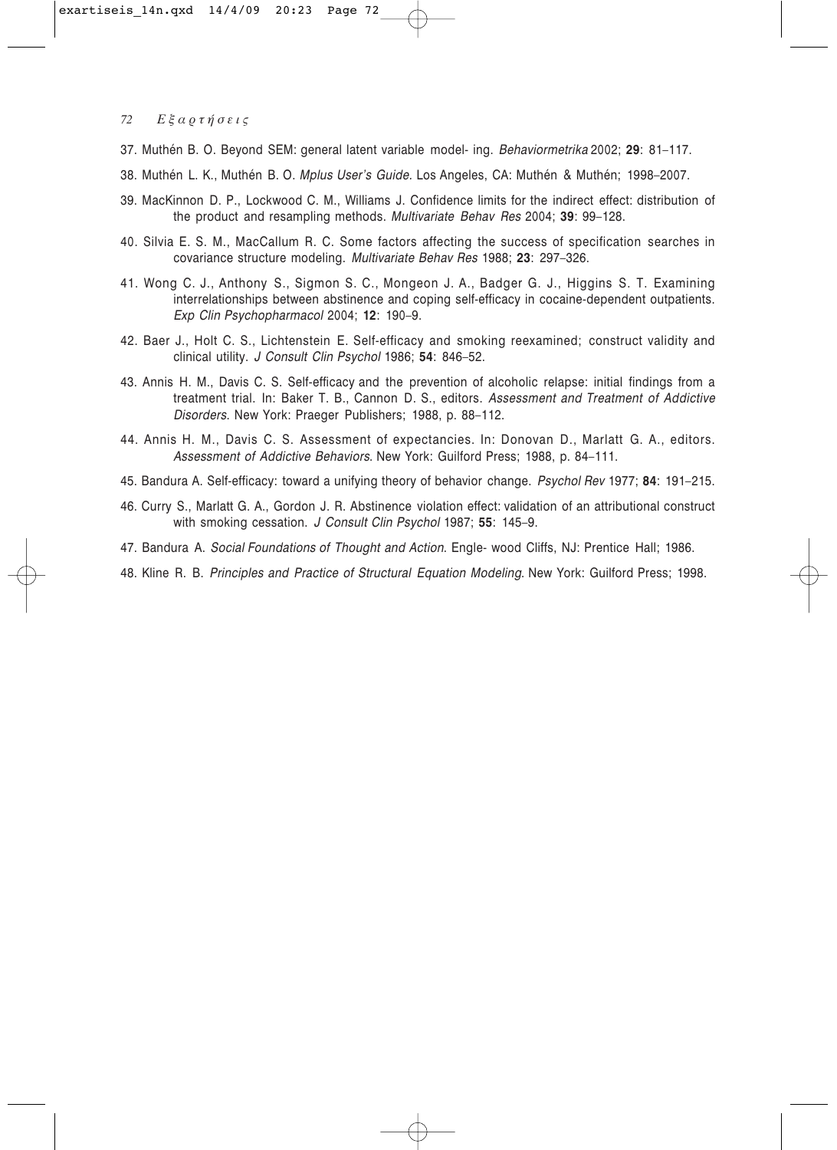- 37. Muthén B. O. Beyond SEM: general latent variable model- ing. *Behaviormetrika* 2002; **29**: 81–117.
- 38. Muthén L. K., Muthén B. O. *Mplus User's Guide.* Los Angeles, CA: Muthén & Muthén; 1998–2007.
- 39. MacKinnon D. P., Lockwood C. M., Williams J. Confidence limits for the indirect effect: distribution of the product and resampling methods. *Multivariate Behav Res* 2004; **39**: 99–128.
- 40. Silvia E. S. M., MacCallum R. C. Some factors affecting the success of specification searches in covariance structure modeling. *Multivariate Behav Res* 1988; **23**: 297–326.
- 41. Wong C. J., Anthony S., Sigmon S. C., Mongeon J. A., Badger G. J., Higgins S. T. Examining interrelationships between abstinence and coping self-efficacy in cocaine-dependent outpatients. *Exp Clin Psychopharmacol* 2004; **12**: 190–9.
- 42. Baer J., Holt C. S., Lichtenstein E. Self-efficacy and smoking reexamined; construct validity and clinical utility. *J Consult Clin Psychol* 1986; **54**: 846–52.
- 43. Annis H. M., Davis C. S. Self-efficacy and the prevention of alcoholic relapse: initial findings from a treatment trial. In: Baker T. B., Cannon D. S., editors. *Assessment and Treatment of Addictive Disorders*. New York: Praeger Publishers; 1988, p. 88–112.
- 44. Annis H. M., Davis C. S. Assessment of expectancies. In: Donovan D., Marlatt G. A., editors. *Assessment of Addictive Behaviors*. New York: Guilford Press; 1988, p. 84–111.
- 45. Bandura A. Self-efficacy: toward a unifying theory of behavior change. *Psychol Rev* 1977; **84**: 191–215.
- 46. Curry S., Marlatt G. A., Gordon J. R. Abstinence violation effect: validation of an attributional construct with smoking cessation. *J Consult Clin Psychol* 1987; **55**: 145–9.
- 47. Bandura A. *Social Foundations of Thought and Action*. Engle- wood Cliffs, NJ: Prentice Hall; 1986.
- 48. Kline R. B. *Principles and Practice of Structural Equation Modeling*. New York: Guilford Press; 1998.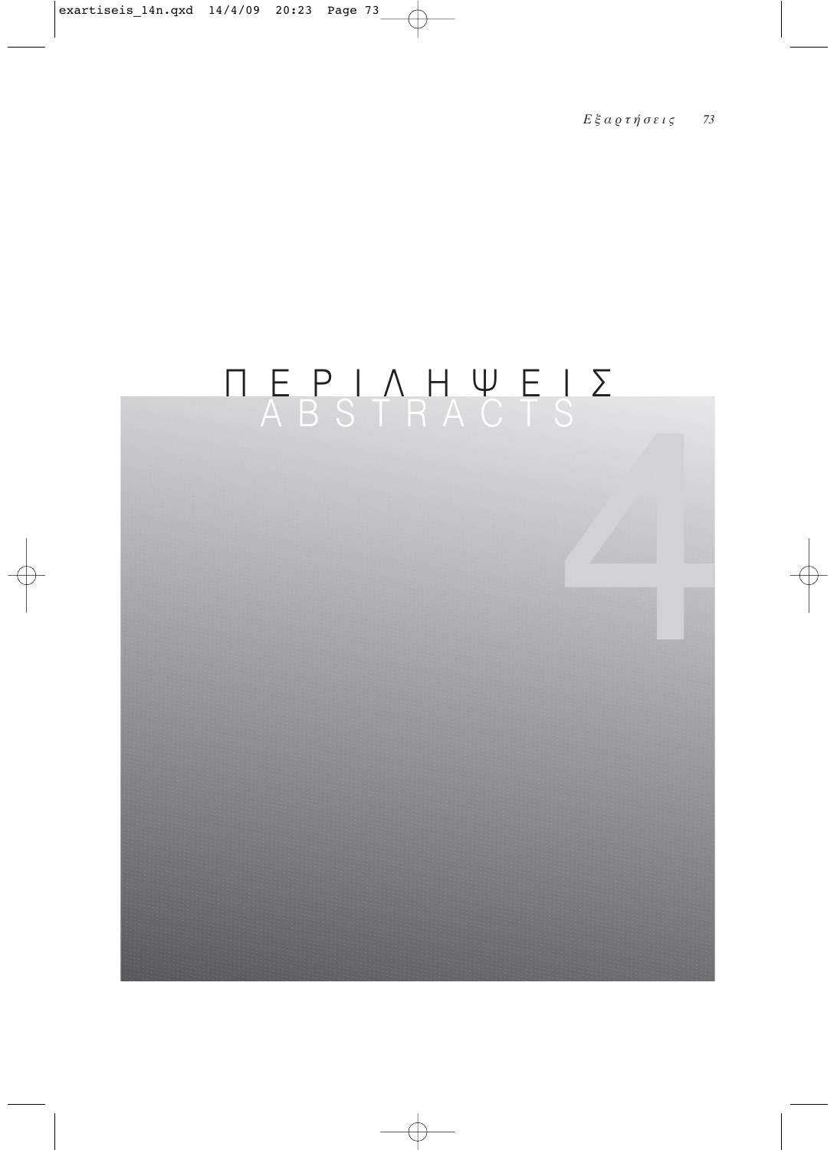$E$ ξαρτήσεις 73

# Π E P I A H Ψ E I Σ<br>A B S T R A C T S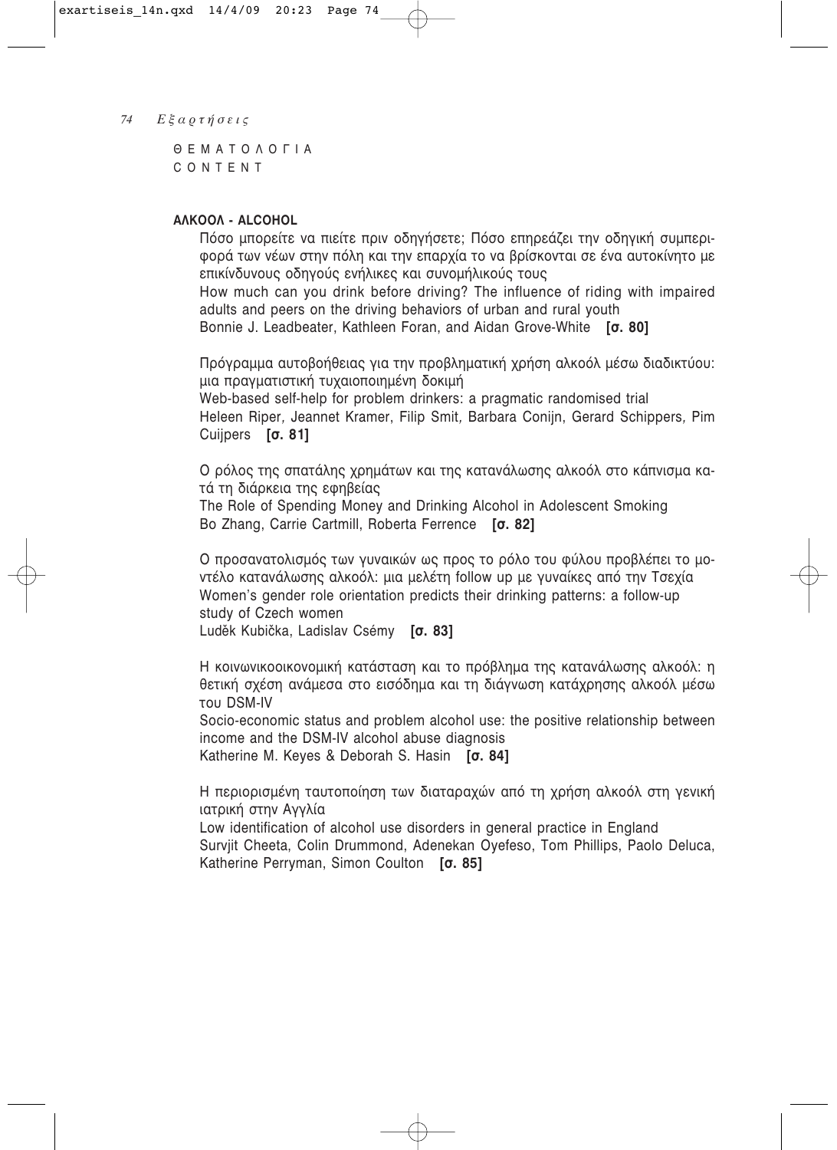$\Theta$  E M A T O A O F I A CONTENT

### **∞§∫√√§ - ALCOHOL**

Πόσο μπορείτε να πιείτε πριν οδηγήσετε; Πόσο επηρεάζει την οδηγική συμπεριφορά των νέων στην πόλη και την επαρχία το να βρίσκονται σε ένα αυτοκίνητο με επικίνδυνους οδηγούς ενήλικες και συνομήλικούς τους

How much can you drink before driving? The influence of riding with impaired adults and peers on the driving behaviors of urban and rural youth

Bonnie J. Leadbeater, Kathleen Foran, and Aidan Grove-White **[o. 80]** 

Пρόγραμμα αυτοβοήθειας για την προβληματική χρήση αλκοόλ μέσω διαδικτύου: μια πραγματιστική τυχαιοποιημένη δοκιμή

Web-based self-help for problem drinkers: a pragmatic randomised trial Heleen Riper*,* Jeannet Kramer, Filip Smit*,* Barbara Conijn, Gerard Schippers*,* Pim Cuijpers **[o. 81]** 

Ο ρόλος της σπατάλης χρημάτων και της κατανάλωσης αλκοόλ στο κάπνισμα κατά τη διάρκεια της εφηβείας The Role of Spending Money and Drinking Alcohol in Adolescent Smoking Bo Zhang, Carrie Cartmill, Roberta Ferrence **[o. 82]** 

Ο προσανατολισμός των γυναικών ως προς το ρόλο του φύλου προβλέπει το μοντέλο κατανάλωσης αλκοόλ: μια μελέτη follow up με γυναίκες από την Τσεχία Women's gender role orientation predicts their drinking patterns: a follow-up study of Czech women

Luděk Kubička, Ladislav Csémy **[o. 83]** 

Η κοινωνικοοικονομική κατάσταση και το πρόβλημα της κατανάλωσης αλκοόλ: η θετική σχέση ανάμεσα στο εισόδημα και τη διάγνωση κατάχρησης αλκοόλ μέσω TOU DSM-IV

Socio-economic status and problem alcohol use: the positive relationship between income and the DSM-IV alcohol abuse diagnosis

Katherine M. Keyes & Deborah S. Hasin [o. 84]

Η περιορισμένη ταυτοποίηση των διαταραχών από τη χρήση αλκοόλ στη γενική ιατρική στην Αγγλία

Low identification of alcohol use disorders in general practice in England Survjit Cheeta, Colin Drummond, Adenekan Oyefeso, Tom Phillips, Paolo Deluca, Katherine Perryman, Simon Coulton **[0. 85]**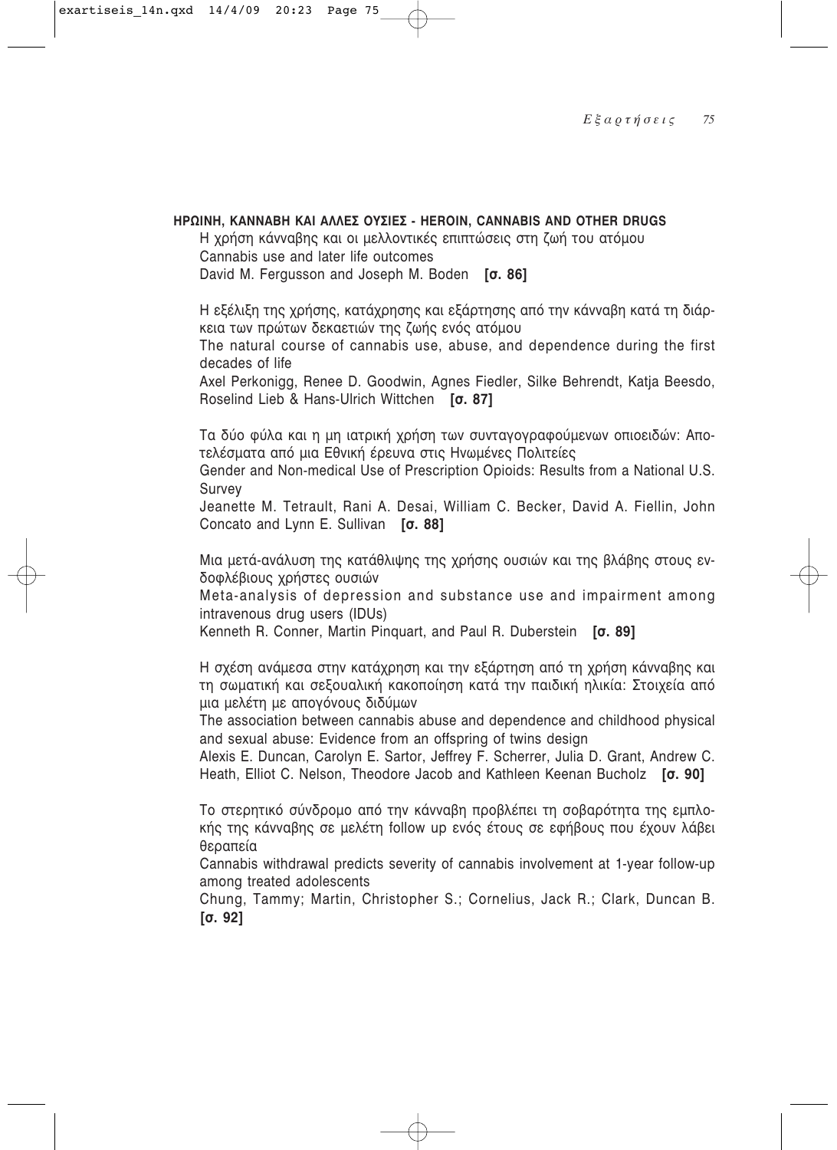# ΗΡΩΙΝΗ, ΚΑΝΝΑΒΗ ΚΑΙ ΑΛΛΕΣ ΟΥΣΙΕΣ - HEROIN, CANNABIS AND OTHER DRUGS

Η χρήση κάνναβης και οι μελλοντικές επιπτώσεις στη ζωή του ατόμου Cannabis use and later life outcomes David M. Fergusson and Joseph M. Boden [o. 86]

Η εξέλιξη της χρήσης, κατάχρησης και εξάρτησης από την κάνναβη κατά τη διάρκεια των πρώτων δεκαετιών της ζωής ενός ατόμου

The natural course of cannabis use, abuse, and dependence during the first decades of life

Axel Perkonigg, Renee D. Goodwin, Agnes Fiedler, Silke Behrendt, Katja Beesdo, Roselind Lieb & Hans-Ulrich Wittchen [o. 87]

Τα δύο φύλα και η μη ιατρική χρήση των συνταγογραφούμενων οπιοειδών: Αποτελέσματα από μια Εθνική έρευνα στις Ηνωμένες Πολιτείες

Gender and Non-medical Use of Prescription Opioids: Results from a National U.S. Survey

Jeanette M. Tetrault, Rani A. Desai, William C. Becker, David A. Fiellin, John Concato and Lynn E. Sullivan [o. 88]

Μια μετά-ανάλυση της κατάθλιψης της χρήσης ουσιών και της βλάβης στους ενδοφλέβιους χρήστες ουσιών

Meta-analysis of depression and substance use and impairment among intravenous drug users (IDUs)

Kenneth R. Conner, Martin Pinguart, and Paul R. Duberstein [o. 89]

Η σχέση ανάμεσα στην κατάχρηση και την εξάρτηση από τη χρήση κάνναβης και τη σωματική και σεξουαλική κακοποίηση κατά την παιδική ηλικία: Στοιχεία από μια μελέτη με απογόνους διδύμων

The association between cannabis abuse and dependence and childhood physical and sexual abuse: Evidence from an offspring of twins design

Alexis E. Duncan, Carolyn E. Sartor, Jeffrey F. Scherrer, Julia D. Grant, Andrew C. Heath, Elliot C. Nelson, Theodore Jacob and Kathleen Keenan Bucholz [o. 90]

Το στερητικό σύνδρομο από την κάνναβη προβλέπει τη σοβαρότητα της εμπλοκής της κάνναβης σε μελέτη follow up ενός έτους σε εφήβους που έχουν λάβει θεραπεία

Cannabis withdrawal predicts severity of cannabis involvement at 1-year follow-up among treated adolescents

Chung, Tammy; Martin, Christopher S.; Cornelius, Jack R.; Clark, Duncan B.  $[ $\sigma$ . 92]$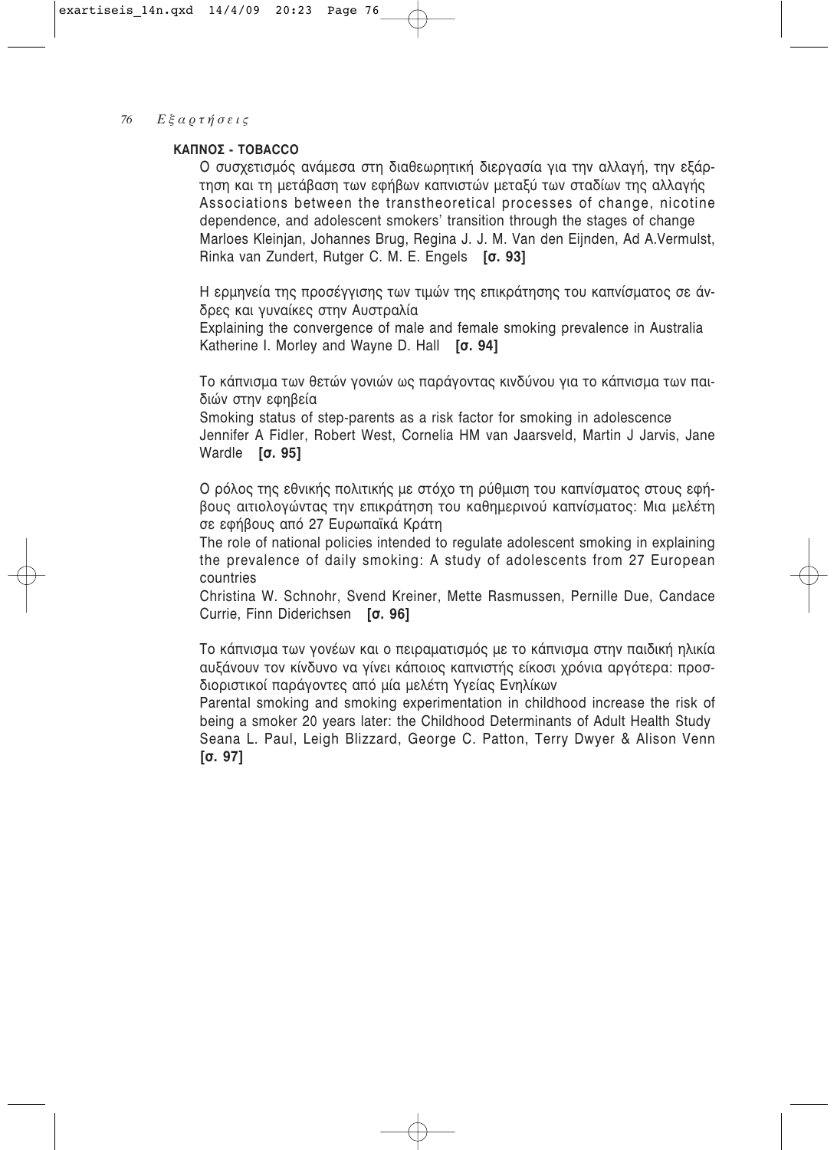### ΚΑΠΝΟΣ - ΤΟΒΑCCO

Ο συσχετισμός ανάμεσα στη διαθεωρητική διεργασία για την αλλαγή, την εξάρτηση και τη μετάβαση των εφήβων καπνιστών μεταξύ των σταδίων της αλλαγής Associations between the transtheoretical processes of change, nicotine dependence, and adolescent smokers' transition through the stages of change Marloes Kleinian, Johannes Brug, Regina J. J. M. Van den Eiinden, Ad A.Vermulst. Rinka van Zundert, Rutger C. M. E. Engels [o. 93]

Η ερμηνεία της προσέγγισης των τιμών της επικράτησης του καπνίσματος σε άνδρες και γυναίκες στην Αυστραλία

Explaining the convergence of male and female smoking prevalence in Australia Katherine I. Morley and Wayne D. Hall [o. 94]

Το κάπνισμα των θετών γονιών ως παράγοντας κινδύνου για το κάπνισμα των παιδιών στην εφηβεία

Smoking status of step-parents as a risk factor for smoking in adolescence Jennifer A Fidler, Robert West, Cornelia HM van Jaarsveld, Martin J Jarvis, Jane Wardle  $[\sigma. 95]$ 

Ο ρόλος της εθνικής πολιτικής με στόχο τη ρύθμιση του καπνίσματος στους εφήβους αιτιολογώντας την επικράτηση του καθημερινού καπνίσματος: Μια μελέτη σε εφήβους από 27 Ευρωπαϊκά Κράτη

The role of national policies intended to regulate adolescent smoking in explaining the prevalence of daily smoking: A study of adolescents from 27 European countries

Christina W. Schnohr, Svend Kreiner, Mette Rasmussen, Pernille Due, Candace Currie, Finn Diderichsen [o. 96]

Το κάπνισμα των γονέων και ο πειραματισμός με το κάπνισμα στην παιδική ηλικία αυξάνουν τον κίνδυνο να γίνει κάποιος καπνιστής είκοσι χρόνια αργότερα: προσδιοριστικοί παράγοντες από μία μελέτη Υγείας Ενηλίκων

Parental smoking and smoking experimentation in childhood increase the risk of being a smoker 20 years later: the Childhood Determinants of Adult Health Study Seana L. Paul, Leigh Blizzard, George C. Patton, Terry Dwyer & Alison Venn  $\lbrack \sigma$ . 97]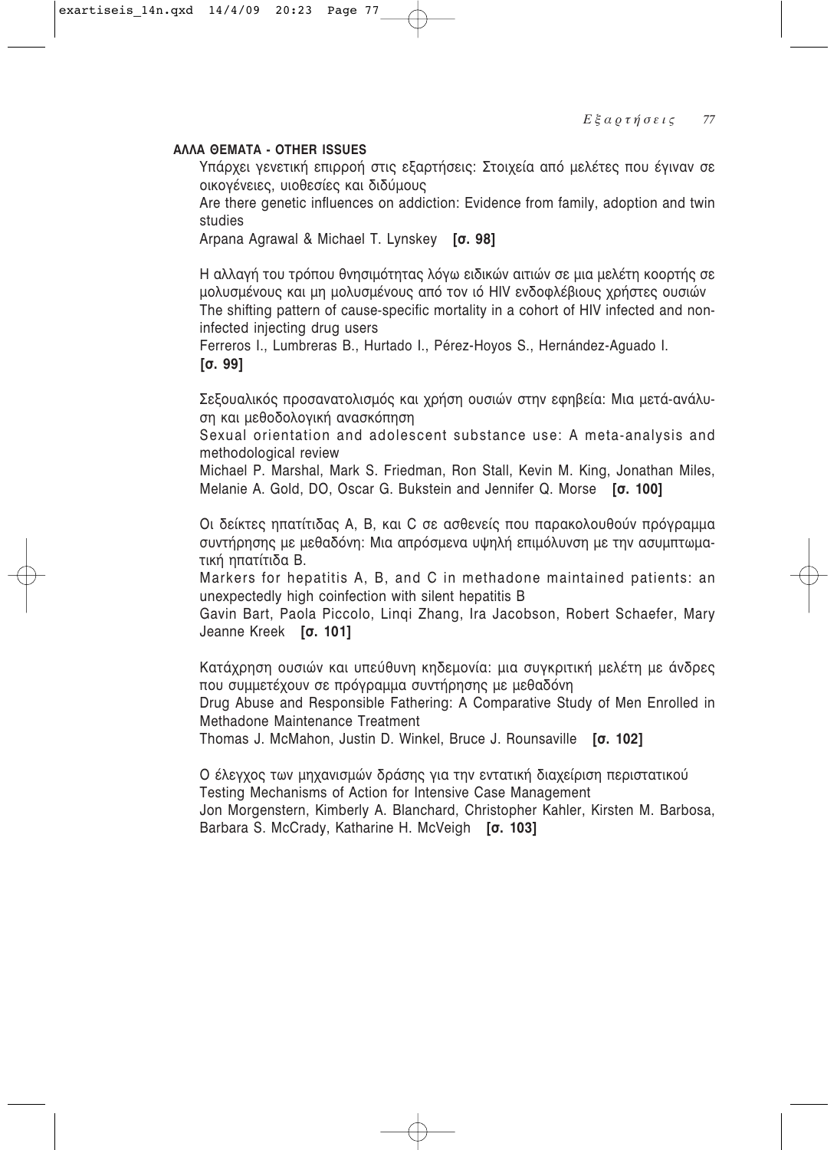### **AAAA GEMATA - OTHER ISSUES**

Υπάρχει γενετική επιρροή στις εξαρτήσεις: Στοιχεία από μελέτες που έγιναν σε οικογένειες, υιοθεσίες και διδύμους

Are there genetic influences on addiction: Evidence from family, adoption and twin studies

Arpana Agrawal & Michael T. Lynskey [o. 98]

Η αλλαγή του τρόπου θνησιμότητας λόγω ειδικών αιτιών σε μια μελέτη κοορτής σε μολυσμένους και μη μολυσμένους από τον ιό HIV ενδοφλέβιους χρήστες ουσιών The shifting pattern of cause-specific mortality in a cohort of HIV infected and noninfected injecting drug users

Ferreros I., Lumbreras B., Hurtado I., Pérez-Hoyos S., Hernández-Aguado I.  $\sigma$ . 991

Σεξουαλικός προσανατολισμός και χρήση ουσιών στην εφηβεία: Μια μετά-ανάλυση και μεθοδολονική ανασκόπηση

Sexual orientation and adolescent substance use: A meta-analysis and methodological review

Michael P. Marshal, Mark S. Friedman, Ron Stall, Kevin M. King, Jonathan Miles, Melanie A. Gold, DO, Oscar G. Bukstein and Jennifer Q. Morse [o. 100]

Οι δείκτες ηπατίτιδας Α, Β, και C σε ασθενείς που παρακολουθούν πρόγραμμα συντήρησης με μεθαδόνη: Μια απρόσμενα υψηλή επιμόλυνση με την ασυμπτωματική ηπατίτιδα Β.

Markers for hepatitis A, B, and C in methadone maintained patients: an unexpectedly high coinfection with silent hepatitis B

Gavin Bart, Paola Piccolo, Lingi Zhang, Ira Jacobson, Robert Schaefer, Mary Jeanne Kreek [o. 101]

Κατάχρηση ουσιών και υπεύθυνη κηδεμονία: μια συγκριτική μελέτη με άνδρες που συμμετέχουν σε πρόγραμμα συντήρησης με μεθαδόνη

Drug Abuse and Responsible Fathering: A Comparative Study of Men Enrolled in Methadone Maintenance Treatment

Thomas J. McMahon, Justin D. Winkel, Bruce J. Rounsaville [o. 102]

Ο έλεγχος των μηχανισμών δράσης για την εντατική διαχείριση περιστατικού Testing Mechanisms of Action for Intensive Case Management Jon Morgenstern, Kimberly A. Blanchard, Christopher Kahler, Kirsten M. Barbosa, Barbara S. McCrady, Katharine H. McVeigh [o. 103]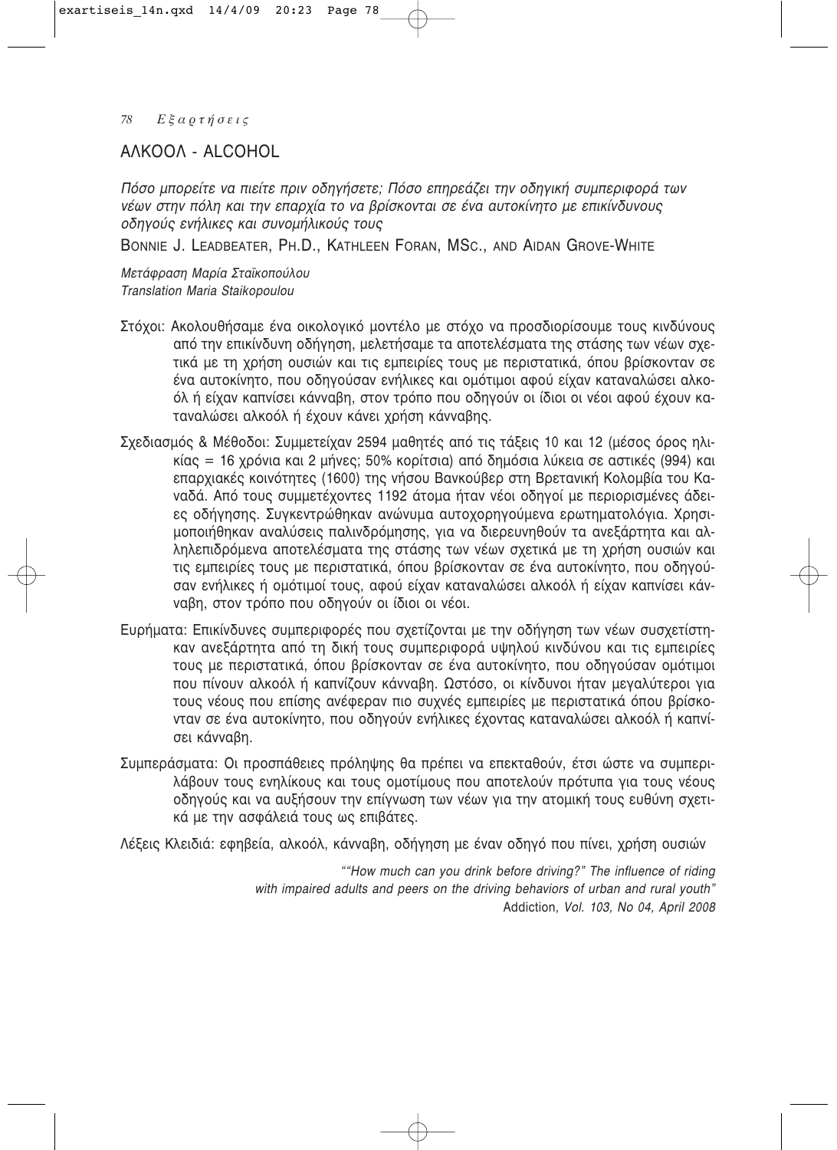# ∞§∫√√§ - ALCOHOL

*Πόσο μπορείτε να πιείτε πριν οδηγήσετε; Πόσο επηρεάζει την οδηγική συμπεριφορά των V*έων στην πόλη και την επαρχία το να βρίσκονται σε ένα αυτοκίνητο με επικίνδυνους οδηγούς ενήλικες και συνομήλικούς τους

BONNIE J. LEADBEATER, PH.D., KATHLEEN FORAN, MSC., AND AIDAN GROVE-WHITE

*Μετάφραση Μαρία Σταϊκοπούλου Translation Maria Staikopoulou*

- Στόχοι: Ακολουθήσαμε ένα οικολογικό μοντέλο με στόχο να προσδιορίσουμε τους κινδύνους από την επικίνδυνη οδήγηση, μελετήσαμε τα αποτελέσματα της στάσης των νέων σχετικά με τη χρήση ουσιών και τις εμπειρίες τους με περιστατικά, όπου βρίσκονταν σε ένα αυτοκίνητο, που οδηγούσαν ενήλικες και ομότιμοι αφού είχαν καταναλώσει αλκοόλ ή είχαν καπνίσει κάνναβη, στον τρόπο που οδηγούν οι ίδιοι οι νέοι αφού έχουν καταναλώσει αλκοόλ ή έχουν κάνει χρήση κάνναβης.
- Σχεδιασμός & Μέθοδοι: Συμμετείχαν 2594 μαθητές από τις τάξεις 10 και 12 (μέσος όρος ηλι- $K$ ίας = 16 χρόνια και 2 μήνες; 50% κορίτσια) από δημόσια λύκεια σε αστικές (994) και επαρχιακές κοινότητες (1600) της νήσου Βανκούβερ στη Βρετανική Κολομβία του Καναδά. Από τους συμμετέχοντες 1192 άτομα ήταν νέοι οδηγοί με περιορισμένες άδειες οδήγησης. Συγκεντρώθηκαν ανώνυμα αυτοχορηγούμενα ερωτηματολόγια. Χρησιμοποιήθηκαν αναλύσεις παλινδρόμησης, για να διερευνηθούν τα ανεξάρτητα και αλληλεπιδρόμενα αποτελέσματα της στάσης των νέων σχετικά με τη χρήση ουσιών και τις εμπειρίες τους με περιστατικά, όπου βρίσκονταν σε ένα αυτοκίνητο, που οδηγούσαν ενήλικες ή ομότιμοί τους, αφού είχαν καταναλώσει αλκοόλ ή είχαν καπνίσει κάνvαβη, στον τρόπο που οδηγούν οι ίδιοι οι νέοι.
- Ευρήματα: Επικίνδυνες συμπεριφορές που σχετίζονται με την οδήγηση των νέων συσχετίστηκαν ανεξάρτητα από τη δική τους συμπεριφορά υψηλού κινδύνου και τις εμπειρίες τους με περιστατικά, όπου βρίσκονταν σε ένα αυτοκίνητο, που οδηγούσαν ομότιμοι που πίνουν αλκοόλ ή καπνίζουν κάνναβη. Ωστόσο, οι κίνδυνοι ήταν μεγαλύτεροι για τους νέους που επίσης ανέφεραν πιο συχνές εμπειρίες με περιστατικά όπου βρίσκονταν σε ένα αυτοκίνητο, που οδηγούν ενήλικες έχοντας καταναλώσει αλκοόλ ή καπνίσει κάνναβη.
- Συμπεράσματα: Οι προσπάθειες πρόληψης θα πρέπει να επεκταθούν, έτσι ώστε να συμπεριλάβουν τους ενηλίκους και τους ομοτίμους που αποτελούν πρότυπα για τους νέους οδηγούς και να αυξήσουν την επίγνωση των νέων για την ατομική τους ευθύνη σχετικά με την ασφάλειά τους ως επιβάτες.

Λέξεις Κλειδιά: εφηβεία, αλκοόλ, κάνναβη, οδήγηση με έναν οδηγό που πίνει, χρήση ουσιών

*""How much can you drink before driving?" The influence of riding with impaired adults and peers on the driving behaviors of urban and rural youth"* Addiction*, Vol. 103, No 04, April 2008*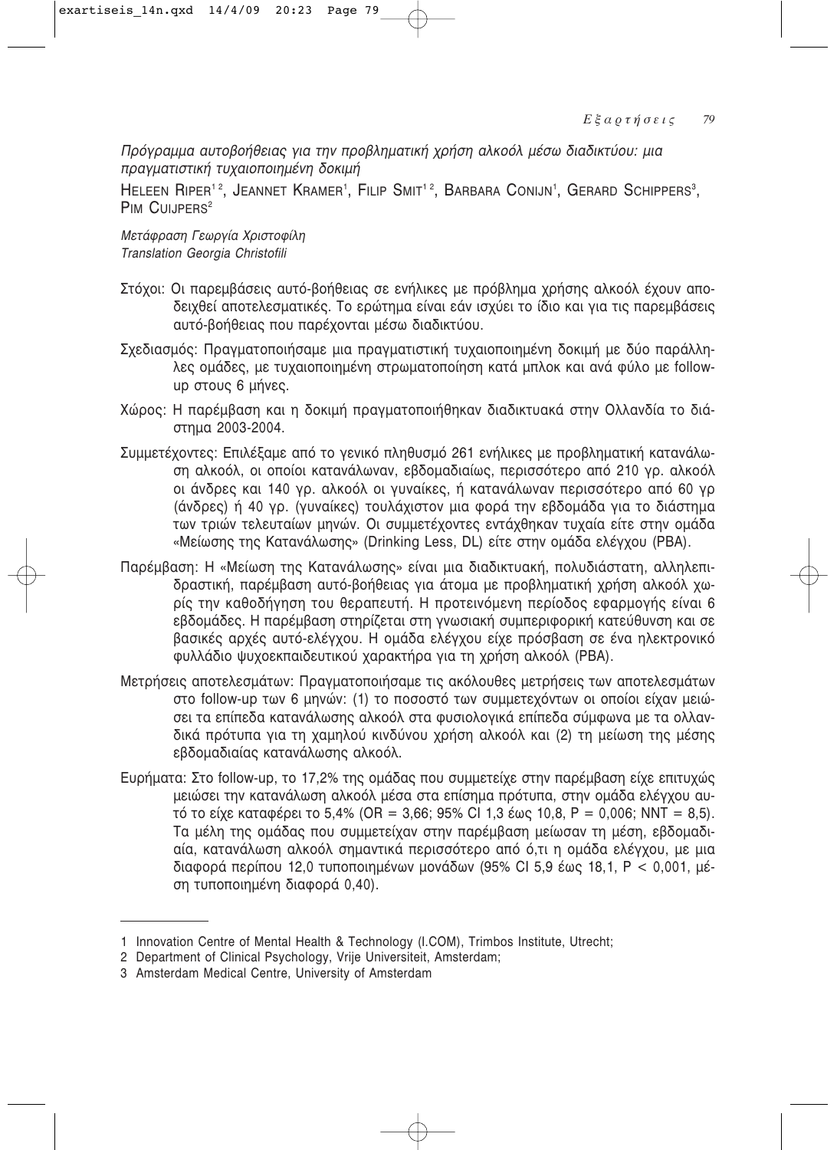exartiseis\_14n.qxd 14/4/09 20:23 Page 79

 $\Pi$ ρόγραμμα αυτοβοήθειας για την προβληματική χρήση αλκοόλ μέσω διαδικτύου: μια πραγματιστική τυχαιοποιημένη δοκιμή

Heleen  $\mathsf{RIPen}^{\scriptscriptstyle{12}},$  Jeannet Kramer', Filip Smit $^{\scriptscriptstyle{12}},$  Barbara Conijn', Gerard Schippers $^{\scriptscriptstyle{3}},$ PIM CUIJPERS<sup>2</sup>

*Μετάφραση Γεωργία Χριστοφίλη Translation Georgia Christofili*

- Στόχοι: Οι παρεμβάσεις αυτό-βοήθειας σε ενήλικες με πρόβλημα χρήσης αλκοόλ έχουν αποδειχθεί αποτελεσματικές. Το ερώτημα είναι εάν ισχύει το ίδιο και για τις παρεμβάσεις αυτό-βοήθειας που παρέχονται μέσω διαδικτύου.
- Σχεδιασμός: Πραγματοποιήσαμε μια πραγματιστική τυχαιοποιημένη δοκιμή με δύο παράλληλες ομάδες, με τυχαιοποιημένη στρωματοποίηση κατά μπλοκ και ανά φύλο με followup στους 6 μήνες.
- Χώρος: Η παρέμβαση και η δοκιμή πραγματοποιήθηκαν διαδικτυακά στην Ολλανδία το διάστημα 2003-2004.
- Συμμετέχοντες: Επιλέξαμε από το γενικό πληθυσμό 261 ενήλικες με προβληματική κατανάλωση αλκοόλ, οι οποίοι κατανάλωναν, εβδομαδιαίως, περισσότερο από 210 γρ. αλκοόλ οι άνδρες και 140 γρ. αλκοόλ οι γυναίκες, ή κατανάλωναν περισσότερο από 60 γρ (άνδρες) ή 40 γρ. (γυναίκες) τουλάχιστον μια φορά την εβδομάδα για το διάστημα των τριών τελευταίων μηνών. Οι συμμετέχοντες εντάχθηκαν τυχαία είτε στην ομάδα «Μείωσης της Κατανάλωσης» (Drinking Less, DL) είτε στην ομάδα ελέγχου (PBA).
- Παρέμβαση: Η «Μείωση της Κατανάλωσης» είναι μια διαδικτυακή, πολυδιάστατη, αλληλεπιδραστική, παρέμβαση αυτό-βοήθειας για άτομα με προβληματική χρήση αλκοόλ χωρίς την καθοδήγηση του θεραπευτή. Η προτεινόμενη περίοδος εφαρμογής είναι 6 εβδομάδες. Η παρέμβαση στηρίζεται στη γνωσιακή συμπεριφορική κατεύθυνση και σε βασικές αρχές αυτό-ελέγχου. Η ομάδα ελέγχου είχε πρόσβαση σε ένα ηλεκτρονικό φυλλάδιο ψυχοεκπαιδευτικού χαρακτήρα για τη χρήση αλκοόλ (PBA).
- Μετρήσεις αποτελεσμάτων: Πραγματοποιήσαμε τις ακόλουθες μετρήσεις των αποτελεσμάτων στο follow-up των 6 μηνών: (1) το ποσοστό των συμμετεχόντων οι οποίοι είχαν μειώσει τα επίπεδα κατανάλωσης αλκοόλ στα φυσιολογικά επίπεδα σύμφωνα με τα ολλανδικά πρότυπα για τη χαμηλού κινδύνου χρήση αλκοόλ και (2) τη μείωση της μέσης εβδομαδιαίας κατανάλωσης αλκοόλ.
- Ευρήματα: Στο follow-up, το 17,2% της ομάδας που συμμετείχε στην παρέμβαση είχε επιτυχώς μειώσει την κατανάλωση αλκοόλ μέσα στα επίσημα πρότυπα, στην ομάδα ελέγχου αυτό το είχε καταφέρει το 5,4% (OR = 3,66; 95% Cl 1,3 έως 10,8, P = 0,006; NNT = 8,5). Τα μέλη της ομάδας που συμμετείχαν στην παρέμβαση μείωσαν τη μέση, εβδομαδιαία, κατανάλωση αλκοόλ σημαντικά περισσότερο από ό,τι η ομάδα ελέγχου, με μια διαφορά περίπου 12,0 τυποποιημένων μονάδων (95% CI 5,9 έως 18,1, P < 0,001, μέση τυποποιημένη διαφορά 0,40).

<sup>1</sup> Innovation Centre of Mental Health & Technology (I.COM), Trimbos Institute, Utrecht;

<sup>2</sup> Department of Clinical Psychology, Vrije Universiteit, Amsterdam;

<sup>3</sup> Amsterdam Medical Centre, University of Amsterdam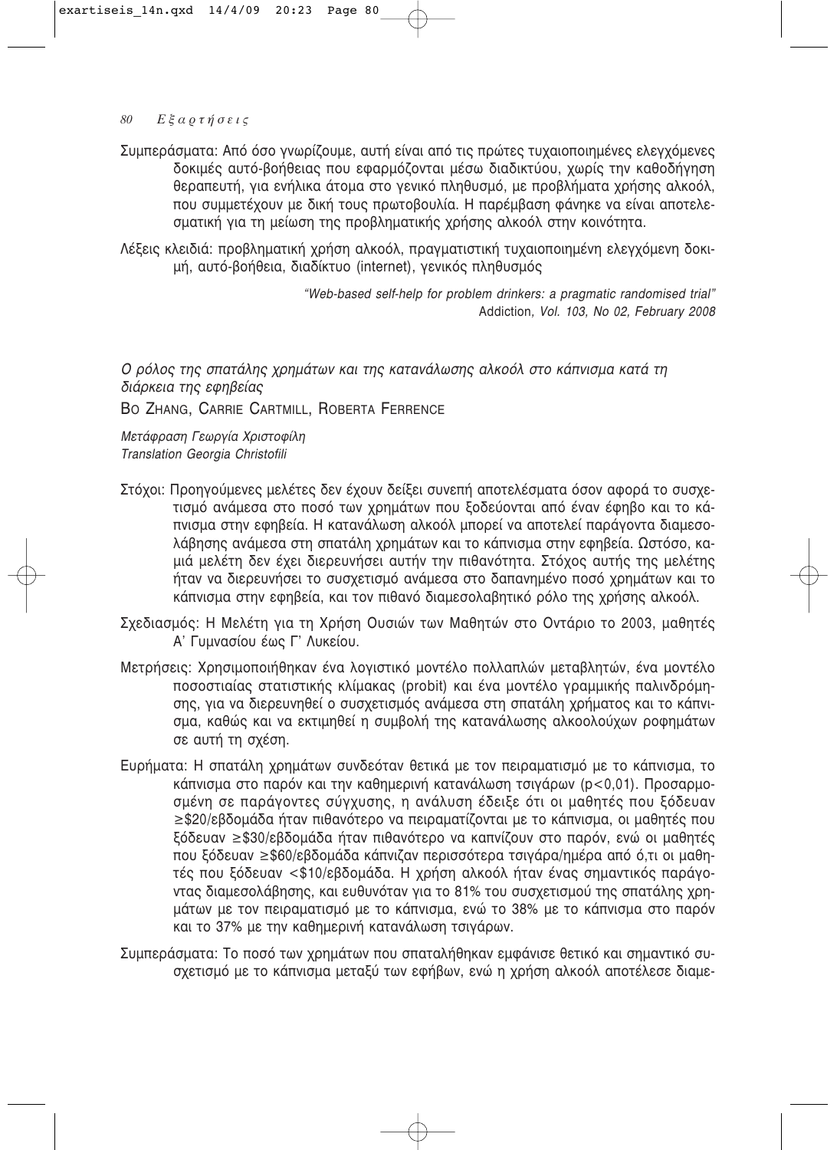Συμπεράσματα: Από όσο γνωρίζουμε, αυτή είναι από τις πρώτες τυχαιοποιημένες ελεγχόμενες δοκιμές αυτό-βοήθειας που εφαρμόζονται μέσω διαδικτύου, χωρίς την καθοδήγηση θεραπευτή, για ενήλικα άτομα στο γενικό πληθυσμό, με προβλήματα χρήσης αλκοόλ, που συμμετέχουν με δική τους πρωτοβουλία. Η παρέμβαση φάνηκε να είναι αποτελεσματική για τη μείωση της προβληματικής χρήσης αλκοόλ στην κοινότητα.

Λέξεις κλειδιά: προβληματική χρήση αλκοόλ, πραγματιστική τυχαιοποιημένη ελεγχόμενη δοκιuή, αυτό-βοήθεια, διαδίκτυο (internet), γενικός πληθυσμός

> *"Web-based self-help for problem drinkers: a pragmatic randomised trial"* Addiction*, Vol. 103, No 02, February 2008*

Ο ρόλος της σπατάλης χρημάτων και της κατανάλωσης αλκοόλ στο κάπνισμα κατά τη διάρκεια της εφηβείας

BO ZHANG, CARRIE CARTMILL, ROBERTA FERRENCE

*Μετάφραση Γεωργία Χριστοφίλη Translation Georgia Christofili*

- Στόχοι: Προηγούμενες μελέτες δεν έχουν δείξει συνεπή αποτελέσματα όσον αφορά το συσχετισμό ανάμεσα στο ποσό των χρημάτων που ξοδεύονται από έναν έφηβο και το κάπνισμα στην εφηβεία. Η κατανάλωση αλκοόλ μπορεί να αποτελεί παράνοντα διαμεσολάβησης ανάμεσα στη σπατάλη χρημάτων και το κάπνισμα στην εφηβεία. Ωστόσο, καμιά μελέτη δεν έχει διερευνήσει αυτήν την πιθανότητα. Στόχος αυτής της μελέτης ήταν να διερευνήσει το συσχετισμό ανάμεσα στο δαπανημένο ποσό χρημάτων και το κάπνισμα στην εφηβεία, και τον πιθανό διαμεσολαβητικό ρόλο της χρήσης αλκοόλ.
- Σχεδιασμός: Η Μελέτη για τη Χρήση Ουσιών των Μαθητών στο Οντάριο το 2003, μαθητές A' Γυμνασίου έως Γ' Λυκείου.
- Μετρήσεις: Χρησιμοποιήθηκαν ένα λογιστικό μοντέλο πολλαπλών μεταβλητών, ένα μοντέλο ποσοστιαίας στατιστικής κλίμακας (probit) και ένα μοντέλο γραμμικής παλινδρόμησης, για να διερευνηθεί ο συσχετισμός ανάμεσα στη σπατάλη χρήματος και το κάπνισμα, καθώς και να εκτιμηθεί η συμβολή της κατανάλωσης αλκοολούχων ροφημάτων σε αυτή τη σχέση.
- Ευρήματα: Η σπατάλη χρημάτων συνδεόταν θετικά με τον πειραματισμό με το κάπνισμα, το κάπνισμα στο παρόν και την καθημερινή κατανάλωση τσιγάρων (p<0,01). Προσαρμοσμένη σε παράγοντες σύγχυσης, η ανάλυση έδειξε ότι οι μαθητές που ξόδευαν ≥\$20/εβδομάδα ήταν πιθανότερο να πειραματίζονται με το κάπνισμα, οι μαθητές που ξόδευαν ≥\$30/εβδομάδα ήταν πιθανότερο να καπνίζουν στο παρόν, ενώ οι μαθητές που ξόδευαν ≥\$60/εβδομάδα κάπνιζαν περισσότερα τσιγάρα/ημέρα από ό,τι οι μαθητές που ξόδευαν <\$10/εβδομάδα. Η χρήση αλκοόλ ήταν ένας σημαντικός παράγοντας διαμεσολάβησης, και ευθυνόταν για το 81% του συσχετισμού της σπατάλης χρημάτων με τον πειραματισμό με το κάπνισμα, ενώ το 38% με το κάπνισμα στο παρόν και το 37% με την καθημερινή κατανάλωση τσιγάρων.
- Συμπεράσματα: Το ποσό των χρημάτων που σπαταλήθηκαν εμφάνισε θετικό και σημαντικό συσχετισμό με το κάπνισμα μεταξύ των εφήβων, ενώ η χρήση αλκοόλ αποτέλεσε διαμε-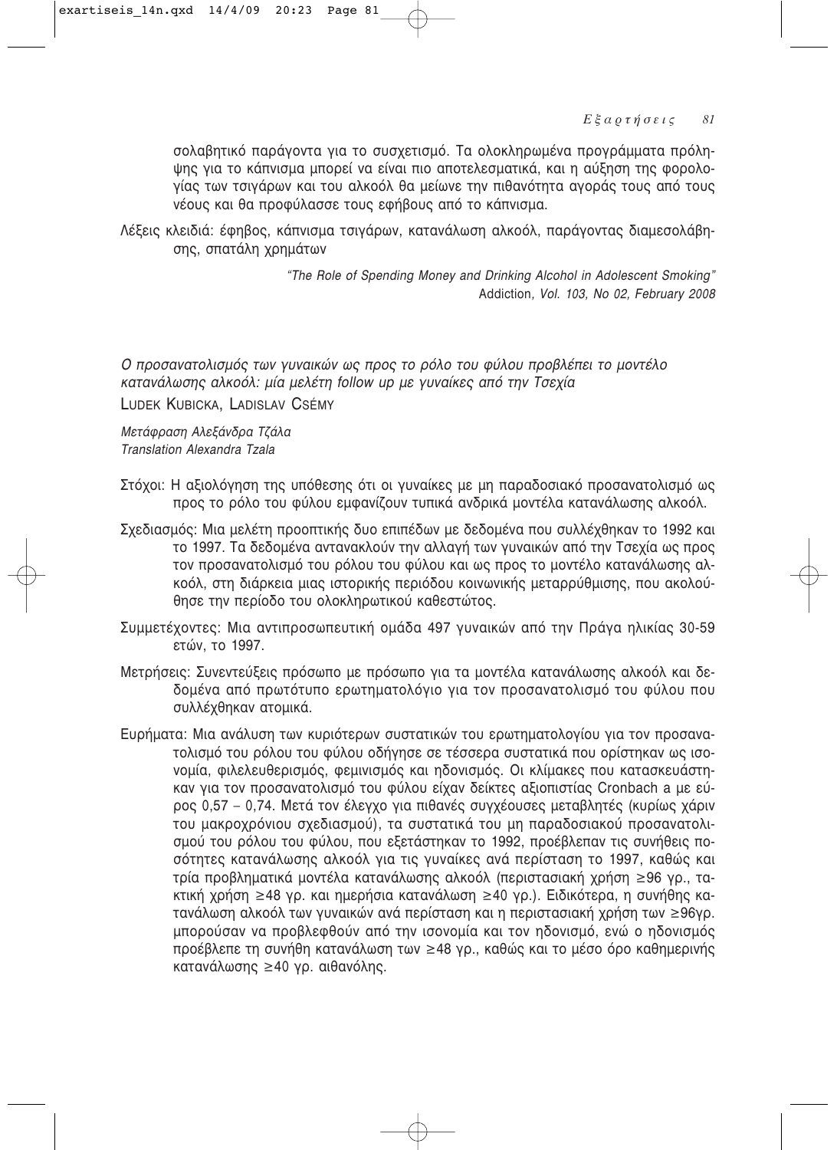σολαβητικό παράγοντα για το συσχετισμό. Τα ολοκληρωμένα προγράμματα πρόληψης για το κάπνισμα μπορεί να είναι πιο αποτελεσματικά, και η αύξηση της φορολογίας των τσιγάρων και του αλκοόλ θα μείωνε την πιθανότητα αγοράς τους από τους νέους και θα προφύλασσε τους εφήβους από το κάπνισμα.

Λέξεις κλειδιά: έφηβος, κάπνισμα τσιγάρων, κατανάλωση αλκοόλ, παράγοντας διαμεσολάβησης, σπατάλη χρημάτων

> *"The Role of Spending Money and Drinking Alcohol in Adolescent Smoking"* Addiction*, Vol. 103, No 02, February 2008*

Ο προσανατολισμός των γυναικών ως προς το ρόλο του φύλου προβλέπει το μοντέλο *κατανάλωσης αλκοόλ: μία μελέτη follow up με γυναίκες από την Τσεχία* 

LUDEK KUBICKA, LADISLAV CSÉMY

 $M$ ετάφραση Αλεξάνδρα Τζάλα *Translation Alexandra Tzala*

- Στόχοι: Η αξιολόγηση της υπόθεσης ότι οι γυναίκες με μη παραδοσιακό προσανατολισμό ως προς το ρόλο του φύλου εμφανίζουν τυπικά ανδρικά μοντέλα κατανάλωσης αλκοόλ.
- Σχεδιασμός: Μια μελέτη προοπτικής δυο επιπέδων με δεδομένα που συλλέχθηκαν το 1992 και το 1997. Τα δεδομένα αντανακλούν την αλλανή των νυναικών από την Τσεχία ως προς τον προσανατολισμό του ρόλου του φύλου και ως προς το μοντέλο κατανάλωσης αλκοόλ, στη διάρκεια μιας ιστορικής περιόδου κοινωνικής μεταρρύθμισης, που ακολούθησε την περίοδο του ολοκληρωτικού καθεστώτος.
- Συμμετέχοντες: Μια αντιπροσωπευτική ομάδα 497 γυναικών από την Πράγα ηλικίας 30-59 ετών, το 1997.
- Μετρήσεις: Συνεντεύξεις πρόσωπο με πρόσωπο για τα μοντέλα κατανάλωσης αλκοόλ και δεδομένα από πρωτότυπο ερωτηματολόγιο για τον προσανατολισμό του φύλου που συλλέχθηκαν ατομικά.
- Ευρήματα: Μια ανάλυση των κυριότερων συστατικών του ερωτηματολογίου για τον προσανατολισμό του ρόλου του φύλου οδήγησε σε τέσσερα συστατικά που ορίστηκαν ως ισονομία, φιλελευθερισμός, φεμινισμός και ηδονισμός. Οι κλίμακες που κατασκευάστηκαν για τον προσανατολισμό του φύλου είχαν δείκτες αξιοπιστίας Cronbach a με εύρος 0,57 – 0,74. Μετά τον έλεγχο για πιθανές συγχέουσες μεταβλητές (κυρίως χάριν του μακροχρόνιου σχεδιασμού), τα συστατικά του μη παραδοσιακού προσανατολισμού του ρόλου του φύλου, που εξετάστηκαν το 1992, προέβλεπαν τις συνήθεις ποσότητες κατανάλωσης αλκοόλ για τις γυναίκες ανά περίσταση το 1997, καθώς και τρία προβληματικά μοντέλα κατανάλωσης αλκοόλ (περιστασιακή χρήση ≥96 γρ., τακτική χρήση ≥48 γρ. και ημερήσια κατανάλωση ≥40 γρ.). Ειδικότερα, η συνήθης κατανάλωση αλκοόλ των γυναικών ανά περίσταση και η περιστασιακή χρήση των ≥96γρ. μπορούσαν να προβλεφθούν από την ισονομία και τον ηδονισμό, ενώ ο ηδονισμός προέβλεπε τη συνήθη κατανάλωση των ≥48 γρ., καθώς και το μέσο όρο καθημερινής κατανάλωσης ≥40 γρ. αιθανόλης.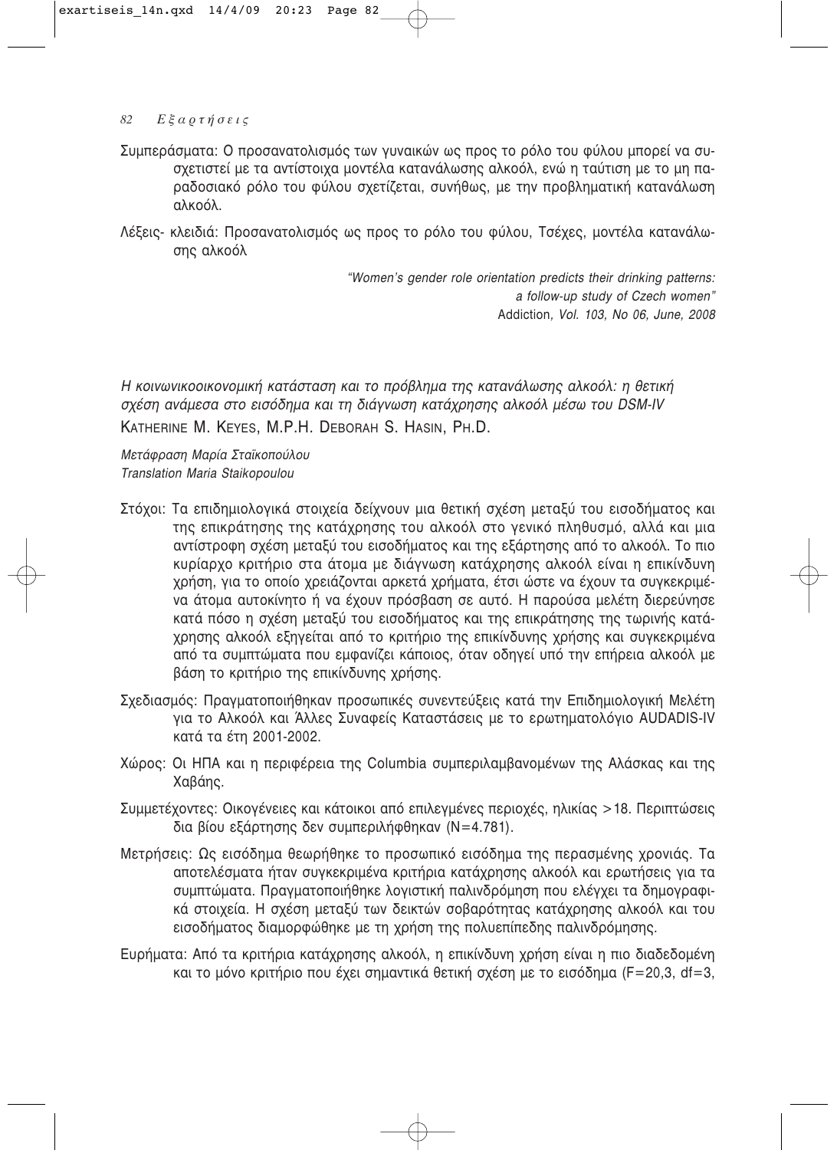- Συμπεράσματα: Ο προσανατολισμός των γυναικών ως προς το ρόλο του φύλου μπορεί να συσχετιστεί με τα αντίστοιχα μοντέλα κατανάλωσης αλκοόλ, ενώ η ταύτιση με το μη παραδοσιακό ρόλο του φύλου σχετίζεται, συνήθως, με την προβληματική κατανάλωση αλκοόλ.
- Λέξεις- κλειδιά: Προσανατολισμός ως προς το ρόλο του φύλου, Τσέχες, μοντέλα κατανάλωσης αλκοόλ

"Women's gender role orientation predicts their drinking patterns: a follow-up study of Czech women" Addiction, Vol. 103, No 06, June, 2008

Η κοινωνικοοικονομική κατάσταση και το πρόβλημα της κατανάλωσης αλκοόλ: η θετική σχέση ανάμεσα στο εισόδημα και τη διάγνωση κατάχρησης αλκοόλ μέσω του DSM-IV KATHERINE M. KEYES, M.P.H. DEBORAH S. HASIN, PH.D.

Μετάφραση Μαρία Σταϊκοπούλου Translation Maria Staikopoulou

- Στόχοι: Τα επιδημιολογικά στοιχεία δείχνουν μια θετική σχέση μεταξύ του εισοδήματος και της επικράτησης της κατάχρησης του αλκοόλ στο γενικό πληθυσμό, αλλά και μια αντίστροφη σχέση μεταξύ του εισοδήματος και της εξάρτησης από το αλκοόλ. Το πιο κυρίαρχο κριτήριο στα άτομα με διάγνωση κατάχρησης αλκοόλ είναι η επικίνδυνη χρήση, για το οποίο χρειάζονται αρκετά χρήματα, έτσι ώστε να έχουν τα συγκεκριμένα άτομα αυτοκίνητο ή να έχουν πρόσβαση σε αυτό. Η παρούσα μελέτη διερεύνησε κατά πόσο η σχέση μεταξύ του εισοδήματος και της επικράτησης της τωρινής κατάχρησης αλκοόλ εξηγείται από το κριτήριο της επικίνδυνης χρήσης και συγκεκριμένα από τα συμπτώματα που εμφανίζει κάποιος, όταν οδηγεί υπό την επήρεια αλκοόλ με βάση το κριτήριο της επικίνδυνης χρήσης.
- Σχεδιασμός: Πραγματοποιήθηκαν προσωπικές συνεντεύξεις κατά την Επιδημιολογική Μελέτη για το Αλκοόλ και Άλλες Συναφείς Καταστάσεις με το ερωτηματολόγιο AUDADIS-IV κατά τα έτη 2001-2002.
- Χώρος: Οι ΗΠΑ και η περιφέρεια της Columbia συμπεριλαμβανομένων της Αλάσκας και της Χαβάης.
- Συμμετέχοντες: Οικογένειες και κάτοικοι από επιλεγμένες περιοχές, ηλικίας >18. Περιπτώσεις δια βίου εξάρτησης δεν συμπεριλήφθηκαν (N=4.781).
- Μετρήσεις: Ως εισόδημα θεωρήθηκε το προσωπικό εισόδημα της περασμένης χρονιάς. Τα αποτελέσματα ήταν συγκεκριμένα κριτήρια κατάχρησης αλκοόλ και ερωτήσεις για τα συμπτώματα. Πραγματοποιήθηκε λογιστική παλινδρόμηση που ελέγχει τα δημογραφικά στοιχεία. Η σχέση μεταξύ των δεικτών σοβαρότητας κατάχρησης αλκοόλ και του εισοδήματος διαμορφώθηκε με τη χρήση της πολυεπίπεδης παλινδρόμησης.
- Ευρήματα: Από τα κριτήρια κατάχρησης αλκοόλ, η επικίνδυνη χρήση είναι η πιο διαδεδομένη και το μόνο κριτήριο που έχει σημαντικά θετική σχέση με το εισόδημα (F=20,3, df=3,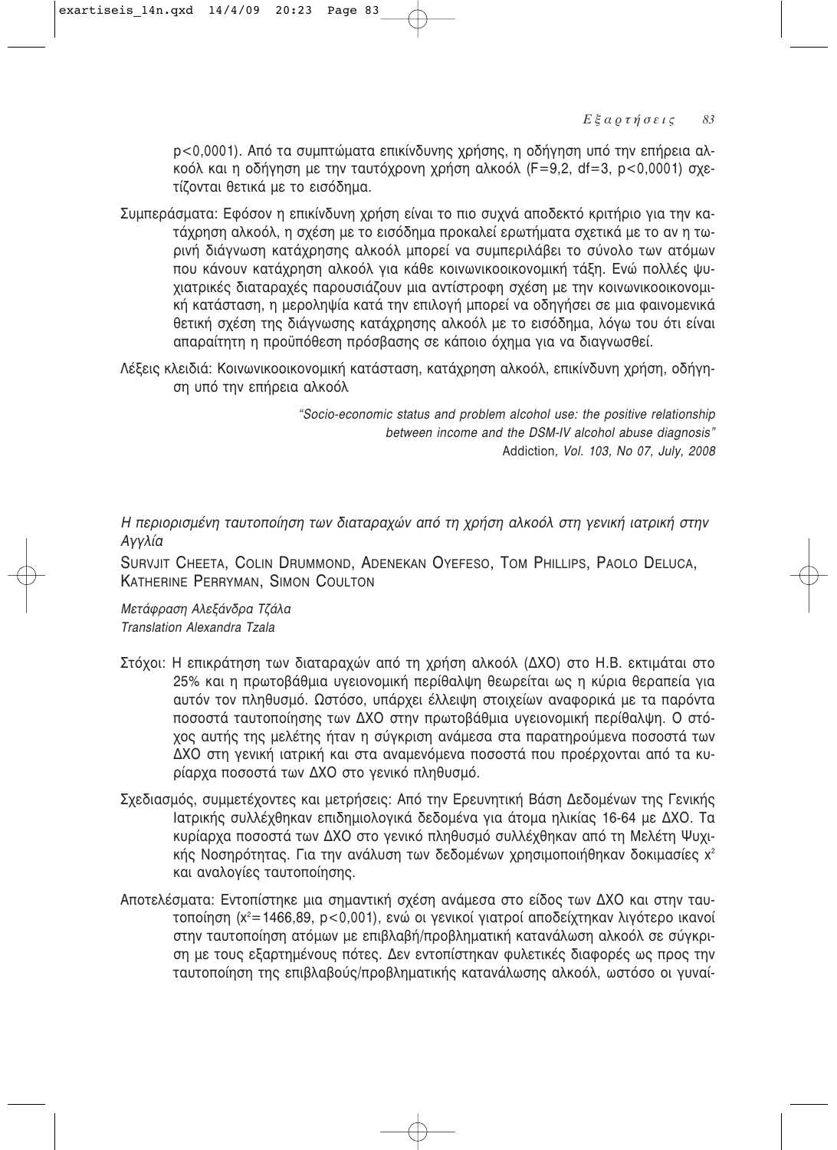p<0.0001). Από τα συμπτώματα επικίνδυνης χρήσης, η οδήγηση υπό την επήρεια αλκοόλ και η οδήνηση με την ταυτόχρονη χρήση αλκοόλ (F=9.2, df=3, p<0.0001) σχετίζονται θετικά με το εισόδημα.

Συμπεράσματα: Εφόσον η επικίνδυνη χρήση είναι το πιο συχνά αποδεκτό κριτήριο για την κατάχρηση αλκοόλ, η σχέση με το εισόδημα προκαλεί ερωτήματα σχετικά με το αν η τωρινή διάγνωση κατάχρησης αλκοόλ μπορεί να συμπεριλάβει το σύνολο των ατόμων που κάνουν κατάχρηση αλκοόλ για κάθε κοινωνικοοικονομική τάξη. Ενώ πολλές ψυχιατρικές διαταραχές παρουσιάζουν μια αντίστροφη σχέση με την κοινωνικοοικονομική κατάσταση, η μεροληψία κατά την επιλογή μπορεί να οδηγήσει σε μια φαινομενικά θετική σχέση της διάγνωσης κατάχρησης αλκοόλ με το εισόδημα, λόγω του ότι είναι απαραίτητη η προϋπόθεση πρόσβασης σε κάποιο όχημα για να διαγνωσθεί.

20:23 Page 83

Λέξεις κλειδιά: Κοινωνικοοικονομική κατάσταση, κατάχρηση αλκοόλ, επικίνδυνη χρήση, οδήγηση υπό την επήρεια αλκοόλ

> "Socio-economic status and problem alcohol use: the positive relationship between income and the DSM-IV alcohol abuse diagnosis" Addiction, Vol. 103, No 07, July, 2008

Η περιορισμένη ταυτοποίηση των διαταραχών από τη χρήση αλκοόλ στη γενική ιατρική στην Αγγλία

SURVJIT CHEETA, COLIN DRUMMOND, ADENEKAN OYEFESO, TOM PHILLIPS, PAOLO DELUCA, KATHERINE PERRYMAN, SIMON COULTON

Μετάφραση Αλεξάνδρα Τζάλα Translation Alexandra Tzala

exartiseis 14n.qxd 14/4/09

- Στόχοι: Η επικράτηση των διαταραχών από τη χρήση αλκοόλ (ΔΧΟ) στο Η.Β. εκτιμάται στο 25% και η πρωτοβάθμια υγειονομική περίθαλψη θεωρείται ως η κύρια θεραπεία για αυτόν τον πληθυσμό. Ωστόσο, υπάρχει έλλειψη στοιχείων αναφορικά με τα παρόντα ποσοστά ταυτοποίησης των ΔΧΟ στην πρωτοβάθμια υγειονομική περίθαλψη. Ο στόχος αυτής της μελέτης ήταν η σύγκριση ανάμεσα στα παρατηρούμενα ποσοστά των ΔΧΟ στη γενική ιατρική και στα αναμενόμενα ποσοστά που προέρχονται από τα κυρίαρχα ποσοστά των ΔΧΟ στο γενικό πληθυσμό.
- Σχεδιασμός, συμμετέχοντες και μετρήσεις: Από την Ερευνητική Βάση Δεδομένων της Γενικής Ιατρικής συλλέχθηκαν επιδημιολογικά δεδομένα για άτομα ηλικίας 16-64 με ΔΧΟ. Τα κυρίαρχα ποσοστά των ΔΧΟ στο γενικό πληθυσμό συλλέχθηκαν από τη Μελέτη Ψυχικής Νοσηρότητας. Για την ανάλυση των δεδομένων χρησιμοποιήθηκαν δοκιμασίες χ<sup>2</sup> και αναλογίες ταυτοποίησης.
- Αποτελέσματα: Εντοπίστηκε μια σημαντική σχέση ανάμεσα στο είδος των ΔΧΟ και στην ταυτοποίηση (x<sup>2</sup>=1466,89, p<0,001), ενώ οι γενικοί γιατροί αποδείχτηκαν λιγότερο ικανοί στην ταυτοποίηση ατόμων με επιβλαβή/προβληματική κατανάλωση αλκοόλ σε σύγκριση με τους εξαρτημένους πότες. Δεν εντοπίστηκαν φυλετικές διαφορές ως προς την ταυτοποίηση της επιβλαβούς/προβληματικής κατανάλωσης αλκοόλ, ωστόσο οι γυναί-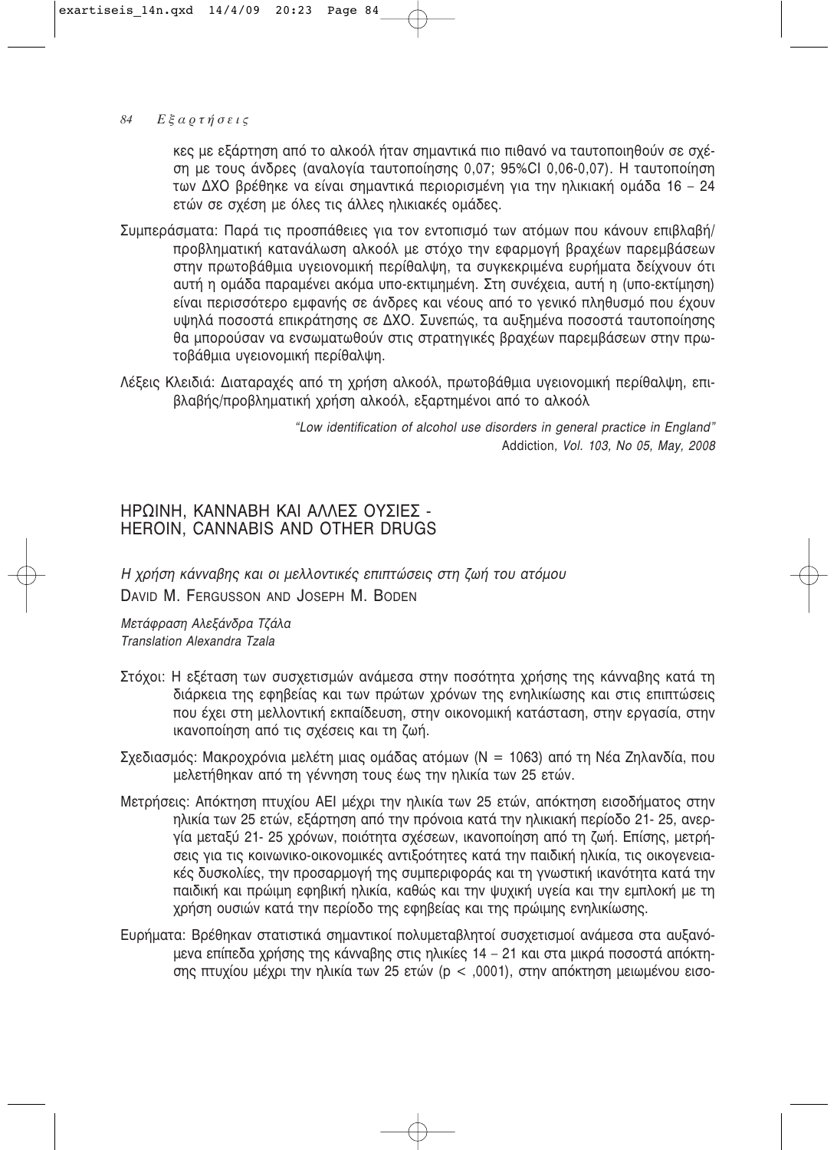κες με εξάρτηση από το αλκοόλ ήταν σημαντικά πιο πιθανό να ταυτοποιηθούν σε σχέση με τους άνδρες (αναλογία ταυτοποίησης 0.07; 95%Cl 0.06-0.07). Η ταυτοποίηση των ΔΧΟ βρέθηκε να είναι σημαντικά περιορισμένη για την ηλικιακή ομάδα 16 - 24 ετών σε σχέση με όλες τις άλλες ηλικιακές ομάδες.

- Συμπεράσματα: Παρά τις προσπάθειες για τον εντοπισμό των ατόμων που κάνουν επιβλαβή/ προβληματική κατανάλωση αλκοόλ με στόχο την εφαρμογή βραχέων παρεμβάσεων στην πρωτοβάθμια υγειονομική περίθαλψη, τα συγκεκριμένα ευρήματα δείχνουν ότι αυτή η ομάδα παραμένει ακόμα υπο-εκτιμημένη. Στη συνέχεια, αυτή η (υπο-εκτίμηση) είναι περισσότερο εμφανής σε άνδρες και νέους από το γενικό πληθυσμό που έχουν υψηλά ποσοστά επικράτησης σε ΔΧΟ. Συνεπώς, τα αυξημένα ποσοστά ταυτοποίησης θα μπορούσαν να ενσωματωθούν στις στρατηγικές βραχέων παρεμβάσεων στην πρωτοβάθμια υγειονομική περίθαλψη.
- Λέξεις Κλειδιά: Διαταραχές από τη χρήση αλκοόλ, πρωτοβάθμια υγειονομική περίθαλψη, επιβλαβής/προβληματική χρήση αλκοόλ, εξαρτημένοι από το αλκοόλ

"Low identification of alcohol use disorders in general practice in England" Addiction, Vol. 103, No 05, May, 2008

## ΗΡΩΙΝΗ, ΚΑΝΝΑΒΗ ΚΑΙ ΑΛΛΕΣ ΟΥΣΙΕΣ -HEROIN, CANNABIS AND OTHER DRUGS

Η χρήση κάνναβης και οι μελλοντικές επιπτώσεις στη ζωή του ατόμου DAVID M. FERGUSSON AND JOSEPH M. BODEN

Μετάφραση Αλεξάνδρα Τζάλα Translation Alexandra Tzala

- Στόχοι: Η εξέταση των συσχετισμών ανάμεσα στην ποσότητα χρήσης της κάνναβης κατά τη διάρκεια της εφηβείας και των πρώτων χρόνων της ενηλικίωσης και στις επιπτώσεις που έχει στη μελλοντική εκπαίδευση, στην οικονομική κατάσταση, στην εργασία, στην ικανοποίηση από τις σχέσεις και τη ζωή.
- Σχεδιασμός: Μακροχρόνια μελέτη μιας ομάδας ατόμων (N = 1063) από τη Νέα Ζηλανδία, που μελετήθηκαν από τη γέννηση τους έως την ηλικία των 25 ετών.
- Μετρήσεις: Απόκτηση πτυχίου ΑΕΙ μέχρι την ηλικία των 25 ετών, απόκτηση εισοδήματος στην ηλικία των 25 ετών, εξάρτηση από την πρόνοια κατά την ηλικιακή περίοδο 21- 25, ανεργία μεταξύ 21-25 χρόνων, ποιότητα σχέσεων, ικανοποίηση από τη ζωή. Επίσης, μετρήσεις για τις κοινωνικο-οικονομικές αντιξοότητες κατά την παιδική ηλικία, τις οικογενειακές δυσκολίες, την προσαρμογή της συμπεριφοράς και τη γνωστική ικανότητα κατά την παιδική και πρώιμη εφηβική ηλικία, καθώς και την ψυχική υγεία και την εμπλοκή με τη χρήση ουσιών κατά την περίοδο της εφηβείας και της πρώιμης ενηλικίωσης.
- Ευρήματα: Βρέθηκαν στατιστικά σημαντικοί πολυμεταβλητοί συσχετισμοί ανάμεσα στα αυξανόμενα επίπεδα χρήσης της κάνναβης στις ηλικίες 14 - 21 και στα μικρά ποσοστά απόκτησης πτυχίου μέχρι την ηλικία των 25 ετών (p < ,0001), στην απόκτηση μειωμένου εισο-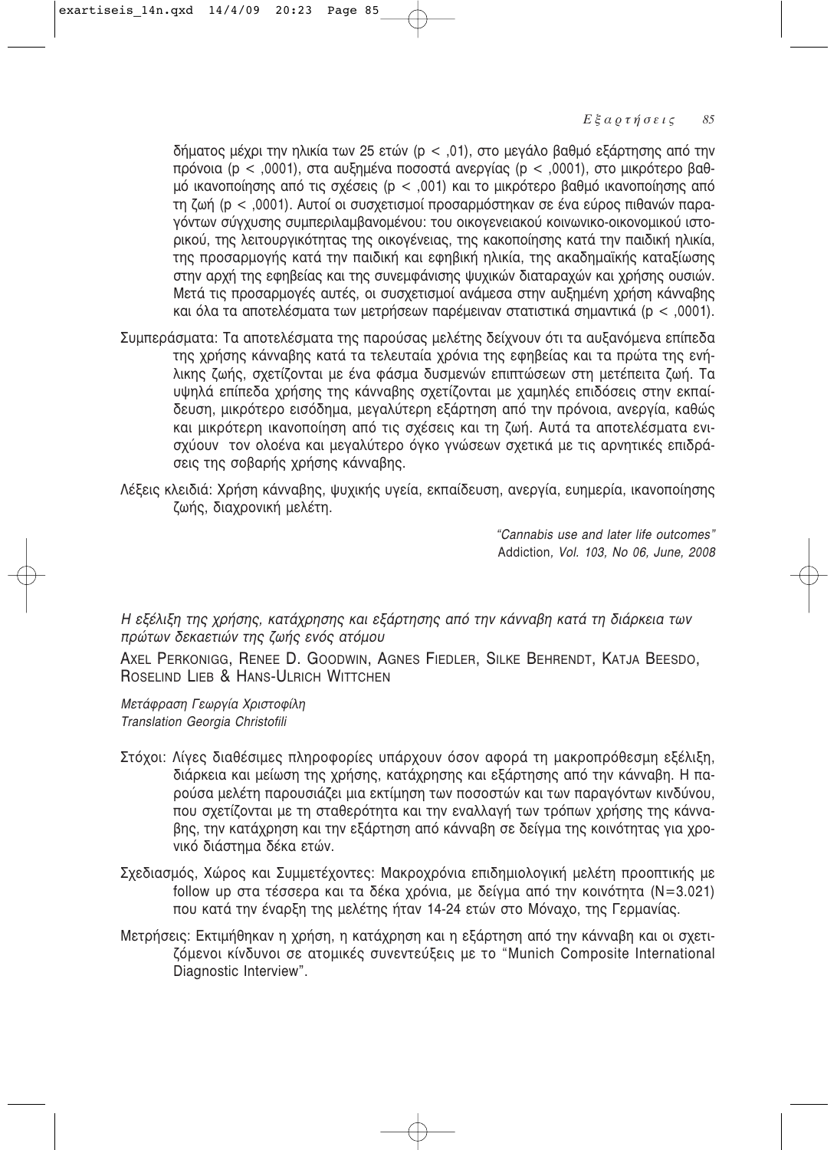δήματος μέχρι την ηλικία των 25 ετών (p < .01), στο μεγάλο βαθμό εξάρτησης από την πρόνοια (p < ,0001), στα αυξημένα ποσοστά ανεργίας (p < ,0001), στο μικρότερο βαθμό ικανοποίησης από τις σχέσεις (p < ,001) και το μικρότερο βαθμό ικανοποίησης από τη ζωή (p < .0001). Αυτοί οι συσχετισμοί προσαρμόστηκαν σε ένα εύρος πιθανών παραγόντων σύγχυσης συμπεριλαμβανομένου: του οικογενειακού κοινωνικο-οικονομικού ιστορικού, της λειτουργικότητας της οικογένειας, της κακοποίησης κατά την παιδική ηλικία, της προσαρμογής κατά την παιδική και εφηβική ηλικία, της ακαδημαϊκής καταξίωσης στην αρχή της εφηβείας και της συνεμφάνισης ψυχικών διαταραχών και χρήσης ουσιών. Μετά τις προσαρμογές αυτές, οι συσχετισμοί ανάμεσα στην αυξημένη χρήση κάνναβης και όλα τα αποτελέσματα των μετρήσεων παρέμειναν στατιστικά σημαντικά (p < .0001).

- Συμπεράσματα: Τα αποτελέσματα της παρούσας μελέτης δείχνουν ότι τα αυξανόμενα επίπεδα της χρήσης κάνναβης κατά τα τελευταία χρόνια της εφηβείας και τα πρώτα της ενήλικης ζωής, σχετίζονται με ένα φάσμα δυσμενών επιπτώσεων στη μετέπειτα ζωή. Τα υψηλά επίπεδα χρήσης της κάνναβης σχετίζονται με χαμηλές επιδόσεις στην εκπαίδευση, μικρότερο εισόδημα, μεγαλύτερη εξάρτηση από την πρόνοια, ανεργία, καθώς και μικρότερη ικανοποίηση από τις σχέσεις και τη ζωή. Αυτά τα αποτελέσματα ενισχύουν τον ολοένα και μεγαλύτερο όγκο γνώσεων σχετικά με τις αρνητικές επιδράσεις της σοβαρής χρήσης κάνναβης.
- Λέξεις κλειδιά: Χρήση κάνναβης, ψυχικής υγεία, εκπαίδευση, ανεργία, ευημερία, ικανοποίησης ζωής, διαχρονική μελέτη.

"Cannabis use and later life outcomes" Addiction, Vol. 103, No 06, June, 2008

Η εξέλιξη της χρήσης, κατάχρησης και εξάρτησης από την κάνναβη κατά τη διάρκεια των πρώτων δεκαετιών της ζωής ενός ατόμου

AXEL PERKONIGG, RENEE D. GOODWIN, AGNES FIEDLER, SILKE BEHRENDT, KATJA BEESDO, ROSELIND LIEB & HANS-ULRICH WITTCHEN

Μετάφραση Γεωργία Χριστοφίλη Translation Georgia Christofili

- Στόχοι: Λίγες διαθέσιμες πληροφορίες υπάρχουν όσον αφορά τη μακροπρόθεσμη εξέλιξη, διάρκεια και μείωση της χρήσης, κατάχρησης και εξάρτησης από την κάνναβη. Η παρούσα μελέτη παρουσιάζει μια εκτίμηση των ποσοστών και των παραγόντων κινδύνου. που σχετίζονται με τη σταθερότητα και την εναλλαγή των τρόπων χρήσης της κάνναβης, την κατάχρηση και την εξάρτηση από κάνναβη σε δείγμα της κοινότητας για χρονικό διάστημα δέκα ετών.
- Σχεδιασμός, Χώρος και Συμμετέχοντες: Μακροχρόνια επιδημιολογική μελέτη προοπτικής με follow up στα τέσσερα και τα δέκα χρόνια, με δείγμα από την κοινότητα (N=3.021) που κατά την έναρξη της μελέτης ήταν 14-24 ετών στο Μόναχο, της Γερμανίας.
- Μετρήσεις: Εκτιμήθηκαν η χρήση, η κατάχρηση και η εξάρτηση από την κάνναβη και οι σχετιζόμενοι κίνδυνοι σε ατομικές συνεντεύξεις με το "Munich Composite International Diagnostic Interview".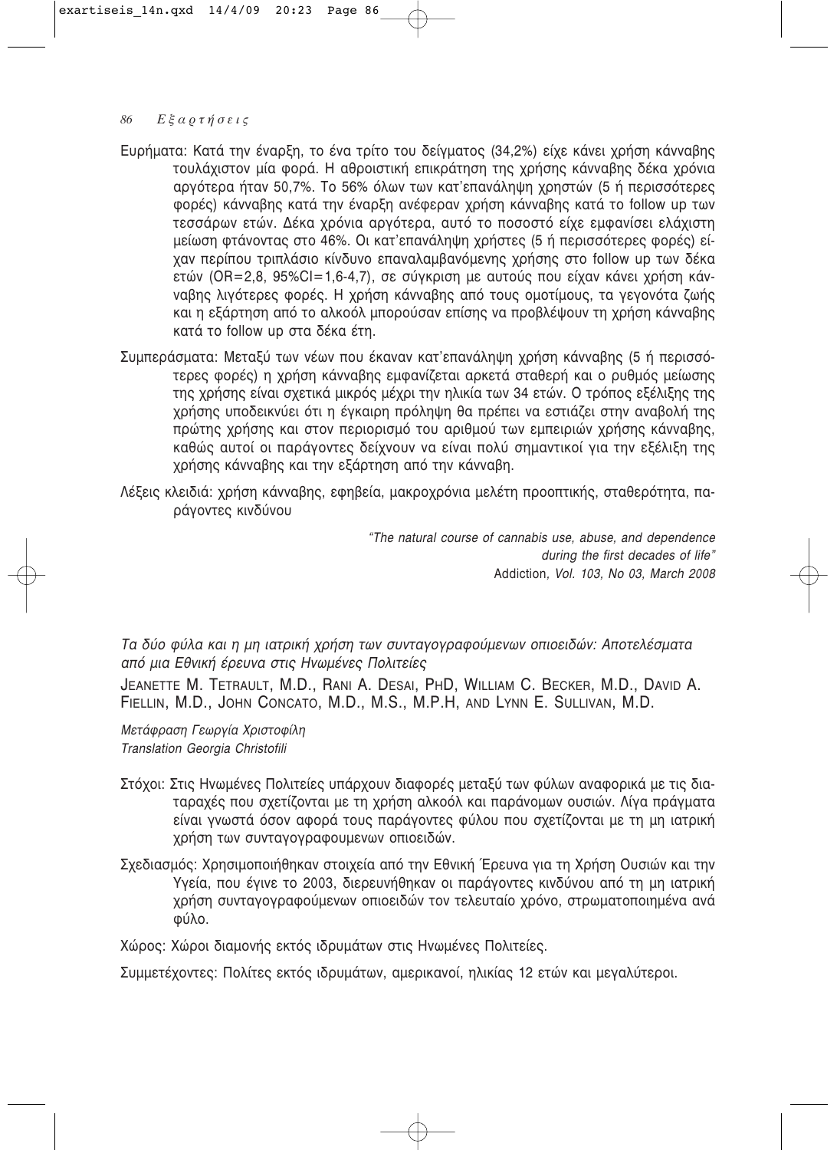- Ευρήματα: Κατά την έναρξη, το ένα τρίτο του δείγματος (34,2%) είχε κάνει χρήση κάνναβης τουλάχιστον μία φορά. Η αθροιστική επικράτηση της χρήσης κάνναβης δέκα χρόνια αργότερα ήταν 50,7%. Το 56% όλων των κατ'επανάληψη χρηστών (5 ή περισσότερες φορές) κάνναβης κατά την έναρξη ανέφεραν χρήση κάνναβης κατά το follow up των τεσσάρων ετών. Δέκα χρόνια αργότερα, αυτό το ποσοστό είχε εμφανίσει ελάχιστη μείωση φτάνοντας στο 46%. Οι κατ'επανάληψη χρήστες (5 ή περισσότερες φορές) είχαν περίπου τριπλάσιο κίνδυνο επαναλαμβανόμενης χρήσης στο follow up των δέκα ετών (OR=2,8, 95%CI=1,6-4,7), σε σύγκριση με αυτούς που είχαν κάνει χρήση κάνναβης λιγότερες φορές. Η χρήση κάνναβης από τους ομοτίμους, τα γεγονότα ζωής και η εξάρτηση από το αλκοόλ μπορούσαν επίσης να προβλέψουν τη χρήση κάνναβης κατά το follow up στα δέκα έτη.
- Συμπεράσματα: Μεταξύ των νέων που έκαναν κατ'επανάληψη χρήση κάνναβης (5 ή περισσότερες φορές) η χρήση κάνναβης εμφανίζεται αρκετά σταθερή και ο ρυθμός μείωσης της χρήσης είναι σχετικά μικρός μέχρι την ηλικία των 34 ετών. Ο τρόπος εξέλιξης της χρήσης υποδεικνύει ότι η έγκαιρη πρόληψη θα πρέπει να εστιάζει στην αναβολή της πρώτης χρήσης και στον περιορισμό του αριθμού των εμπειριών χρήσης κάνναβης. καθώς αυτοί οι παράγοντες δείχνουν να είναι πολύ σημαντικοί για την εξέλιξη της χρήσης κάνναβης και την εξάρτηση από την κάνναβη.
- Λέξεις κλειδιά: χρήση κάνναβης, εφηβεία, μακροχρόνια μελέτη προοπτικής, σταθερότητα, παράγοντες κινδύνου

*"The natural course of cannabis use, abuse, and dependence during the first decades of life"* Addiction*, Vol. 103, No 03, March 2008*

*Δ· ‰‡Ô ʇϷ Î·È Ë ÌË È·ÙÚÈ΋ ¯Ú‹ÛË ÙˆÓ Û˘ÓÙ·ÁÔÁÚ·ÊÔ‡ÌÂÓˆÓ ÔÈÔÂȉÒÓ: ∞ÔÙÂϤÛÌ·Ù·* **από μια Εθνική έρευνα στις Ηνωμένες Πολιτείες** 

JEANETTE M. TETRAULT, M.D., RANI A. DESAI, PHD, WILLIAM C. BECKER, M.D., DAVID A. FIELLIN, M.D., JOHN CONCATO, M.D., M.S., M.P.H, AND LYNN E. SULLIVAN, M.D.

*Μετάφραση Γεωργία Χριστοφίλη Translation Georgia Christofili*

- Στόχοι: Στις Ηνωμένες Πολιτείες υπάρχουν διαφορές μεταξύ των φύλων αναφορικά με τις διαταραχές που σχετίζονται με τη χρήση αλκοόλ και παράνομων ουσιών. Λίγα πράγματα είναι γνωστά όσον αφορά τους παράγοντες φύλου που σχετίζονται με τη μη ιατρική χρήση των συνταγογραφουμενων οπιοειδών.
- Σχεδιασμός: Χρησιμοποιήθηκαν στοιχεία από την Εθνική Έρευνα για τη Χρήση Ουσιών και την Υγεία, που έγινε το 2003, διερευνήθηκαν οι παράγοντες κινδύνου από τη μη ιατρική χρήση συνταγογραφούμενων οπιοειδών τον τελευταίο χρόνο, στρωματοποιημένα ανά φύλο.

Χώρος: Χώροι διαμονής εκτός ιδρυμάτων στις Ηνωμένες Πολιτείες.

Συμμετέχοντες: Πολίτες εκτός ιδρυμάτων, αμερικανοί, ηλικίας 12 ετών και μεγαλύτεροι.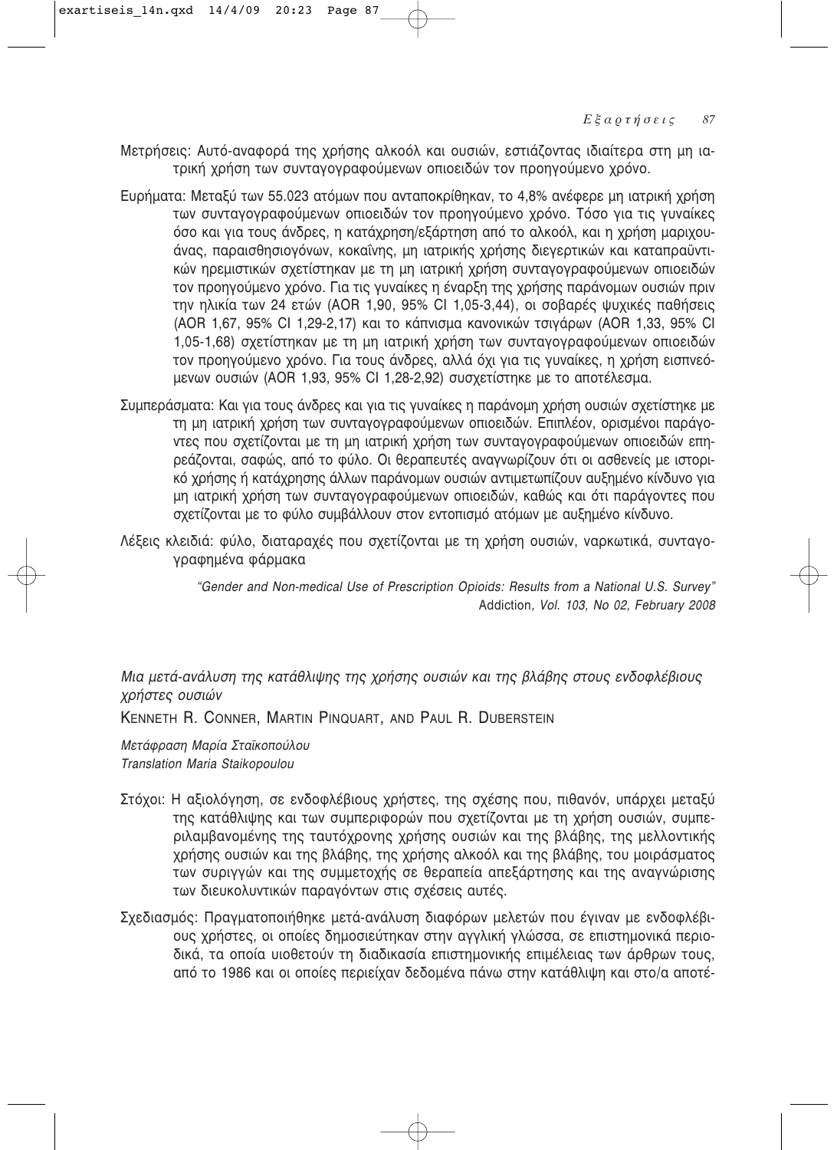Μετρήσεις: Αυτό-αναφορά της χρήσης αλκοόλ και ουσιών, εστιάζοντας ιδιαίτερα στη μη ιατρική χρήση των συντανονραφούμενων οπιοειδών τον προηνούμενο χρόνο.

- Ευρήματα: Μεταξύ των 55.023 ατόμων που ανταποκρίθηκαν, το 4,8% ανέφερε μη ιατρική χρήση των συνταγογραφούμενων οπιοειδών τον προηγούμενο χρόνο. Τόσο για τις γυναίκες όσο και για τους άνδρες, η κατάχρηση/εξάρτηση από το αλκοόλ, και η χρήση μαριχουάνας, παραισθησιογόνων, κοκαΐνης, μη ιατρικής χρήσης διεγερτικών και καταπραϋντικών ηρεμιστικών σχετίστηκαν με τη μη ιατρική χρήση συνταγογραφούμενων οπιοειδών τον προηγούμενο χρόνο. Για τις γυναίκες η έναρξη της χρήσης παράνομων ουσιών πριν την ηλικία των 24 ετών (AOR 1,90, 95% Cl 1,05-3,44), οι σοβαρές ψυχικές παθήσεις (AOR 1,67, 95% Cl 1,29-2,17) και το κάπνισμα κανονικών τσιγάρων (AOR 1,33, 95% Cl 1,05-1,68) σχετίστηκαν με τη μη ιατρική χρήση των συνταγογραφούμενων οπιοειδών τον προηγούμενο χρόνο. Για τους άνδρες, αλλά όχι για τις γυναίκες, η χρήση εισπνεόμενων ουσιών (ΑΟR 1,93, 95% CI 1,28-2,92) συσχετίστηκε με το αποτέλεσμα.
- Συμπεράσματα: Και για τους άνδρες και για τις γυναίκες η παράνομη χρήση ουσιών σχετίστηκε με τη μη ιατρική χρήση των συνταγογραφούμενων οπιοειδών. Επιπλέον, ορισμένοι παράγο-VΤες που σχετίζονται με τη μη ιατρική χρήση των συνταγογραφούμενων οπιοειδών επηρεάζονται, σαφώς, από το φύλο. Οι θεραπευτές αναγνωρίζουν ότι οι ασθενείς με ιστορι-Κό χρήσης ή κατάχρησης άλλων παράνομων ουσιών αντιμετωπίζουν αυξημένο κίνδυνο για μη ιατρική χρήση των συνταγογραφούμενων οπιοειδών, καθώς και ότι παράγοντες που σχετίζονται με το φύλο συμβάλλουν στον εντοπισμό ατόμων με αυξημένο κίνδυνο.
- Λέξεις κλειδιά: φύλο, διαταραχές που σχετίζονται με τη χρήση ουσιών, ναρκωτικά, συνταγογραφημένα φάρμακα

*"Gender and Non-medical Use of Prescription Opioids: Results from a National U.S. Survey"* Addiction*, Vol. 103, No 02, February 2008*

*Μια μετά-ανάλυση της κατάθλιψης της χρήσης ουσιών και της βλάβης στους ενδοφλέβιους*  $X$ ρήστες ουσιών

KENNETH R. CONNER, MARTIN PINQUART, AND PAUL R. DUBERSTEIN

*Μετάφραση Μαρία Σταϊκοπούλου Translation Maria Staikopoulou*

- Στόχοι: Η αξιολόγηση, σε ενδοφλέβιους χρήστες, της σχέσης που, πιθανόν, υπάρχει μεταξύ της κατάθλιψης και των συμπεριφορών που σχετίζονται με τη χρήση ουσιών, συμπεpιλαμβανομένης της ταυτόχρονης χρήσης ουσιών και της βλάβης, της μελλοντικής χρήσης ουσιών και της βλάβης, της χρήσης αλκοόλ και της βλάβης, του μοιράσματος των συριγγών και της συμμετοχής σε θεραπεία απεξάρτησης και της αναγνώρισης των διευκολυντικών παραγόντων στις σχέσεις αυτές.
- Σχεδιασμός: Πραγματοποιήθηκε μετά-ανάλυση διαφόρων μελετών που έγιναν με ενδοφλέβιους χρήστες, οι οποίες δημοσιεύτηκαν στην αγγλική γλώσσα, σε επιστημονικά περιοδικά, τα οποία υιοθετούν τη διαδικασία επιστημονικής επιμέλειας των άρθρων τους, από το 1986 και οι οποίες περιείχαν δεδομένα πάνω στην κατάθλιψη και στο/α αποτέ-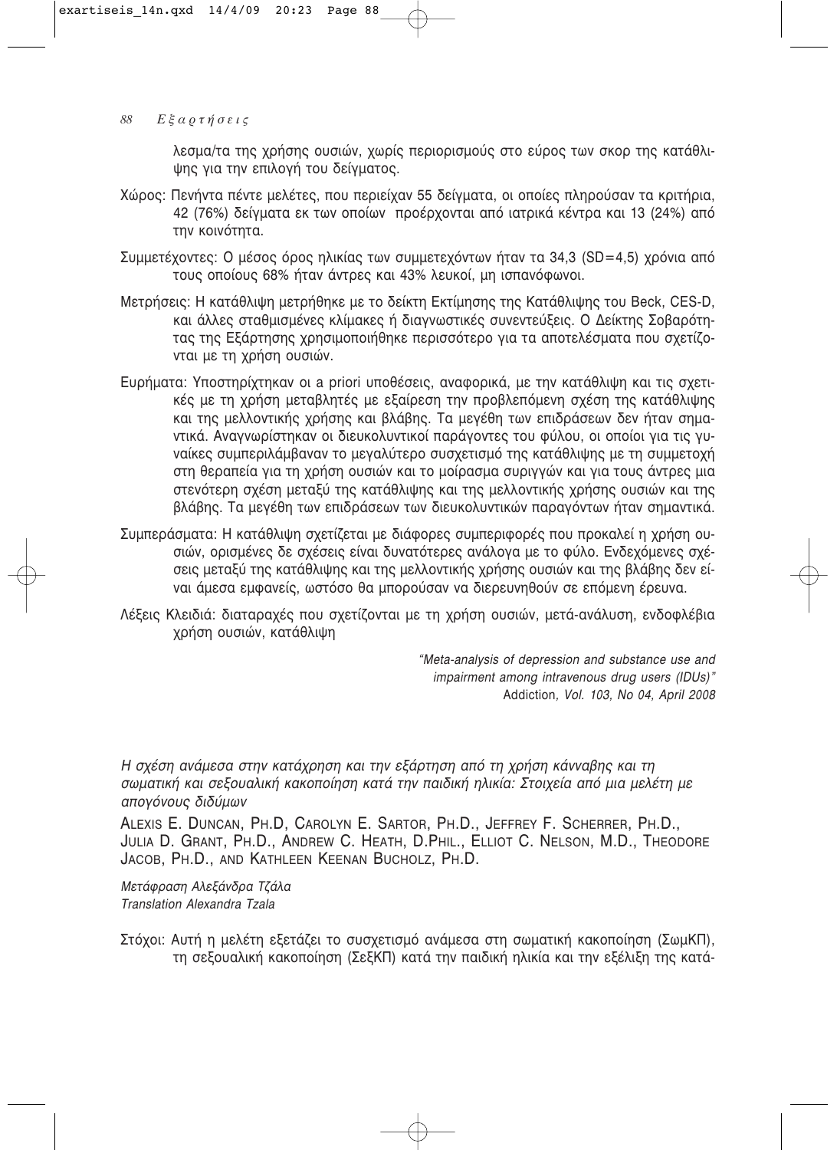λεσμα/τα της χρήσης ουσιών, χωρίς περιορισμούς στο εύρος των σκορ της κατάθλι-Ψης για την επιλογή του δείγματος.

- Χώρος: Πενήντα πέντε μελέτες, που περιείχαν 55 δείγματα, οι οποίες πληρούσαν τα κριτήρια, 42 (76%) δείγματα εκ των οποίων προέρχονται από ιατρικά κέντρα και 13 (24%) από την κοινότητα.
- Συμμετέχοντες: Ο μέσος όρος ηλικίας των συμμετεχόντων ήταν τα 34,3 (SD=4,5) χρόνια από τους οποίους 68% ήταν άντρες και 43% λευκοί, μη ισπανόφωνοι.
- Μετρήσεις: Η κατάθλιψη μετρήθηκε με το δείκτη Εκτίμησης της Κατάθλιψης του Beck, CES-D, Και άλλες σταθμισμένες κλίμακες ή διαγνωστικές συνεντεύξεις. Ο Δείκτης Σοβαρότητας της Εξάρτησης χρησιμοποιήθηκε περισσότερο για τα αποτελέσματα που σχετίζονται με τη χρήση ουσιών.
- Ευρήματα: Υποστηρίχτηκαν οι a priori υποθέσεις, αναφορικά, με την κατάθλιψη και τις σχετικές με τη χρήση μεταβλητές με εξαίρεση την προβλεπόμενη σχέση της κατάθλιψης και της μελλοντικής χρήσης και βλάβης. Τα μεγέθη των επιδράσεων δεν ήταν σημαντικά. Αναγνωρίστηκαν οι διευκολυντικοί παράγοντες του φύλου, οι οποίοι για τις γυναίκες συμπεριλάμβαναν το μεγαλύτερο συσχετισμό της κατάθλιψης με τη συμμετοχή στη θεραπεία για τη χρήση ουσιών και το μοίρασμα συριγγών και για τους άντρες μια στενότερη σχέση μεταξύ της κατάθλιψης και της μελλοντικής χρήσης ουσιών και της βλάβης. Τα μεγέθη των επιδράσεων των διευκολυντικών παραγόντων ήταν σημαντικά.
- Συμπεράσματα: Η κατάθλιψη σχετίζεται με διάφορες συμπεριφορές που προκαλεί η χρήση ουσιών, ορισμένες δε σχέσεις είναι δυνατότερες ανάλογα με το φύλο. Ενδεχόμενες σχέσεις μεταξύ της κατάθλιψης και της μελλοντικής χρήσης ουσιών και της βλάβης δεν είvαι άμεσα εμφανείς, ωστόσο θα μπορούσαν να διερευνηθούν σε επόμενη έρευνα.
- Λέξεις Κλειδιά: διαταραχές που σχετίζονται με τη χρήση ουσιών, μετά-ανάλυση, ενδοφλέβια χρήση ουσιών, κατάθλιψη

*"Meta-analysis of depression and substance use and impairment among intravenous drug users (IDUs)"* Addiction*, Vol. 103, No 04, April 2008*

*Η σχέση ανάμεσα στην κατάχρηση και την εξάρτηση από τη χρήση κάνναβης και τη* σωματική και σεξουαλική κακοποίηση κατά την παιδική ηλικία: Στοιχεία από μια μελέτη με *απογόνους διδύμων* 

ALEXIS E. DUNCAN, PH.D, CAROLYN E. SARTOR, PH.D., JEFFREY F. SCHERRER, PH.D., JULIA D. GRANT, PH.D., ANDREW C. HEATH, D.PHIL., ELLIOT C. NELSON, M.D., THEODORE JACOB, PH.D., AND KATHLEEN KEENAN BUCHOLZ, PH.D.

*Μετάφραση Αλεξάνδρα Τζάλα Translation Alexandra Tzala*

Στόχοι: Αυτή η μελέτη εξετάζει το συσχετισμό ανάμεσα στη σωματική κακοποίηση (ΣωμΚΠ), τη σεξουαλική κακοποίηση (ΣεξΚΠ) κατά την παιδική ηλικία και την εξέλιξη της κατά-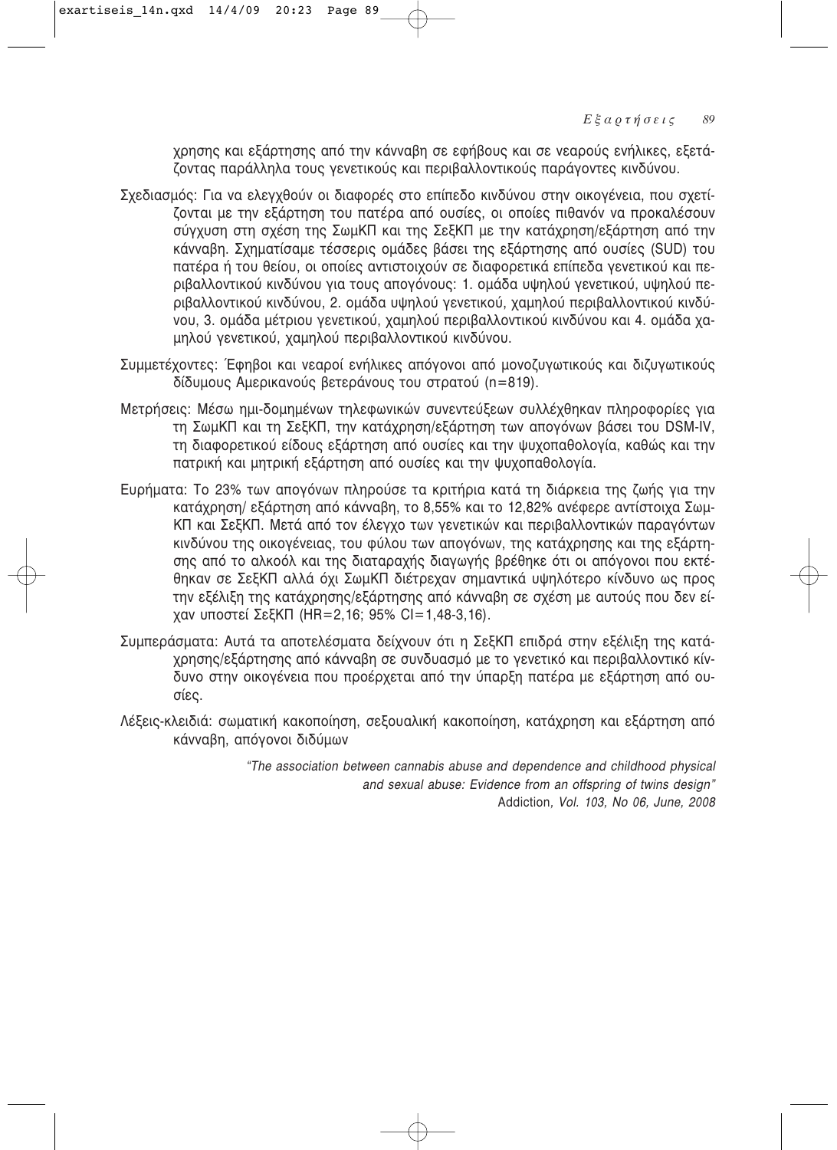exartiseis 14n.qxd 14/4/09 Page 89  $20:23$ 

> χρησης και εξάρτησης από την κάνναβη σε εφήβους και σε νεαρούς ενήλικες, εξετάζοντας παράλληλα τους γενετικούς και περιβαλλοντικούς παράγοντες κινδύνου.

- Σχεδιασμός: Για να ελεγχθούν οι διαφορές στο επίπεδο κινδύνου στην οικογένεια, που σχετίζονται με την εξάρτηση του πατέρα από ουσίες, οι οποίες πιθανόν να προκαλέσουν σύγχυση στη σχέση της ΣωμΚΠ και της ΣεξΚΠ με την κατάχρηση/εξάρτηση από την κάνναβη. Σχηματίσαμε τέσσερις ομάδες βάσει της εξάρτησης από ουσίες (SUD) του πατέρα ή του θείου, οι οποίες αντιστοιχούν σε διαφορετικά επίπεδα νενετικού και περιβαλλοντικού κινδύνου για τους απογόνους: 1. ομάδα υψηλού γενετικού, υψηλού περιβαλλοντικού κινδύνου, 2. ομάδα υψηλού γενετικού, χαμηλού περιβαλλοντικού κινδύνου, 3. ομάδα μέτριου γενετικού, χαμηλού περιβαλλοντικού κινδύνου και 4. ομάδα χαμηλού γενετικού, χαμηλού περιβαλλοντικού κινδύνου.
- Συμμετέχοντες: Έφηβοι και νεαροί ενήλικες απόγονοι από μονοζυγωτικούς και διζυγωτικούς δίδυμους Αμερικανούς βετεράνους του στρατού (n=819).
- Μετρήσεις: Μέσω ημι-δομημένων τηλεφωνικών συνεντεύξεων συλλέχθηκαν πληροφορίες για τη ΣωμΚΠ και τη ΣεξΚΠ, την κατάχρηση/εξάρτηση των απογόνων βάσει του DSM-IV, τη διαφορετικού είδους εξάρτηση από ουσίες και την ψυχοπαθολογία, καθώς και την πατρική και μητρική εξάρτηση από ουσίες και την ψυχοπαθολογία.
- Ευρήματα: Το 23% των απογόνων πληρούσε τα κριτήρια κατά τη διάρκεια της ζωής για την κατάχρηση/ εξάρτηση από κάνναβη, το 8,55% και το 12,82% ανέφερε αντίστοιχα Σωμ-ΚΠ και ΣεξΚΠ. Μετά από τον έλεγχο των γενετικών και περιβαλλοντικών παραγόντων κινδύνου της οικογένειας, του φύλου των απογόνων, της κατάχρησης και της εξάρτησης από το αλκοόλ και της διαταραχής διαγωγής βρέθηκε ότι οι απόγονοι που εκτέθηκαν σε ΣεξΚΠ αλλά όχι ΣωμΚΠ διέτρεχαν σημαντικά υψηλότερο κίνδυνο ως προς την εξέλιξη της κατάχρησης/εξάρτησης από κάνναβη σε σχέση με αυτούς που δεν είχαν υποστεί ΣεξΚΠ (HR=2,16; 95% Cl=1,48-3,16).
- Συμπεράσματα: Αυτά τα αποτελέσματα δείχνουν ότι η ΣεξΚΠ επιδρά στην εξέλιξη της κατάχρησης/εξάρτησης από κάνναβη σε συνδυασμό με το γενετικό και περιβαλλοντικό κίνδυνο στην οικογένεια που προέρχεται από την ύπαρξη πατέρα με εξάρτηση από ουσίες.
- Λέξεις-κλειδιά: σωματική κακοποίηση, σεξουαλική κακοποίηση, κατάχρηση και εξάρτηση από κάνναβη, απόγονοι διδύμων

"The association between cannabis abuse and dependence and childhood physical and sexual abuse: Evidence from an offspring of twins design" Addiction, Vol. 103, No 06, June, 2008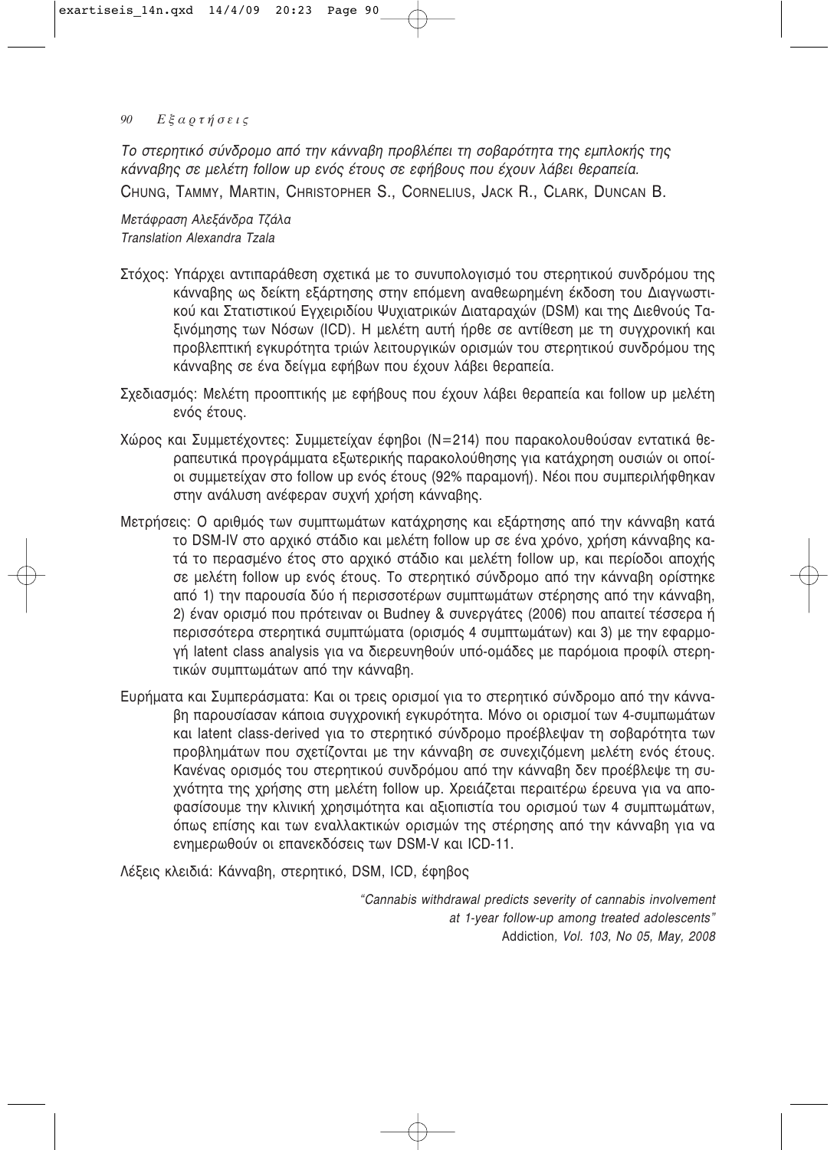*Το στερητικό σύνδρομο από την κάνναβη προβλέπει τη σοβαρότητα της εμπλοκής της* κάνναβης σε μελέτη follow up ενός έτους σε εφήβους που έχουν λάβει θεραπεία. CHUNG, TAMMY, MARTIN, CHRISTOPHER S., CORNELIUS, JACK R., CLARK, DUNCAN B.

*Μετάφραση Αλεξάνδρα Τζάλα Translation Alexandra Tzala*

- Στόχος: Υπάρχει αντιπαράθεση σχετικά με το συνυπολογισμό του στερητικού συνδρόμου της κάνναβης ως δείκτη εξάρτησης στην επόμενη αναθεωρημένη έκδοση του Διαγνωστικού και Στατιστικού Εγχειριδίου Ψυχιατρικών Διαταραχών (DSM) και της Διεθνούς Ταξινόμησης των Νόσων (ICD). Η μελέτη αυτή ήρθε σε αντίθεση με τη συγχρονική και προβλεπτική εγκυρότητα τριών λειτουργικών ορισμών του στερητικού συνδρόμου της κάνναβης σε ένα δείγμα εφήβων που έχουν λάβει θεραπεία.
- Σχεδιασμός: Μελέτη προοπτικής με εφήβους που έχουν λάβει θεραπεία και follow up μελέτη ενός έτους.
- Χώρος και Συμμετέχοντες: Συμμετείχαν έφηβοι (N=214) που παρακολουθούσαν εντατικά θεραπευτικά προγράμματα εξωτερικής παρακολούθησης για κατάχρηση ουσιών οι οποίοι συμμετείχαν στο follow up ενός έτους (92% παραμονή). Νέοι που συμπεριλήφθηκαν στην ανάλυση ανέφεραν συχνή χρήση κάνναβης.
- Μετρήσεις: Ο αριθμός των συμπτωμάτων κατάχρησης και εξάρτησης από την κάνναβη κατά το DSM-IV στο αρχικό στάδιο και μελέτη follow up σε ένα χρόνο, χρήση κάνναβης κατά το περασμένο έτος στο αρχικό στάδιο και μελέτη follow up, και περίοδοι αποχής σε μελέτη follow up ενός έτους. Το στερητικό σύνδρομο από την κάνναβη ορίστηκε από 1) την παρουσία δύο ή περισσοτέρων συμπτωμάτων στέρησης από την κάνναβη, 2) έναν ορισμό που πρότειναν οι Budney & συνεργάτες (2006) που απαιτεί τέσσερα ή περισσότερα στερητικά συμπτώματα (ορισμός 4 συμπτωμάτων) και 3) με την εφαρμογή latent class analysis για να διερευνηθούν υπό-ομάδες με παρόμοια προφίλ στερητικών συμπτωμάτων από την κάνναβη.
- Ευρήματα και Συμπεράσματα: Και οι τρεις ορισμοί για το στερητικό σύνδρομο από την κάνναβη παρουσίασαν κάποια συγχρονική εγκυρότητα. Μόνο οι ορισμοί των 4-συμπωμάτων και latent class-derived για το στερητικό σύνδρομο προέβλεψαν τη σοβαρότητα των προβλημάτων που σχετίζονται με την κάνναβη σε συνεχιζόμενη μελέτη ενός έτους. Κανένας ορισμός του στερητικού συνδρόμου από την κάνναβη δεν προέβλεψε τη συχνότητα της χρήσης στη μελέτη follow up. Χρειάζεται περαιτέρω έρευνα για να αποφασίσουμε την κλινική χρησιμότητα και αξιοπιστία του ορισμού των 4 συμπτωμάτων, όπως επίσης και των εναλλακτικών ορισμών της στέρησης από την κάνναβη για να ενημερωθούν οι επανεκδόσεις των DSM-V και ICD-11.

Λέξεις κλειδιά: Κάνναβη, στερητικό, DSM, ICD, έφηβος

*"Cannabis withdrawal predicts severity of cannabis involvement at 1-year follow-up among treated adolescents"* Addiction*, Vol. 103, No 05, May, 2008*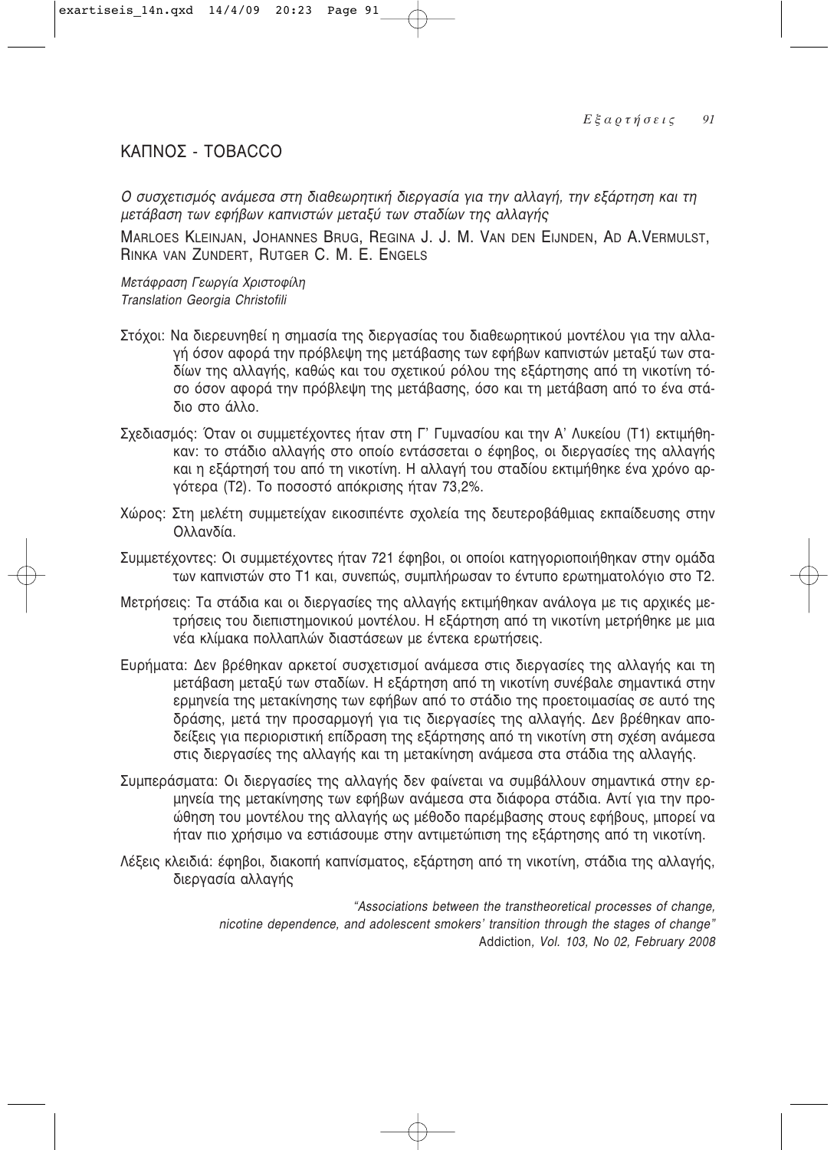# ΚΑΠΝΟΣ - ΤΟΒΑCCO

Ο συσχετισμός ανάμεσα στη διαθεωρητική διεργασία για την αλλαγή, την εξάρτηση και τη μετάβαση των εφήβων καπνιστών μεταξύ των σταδίων της αλλαγής

MARLOES KLEINJAN, JOHANNES BRUG, REGINA J. J. M. VAN DEN EIJNDEN, AD A.VERMULST, RINKA VAN ZUNDERT, RUTGER C. M. E. ENGELS

Μετάφραση Γεωρνία Χριστοφίλη Translation Georgia Christofili

- Στόχοι: Να διερευνηθεί η σημασία της διεργασίας του διαθεωρητικού μοντέλου για την αλλαγή όσον αφορά την πρόβλεψη της μετάβασης των εφήβων καπνιστών μεταξύ των σταδίων της αλλαγής, καθώς και του σχετικού ρόλου της εξάρτησης από τη νικοτίνη τόσο όσον αφορά την πρόβλεψη της μετάβασης, όσο και τη μετάβαση από το ένα στάδιο στο άλλο.
- Σχεδιασμός: Όταν οι συμμετέχοντες ήταν στη Γ' Γυμνασίου και την Α' Λυκείου (Τ1) εκτιμήθηκαν: το στάδιο αλλαγής στο οποίο εντάσσεται ο έφηβος, οι διεργασίες της αλλαγής και η εξάρτησή του από τη νικοτίνη. Η αλλαγή του σταδίου εκτιμήθηκε ένα χρόνο αργότερα (Τ2). Το ποσοστό απόκρισης ήταν 73,2%.
- Χώρος: Στη μελέτη συμμετείχαν εικοσιπέντε σχολεία της δευτεροβάθμιας εκπαίδευσης στην Ολλανδία.
- Συμμετέχοντες: Οι συμμετέχοντες ήταν 721 έφηβοι, οι οποίοι κατηγοριοποιήθηκαν στην ομάδα των καπνιστών στο Τ1 και, συνεπώς, συμπλήρωσαν το έντυπο ερωτηματολόγιο στο Τ2.
- Μετρήσεις: Τα στάδια και οι διεργασίες της αλλαγής εκτιμήθηκαν ανάλογα με τις αρχικές μετρήσεις του διεπιστημονικού μοντέλου. Η εξάρτηση από τη νικοτίνη μετρήθηκε με μια νέα κλίμακα πολλαπλών διαστάσεων με έντεκα ερωτήσεις.
- Ευρήματα: Δεν βρέθηκαν αρκετοί συσχετισμοί ανάμεσα στις διεργασίες της αλλαγής και τη μετάβαση μεταξύ των σταδίων. Η εξάρτηση από τη νικοτίνη συνέβαλε σημαντικά στην ερμηνεία της μετακίνησης των εφήβων από το στάδιο της προετοιμασίας σε αυτό της δράσης, μετά την προσαρμογή για τις διεργασίες της αλλαγής. Δεν βρέθηκαν αποδείξεις για περιοριστική επίδραση της εξάρτησης από τη νικοτίνη στη σχέση ανάμεσα στις διεργασίες της αλλαγής και τη μετακίνηση ανάμεσα στα στάδια της αλλαγής.
- Συμπεράσματα: Οι διεργασίες της αλλαγής δεν φαίνεται να συμβάλλουν σημαντικά στην ερμηνεία της μετακίνησης των εφήβων ανάμεσα στα διάφορα στάδια. Αντί για την προώθηση του μοντέλου της αλλαγής ως μέθοδο παρέμβασης στους εφήβους, μπορεί να ήταν πιο χρήσιμο να εστιάσουμε στην αντιμετώπιση της εξάρτησης από τη νικοτίνη.
- Λέξεις κλειδιά: έφηβοι, διακοπή καπνίσματος, εξάρτηση από τη νικοτίνη, στάδια της αλλαγής, διεργασία αλλαγής

"Associations between the transtheoretical processes of change, nicotine dependence, and adolescent smokers' transition through the stages of change" Addiction, Vol. 103, No 02, February 2008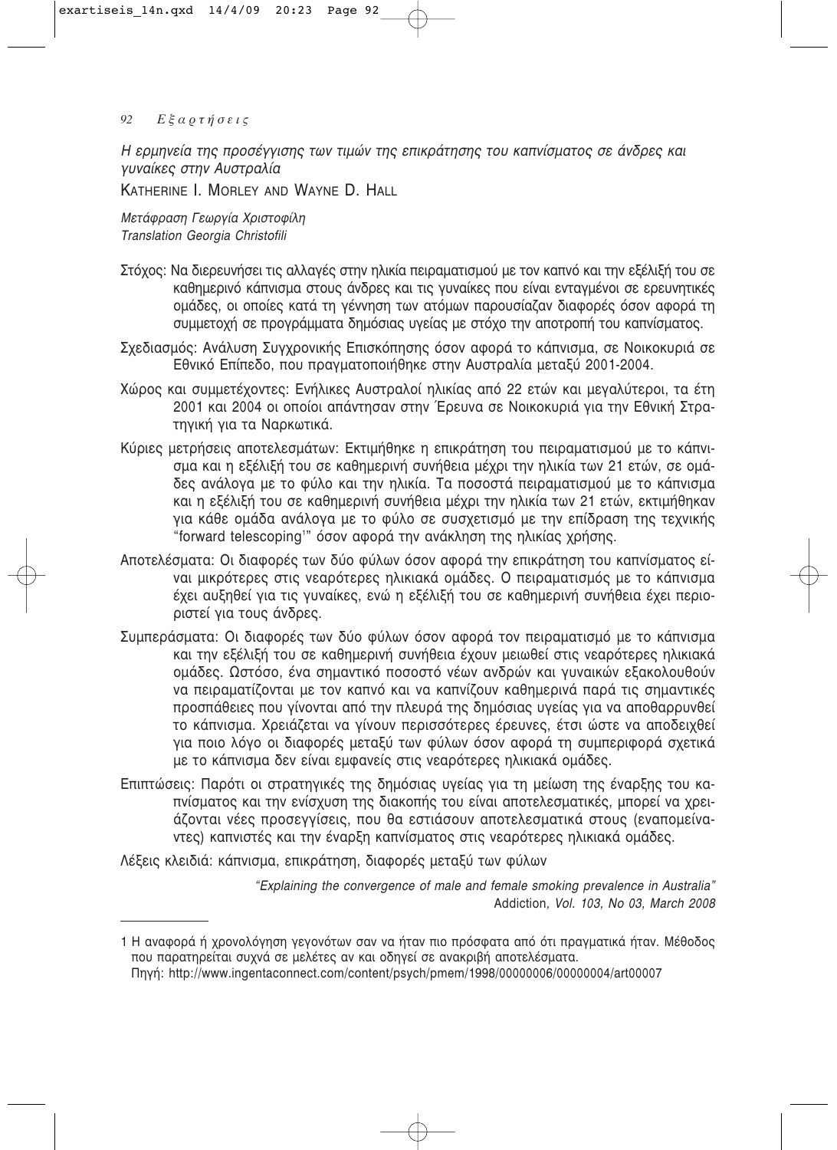*Η ερμηνεία της προσέγγισης των τιμών της επικράτησης του καπνίσματος σε άνδρες και* γυναίκες στην Αυστραλία

KATHERINE I. MORLEY AND WAYNE D. HALL

*Μετάφραση Γεωργία Χριστοφίλη Translation Georgia Christofili*

- Στόχος: Να διερευνήσει τις αλλαγές στην ηλικία πειραματισμού με τον καπνό και την εξέλιξή του σε καθημερινό κάπνισμα στους άνδρες και τις γυναίκες που είναι ενταγμένοι σε ερευνητικές ομάδες, οι οποίες κατά τη γέννηση των ατόμων παρουσίαζαν διαφορές όσον αφορά τη συμμετοχή σε προγράμματα δημόσιας υγείας με στόχο την αποτροπή του καπνίσματος.
- Σχεδιασμός: Ανάλυση Συγχρονικής Επισκόπησης όσον αφορά το κάπνισμα, σε Νοικοκυριά σε Εθνικό Επίπεδο, που πραγματοποιήθηκε στην Αυστραλία μεταξύ 2001-2004.
- Χώρος και συμμετέχοντες: Ενήλικες Αυστραλοί ηλικίας από 22 ετών και μεγαλύτεροι, τα έτη 2001 και 2004 οι οποίοι απάντησαν στην Έρευνα σε Νοικοκυριά για την Εθνική Στρατηγική για τα Ναρκωτικά.
- Κύριες μετρήσεις αποτελεσμάτων: Εκτιμήθηκε η επικράτηση του πειραματισμού με το κάπνισμα και η εξέλιξή του σε καθημερινή συνήθεια μέχρι την ηλικία των 21 ετών, σε ομάδες ανάλογα με το φύλο και την ηλικία. Τα ποσοστά πειραματισμού με το κάπνισμα και η εξέλιξή του σε καθημερινή συνήθεια μέχρι την ηλικία των 21 ετών, εκτιμήθηκαν για κάθε ομάδα ανάλογα με το φύλο σε συσχετισμό με την επίδραση της τεχνικής "forward telescoping'" όσον αφορά την ανάκληση της ηλικίας χρήσης.
- Αποτελέσματα: Οι διαφορές των δύο φύλων όσον αφορά την επικράτηση του καπνίσματος είναι μικρότερες στις νεαρότερες ηλικιακά ομάδες. Ο πειραματισμός με το κάπνισμα έχει αυξηθεί για τις γυναίκες, ενώ η εξέλιξή του σε καθημερινή συνήθεια έχει περιοριστεί για τους άνδρες.
- Συμπεράσματα: Οι διαφορές των δύο φύλων όσον αφορά τον πειραματισμό με το κάπνισμα και την εξέλιξή του σε καθημερινή συνήθεια έχουν μειωθεί στις νεαρότερες ηλικιακά ομάδες. Ωστόσο, ένα σημαντικό ποσοστό νέων ανδρών και γυναικών εξακολουθούν να πειραματίζονται με τον καπνό και να καπνίζουν καθημερινά παρά τις σημαντικές προσπάθειες που γίνονται από την πλευρά της δημόσιας υγείας για να αποθαρρυνθεί το κάπνισμα. Χρειάζεται να γίνουν περισσότερες έρευνες, έτσι ώστε να αποδειχθεί για ποιο λόγο οι διαφορές μεταξύ των φύλων όσον αφορά τη συμπεριφορά σχετικά με το κάπνισμα δεν είναι εμφανείς στις νεαρότερες ηλικιακά ομάδες.
- Επιπτώσεις: Παρότι οι στρατηγικές της δημόσιας υγείας για τη μείωση της έναρξης του καπνίσματος και την ενίσχυση της διακοπής του είναι αποτελεσματικές, μπορεί να χρειάζονται νέες προσεγγίσεις, που θα εστιάσουν αποτελεσματικά στους (εναπομείναντες) καπνιστές και την έναρξη καπνίσματος στις νεαρότερες ηλικιακά ομάδες.

Λέξεις κλειδιά: κάπνισμα, επικράτηση, διαφορές μεταξύ των φύλων

*"Explaining the convergence of male and female smoking prevalence in Australia"* Addiction*, Vol. 103, No 03, March 2008*

<sup>1</sup> Η αναφορά ή χρονολόγηση γεγονότων σαν να ήταν πιο πρόσφατα από ότι πραγματικά ήταν. Μέθοδος που παρατηρείται συχνά σε μελέτες αν και οδηγεί σε ανακριβή αποτελέσματα.

Thyn: http://www.ingentaconnect.com/content/psych/pmem/1998/00000006/0000004/art00007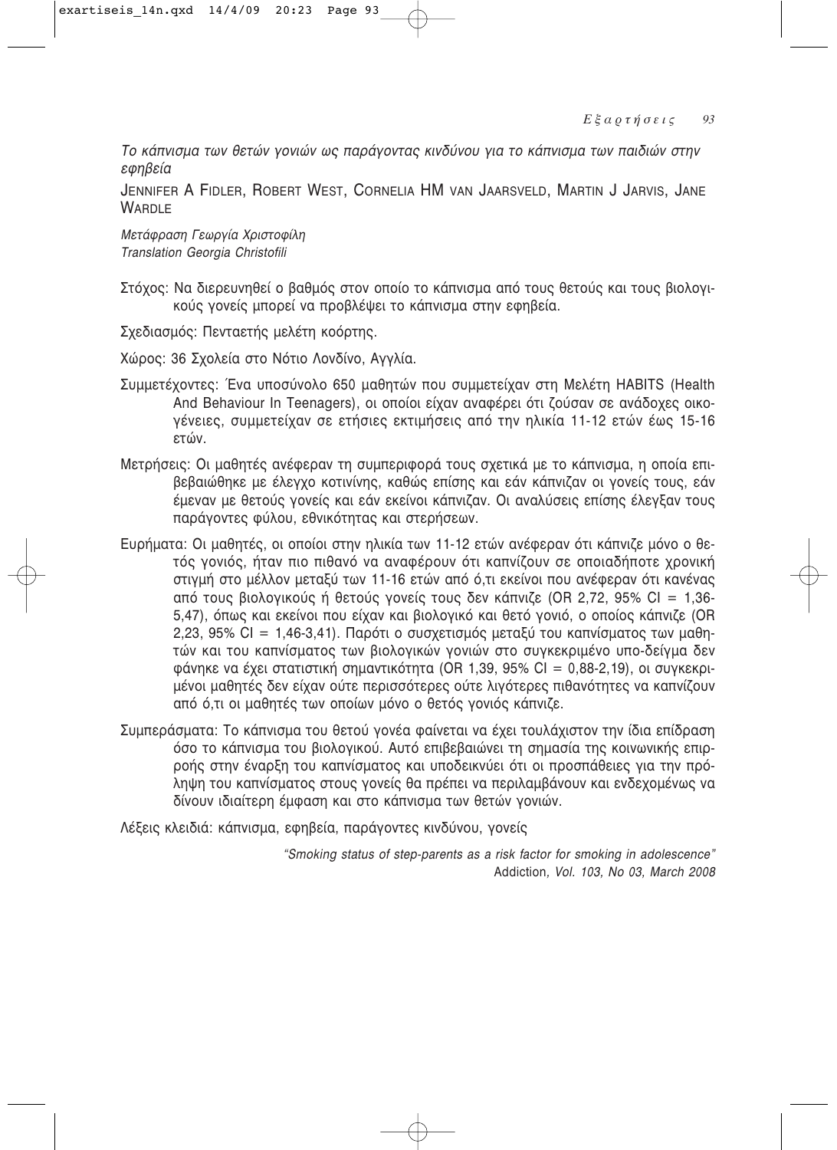exartiseis\_14n.qxd 14/4/09 20:23 Page 93

*ΔÔ Î¿ÓÈÛÌ· ÙˆÓ ıÂÙÒÓ ÁÔÓÈÒÓ ˆ˜ ·Ú¿ÁÔÓÙ·˜ ÎÈÓ‰‡ÓÔ˘ ÁÈ· ÙÔ Î¿ÓÈÛÌ· ÙˆÓ ·È‰ÈÒÓ ÛÙËÓ*  $\epsilon$ *<i>¢n* $\beta$ *ɛí* $\alpha$ 

JENNIFER A FIDLER, ROBERT WEST, CORNELIA HM VAN JAARSVELD, MARTIN J JARVIS, JANE **WARDLE** 

*Μετάφραση Γεωργία Χριστοφίλη Translation Georgia Christofili*

Στόχος: Να διερευνηθεί ο βαθμός στον οποίο το κάπνισμα από τους θετούς και τους βιολογικούς γονείς μπορεί να προβλέψει το κάπνισμα στην εφηβεία.

Σχεδιασμός: Πενταετής μελέτη κοόρτης.

Χώρος: 36 Σχολεία στο Νότιο Λονδίνο, Αννλία.

- Συμμετέχοντες: Ένα υποσύνολο 650 μαθητών που συμμετείχαν στη Μελέτη HABITS (Health And Behaviour In Teenagers), οι οποίοι είχαν αναφέρει ότι ζούσαν σε ανάδοχες οικογένειες, συμμετείχαν σε ετήσιες εκτιμήσεις από την ηλικία 11-12 ετών έως 15-16 ετών.
- Μετρήσεις: Οι μαθητές ανέφεραν τη συμπεριφορά τους σχετικά με το κάπνισμα, η οποία επιβεβαιώθηκε με έλεγχο κοτινίνης, καθώς επίσης και εάν κάπνιζαν οι γονείς τους, εάν έμεναν με θετούς γονείς και εάν εκείνοι κάπνιζαν. Οι αναλύσεις επίσης έλεγξαν τους παράγοντες φύλου, εθνικότητας και στερήσεων.
- Ευρήματα: Οι μαθητές, οι οποίοι στην ηλικία των 11-12 ετών ανέφεραν ότι κάπνιζε μόνο ο θετός γονιός, ήταν πιο πιθανό να αναφέρουν ότι καπνίζουν σε οποιαδήποτε χρονική στιγμή στο μέλλον μεταξύ των 11-16 ετών από ό,τι εκείνοι που ανέφεραν ότι κανένας από τους βιολογικούς ή θετούς γονείς τους δεν κάπνιζε (OR 2,72, 95% CI = 1,36-5,47), όπως και εκείνοι που είχαν και βιολογικό και θετό γονιό, ο οποίος κάπνιζε (OR 2,23, 95% CI = 1,46-3,41). Παρότι ο συσχετισμός μεταξύ του καπνίσματος των μαθητών και του καπνίσματος των βιολογικών γονιών στο συγκεκριμένο υπο-δείγμα δεν φάνηκε να έχει στατιστική σημαντικότητα (OR 1,39, 95% CI = 0,88-2,19), οι συγκεκριμένοι μαθητές δεν είχαν ούτε περισσότερες ούτε λιγότερες πιθανότητες να καπνίζουν από ό,τι οι μαθητές των οποίων μόνο ο θετός γονιός κάπνιζε.
- Συμπεράσματα: Το κάπνισμα του θετού γονέα φαίνεται να έχει τουλάχιστον την ίδια επίδραση όσο το κάπνισμα του βιολογικού. Αυτό επιβεβαιώνει τη σημασία της κοινωνικής επιρροής στην έναρξη του καπνίσματος και υποδεικνύει ότι οι προσπάθειες για την πρόληψη του καπνίσματος στους γονείς θα πρέπει να περιλαμβάνουν και ενδεχομένως να δίνουν ιδιαίτερη έμφαση και στο κάπνισμα των θετών γονιών.

Λέξεις κλειδιά: κάπνισμα, εφηβεία, παράγοντες κινδύνου, γονείς

*"Smoking status of step-parents as a risk factor for smoking in adolescence"* Addiction*, Vol. 103, No 03, March 2008*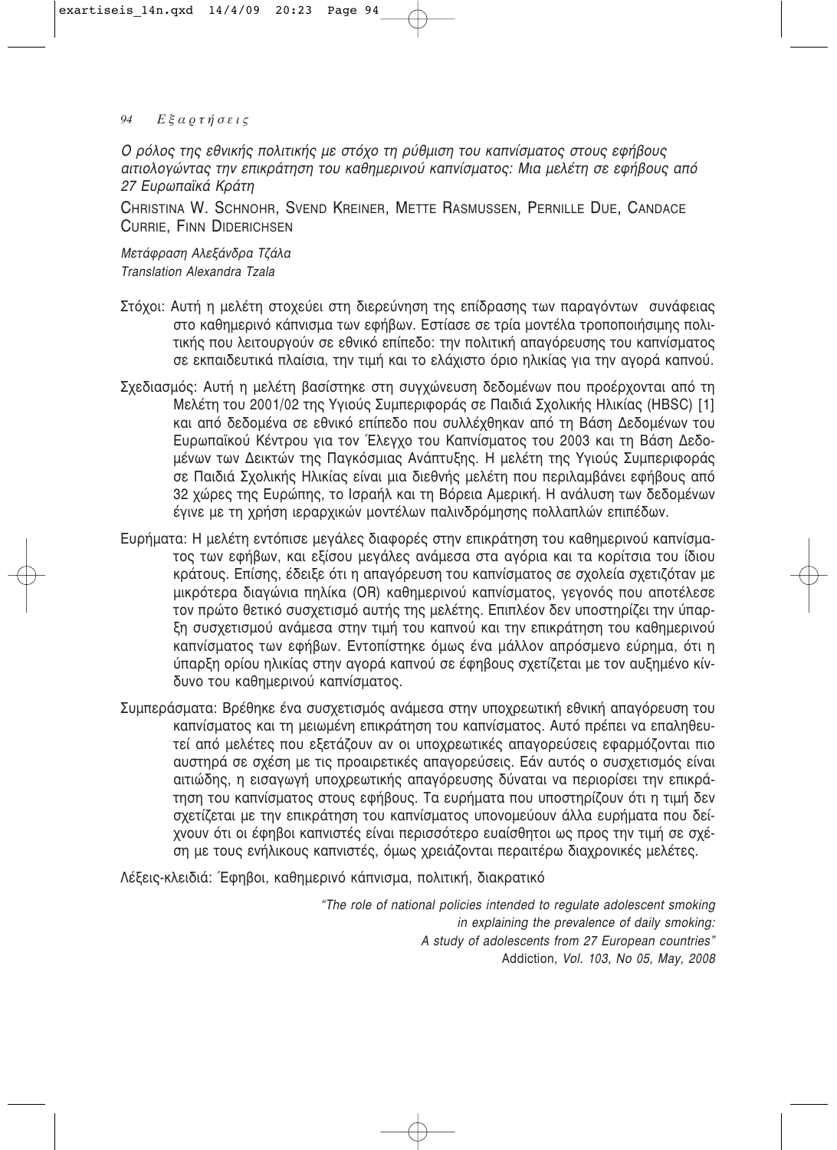Ο ρόλος της εθνικής πολιτικής με στόχο τη ρύθμιση του καπνίσματος στους εφήβους *·ÈÙÈÔÏÔÁÒÓÙ·˜ ÙËÓ ÂÈÎÚ¿ÙËÛË ÙÔ˘ ηıËÌÂÚÈÓÔ‡ ηӛÛÌ·ÙÔ˜: ªÈ· ÌÂϤÙË Û ÂÊ‹'Ô˘˜ ·fi* 27 Ευρωπαϊκά Κράτη

CHRISTINA W. SCHNOHR, SVEND KREINER, METTE RASMUSSEN, PERNILLE DUE, CANDACE CURRIE, FINN DIDERICHSEN

*Μετάφραση Αλεξάνδρα Τζάλα Translation Alexandra Tzala*

- Στόχοι: Αυτή η μελέτη στοχεύει στη διερεύνηση της επίδρασης των παραγόντων συνάφειας στο καθημερινό κάπνισμα των εφήβων. Εστίασε σε τρία μοντέλα τροποποιήσιμης πολιτικής που λειτουργούν σε εθνικό επίπεδο: την πολιτική απαγόρευσης του καπνίσματος σε εκπαιδευτικά πλαίσια, την τιμή και το ελάχιστο όριο ηλικίας για την αγορά καπνού.
- Σχεδιασμός: Αυτή η μελέτη βασίστηκε στη συγχώνευση δεδομένων που προέρχονται από τη Μελέτη του 2001/02 της Υγιούς Συμπεριφοράς σε Παιδιά Σχολικής Ηλικίας (HBSC) [1] και από δεδομένα σε εθνικό επίπεδο που συλλέχθηκαν από τη Βάση Δεδομένων του Ευρωπαϊκού Κέντρου για τον Έλεγχο του Καπνίσματος του 2003 και τη Βάση Δεδομένων των Δεικτών της Παγκόσμιας Ανάπτυξης. Η μελέτη της Υγιούς Συμπεριφοράς σε Παιδιά Σχολικής Ηλικίας είναι μια διεθνής μελέτη που περιλαμβάνει εφήβους από 32 χώρες της Ευρώπης, το Ισραήλ και τη Βόρεια Αμερική. Η ανάλυση των δεδομένων έγινε με τη χρήση ιεραρχικών μοντέλων παλινδρόμησης πολλαπλών επιπέδων.
- Ευρήματα: Η μελέτη εντόπισε μεγάλες διαφορές στην επικράτηση του καθημερινού καπνίσματος των εφήβων, και εξίσου μεγάλες ανάμεσα στα αγόρια και τα κορίτσια του ίδιου Κράτους. Επίσης, έδειξε ότι η απανόρευση του καπνίσματος σε σχολεία σχετιζόταν με μικρότερα διαγώνια πηλίκα (OR) καθημερινού καπνίσματος, γεγονός που αποτέλεσε τον πρώτο θετικό συσχετισμό αυτής της μελέτης. Επιπλέον δεν υποστηρίζει την ύπαρξη συσχετισμού ανάμεσα στην τιμή του καπνού και την επικράτηση του καθημερινού καπνίσματος των εφήβων. Εντοπίστηκε όμως ένα μάλλον απρόσμενο εύρημα, ότι η ύπαρξη ορίου ηλικίας στην αγορά καπνού σε έφηβους σχετίζεται με τον αυξημένο κίνδυνο του καθημερινού καπνίσματος.
- Συμπεράσματα: Βρέθηκε ένα συσχετισμός ανάμεσα στην υποχρεωτική εθνική απαγόρευση του καπνίσματος και τη μειωμένη επικράτηση του καπνίσματος. Αυτό πρέπει να επαληθευτεί από μελέτες που εξετάζουν αν οι υποχρεωτικές απαγορεύσεις εφαρμόζονται πιο αυστηρά σε σχέση με τις προαιρετικές απαγορεύσεις. Εάν αυτός ο συσχετισμός είναι αιτιώδης, η εισαγωγή υποχρεωτικής απαγόρευσης δύναται να περιορίσει την επικράτηση του καπνίσματος στους εφήβους. Τα ευρήματα που υποστηρίζουν ότι η τιμή δεν σχετίζεται με την επικράτηση του καπνίσματος υπονομεύουν άλλα ευρήματα που δείχνουν ότι οι έφηβοι καπνιστές είναι περισσότερο ευαίσθητοι ως προς την τιμή σε σχέση με τους ενήλικους καπνιστές, όμως χρειάζονται περαιτέρω διαχρονικές μελέτες.

Λέξεις-κλειδιά: Έφηβοι, καθημερινό κάπνισμα, πολιτική, διακρατικό

*"The role of national policies intended to regulate adolescent smoking in explaining the prevalence of daily smoking: A study of adolescents from 27 European countries"* Addiction*, Vol. 103, No 05, May, 2008*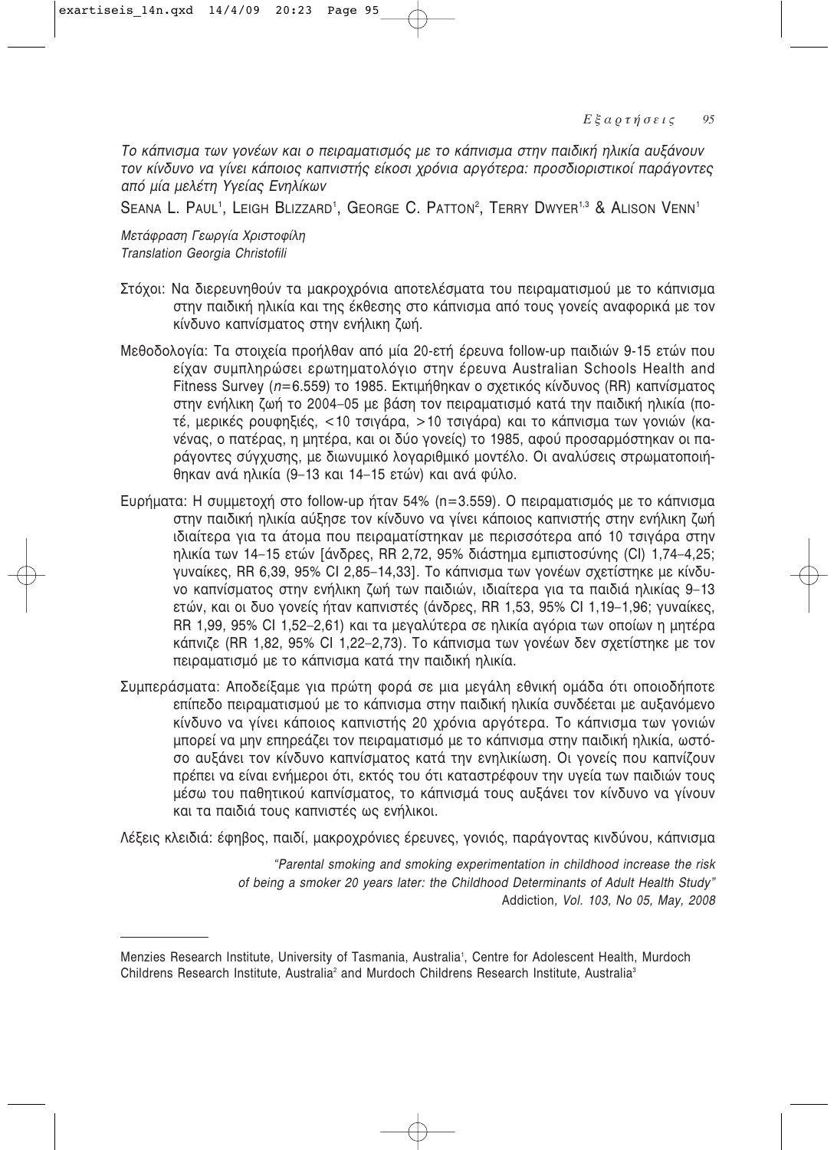*ΔÔ Î¿ÓÈÛÌ· ÙˆÓ ÁÔÓ¤ˆÓ Î·È Ô ÂÈÚ·Ì·ÙÈÛÌfi˜ Ì ÙÔ Î¿ÓÈÛÌ· ÛÙËÓ ·È‰È΋ ËÏÈΛ· ·˘Í¿ÓÔ˘Ó* τον κίνδυνο να γίνει κάποιος καπνιστής είκοσι χρόνια αργότερα: προσδιοριστικοί παράγοντες *από μία μελέτη Υγείας Ενηλίκων* 

Seana L. Paul', Leigh Blizzard', George C. Patton<sup>2</sup>, Terry Dwyer<sup>1,3</sup> & Alison Venn'

*Μετάφραση Γεωργία Χριστοφίλη Translation Georgia Christofili*

exartiseis\_14n.qxd 14/4/09 20:23 Page 95

- Στόχοι: Να διερευνηθούν τα μακροχρόνια αποτελέσματα του πειραματισμού με το κάπνισμα στην παιδική ηλικία και της έκθεσης στο κάπνισμα από τους γονείς αναφορικά με τον κίνδυνο καπνίσματος στην ενήλικη ζωή.
- Μεθοδολογία: Τα στοιχεία προήλθαν από μία 20-ετή έρευνα follow-up παιδιών 9-15 ετών που είχαν συμπληρώσει ερωτηματολόγιο στην έρευνα Australian Schools Health and Fitness Survey ( $n=6.559$ ) το 1985. Εκτιμήθηκαν ο σχετικός κίνδυνος (RR) καπνίσματος στην ενήλικη ζωή το 2004-05 με βάση τον πειραματισμό κατά την παιδική ηλικία (ποτέ, μερικές ρουφηξιές, <10 τσιγάρα, >10 τσιγάρα) και το κάπνισμα των γονιών (κανένας, ο πατέρας, η μητέρα, και οι δύο γονείς) το 1985, αφού προσαρμόστηκαν οι παράγοντες σύγχυσης, με διωνυμικό λογαριθμικό μοντέλο. Οι αναλύσεις στρωματοποιήθηκαν ανά ηλικία (9-13 και 14-15 ετών) και ανά φύλο.
- Ευρήματα: Η συμμετοχή στο follow-up ήταν 54% (n=3.559). Ο πειραματισμός με το κάπνισμα στην παιδική ηλικία αύξησε τον κίνδυνο να γίνει κάποιος καπνιστής στην ενήλικη ζωή ιδιαίτερα για τα άτομα που πειραματίστηκαν με περισσότερα από 10 τσιγάρα στην ηλικία των 14-15 ετών [άνδρες, RR 2,72, 95% διάστημα εμπιστοσύνης (CI) 1,74-4,25; γυναίκες, RR 6,39, 95% Cl 2,85-14,33]. Το κάπνισμα των γονέων σχετίστηκε με κίνδυ-VO Καπνίσματος στην ενήλικη ζωή των παιδιών, ιδιαίτερα για τα παιδιά ηλικίας 9-13 ετών, και οι δυο γονείς ήταν καπνιστές (άνδρες, RR 1,53, 95% Cl 1,19–1,96; γυναίκες, RR 1,99, 95% Cl 1,52-2,61) και τα μεγαλύτερα σε ηλικία αγόρια των οποίων η μητέρα κάπνιζε (RR 1,82, 95% CI 1,22-2,73). Το κάπνισμα των γονέων δεν σχετίστηκε με τον πειραματισμό με το κάπνισμα κατά την παιδική ηλικία.
- Συμπεράσματα: Αποδείξαμε για πρώτη φορά σε μια μεγάλη εθνική ομάδα ότι οποιοδήποτε επίπεδο πειραματισμού με το κάπνισμα στην παιδική ηλικία συνδέεται με αυξανόμενο κίνδυνο να γίνει κάποιος καπνιστής 20 χρόνια αργότερα. Το κάπνισμα των γονιών μπορεί να μην επηρεάζει τον πειραματισμό με το κάπνισμα στην παιδική ηλικία, ωστόσο αυξάνει τον κίνδυνο καπνίσματος κατά την ενηλικίωση. Οι γονείς που καπνίζουν πρέπει να είναι ενήμεροι ότι, εκτός του ότι καταστρέφουν την υγεία των παιδιών τους μέσω του παθητικού καπνίσματος, το κάπνισμά τους αυξάνει τον κίνδυνο να γίνουν και τα παιδιά τους καπνιστές ως ενήλικοι.

Λέξεις κλειδιά: έφηβος, παιδί, μακροχρόνιες έρευνες, γονιός, παράγοντας κινδύνου, κάπνισμα

*"Parental smoking and smoking experimentation in childhood increase the risk of being a smoker 20 years later: the Childhood Determinants of Adult Health Study"* Addiction*, Vol. 103, No 05, May, 2008*

Menzies Research Institute, University of Tasmania, Australia', Centre for Adolescent Health, Murdoch Childrens Research Institute, Australia<sup>2</sup> and Murdoch Childrens Research Institute, Australia<sup>3</sup>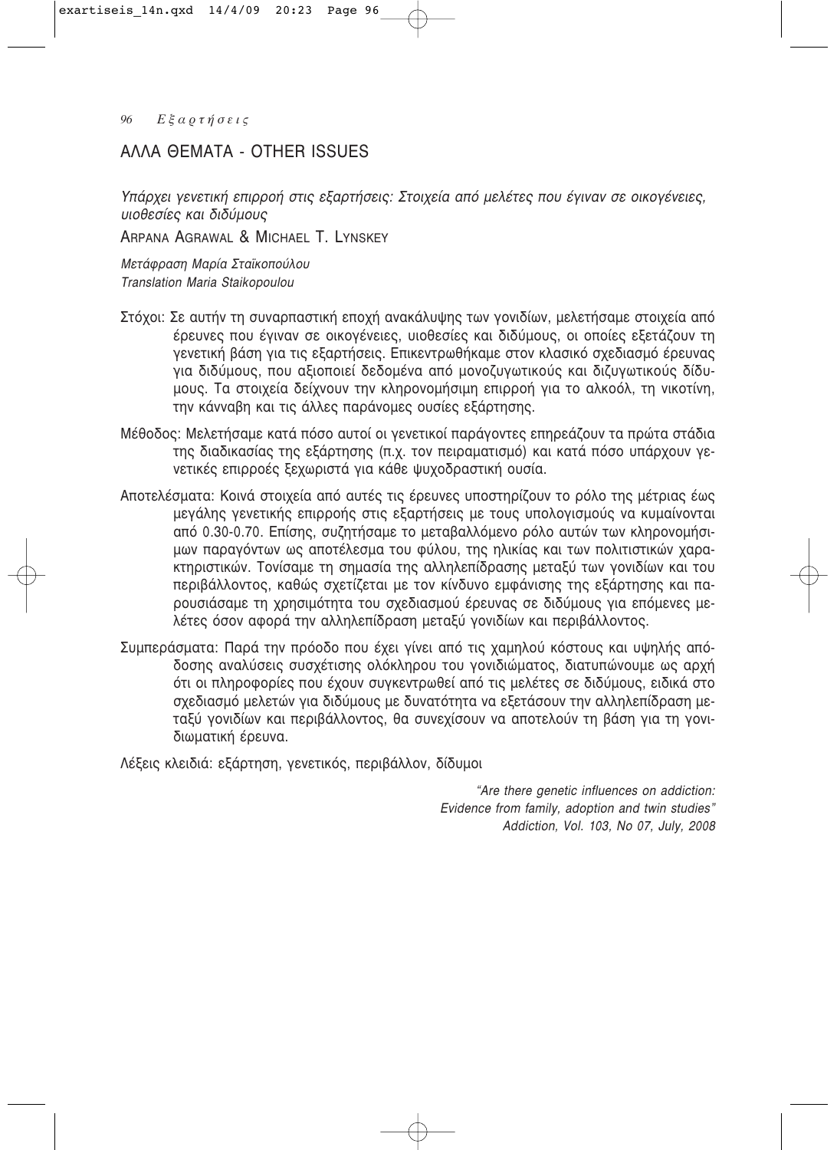# A§§∞ £∂ª∞Δ∞ - OTHER ISSUES

Υπάρχει γενετική επιρροή στις εξαρτήσεις: Στοιχεία από μελέτες που έγιναν σε οικογένειες, ιιοθεσίες και διδύμους

ARPANA AGRAWAL & MICHAEL T. LYNSKEY

*Μετάφραση Μαρία Σταϊκοπούλου Translation Maria Staikopoulou*

- Στόχοι: Σε αυτήν τη συναρπαστική εποχή ανακάλυψης των γονιδίων, μελετήσαμε στοιχεία από έρευνες που έγιναν σε οικονένειες, υιοθεσίες και διδύμους, οι οποίες εξετάζουν τη γενετική βάση για τις εξαρτήσεις. Επικεντρωθήκαμε στον κλασικό σχεδιασμό έρευνας για διδύμους, που αξιοποιεί δεδομένα από μονοζυγωτικούς και διζυγωτικούς δίδυμους. Τα στοιχεία δείχνουν την κληρονομήσιμη επιρροή για το αλκοόλ, τη νικοτίνη, την κάνναβη και τις άλλες παράνομες ουσίες εξάρτησης.
- Μέθοδος: Μελετήσαμε κατά πόσο αυτοί οι γενετικοί παράγοντες επηρεάζουν τα πρώτα στάδια της διαδικασίας της εξάρτησης (π.χ. τον πειραματισμό) και κατά πόσο υπάρχουν γενετικές επιρροές ξεχωριστά για κάθε ψυχοδραστική ουσία.
- Αποτελέσματα: Κοινά στοιχεία από αυτές τις έρευνες υποστηρίζουν το ρόλο της μέτριας έως μεγάλης γενετικής επιρροής στις εξαρτήσεις με τους υπολογισμούς να κυμαίνονται από 0.30-0.70. Επίσης, συζητήσαμε το μεταβαλλόμενο ρόλο αυτών των κληρονομήσιμων παραγόντων ως αποτέλεσμα του φύλου, της ηλικίας και των πολιτιστικών χαρακτηριστικών. Τονίσαμε τη σημασία της αλληλεπίδρασης μεταξύ των γονιδίων και του περιβάλλοντος, καθώς σχετίζεται με τον κίνδυνο εμφάνισης της εξάρτησης και παρουσιάσαμε τη χρησιμότητα του σχεδιασμού έρευνας σε διδύμους για επόμενες μελέτες όσον αφορά την αλληλεπίδραση μεταξύ γονιδίων και περιβάλλοντος.
- Συμπεράσματα: Παρά την πρόοδο που έχει γίνει από τις χαμηλού κόστους και υψηλής απόδοσης αναλύσεις συσχέτισης ολόκληρου του γονιδιώματος, διατυπώνουμε ως αρχή ότι οι πληροφορίες που έχουν συγκεντρωθεί από τις μελέτες σε διδύμους, ειδικά στο σχεδιασμό μελετών για διδύμους με δυνατότητα να εξετάσουν την αλληλεπίδραση μεταξύ γονιδίων και περιβάλλοντος, θα συνεχίσουν να αποτελούν τη βάση για τη γονιδιωματική έρευνα.

Λέξεις κλειδιά: εξάρτηση, γενετικός, περιβάλλον, δίδυμοι

*"Are there genetic influences on addiction: Evidence from family, adoption and twin studies" Addiction, Vol. 103, No 07, July, 2008*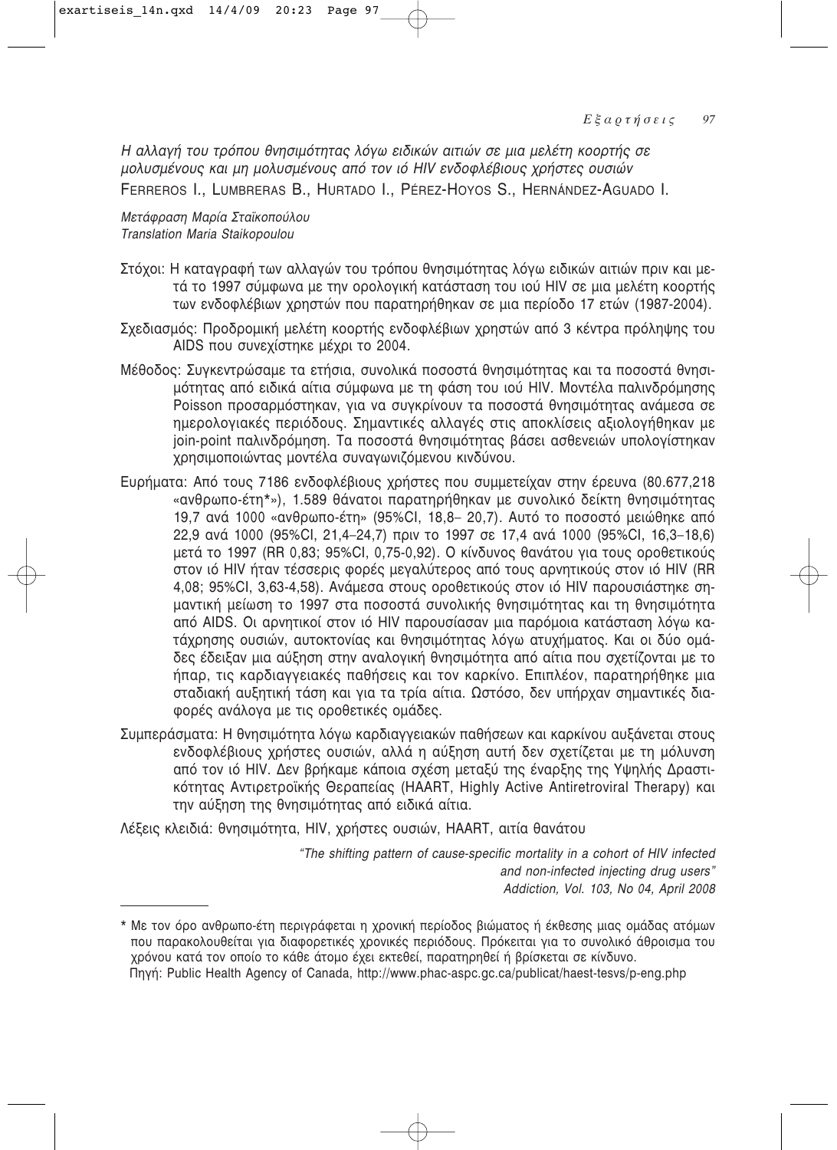Η αλλαγή του τρόπου θνησιμότητας λόγω ειδικών αιτιών σε μια μελέτη κοορτής σε μολυσμένους και μη μολυσμένους από τον ιό HIV ενδοφλέβιους χρήστες ουσιών FERREROS I., LUMBRERAS B., HURTADO I., PÉREZ-HOYOS S., HERNÁNDEZ-AGUADO I.

*Μετάφραση Μαρία Σταϊκοπούλου Translation Maria Staikopoulou*

exartiseis\_14n.qxd 14/4/09 20:23 Page 97

- Στόχοι: Η καταγραφή των αλλαγών του τρόπου θνησιμότητας λόγω ειδικών αιτιών πριν και μετά το 1997 σύμφωνα με την ορολογική κατάσταση του ιού HIV σε μια μελέτη κοορτής των ενδοφλέβιων χρηστών που παρατηρήθηκαν σε μια περίοδο 17 ετών (1987-2004).
- Σχεδιασμός: Προδρομική μελέτη κοορτής ενδοφλέβιων χρηστών από 3 κέντρα πρόληψης του AIDS που συνεχίστηκε μέχρι το 2004.
- Μέθοδος: Συγκεντρώσαμε τα ετήσια, συνολικά ποσοστά θνησιμότητας και τα ποσοστά θνησιμότητας από ειδικά αίτια σύμφωνα με τη φάση του ιού HIV. Μοντέλα παλινδρόμησης Poisson προσαρμόστηκαν, για να συγκρίνουν τα ποσοστά θνησιμότητας ανάμεσα σε ημερολογιακές περιόδους. Σημαντικές αλλαγές στις αποκλίσεις αξιολογήθηκαν με join-point παλινδρόμηση. Τα ποσοστά θνησιμότητας βάσει ασθενειών υπολογίστηκαν χρησιμοποιώντας μοντέλα συναγωνιζόμενου κινδύνου.
- Ευρήματα: Από τους 7186 ενδοφλέβιους χρήστες που συμμετείχαν στην έρευνα (80.677,218 «ανθρωπο-έτη\*»), 1.589 θάνατοι παρατηρήθηκαν με συνολικό δείκτη θνησιμότητας 19,7 ανά 1000 «ανθρωπο-έτη» (95%Cl, 18,8– 20,7). Αυτό το ποσοστό μειώθηκε από 22,9 avá 1000 (95%Cl, 21,4–24,7) πριν το 1997 σε 17,4 avá 1000 (95%Cl, 16,3–18,6) μετά το 1997 (RR 0,83; 95%Cl, 0,75-0,92). Ο κίνδυνος θανάτου για τους οροθετικούς στον ιό HIV ήταν τέσσερις φορές μεγαλύτερος από τους αρνητικούς στον ιό HIV (RR 4,08; 95%CI, 3,63-4,58). Ανάμεσα στους οροθετικούς στον ιό HIV παρουσιάστηκε σημαντική μείωση το 1997 στα ποσοστά συνολικής θνησιμότητας και τη θνησιμότητα από AIDS. Οι αρνητικοί στον ιό HIV παρουσίασαν μια παρόμοια κατάσταση λόγω κατάχρησης ουσιών, αυτοκτονίας και θνησιμότητας λόγω ατυχήματος. Και οι δύο ομάδες έδειξαν μια αύξηση στην αναλογική θνησιμότητα από αίτια που σχετίζονται με το ήπαρ, τις καρδιαγγειακές παθήσεις και τον καρκίνο. Επιπλέον, παρατηρήθηκε μια σταδιακή αυξητική τάση και για τα τρία αίτια. Ωστόσο, δεν υπήρχαν σημαντικές διαφορές ανάλογα με τις οροθετικές ομάδες.
- Συμπεράσματα: Η θνησιμότητα λόγω καρδιαγγειακών παθήσεων και καρκίνου αυξάνεται στους ενδοφλέβιους χρήστες ουσιών, αλλά η αύξηση αυτή δεν σχετίζεται με τη μόλυνση από τον ιό HIV. Δεν βρήκαμε κάποια σχέση μεταξύ της έναρξης της Υψηλής Δραστικότητας Αντιρετροϊκής Θεραπείας (HAART, Highly Active Antiretroviral Therapy) και την αύξηση της θνησιμότητας από ειδικά αίτια.

Λέξεις κλειδιά: θνησιμότητα, HIV, χρήστες ουσιών, HAART, αιτία θανάτου

*"The shifting pattern of cause-specific mortality in a cohort of HIV infected and non-infected injecting drug users" Addiction, Vol. 103, No 04, April 2008*

<sup>\*</sup> Με τον όρο ανθρωπο-έτη περιγράφεται η χρονική περίοδος βιώματος ή έκθεσης μιας ομάδας ατόμων που παρακολουθείται για διαφορετικές χρονικές περιόδους. Πρόκειται για το συνολικό άθροισμα του χρόνου κατά τον οποίο το κάθε άτομο έχει εκτεθεί, παρατηρηθεί ή βρίσκεται σε κίνδυνο. Πηγή: Public Health Agency of Canada, http://www.phac-aspc.gc.ca/publicat/haest-tesvs/p-eng.php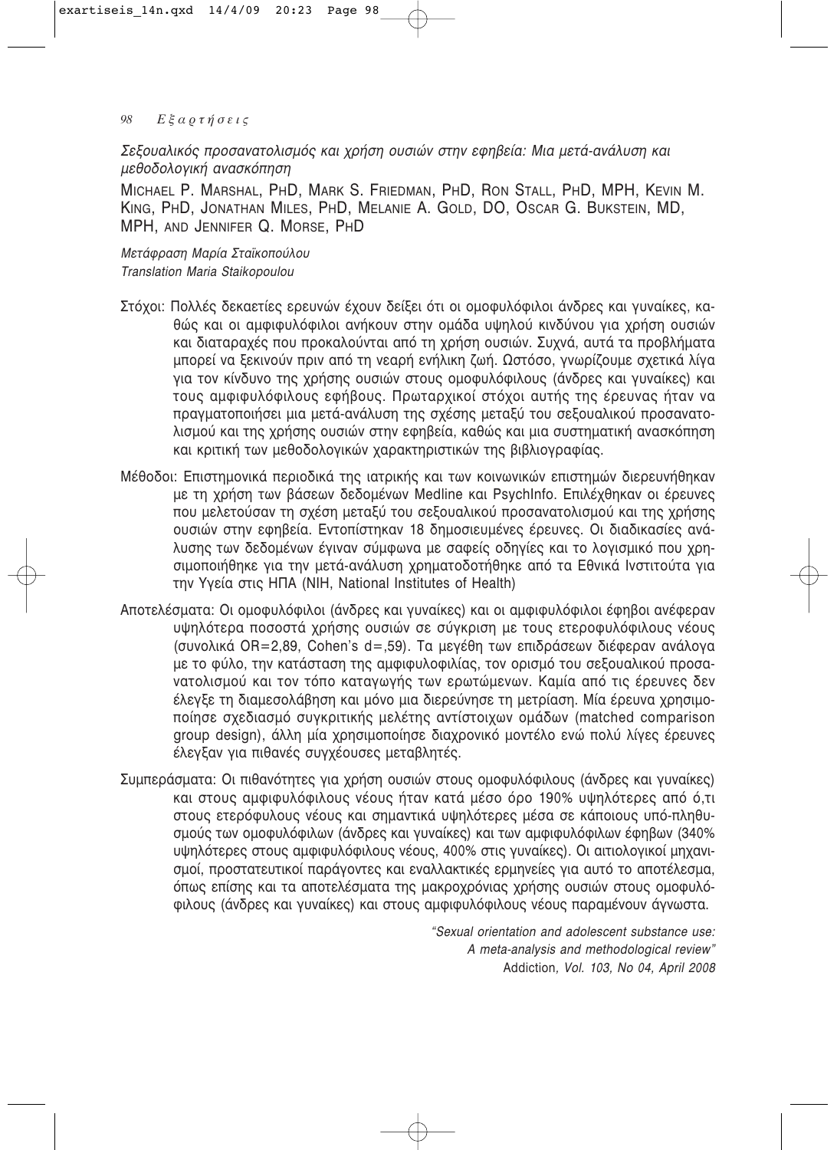Σεξουαλικός προσανατολισμός και χρήση ουσιών στην εφηβεία: Μια μετά-ανάλυση και μεθοδολονική ανασκόπηση

MICHAEL P. MARSHAL, PHD, MARK S. FRIEDMAN, PHD, RON STALL, PHD, MPH, KEVIN M. KING, PHD, JONATHAN MILES, PHD, MELANIE A. GOLD, DO, OSCAR G. BUKSTEIN, MD, MPH, AND JENNIFER Q. MORSE, PHD

Μετάφραση Μαρία Σταϊκοπούλου Translation Maria Staikopoulou

- Στόχοι: Πολλές δεκαετίες ερευνών έχουν δείξει ότι οι ομοφυλόφιλοι άνδρες και γυναίκες, καθώς και οι αμφιφυλόφιλοι ανήκουν στην ομάδα υψηλού κινδύνου για χρήση ουσιών και διαταραχές που προκαλούνται από τη χρήση ουσιών. Συχνά, αυτά τα προβλήματα μπορεί να ξεκινούν πριν από τη νεαρή ενήλικη ζωή. Ωστόσο, γνωρίζουμε σχετικά λίγα για τον κίνδυνο της χρήσης ουσιών στους ομοφυλόφιλους (άνδρες και γυναίκες) και τους αμφιφυλόφιλους εφήβους. Πρωταρχικοί στόχοι αυτής της έρευνας ήταν να πραγματοποιήσει μια μετά-ανάλυση της σχέσης μεταξύ του σεξουαλικού προσανατολισμού και της χρήσης ουσιών στην εφηβεία, καθώς και μια συστηματική ανασκόπηση και κριτική των μεθοδολογικών χαρακτηριστικών της βιβλιογραφίας.
- Μέθοδοι: Επιστημονικά περιοδικά της ιατρικής και των κοινωνικών επιστημών διερευνήθηκαν με τη χρήση των βάσεων δεδομένων Medline και PsychInfo. Επιλέχθηκαν οι έρευνες που μελετούσαν τη σχέση μεταξύ του σεξουαλικού προσανατολισμού και της χρήσης ουσιών στην εφηβεία. Εντοπίστηκαν 18 δημοσιευμένες έρευνες. Οι διαδικασίες ανάλυσης των δεδομένων ένιναν σύμφωνα με σαφείς οδηνίες και το λονισμικό που χρησιμοποιήθηκε για την μετά-ανάλυση χρηματοδοτήθηκε από τα Εθνικά Ινστιτούτα για την Υγεία στις ΗΠΑ (NIH, National Institutes of Health)
- Αποτελέσματα: Οι ομοφυλόφιλοι (άνδρες και γυναίκες) και οι αμφιφυλόφιλοι έφηβοι ανέφεραν υψηλότερα ποσοστά χρήσης ουσιών σε σύγκριση με τους ετεροφυλόφιλους νέους (συνολικά OR=2,89, Cohen's d=,59). Τα μεγέθη των επιδράσεων διέφεραν ανάλογα με το φύλο, την κατάσταση της αμφιφυλοφιλίας, τον ορισμό του σεξουαλικού προσανατολισμού και τον τόπο καταγωγής των ερωτώμενων. Καμία από τις έρευνες δεν έλεγξε τη διαμεσολάβηση και μόνο μια διερεύνησε τη μετρίαση. Μία έρευνα χρησιμοποίησε σχεδιασμό συγκριτικής μελέτης αντίστοιχων ομάδων (matched comparison group design), άλλη μία χρησιμοποίησε διαχρονικό μοντέλο ενώ πολύ λίγες έρευνες έλεγξαν για πιθανές συγχέουσες μεταβλητές.
- Συμπεράσματα: Οι πιθανότητες για χρήση ουσιών στους ομοφυλόφιλους (άνδρες και γυναίκες) και στους αμφιφυλόφιλους νέους ήταν κατά μέσο όρο 190% υψηλότερες από ό.τι στους ετερόφυλους νέους και σημαντικά υψηλότερες μέσα σε κάποιους υπό-πληθυσμούς των ομοφυλόφιλων (άνδρες και γυναίκες) και των αμφιφυλόφιλων έφηβων (340% υψηλότερες στους αμφιφυλόφιλους νέους, 400% στις γυναίκες). Οι αιτιολογικοί μηχανισμοί, προστατευτικοί παράγοντες και εναλλακτικές ερμηνείες για αυτό το αποτέλεσμα, όπως επίσης και τα αποτελέσματα της μακροχρόνιας χρήσης ουσιών στους ομοφυλόφιλους (άνδρες και γυναίκες) και στους αμφιφυλόφιλους νέους παραμένουν άγνωστα.

"Sexual orientation and adolescent substance use: A meta-analysis and methodological review" Addiction, Vol. 103, No 04, April 2008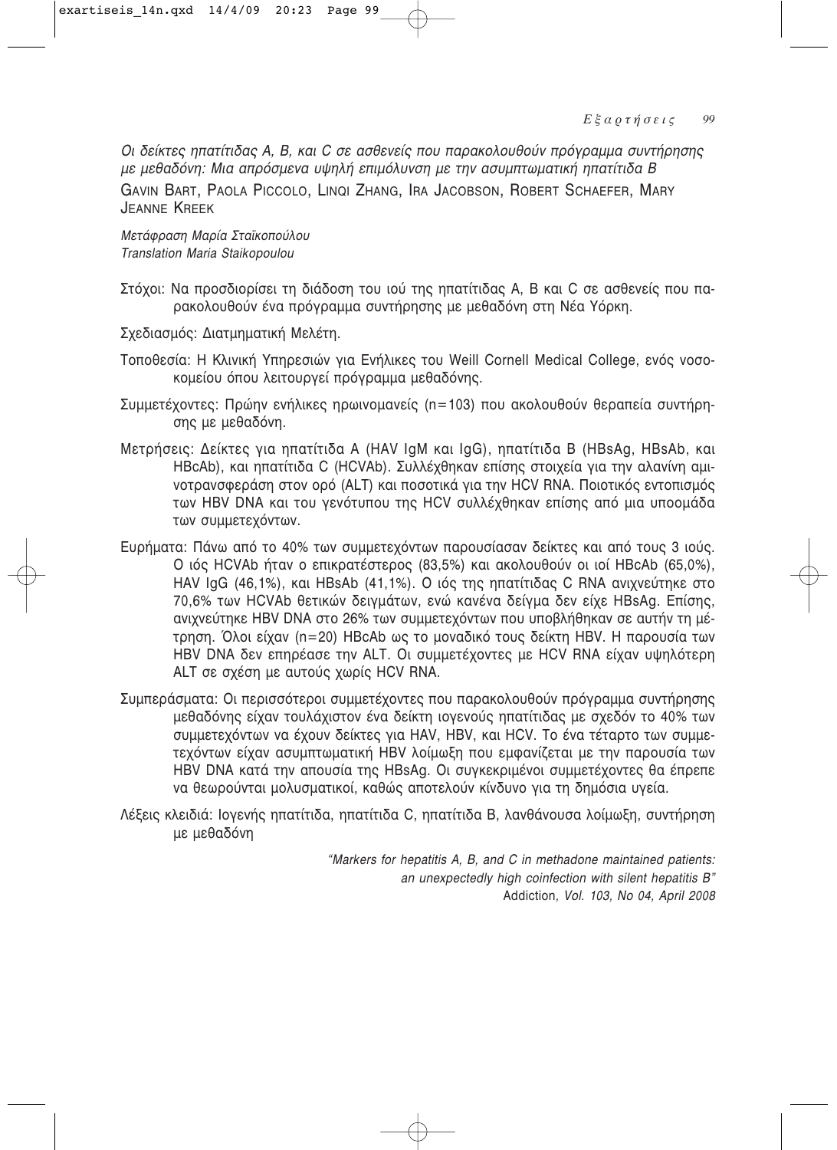Οι δείκτες ηπατίτιδας A, B, και C σε ασθενείς που παρακολουθούν πρόγραμμα συντήρησης με μεθαδόνη: Μια απρόσμενα υψηλή επιμόλυνση με την ασυμπτωματική ηπατίτιδα Β GAVIN BART, PAOLA PICCOLO, LINQI ZHANG, IRA JACOBSON, ROBERT SCHAEFER, MARY JEANNE KREEK

*Μετάφραση Μαρία Σταϊκοπούλου Translation Maria Staikopoulou*

exartiseis\_14n.qxd 14/4/09 20:23 Page 99

Στόχοι: Να προσδιορίσει τη διάδοση του ιού της ηπατίτιδας A, B και C σε ασθενείς που παρακολουθούν ένα πρόγραμμα συντήρησης με μεθαδόνη στη Νέα Υόρκη.

Σχεδιασμός: Διατμηματική Μελέτη.

Τοποθεσία: Η Κλινική Υπηρεσιών για Ενήλικες του Weill Cornell Medical College, ενός νοσοκομείου όπου λειτουργεί πρόγραμμα μεθαδόνης.

Συμμετέχοντες: Πρώην ενήλικες ηρωινομανείς (n=103) που ακολουθούν θεραπεία συντήρησης με μεθαδόνη.

Μετρήσεις: Δείκτες για ηπατίτιδα A (HAV IgM και IgG), ηπατίτιδα B (HBsAg, HBsAb, και HBcAb), και ηπατίτιδα C (HCVAb). Συλλέχθηκαν επίσης στοιχεία για την αλανίνη αμινοτρανσφεράση στον ορό (ALT) και ποσοτικά για την HCV RNA. Ποιοτικός εντοπισμός των HBV DNA και του γενότυπου της HCV συλλέχθηκαν επίσης από μια υποομάδα των συμμετεχόντων.

Ευρήματα: Πάνω από το 40% των συμμετεχόντων παρουσίασαν δείκτες και από τους 3 ιούς. Ο ιός HCVAb ήταν ο επικρατέστερος (83,5%) και ακολουθούν οι ιοί HBcAb (65,0%), HAV IgG (46,1%), και HBsAb (41,1%). Ο ιός της ηπατίτιδας C RNA ανιχνεύτηκε στο 70,6% των HCVAb θετικών δεινμάτων, ενώ κανένα δείνμα δεν είχε HBsAg, Επίσης, ανιχνεύτηκε HBV DNA στο 26% των συμμετεχόντων που υποβλήθηκαν σε αυτήν τη μέτρηση. Όλοι είχαν (n=20) HBcAb ως το μοναδικό τους δείκτη HBV. Η παρουσία των HBV DNA δεν επηρέασε την ALT. Οι συμμετέχοντες με HCV RNA είχαν υψηλότερη ALT σε σχέση με αυτούς χωρίς HCV RNA.

Συμπεράσματα: Οι περισσότεροι συμμετέχοντες που παρακολουθούν πρόγραμμα συντήρησης μεθαδόνης είχαν τουλάχιστον ένα δείκτη ιογενούς ηπατίτιδας με σχεδόν το 40% των συμμετεχόντων να έχουν δείκτες για HAV, HBV, και HCV. Το ένα τέταρτο των συμμετεχόντων είχαν ασυμπτωματική HBV λοίμωξη που εμφανίζεται με την παρουσία των HBV DNA κατά την απουσία της HBsAg. Οι συγκεκριμένοι συμμετέχοντες θα έπρεπε να θεωρούνται μολυσματικοί, καθώς αποτελούν κίνδυνο για τη δημόσια υγεία.

Λέξεις κλειδιά: Ιογενής ηπατίτιδα, ηπατίτιδα C, ηπατίτιδα B, λανθάνουσα λοίμωξη, συντήρηση με μεθαδόνη

> *"Markers for hepatitis A, B, and C in methadone maintained patients: an unexpectedly high coinfection with silent hepatitis B"* Addiction*, Vol. 103, No 04, April 2008*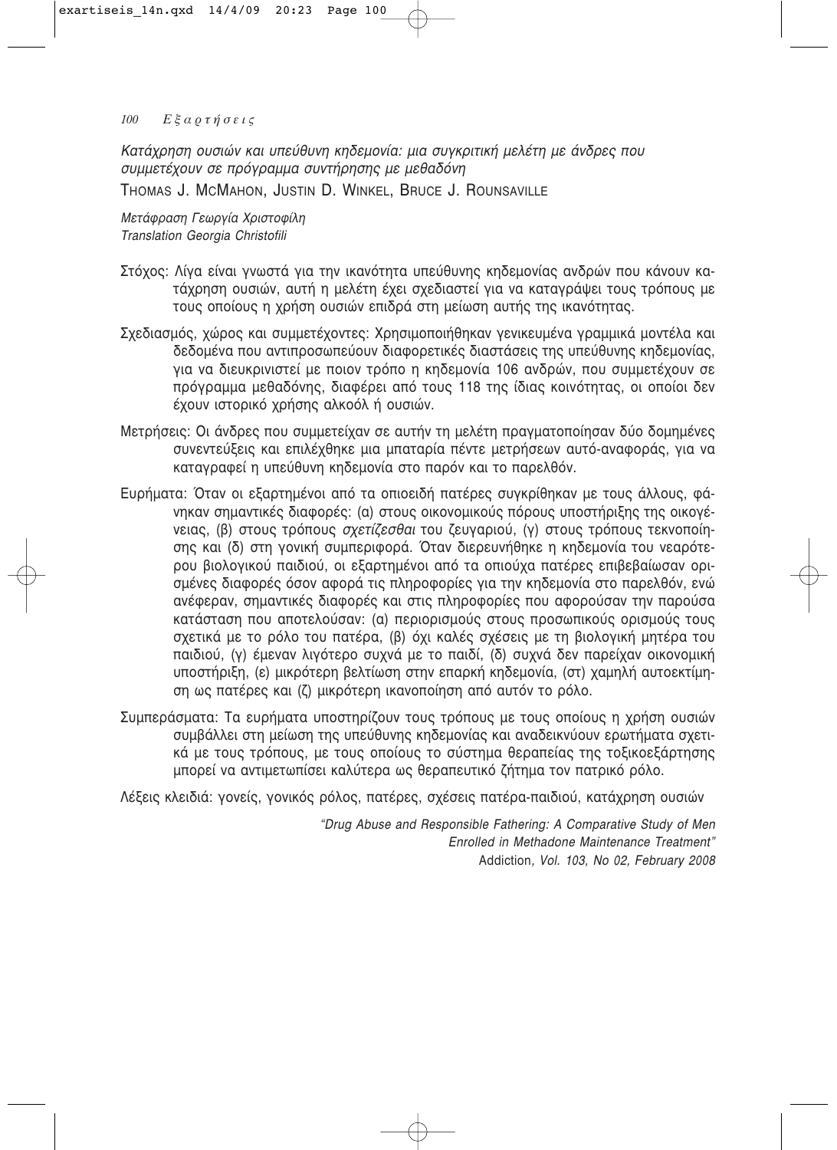*Kατάχρηση ουσιών και υπεύθυνη κηδεμονία: μια συγκριτική μελέτη με άνδρες που* συμμετέχουν σε πρόγραμμα συντήρησης με μεθαδόνη THOMAS J. MCMAHON, JUSTIN D. WINKEL, BRUCE J. ROUNSAVILLE

*Μετάφραση Γεωργία Χριστοφίλη Translation Georgia Christofili*

- Στόχος: Λίγα είναι γνωστά για την ικανότητα υπεύθυνης κηδεμονίας ανδρών που κάνουν κατάχρηση ουσιών, αυτή η μελέτη έχει σχεδιαστεί για να καταγράψει τους τρόπους με τους οποίους η χρήση ουσιών επιδρά στη μείωση αυτής της ικανότητας.
- Σχεδιασμός, χώρος και συμμετέχοντες: Χρησιμοποιήθηκαν γενικευμένα γραμμικά μοντέλα και δεδομένα που αντιπροσωπεύουν διαφορετικές διαστάσεις της υπεύθυνης κηδεμονίας, για να διευκρινιστεί με ποιον τρόπο η κηδεμονία 106 ανδρών, που συμμετέχουν σε πρόγραμμα μεθαδόνης, διαφέρει από τους 118 της ίδιας κοινότητας, οι οποίοι δεν έχουν ιστορικό χρήσης αλκοόλ ή ουσιών.
- Μετρήσεις: Οι άνδρες που συμμετείχαν σε αυτήν τη μελέτη πραγματοποίησαν δύο δομημένες συνεντεύξεις και επιλέχθηκε μια μπαταρία πέντε μετρήσεων αυτό-αναφοράς, για να καταγραφεί η υπεύθυνη κηδεμονία στο παρόν και το παρελθόν.
- Ευρήματα: Όταν οι εξαρτημένοι από τα οπιοειδή πατέρες συγκρίθηκαν με τους άλλους, φάvηκαν σημαντικές διαφορές: (α) στους οικονομικούς πόρους υποστήριξης της οικογέvειας, (β) στους τρόπους σχετίζεσθαι του ζευγαριού, (γ) στους τρόπους τεκνοποίησης και (δ) στη νονική συμπεριφορά. Όταν διερευνήθηκε η κηδεμονία του νεαρότερου βιολογικού παιδιού, οι εξαρτημένοι από τα οπιούχα πατέρες επιβεβαίωσαν ορισμένες διαφορές όσον αφορά τις πληροφορίες για την κηδεμονία στο παρελθόν, ενώ ανέφεραν, σημαντικές διαφορές και στις πληροφορίες που αφορούσαν την παρούσα κατάσταση που αποτελούσαν: (α) περιορισμούς στους προσωπικούς ορισμούς τους σχετικά με το ρόλο του πατέρα, (β) όχι καλές σχέσεις με τη βιολογική μητέρα του παιδιού, (γ) έμεναν λιγότερο συχνά με το παιδί, (δ) συχνά δεν παρείχαν οικονομική υποστήριξη, (ε) μικρότερη βελτίωση στην επαρκή κηδεμονία, (στ) χαμηλή αυτοεκτίμηση ως πατέρες και (ζ) μικρότερη ικανοποίηση από αυτόν το ρόλο.
- Συμπεράσματα: Τα ευρήματα υποστηρίζουν τους τρόπους με τους οποίους η χρήση ουσιών συμβάλλει στη μείωση της υπεύθυνης κηδεμονίας και αναδεικνύουν ερωτήματα σχετικά με τους τρόπους, με τους οποίους το σύστημα θεραπείας της τοξικοεξάρτησης μπορεί να αντιμετωπίσει καλύτερα ως θεραπευτικό ζήτημα τον πατρικό ρόλο.

Λέξεις κλειδιά: γονείς, γονικός ρόλος, πατέρες, σχέσεις πατέρα-παιδιού, κατάχρηση ουσιών

*"Drug Abuse and Responsible Fathering: A Comparative Study of Men Enrolled in Methadone Maintenance Treatment"* Addiction*, Vol. 103, No 02, February 2008*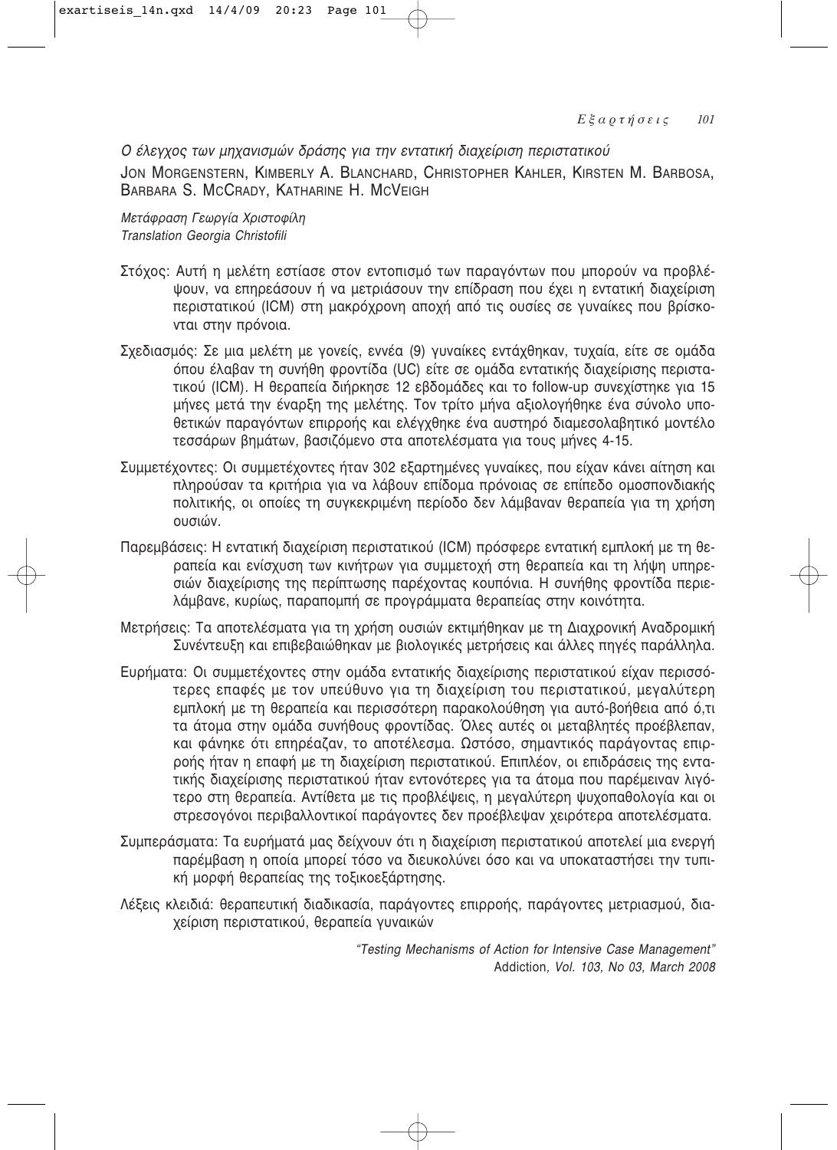exartiseis\_14n.qxd 14/4/09 20:23 Page 101

Ο έλεγχος των μηχανισμών δράσης για την εντατική διαχείριση περιστατικού JON MORGENSTERN, KIMBERLY A. BLANCHARD, CHRISTOPHER KAHLER, KIRSTEN M. BARBOSA, BARBARA S. MCCRADY, KATHARINE H. MCVEIGH

*Μετάφραση Γεωργία Χριστοφίλη Translation Georgia Christofili*

- Στόχος: Αυτή η μελέτη εστίασε στον εντοπισμό των παραγόντων που μπορούν να προβλέψουν, να επηρεάσουν ή να μετριάσουν την επίδραση που έχει η εντατική διαχείριση περιστατικού (ICM) στη μακρόχρονη αποχή από τις ουσίες σε γυναίκες που βρίσκονται στην πρόνοια.
- Σχεδιασμός: Σε μια μελέτη με γονείς, εννέα (9) γυναίκες εντάχθηκαν, τυχαία, είτε σε ομάδα όπου έλαβαν τη συνήθη φροντίδα (UC) είτε σε ομάδα εντατικής διαχείρισης περιστατικού (ICM). Η θεραπεία διήρκησε 12 εβδομάδες και το follow-up συνεχίστηκε για 15 μήνες μετά την έναρξη της μελέτης. Τον τρίτο μήνα αξιολογήθηκε ένα σύνολο υποθετικών παραγόντων επιρροής και ελέγχθηκε ένα αυστηρό διαμεσολαβητικό μοντέλο τεσσάρων βημάτων, βασιζόμενο στα αποτελέσματα για τους μήνες 4-15.
- Συμμετέχοντες: Οι συμμετέχοντες ήταν 302 εξαρτημένες γυναίκες, που είχαν κάνει αίτηση και πληρούσαν τα κριτήρια για να λάβουν επίδομα πρόνοιας σε επίπεδο ομοσπονδιακής πολιτικής, οι οποίες τη συγκεκριμένη περίοδο δεν λάμβαναν θεραπεία για τη χρήση ουσιών.
- Παρεμβάσεις: Η εντατική διαχείριση περιστατικού (ICM) πρόσφερε εντατική εμπλοκή με τη θεραπεία και ενίσχυση των κινήτρων για συμμετοχή στη θεραπεία και τη λήψη υπηρεσιών διαχείρισης της περίπτωσης παρέχοντας κουπόνια. Η συνήθης φροντίδα περιελάμβανε, κυρίως, παραπομπή σε προγράμματα θεραπείας στην κοινότητα.
- Μετρήσεις: Τα αποτελέσματα για τη χρήση ουσιών εκτιμήθηκαν με τη Διαχρονική Αναδρομική Συνέντευξη και επιβεβαιώθηκαν με βιολογικές μετρήσεις και άλλες πηγές παράλληλα.
- Ευρήματα: Οι συμμετέχοντες στην ομάδα εντατικής διαχείρισης περιστατικού είχαν περισσότερες επαφές με τον υπεύθυνο για τη διαχείριση του περιστατικού, μεγαλύτερη εμπλοκή με τη θεραπεία και περισσότερη παρακολούθηση για αυτό-βοήθεια από ό,τι τα άτομα στην ομάδα συνήθους φροντίδας. Όλες αυτές οι μεταβλητές προέβλεπαν, και φάνηκε ότι επηρέαζαν, το αποτέλεσμα. Ωστόσο, σημαντικός παράγοντας επιρροής ήταν η επαφή με τη διαχείριση περιστατικού. Επιπλέον, οι επιδράσεις της εντατικής διαχείρισης περιστατικού ήταν εντονότερες για τα άτομα που παρέμειναν λιγότερο στη θεραπεία. Αντίθετα με τις προβλέψεις, η μεγαλύτερη ψυχοπαθολογία και οι στρεσογόνοι περιβαλλοντικοί παράγοντες δεν προέβλεψαν χειρότερα αποτελέσματα.
- Συμπεράσματα: Τα ευρήματά μας δείχνουν ότι η διαχείριση περιστατικού αποτελεί μια ενεργή παρέμβαση η οποία μπορεί τόσο να διευκολύνει όσο και να υποκαταστήσει την τυπική μορφή θεραπείας της τοξικοεξάρτησης.
- Λέξεις κλειδιά: θεραπευτική διαδικασία, παράγοντες επιρροής, παράγοντες μετριασμού, διαχείριση περιστατικού, θεραπεία γυναικών

*"Testing Mechanisms of Action for Intensive Case Management"* Addiction*, Vol. 103, No 03, March 2008*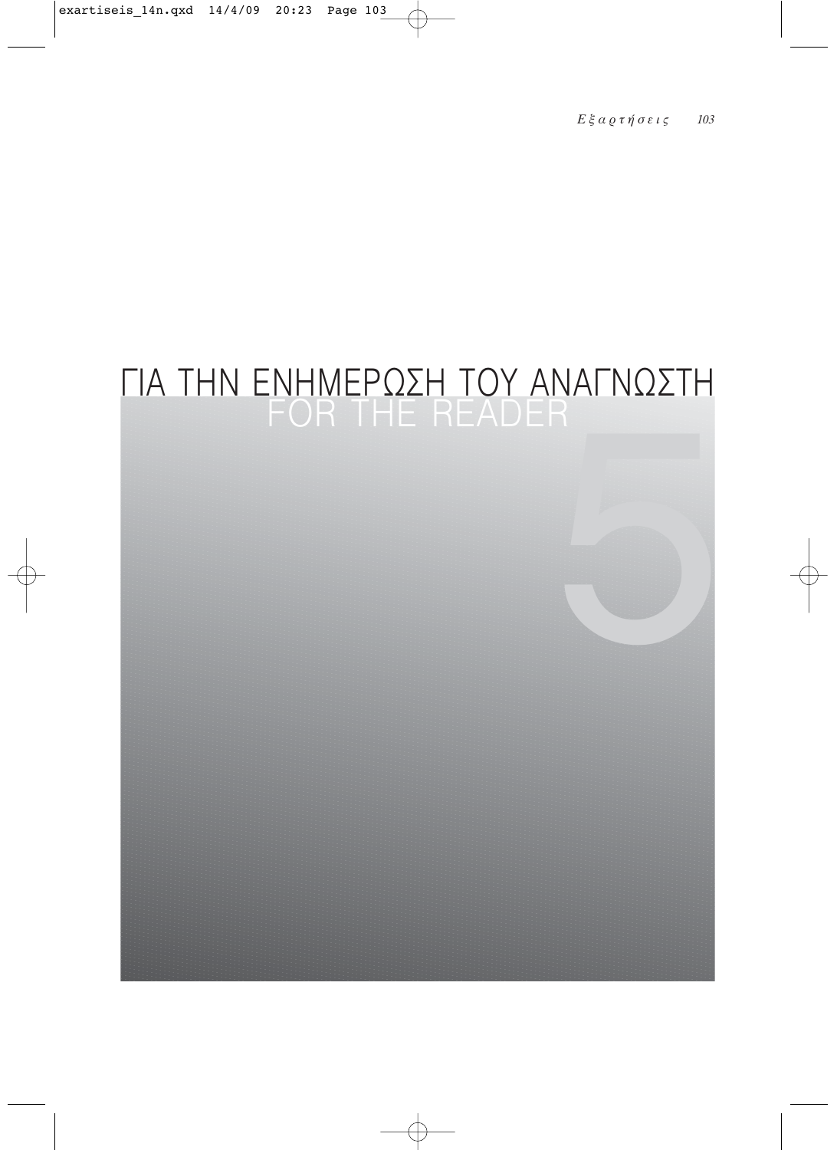$E$ ξαρτήσεις 103

# ΓΙΑ ΤΗΝ ΕΝΗΜΕΡΩΣΗ ΤΟΥ ΑΝΑΓΝΩΣΤΗ<br>FOR THE READER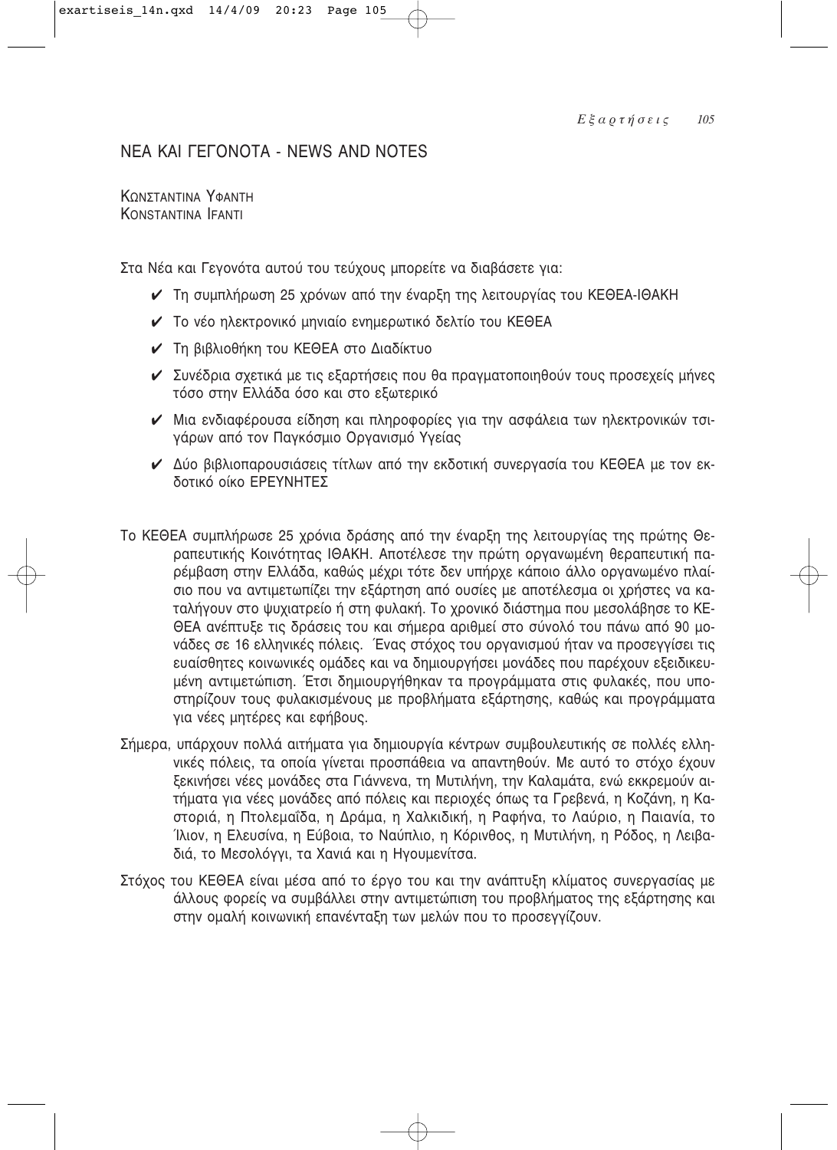### exartiseis\_14n.qxd 14/4/09 20:23 Page 105

# NEA KAI FEFONOTA - NEWS AND NOTES

ΚΩΝΣΤΑΝΤΙΝΑ ΥΦΑΝΤΗ KONSTANTINA IFANTI

Στα Νέα και Γεγονότα αυτού του τεύχους μπορείτε να διαβάσετε για:

- v Tη συμπλήρωση 25 χρόνων από την έναρξη της λειτουργίας του ΚΕΘΕΑ-ΙΘΑΚΗ
- $V$  Το νέο ηλεκτρονικό μηνιαίο ενημερωτικό δελτίο του ΚΕΘΕΑ
- v Τη βιβλιοθήκη του ΚΕΘΕΑ στο Διαδίκτυο
- $V$  Συνέδρια σχετικά με τις εξαρτήσεις που θα πραγματοποιηθούν τους προσεχείς μήνες τόσο στην Ελλάδα όσο και στο εξωτερικό
- v Μια ενδιαφέρουσα είδηση και πληροφορίες για την ασφάλεια των ηλεκτρονικών τσιγάρων από τον Παγκόσμιο Οργανισμό Υγείας
- v Δύο βιβλιοπαρουσιάσεις τίτλων από την εκδοτική συνεργασία του ΚΕΘΕΑ με τον εκδοτικό οίκο ΕΡΕΥΝΗΤΕΣ
- Το ΚΕΘΕΑ συμπλήρωσε 25 χρόνια δράσης από την έναρξη της λειτουργίας της πρώτης Θεραπευτικής Κοινότητας ΙΘΑΚΗ. Αποτέλεσε την πρώτη οργανωμένη θεραπευτική παρέμβαση στην Ελλάδα, καθώς μέχρι τότε δεν υπήρχε κάποιο άλλο οργανωμένο πλαίσιο που να αντιμετωπίζει την εξάρτηση από ουσίες με αποτέλεσμα οι χρήστες να καταλήγουν στο ψυχιατρείο ή στη φυλακή. Το χρονικό διάστημα που μεσολάβησε το ΚΕ-ΘΕΑ ανέπτυξε τις δράσεις του και σήμερα αριθμεί στο σύνολό του πάνω από 90 μονάδες σε 16 ελληνικές πόλεις. Ένας στόχος του οργανισμού ήταν να προσεγγίσει τις ευαίσθητες κοινωνικές ομάδες και να δημιουργήσει μονάδες που παρέχουν εξειδικευμένη αντιμετώπιση. Έτσι δημιουργήθηκαν τα προγράμματα στις φυλακές, που υποστηρίζουν τους φυλακισμένους με προβλήματα εξάρτησης, καθώς και προγράμματα για νέες μητέρες και εφήβους.
- Σήμερα, υπάρχουν πολλά αιτήματα για δημιουργία κέντρων συμβουλευτικής σε πολλές ελληνικές πόλεις, τα οποία γίνεται προσπάθεια να απαντηθούν. Με αυτό το στόχο έχουν ξεκινήσει νέες μονάδες στα Γιάννενα, τη Μυτιλήνη, την Καλαμάτα, ενώ εκκρεμούν αιτήματα για νέες μονάδες από πόλεις και περιοχές όπως τα Γρεβενά, η Κοζάνη, η Καστοριά, η Πτολεμαΐδα, η Δράμα, η Χαλκιδική, η Ραφήνα, το Λαύριο, η Παιανία, το Ίλιον, η Ελευσίνα, η Εύβοια, το Ναύπλιο, η Κόρινθος, η Μυτιλήνη, η Ρόδος, η Λειβαδιά, το Μεσολόγγι, τα Χανιά και η Ηγουμενίτσα.
- Στόχος του ΚΕΘΕΑ είναι μέσα από το έργο του και την ανάπτυξη κλίματος συνεργασίας με άλλους φορείς να συμβάλλει στην αντιμετώπιση του προβλήματος της εξάρτησης και στην ομαλή κοινωνική επανένταξη των μελών που το προσεγγίζουν.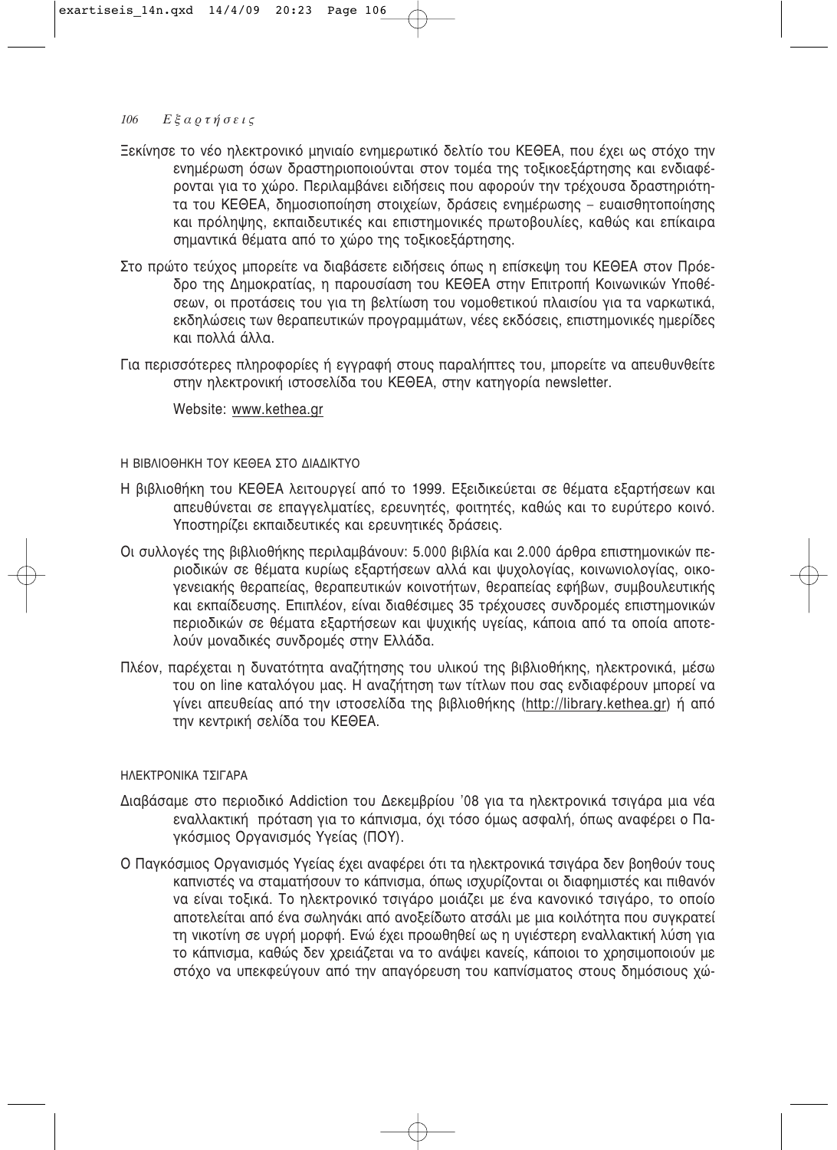- Ξεκίνησε το νέο ηλεκτρονικό μηνιαίο ενημερωτικό δελτίο του ΚΕΘΕΑ, που έχει ως στόχο την ενημέρωση όσων δραστηριοποιούνται στον τομέα της τοξικοεξάρτησης και ενδιαφέρονται για το χώρο. Περιλαμβάνει ειδήσεις που αφορούν την τρέχουσα δραστηριότητα του ΚΕΘΕΑ, δημοσιοποίηση στοιχείων, δράσεις ενημέρωσης – ευαισθητοποίησης και πρόληψης, εκπαιδευτικές και επιστημονικές πρωτοβουλίες, καθώς και επίκαιρα σημαντικά θέματα από το χώρο της τοξικοεξάρτησης.
- Στο πρώτο τεύχος μπορείτε να διαβάσετε ειδήσεις όπως η επίσκεψη του ΚΕΘΕΑ στον Πρόεδρο της Δημοκρατίας, η παρουσίαση του ΚΕΘΕΑ στην Επιτροπή Κοινωνικών Υποθέσεων, οι προτάσεις του για τη βελτίωση του νομοθετικού πλαισίου για τα ναοκωτικά. εκδηλώσεις των θεραπευτικών προγραμμάτων, νέες εκδόσεις, επιστημονικές ημερίδες και πολλά άλλα.
- Για περισσότερες πληροφορίες ή εγγραφή στους παραλήπτες του, μπορείτε να απευθυνθείτε στην ηλεκτρονική ιστοσελίδα του ΚΕΘΕΑ, στην κατηγορία newsletter.

Website: www.kethea.gr

### Η ΒΙΒΛΙΟΘΗΚΗ ΤΟΥ ΚΕΘΕΑ ΣΤΟ ΔΙΑΔΙΚΤΥΟ

- Η βιβλιοθήκη του ΚΕΘΕΑ λειτουργεί από το 1999. Εξειδικεύεται σε θέματα εξαρτήσεων και απευθύνεται σε επαγγελματίες, ερευνητές, φοιτητές, καθώς και το ευρύτερο κοινό. Υποστηρίζει εκπαιδευτικές και ερευνητικές δράσεις.
- Οι συλλογές της βιβλιοθήκης περιλαμβάνουν: 5.000 βιβλία και 2.000 άρθρα επιστημονικών περιοδικών σε θέματα κυρίως εξαρτήσεων αλλά και ψυχολογίας, κοινωνιολογίας, οικογενειακής θεραπείας, θεραπευτικών κοινοτήτων, θεραπείας εφήβων, συμβουλευτικής και εκπαίδευσης. Επιπλέον, είναι διαθέσιμες 35 τρέχουσες συνδρομές επιστημονικών περιοδικών σε θέματα εξαρτήσεων και ψυχικής υγείας, κάποια από τα οποία αποτελούν μοναδικές συνδρομές στην Ελλάδα.
- Πλέον, παρέχεται η δυνατότητα αναζήτησης του υλικού της βιβλιοθήκης, ηλεκτρονικά, μέσω του on line καταλόγου μας. Η αναζήτηση των τίτλων που σας ενδιαφέρουν μπορεί να γίνει απευθείας από την ιστοσελίδα της βιβλιοθήκης (http://library.kethea.gr) ή από την κεντρική σελίδα του ΚΕΘΕΑ.

### ΗΛΕΚΤΡΟΝΙΚΑ ΤΣΙΓΑΡΑ

- Διαβάσαμε στο περιοδικό Addiction του Δεκεμβρίου '08 για τα ηλεκτρονικά τσιγάρα μια νέα εναλλακτική πρόταση για το κάπνισμα, όχι τόσο όμως ασφαλή, όπως αναφέρει ο Παγκόσμιος Οργανισμός Υγείας (ΠΟΥ).
- Ο Παγκόσμιος Οργανισμός Υγείας έχει αναφέρει ότι τα ηλεκτρονικά τσιγάρα δεν βοηθούν τους καπνιστές να σταματήσουν το κάπνισμα, όπως ισχυρίζονται οι διαφημιστές και πιθανόν να είναι τοξικά. Το ηλεκτρονικό τσιγάρο μοιάζει με ένα κανονικό τσιγάρο, το οποίο αποτελείται από ένα σωληνάκι από ανοξείδωτο ατσάλι με μια κοιλότητα που συγκρατεί τη νικοτίνη σε υγρή μορφή. Ενώ έχει προωθηθεί ως η υγιέστερη εναλλακτική λύση για το κάπνισμα, καθώς δεν χρειάζεται να το ανάψει κανείς, κάποιοι το χρησιμοποιούν με στόχο να υπεκφεύγουν από την απαγόρευση του καπνίσματος στους δημόσιους χώ-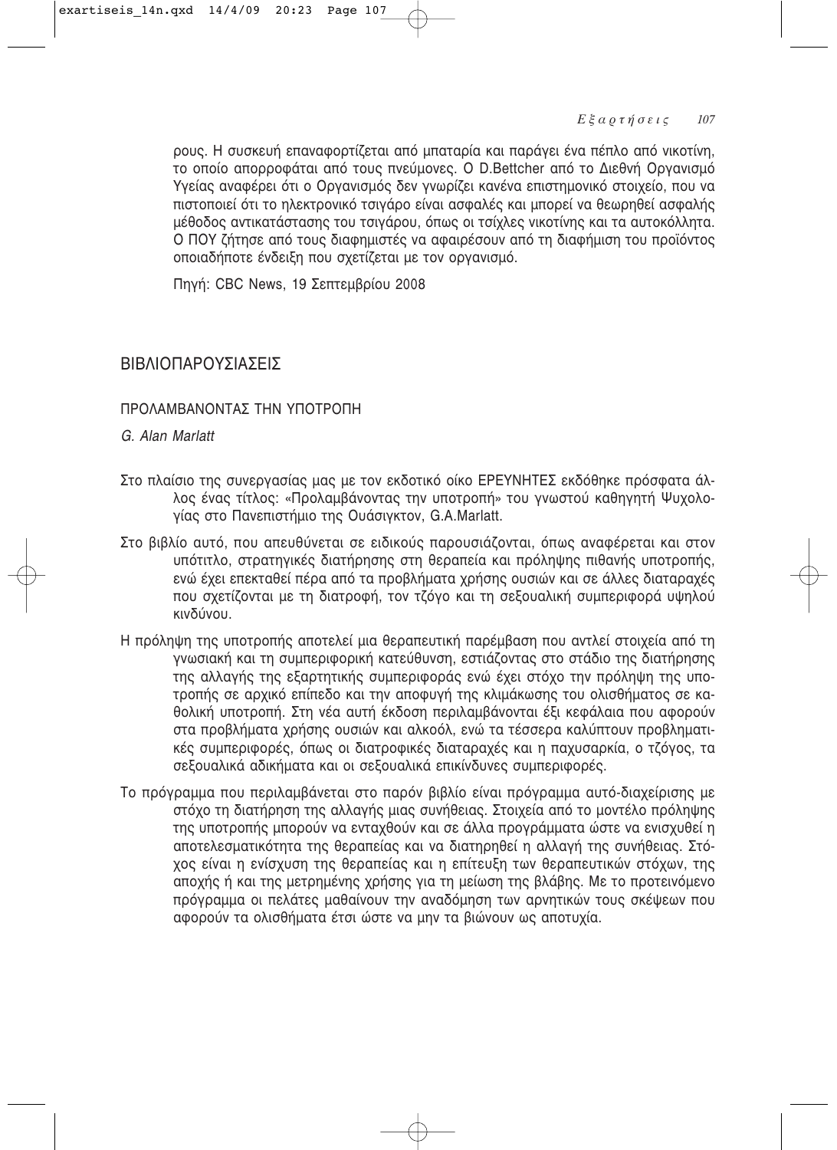ρους. Η συσκευή επαναφορτίζεται από μπαταρία και παράγει ένα πέπλο από νικοτίνη, το οποίο απορροφάται από τους πνεύμονες. Ο D.Bettcher από το Διεθνή Οργανισμό Υγείας αναφέρει ότι ο Οργανισμός δεν γνωρίζει κανένα επιστημονικό στοιχείο, που να πιστοποιεί ότι το ηλεκτρονικό τσιγάρο είναι ασφαλές και μπορεί να θεωρηθεί ασφαλής μέθοδος αντικατάστασης του τσιγάρου, όπως οι τσίχλες νικοτίνης και τα αυτοκόλλητα. Ο ΠΟΥ ζήτησε από τους διαφημιστές να αφαιρέσουν από τη διαφήμιση του προϊόντος οποιαδήποτε ένδειξη που σχετίζεται με τον οργανισμό.

Πηγή: CBC News, 19 Σεπτεμβρίου 2008

### BIBΛΙΟΠΑΡΟΥΣΙΑΣΕΙΣ

## ΠΡΟΛΑΜΒΑΝΟΝΤΑΣ ΤΗΝ ΥΠΟΤΡΟΠΗ

*G. ∞lan Marlatt*

- Στο πλαίσιο της συνεργασίας μας με τον εκδοτικό οίκο ΕΡΕΥΝΗΤΕΣ εκδόθηκε πρόσφατα άλλος ένας τίτλος: «Προλαμβάνοντας την υποτροπή» του γνωστού καθηγητή Ψυχολογίας στο Πανεπιστήμιο της Ουάσιγκτον, G.A.Marlatt.
- Στο βιβλίο αυτό, που απευθύνεται σε ειδικούς παρουσιάζονται, όπως αναφέρεται και στον υπότιτλο, στρατηγικές διατήρησης στη θεραπεία και πρόληψης πιθανής υποτροπής, ενώ έχει επεκταθεί πέρα από τα προβλήματα χρήσης ουσιών και σε άλλες διαταραχές που σχετίζονται με τη διατροφή, τον τζόγο και τη σεξουαλική συμπεριφορά υψηλού κινδύνου.
- Η πρόληψη της υποτροπής αποτελεί μια θεραπευτική παρέμβαση που αντλεί στοιχεία από τη γνωσιακή και τη συμπεριφορική κατεύθυνση, εστιάζοντας στο στάδιο της διατήρησης της αλλαγής της εξαρτητικής συμπεριφοράς ενώ έχει στόχο την πρόληψη της υποτροπής σε αρχικό επίπεδο και την αποφυγή της κλιμάκωσης του ολισθήματος σε καθολική υποτροπή. Στη νέα αυτή έκδοση περιλαμβάνονται έξι κεφάλαια που αφορούν στα προβλήματα χρήσης ουσιών και αλκοόλ, ενώ τα τέσσερα καλύπτουν προβληματικές συμπεριφορές, όπως οι διατροφικές διαταραχές και η παχυσαρκία, ο τζόγος, τα σεξουαλικά αδικήματα και οι σεξουαλικά επικίνδυνες συμπεριφορές.
- <u>Το πρόγραμμα που περιλαμβάνεται στο παρόν βιβλίο είναι πρόγραμμα αυτό-διαχείρισης με</u> στόχο τη διατήρηση της αλλαγής μιας συνήθειας. Στοιχεία από το μοντέλο πρόληψης της υποτροπής μπορούν να ενταχθούν και σε άλλα προγράμματα ώστε να ενισχυθεί η αποτελεσματικότητα της θεραπείας και να διατηρηθεί η αλλαγή της συνήθειας. Στόχος είναι η ενίσχυση της θεραπείας και η επίτευξη των θεραπευτικών στόχων, της αποχής ή και της μετρημένης χρήσης για τη μείωση της βλάβης. Με το προτεινόμενο πρόγραμμα οι πελάτες μαθαίνουν την αναδόμηση των αρνητικών τους σκέψεων που αφορούν τα ολισθήματα έτσι ώστε να μην τα βιώνουν ως αποτυχία.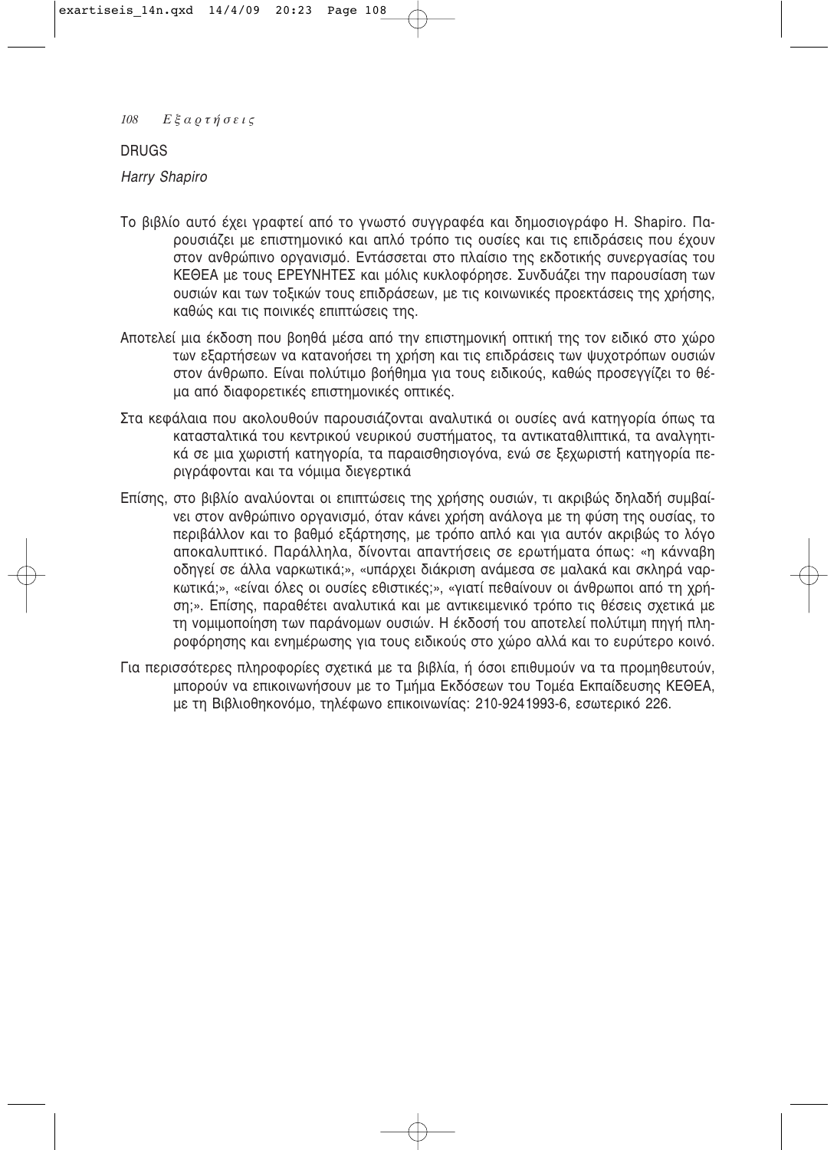### DRUGS

## *∏arry Shapiro*

- Το βιβλίο αυτό έχει νοαφτεί από το ννωστό συννοαφέα και δημοσιονοάφο H. Shapiro. Παρουσιάζει με επιστημονικό και απλό τρόπο τις ουσίες και τις επιδράσεις που έχουν στον ανθρώπινο οργανισμό. Εντάσσεται στο πλαίσιο της εκδοτικής συνεργασίας του ΚΕΘΕΑ με τους ΕΡΕΥΝΗΤΕΣ και μόλις κυκλοφόρησε. Συνδυάζει την παρουσίαση των ουσιών και των τοξικών τους επιδράσεων, με τις κοινωνικές προεκτάσεις της χρήσης. καθώς και τις ποινικές επιπτώσεις της.
- Αποτελεί μια έκδοση που βοηθά μέσα από την επιστημονική οπτική της τον ειδικό στο χώρο των εξαρτήσεων να κατανοήσει τη χρήση και τις επιδράσεις των ψυχοτρόπων ουσιών στον άνθρωπο. Είναι πολύτιμο βοήθημα για τους ειδικούς, καθώς προσεγγίζει το θέμα από διαφορετικές επιστημονικές οπτικές.
- Στα κεφάλαια που ακολουθούν παρουσιάζονται αναλυτικά οι ουσίες ανά κατηγορία όπως τα κατασταλτικά του κεντρικού νευρικού συστήματος, τα αντικαταθλιπτικά, τα αναλγητικά σε μια χωριστή κατηγορία, τα παραισθησιογόνα, ενώ σε ξεχωριστή κατηγορία πεοινράφονται και τα νόμιμα διενερτικά
- Επίσης, στο βιβλίο αναλύονται οι επιπτώσεις της χρήσης ουσιών, τι ακριβώς δηλαδή συμβαίνει στον ανθρώπινο οργανισμό, όταν κάνει χρήση ανάλογα με τη φύση της ουσίας, το περιβάλλον και το βαθμό εξάρτησης, με τρόπο απλό και για αυτόν ακριβώς το λόγο αποκαλυπτικό. Παράλληλα, δίνονται απαντήσεις σε ερωτήματα όπως: «η κάνναβη οδηγεί σε άλλα ναρκωτικά;», «υπάρχει διάκριση ανάμεσα σε μαλακά και σκληρά ναρκωτικά;», «είναι όλες οι ουσίες εθιστικές;», «γιατί πεθαίνουν οι άνθρωποι από τη χρήση;». Επίσης, παραθέτει αναλυτικά και με αντικειμενικό τρόπο τις θέσεις σχετικά με τη νομιμοποίηση των παράνομων ουσιών. Η έκδοσή του αποτελεί πολύτιμη πηγή πληροφόρησης και ενημέρωσης για τους ειδικούς στο χώρο αλλά και το ευρύτερο κοινό.
- Για περισσότερες πληροφορίες σχετικά με τα βιβλία, ή όσοι επιθυμούν να τα προμηθευτούν, μπορούν να επικοινωνήσουν με το Τμήμα Εκδόσεων του Τομέα Εκπαίδευσης ΚΕΘΕΑ, με τη Βιβλιοθηκονόμο, τηλέφωνο επικοινωνίας: 210-9241993-6, εσωτερικό 226.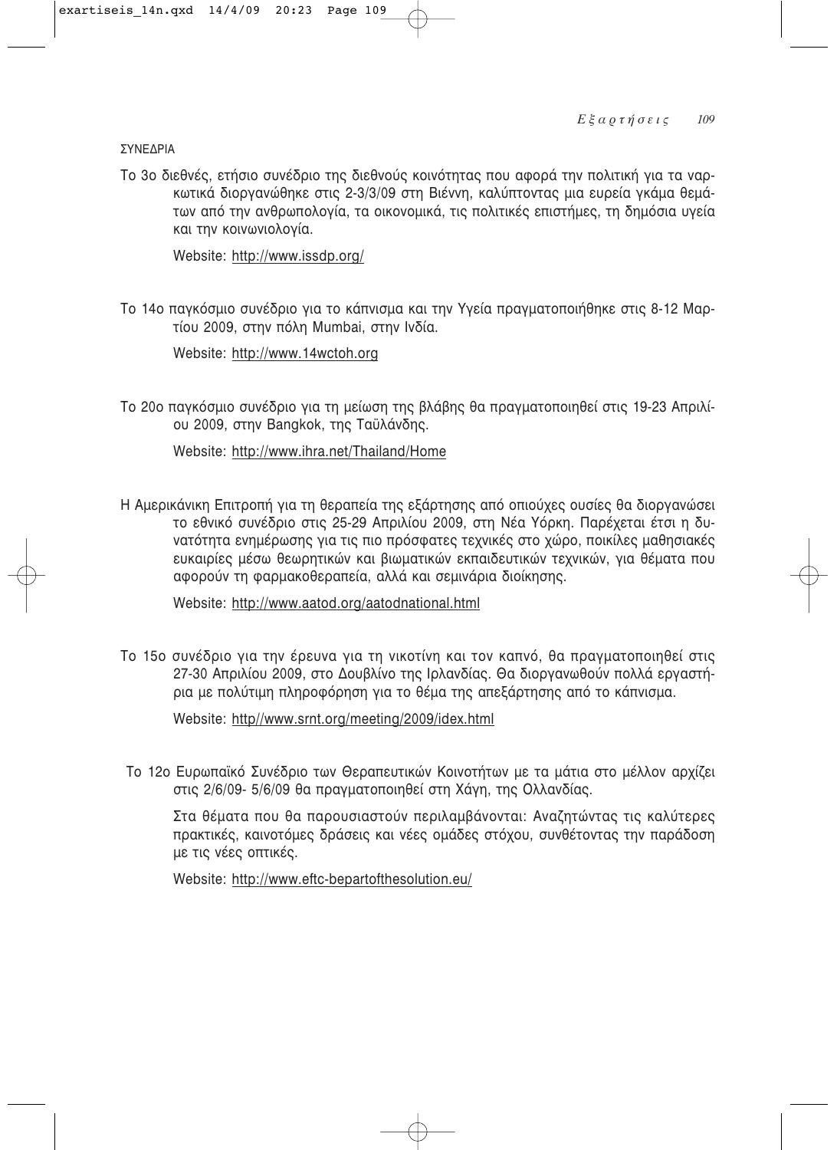exartiseis\_14n.qxd 14/4/09 20:23 Page 109

ΣΥΝΕΔΡΙΑ

Το 3ο διεθνές, ετήσιο συνέδριο της διεθνούς κοινότητας που αφορά την πολιτική για τα ναρκωτικά διοργανώθηκε στις 2-3/3/09 στη Βιέννη, καλύπτοντας μια ευρεία γκάμα θεμάτων από την ανθρωπολογία, τα οικονομικά, τις πολιτικές επιστήμες, τη δημόσια υγεία και την κοινωνιολογία.

Website: http://www.issdp.org/

<u>Το 14ο παγκόσμιο συνέδριο για το κάπνισμα και την Υγεία πραγματοποιήθηκε στις 8-12 Μαρ-</u> τίου 2009, στην πόλη Mumbai, στην Ινδία.

Website: http://www.14wctoh.org

To 20ο παγκόσμιο συνέδριο για τη μείωση της βλάβης θα πραγματοποιηθεί στις 19-23 Απριλίου 2009, στην Bangkok, της Ταϋλάνδης.

Website: http://www.ihra.net/Thailand/Home

Η Αμερικάνικη Επιτροπή για τη θεραπεία της εξάρτησης από οπιούχες ουσίες θα διοργανώσει το εθνικό συνέδριο στις 25-29 Απριλίου 2009, στη Νέα Υόρκη. Παρέχεται έτσι η δυνατότητα ενημέρωσης για τις πιο πρόσφατες τεχνικές στο χώρο, ποικίλες μαθησιακές ευκαιρίες μέσω θεωρητικών και βιωματικών εκπαιδευτικών τεχνικών, για θέματα που αφορούν τη φαρμακοθεραπεία, αλλά και σεμινάρια διοίκησης.

Website: http://www.aatod.org/aatodnational.html

Το 15ο συνέδριο για την έρευνα για τη νικοτίνη και τον καπνό, θα πραγματοποιηθεί στις 27-30 Απριλίου 2009, στο Δουβλίνο της Ιρλανδίας. Θα διοργανωθούν πολλά εργαστήρια με πολύτιμη πληροφόρηση για το θέμα της απεξάρτησης από το κάπνισμα.

Website: http//www.srnt.org/meeting/2009/idex.html

Το 12ο Ευρωπαϊκό Συνέδριο των Θεραπευτικών Κοινοτήτων με τα μάτια στο μέλλον αρχίζει στις 2/6/09- 5/6/09 θα πραγματοποιηθεί στη Χάγη, της Ολλανδίας.

Στα θέματα που θα παρουσιαστούν περιλαμβάνονται: Αναζητώντας τις καλύτερες πρακτικές, καινοτόμες δράσεις και νέες ομάδες στόχου, συνθέτοντας την παράδοση με τις νέες οπτικές.

Website: http://www.eftc-bepartofthesolution.eu/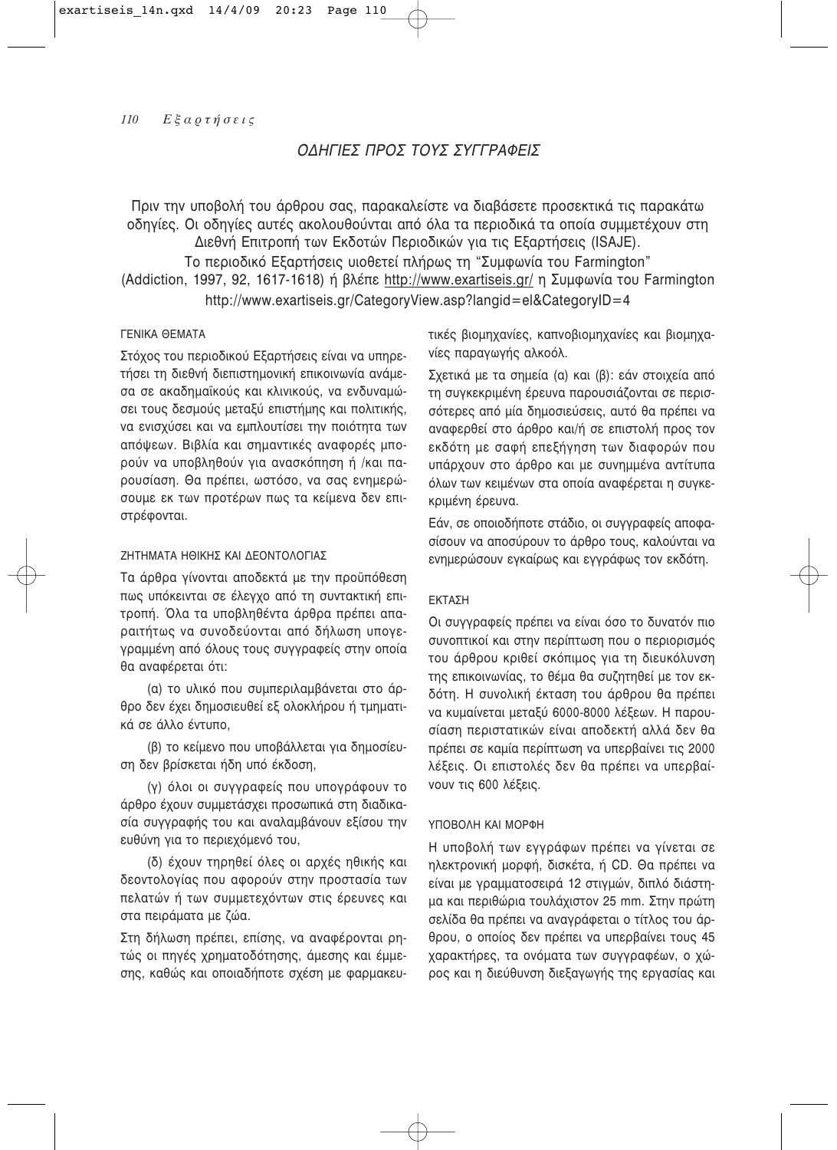# ΟΛΗΓΙΕΣ ΠΡΟΣ ΤΟΥΣ ΣΥΓΓΡΑΦΕΙΣ

Πριν την υποβολή του άρθρου σας, παρακαλείστε να διαβάσετε προσεκτικά τις παρακάτω οδηγίες. Οι οδηγίες αυτές ακολουθούνται από όλα τα περιοδικά τα οποία συμμετέχουν στη Διεθνή Επιτροπή των Εκδοτών Περιοδικών για τις Εξαρτήσεις (ISAJE).

Το περιοδικό Εξαρτήσεις υιοθετεί πλήρως τη "Συμφωνία του Farmington" (Addiction, 1997, 92, 1617-1618) ή βλέπε http://www.exartiseis.gr/ η Συμφωνία του Farmington http://www.exartiseis.gr/CategoryView.asp?langid=el&CategoryID=4

# *ΓΕΝΙΚΑ ΘΕΜΑΤΑ*

Στόχος του περιοδικού Εξαρτήσεις είναι να υπηρετήσει τη διεθνή διεπιστημονική επικοινωνία ανάμεσα σε ακαδημαϊκούς και κλινικούς, να ενδυναμώσει τους δεσμούς μεταξύ επιστήμης και πολιτικής, να ενισχύσει και να εμπλουτίσει την ποιότητα των απόψεων. Βιβλία και σημαντικές αναφορές μπορούν να υποβληθούν για ανασκόπηση ή /και παρουσίαση. Θα πρέπει, ωστόσο, να σας ενημερώσουμε εκ των προτέρων πως τα κείμενα δεν επιστρέφονται.

### ΖΗΤΗΜΑΤΑ ΗΘΙΚΗΣ ΚΑΙ ΔΕΟΝΤΟΛΟΓΙΑΣ

Τα άρθρα γίνονται αποδεκτά με την προϋπόθεση πως υπόκεινται σε έλεγχο από τη συντακτική επιτροπή. Όλα τα υποβληθέντα άρθρα πρέπει απαραιτήτως να συνοδεύονται από δήλωση υπογεγραμμένη από όλους τους συγγραφείς στην οποία θα αναφέρεται ότι:

(α) το υλικό που συμπεριλαμβάνεται στο άρθρο δεν έχει δημοσιευθεί εξ ολοκλήρου ή τμηματικά σε άλλο έντυπο,

(β) το κείμενο που υποβάλλεται για δημοσίευση δεν βρίσκεται ήδη υπό έκδοση,

(γ) όλοι οι συγγραφείς που υπογράφουν το άρθρο έχουν συμμετάσχει προσωπικά στη διαδικασία συγγραφής του και αναλαμβάνουν εξίσου την ευθύνη για το περιεχόμενό του,

(δ) έχουν τηρηθεί όλες οι αρχές ηθικής και δεοντολογίας που αφορούν στην προστασία των πελατών ή των συμμετεχόντων στις έρευνες και στα πειράματα με ζώα.

Στη δήλωση πρέπει, επίσης, να αναφέρονται ρητώς οι πηγές χρηματοδότησης, άμεσης και έμμεσης, καθώς και οποιαδήποτε σχέση με φαρμακευτικές βιομηχανίες, καπνοβιομηχανίες και βιομηχανίες παραγωγής αλκοόλ.

Σχετικά με τα σημεία (α) και (β): εάν στοιχεία από τη συγκεκριμένη έρευνα παρουσιάζονται σε περισσότερες από μία δημοσιεύσεις, αυτό θα πρέπει να αναφερθεί στο άρθρο και/ή σε επιστολή προς τον εκδότη με σαφή επεξήγηση των διαφορών που υπάρχουν στο άρθρο και με συνημμένα αντίτυπα όλων των κειμένων στα οποία αναφέρεται η συγκεκριμένη έρευνα.

Εάν, σε οποιοδήποτε στάδιο, οι συγγραφείς αποφασίσουν να αποσύρουν το άρθρο τους, καλούνται να ενημερώσουν εγκαίρως και εγγράφως τον εκδότη.

## ΕΚΤΑΣΗ

Οι συγγραφείς πρέπει να είναι όσο το δυνατόν πιο συνοπτικοί και στην περίπτωση που ο περιορισμός του άρθρου κριθεί σκόπιμος για τη διευκόλυνση της επικοινωνίας, το θέμα θα συζητηθεί με τον εκδότη. Η συνολική έκταση του άρθρου θα πρέπει να κυμαίνεται μεταξύ 6000-8000 λέξεων. Η παρουσίαση περιστατικών είναι αποδεκτή αλλά δεν θα πρέπει σε καμία περίπτωση να υπερβαίνει τις 2000 λέξεις. Οι επιστολές δεν θα πρέπει να υπερβαίνουν τις 600 λέξεις.

### ҮПОВОЛН КАІ МОРФН

Η υποβολή των εγγράφων πρέπει να γίνεται σε ηλεκτρονική μορφή, δισκέτα, ή CD. Θα πρέπει να είναι με γραμματοσειρά 12 στιγμών, διπλό διάστημα και περιθώρια τουλάχιστον 25 mm. Στην πρώτη σελίδα θα πρέπει να αναγράφεται ο τίτλος του άρθρου, ο οποίος δεν πρέπει να υπερβαίνει τους 45 χαρακτήρες, τα ονόματα των συγγραφέων, ο χώρος και η διεύθυνση διεξαγωγής της εργασίας και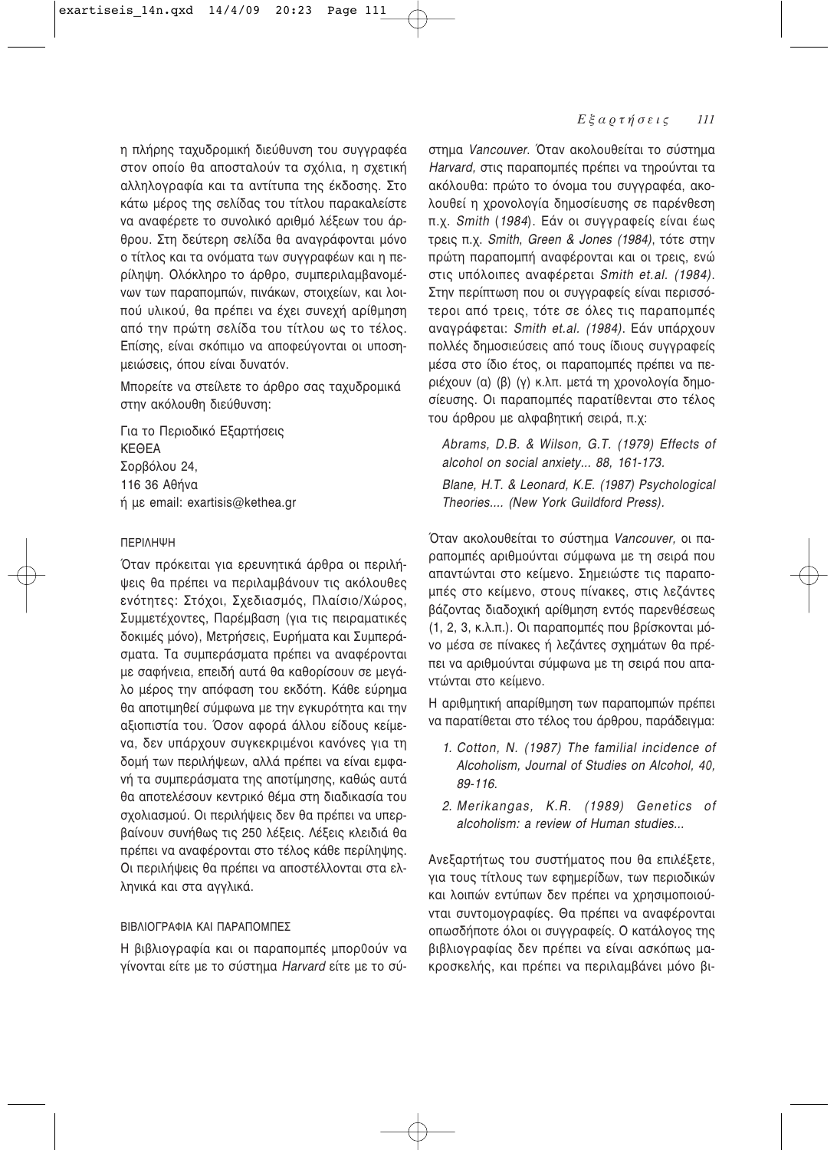η πλήρης ταχυδρομική διεύθυνση του συγγραφέα στον οποίο θα αποσταλούν τα σχόλια, η σχετική αλληλογραφία και τα αντίτυπα της έκδοσης. Στο κάτω μέρος της σελίδας του τίτλου παρακαλείστε να αναφέρετε το συνολικό αριθμό λέξεων του άρθρου. Στη δεύτερη σελίδα θα αναγράφονται μόνο ο τίτλος και τα ονόματα των συγγραφέων και η περίληψη. Ολόκληρο το άρθρο, συμπεριλαμβανομένων των παραπομπών, πινάκων, στοιχείων, και λοιπού υλικού, θα πρέπει να έχει συνεχή αρίθμηση από την πρώτη σελίδα του τίτλου ως το τέλος. Επίσης, είναι σκόπιμο να αποφεύγονται οι υποσημειώσεις, όπου είναι δυνατόν.

Μπορείτε να στείλετε το άρθρο σας ταχυδρομικά στην ακόλουθη διεύθυνση:

Για το Περιοδικό Εξαρτήσεις **KEOEA** Σορβόλου 24, 116 36 Αθήνα ή με email: exartisis@kethea.gr

### ΠΕΡΙΛΗΨΗ

Όταν πρόκειται για ερευνητικά άρθρα οι περιλήψεις θα πρέπει να περιλαμβάνουν τις ακόλουθες ενότητες: Στόχοι, Σχεδιασμός, Πλαίσιο/Χώρος, Συμμετέχοντες, Παρέμβαση (για τις πειραματικές δοκιμές μόνο), Μετρήσεις, Ευρήματα και Συμπεράσματα. Τα συμπεράσματα πρέπει να αναφέρονται με σαφήνεια, επειδή αυτά θα καθορίσουν σε μεγάλο μέρος την απόφαση του εκδότη. Κάθε εύρημα θα αποτιμηθεί σύμφωνα με την εγκυρότητα και την αξιοπιστία του. Όσον αφορά άλλου είδους κείμενα, δεν υπάρχουν συγκεκριμένοι κανόνες για τη δομή των περιλήψεων, αλλά πρέπει να είναι εμφανή τα συμπεράσματα της αποτίμησης, καθώς αυτά θα αποτελέσουν κεντρικό θέμα στη διαδικασία του σχολιασμού. Οι περιλήψεις δεν θα πρέπει να υπερβαίνουν συνήθως τις 250 λέξεις. Λέξεις κλειδιά θα πρέπει να αναφέρονται στο τέλος κάθε περίληψης. Οι περιλήψεις θα πρέπει να αποστέλλονται στα ελληνικά και στα αγγλικά.

### ΒΙΒΛΙΟΓΡΑΦΙΑ ΚΑΙ ΠΑΡΑΠΟΜΠΕΣ

Η βιβλιογραφία και οι παραπομπές μπορθούν να γίνονται είτε με το σύστημα Harvard είτε με το σύ-

#### Εξαρτήσεις 111

στημα Vancouver. Όταν ακολουθείται το σύστημα Harvard, στις παραπομπές πρέπει να τηρούνται τα ακόλουθα: πρώτο το όνομα του συγγραφέα, ακολουθεί η χρονολογία δημοσίευσης σε παρένθεση π.χ. Smith (1984). Εάν οι συγγραφείς είναι έως τρεις π.χ. Smith, Green & Jones (1984), τότε στην πρώτη παραπομπή αναφέρονται και οι τρεις, ενώ στις υπόλοιπες αναφέρεται Smith et.al. (1984). Στην περίπτωση που οι συγγραφείς είναι περισσότεροι από τρεις, τότε σε όλες τις παραπομπές αναγράφεται: Smith et.al. (1984). Εάν υπάρχουν πολλές δημοσιεύσεις από τους ίδιους συγγραφείς μέσα στο ίδιο έτος, οι παραπομπές πρέπει να περιέχουν (α) (β) (γ) κ.λπ. μετά τη χρονολογία δημοσίευσης. Οι παραπομπές παρατίθενται στο τέλος του άρθρου με αλφαβητική σειρά, π.χ:

Abrams, D.B. & Wilson, G.T. (1979) Effects of alcohol on social anxiety... 88, 161-173. Blane, H.T. & Leonard, K.E. (1987) Psychological Theories.... (New York Guildford Press).

Όταν ακολουθείται το σύστημα Vancouver, οι παραπομπές αριθμούνται σύμφωνα με τη σειρά που απαντώνται στο κείμενο. Σημειώστε τις παραπομπές στο κείμενο, στους πίνακες, στις λεζάντες βάζοντας διαδοχική αρίθμηση εντός παρενθέσεως (1, 2, 3, κ.λ.π.). Οι παραπομπές που βρίσκονται μόνο μέσα σε πίνακες ή λεζάντες σχημάτων θα πρέπει να αριθμούνται σύμφωνα με τη σειρά που απαντώνται στο κείμενο.

Η αριθμητική απαρίθμηση των παραπομπών πρέπει να παρατίθεται στο τέλος του άρθρου, παράδειγμα:

- 1. Cotton, N. (1987) The familial incidence of Alcoholism, Journal of Studies on Alcohol, 40, 89-116.
- 2. Merikangas, K.R. (1989) Genetics of alcoholism: a review of Human studies...

Ανεξαρτήτως του συστήματος που θα επιλέξετε, για τους τίτλους των εφημερίδων, των περιοδικών και λοιπών εντύπων δεν πρέπει να χρησιμοποιούνται συντομογραφίες. Θα πρέπει να αναφέρονται οπωσδήποτε όλοι οι συγγραφείς. Ο κατάλογος της βιβλιογραφίας δεν πρέπει να είναι ασκόπως μακροσκελής, και πρέπει να περιλαμβάνει μόνο βι-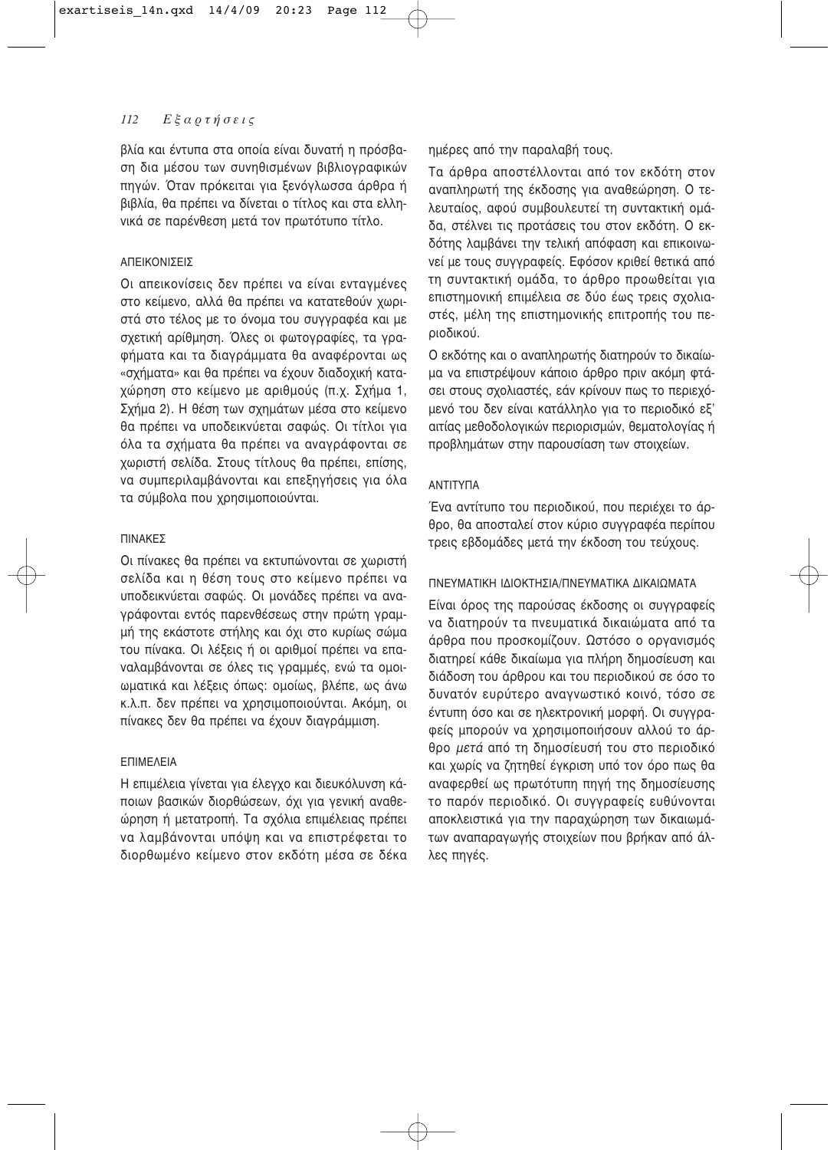βλία και έντυπα στα οποία είναι δυνατή η πρόσβαση δια μέσου των συνηθισμένων βιβλιογραφικών πηγών. Όταν πρόκειται για ξενόγλωσσα άρθρα ή βιβλία, θα πρέπει να δίνεται ο τίτλος και στα ελληνικά σε παρένθεση μετά τον πρωτότυπο τίτλο.

### ΑΠΕΙΚΟΝΙΣΕΙΣ

Οι απεικονίσεις δεν πρέπει να είναι ενταγμένες στο κείμενο, αλλά θα πρέπει να κατατεθούν χωριστά στο τέλος με το όνομα του συγγραφέα και με σχετική αρίθμηση. Όλες οι φωτογραφίες, τα γραφήματα και τα διαγράμματα θα αναφέρονται ως «σχήματα» και θα πρέπει να έχουν διαδοχική καταχώρηση στο κείμενο με αριθμούς (π.χ. Σχήμα 1, Σχήμα 2). Η θέση των σχημάτων μέσα στο κείμενο θα πρέπει να υποδεικνύεται σαφώς. Οι τίτλοι για όλα τα σχήματα θα πρέπει να αναγράφονται σε χωριστή σελίδα. Στους τίτλους θα πρέπει, επίσης, να συμπεριλαμβάνονται και επεξηγήσεις για όλα τα σύμβολα που χρησιμοποιούνται.

### ΠΙΝΑΚΕΣ

Οι πίνακες θα πρέπει να εκτυπώνονται σε χωριστή σελίδα και η θέση τους στο κείμενο πρέπει να υποδεικνύεται σαφώς. Οι μονάδες πρέπει να αναγράφονται εντός παρενθέσεως στην πρώτη γραμμή της εκάστοτε στήλης και όχι στο κυρίως σώμα του πίνακα. Οι λέξεις ή οι αριθμοί πρέπει να επαναλαμβάνονται σε όλες τις γραμμές, ενώ τα ομοιωματικά και λέξεις όπως: ομοίως, βλέπε, ως άνω κ.λ.π. δεν πρέπει να χρησιμοποιούνται. Ακόμη, οι πίνακες δεν θα πρέπει να έχουν διαγράμμιση.

## ΕΠΙΜΕΛΕΙΑ

Η επιμέλεια γίνεται για έλεγχο και διευκόλυνση κάποιων βασικών διορθώσεων, όχι για γενική αναθεώρηση ή μετατροπή. Τα σχόλια επιμέλειας πρέπει να λαμβάνονται υπόψη και να επιστρέφεται το διορθωμένο κείμενο στον εκδότη μέσα σε δέκα ημέρες από την παραλαβή τους.

Τα άρθρα αποστέλλονται από τον εκδότη στον αναπληρωτή της έκδοσης για αναθεώρηση. Ο τελευταίος, αφού συμβουλευτεί τη συντακτική ομάδα, στέλνει τις προτάσεις του στον εκδότη. Ο εκδότης λαμβάνει την τελική απόφαση και επικοινωνεί με τους συγγραφείς. Εφόσον κριθεί θετικά από τη συντακτική ομάδα, το άρθρο προωθείται για επιστημονική επιμέλεια σε δύο έως τρεις σχολιαστές, μέλη της επιστημονικής επιτροπής του περιοδικού.

Ο εκδότης και ο αναπληρωτής διατηρούν το δικαίωμα να επιστρέψουν κάποιο άρθρο πριν ακόμη φτάσει στους σχολιαστές, εάν κρίνουν πως το περιεχόμενό του δεν είναι κατάλληλο για το περιοδικό εξ' αιτίας μεθοδολογικών περιορισμών, θεματολογίας ή προβλημάτων στην παρουσίαση των στοιχείων.

## **ANTITYNA**

Ένα αντίτυπο του περιοδικού, που περιέχει το άρθρο, θα αποσταλεί στον κύριο συγγραφέα περίπου τρεις εβδομάδες μετά την έκδοση του τεύχους.

### ΠΝΕΥΜΑΤΙΚΗ ΙΔΙΟΚΤΗΣΙΑ/ΠΝΕΥΜΑΤΙΚΑ ΔΙΚΑΙΩΜΑΤΑ

Είναι όρος της παρούσας έκδοσης οι συγγραφείς να διατηρούν τα πνευματικά δικαιώματα από τα άρθρα που προσκομίζουν. Ωστόσο ο οργανισμός διατηρεί κάθε δικαίωμα για πλήρη δημοσίευση και διάδοση του άρθρου και του περιοδικού σε όσο το δυνατόν ευρύτερο αναγνωστικό κοινό, τόσο σε έντυπη όσο και σε ηλεκτρονική μορφή. Οι συγγραφείς μπορούν να χρησιμοποιήσουν αλλού το άρθρο μετά από τη δημοσίευσή του στο περιοδικό και χωρίς να ζητηθεί έγκριση υπό τον όρο πως θα αναφερθεί ως πρωτότυπη πηγή της δημοσίευσης το παρόν περιοδικό. Οι συγγραφείς ευθύνονται αποκλειστικά για την παραχώρηση των δικαιωμάτων αναπαραγωγής στοιχείων που βρήκαν από άλλες πηγές.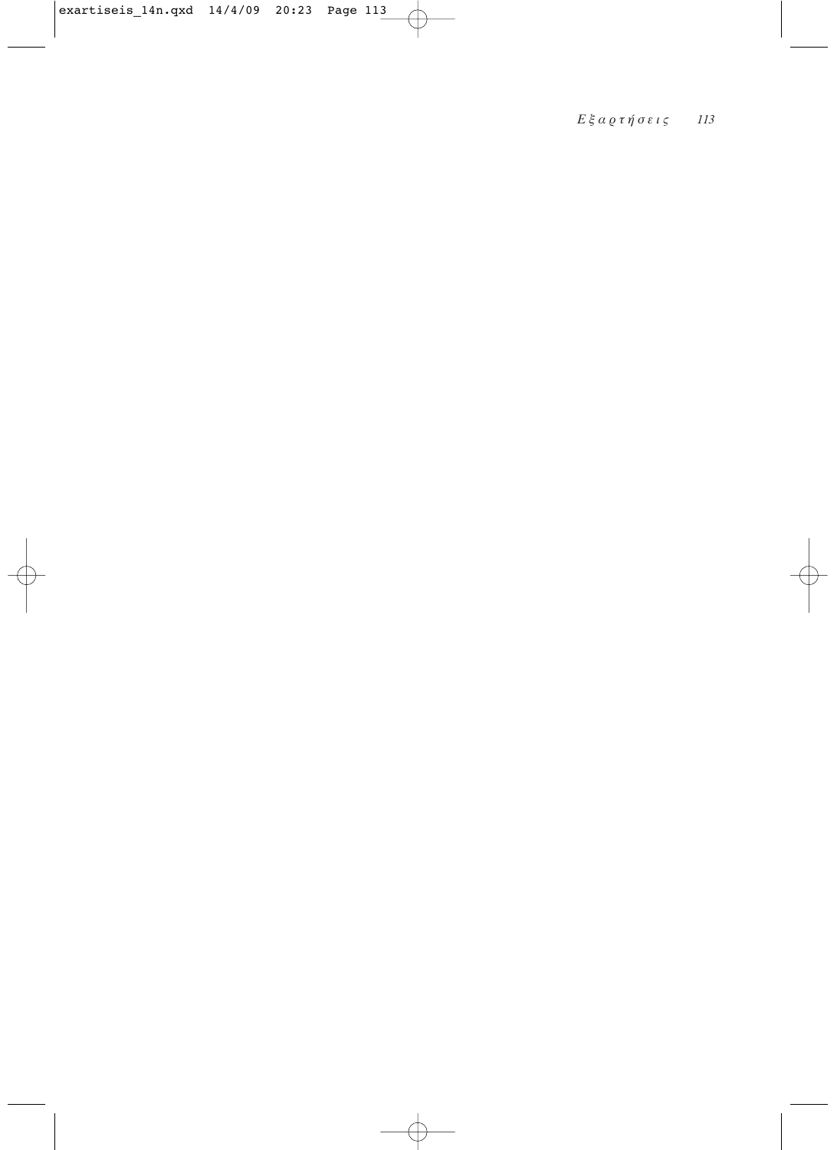$\vert$ exartiseis\_14n.qxd 14/4/09 20:23 Page 113  $\overline{\bigoplus}$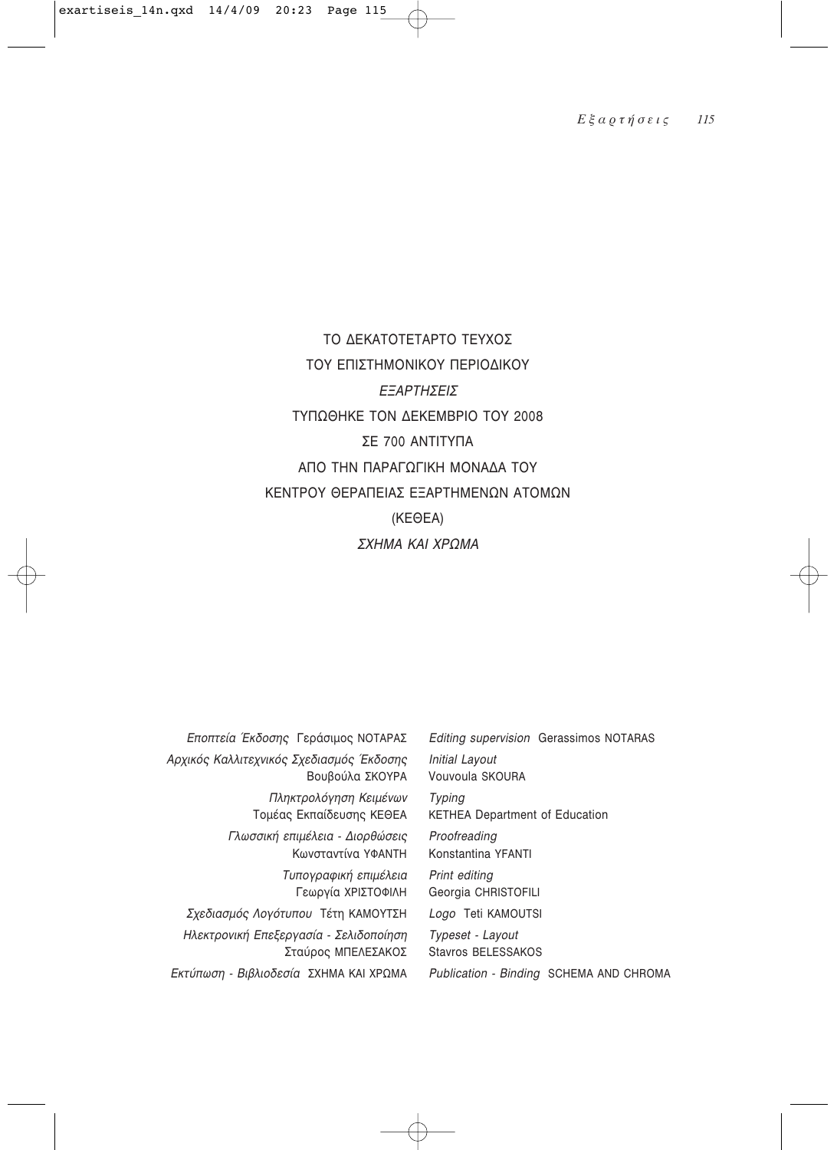exartiseis\_14n.qxd 14/4/09 20:23 Page 115

ΤΟ ΔΕΚΑΤΟΤΕΤΑΡΤΟ ΤΕΥΧΟΣ ΤΟΥ ΕΠΙΣΤΗΜΟΝΙΚΟΥ ΠΕΡΙΟΔΙΚΟΥ *ΕΞΑΡΤΗΣΕΙΣ* ΤΥΠΩΘΗΚΕ ΤΟΝ ΔΕΚΕΜΒΡΙΟ ΤΟΥ 2008 ΣΕ 700 ΑΝΤΙΤΥΠΑ ΑΠΟ ΤΗΝ ΠΑΡΑΓΩΓΙΚΗ ΜΟΝΑΔΑ ΤΟΥ ΚΕΝΤΡΟΥ ΘΕΡΑΠΕΙΑΣ ΕΞΑΡΤΗΜΕΝΩΝ ΑΤΟΜΩΝ  $(KEOEA)$ ΣΧΗΜΑ ΚΑΙ ΧΡΩΜΑ

| Εποπτεία Έκδοσης Γεράσιμος ΝΟΤΑΡΑΣ       | <b>Editing supervision Gerassimos NOTARAS</b> |
|------------------------------------------|-----------------------------------------------|
| Αρχικός Καλλιτεχνικός Σχεδιασμός Έκδοσης | <b>Initial Layout</b>                         |
| Βουβούλα ΣΚΟΥΡΑ                          | Vouvoula SKOURA                               |
| Πληκτρολόγηση Κειμένων                   | Typing                                        |
| Τομέας Εκπαίδευσης ΚΕΘΕΑ                 | <b>KETHEA Department of Education</b>         |
| Γλωσσική επιμέλεια - Διορθώσεις          | Proofreading                                  |
| Κωνσταντίνα ΥΦΑΝΤΗ                       | Konstantina YFANTI                            |
| Τυπογραφική επιμέλεια                    | Print editing                                 |
| Γεωργία ΧΡΙΣΤΟΦΙΛΗ                       | Georgia CHRISTOFILI                           |
| Σχεδιασμός Λογότυπου Τέτη ΚΑΜΟΥΤΣΗ       | Logo Teti KAMOUTSI                            |
| Ηλεκτρονική Επεξεργασία - Σελιδοποίηση   | Typeset - Layout                              |
| Σταύρος ΜΠΕΛΕΣΑΚΟΣ                       | Stavros BELESSAKOS                            |
| Εκτύπωση - Βιβλιοδεσία ΣΧΗΜΑ ΚΑΙ ΧΡΩΜΑ   | Publication - Binding SCHEMA AND CHROMA       |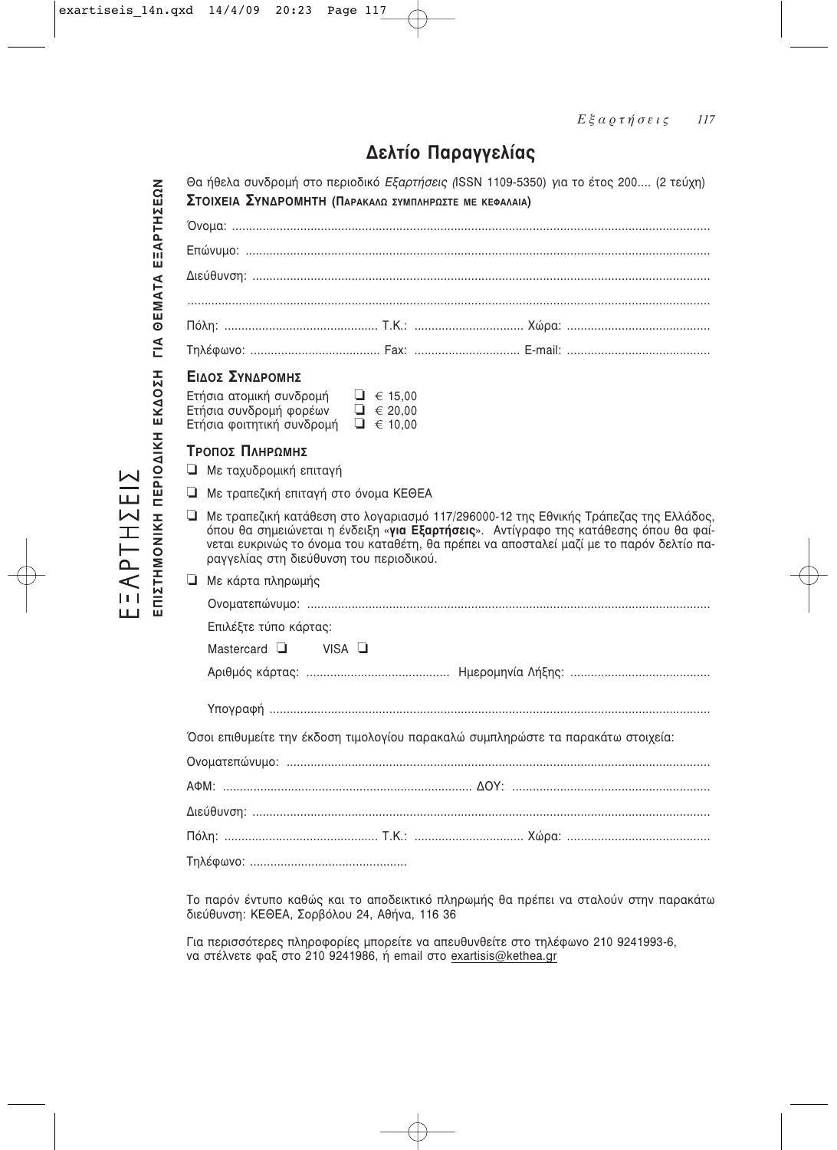# Δελτίο Παραγγελίας

ΕΠΙΣΤΗΜΟΝΙΚΗ ΠΕΡΙΟΔΙΚΗ ΕΚΔΟΣΗ ΓΙΑ ΘΕΜΑΤΑ ΕΞΑΡΤΗΣΕΩΝ EEAPTHZEIZ

| Θα ήθελα συνδρομή στο περιοδικό Εξαρτήσεις (ISSN 1109-5350) για το έτος 200 (2 τεύχη)<br>ΣΤΟΙΧΕΙΑ ΣΥΝΔΡΟΜΗΤΗ (ΠΑΡΑΚΑΛΩ ΣΥΜΠΛΗΡΩΣΤΕ ΜΕ ΚΕΦΑΛΑΙΑ) |  |  |                                                                                                                                                                                                                                                                            |
|-------------------------------------------------------------------------------------------------------------------------------------------------|--|--|----------------------------------------------------------------------------------------------------------------------------------------------------------------------------------------------------------------------------------------------------------------------------|
|                                                                                                                                                 |  |  |                                                                                                                                                                                                                                                                            |
|                                                                                                                                                 |  |  |                                                                                                                                                                                                                                                                            |
|                                                                                                                                                 |  |  |                                                                                                                                                                                                                                                                            |
|                                                                                                                                                 |  |  |                                                                                                                                                                                                                                                                            |
|                                                                                                                                                 |  |  |                                                                                                                                                                                                                                                                            |
| ΕΙΔΟΣ ΣΥΝΔΡΟΜΗΣ                                                                                                                                 |  |  |                                                                                                                                                                                                                                                                            |
| ΤΡΟΠΟΣ ΠΛΗΡΩΜΗΣ<br><b>Δ</b> Με ταχυδρομική επιταγή                                                                                              |  |  |                                                                                                                                                                                                                                                                            |
| <b>4</b> Με τραπεζική επιταγή στο όνομα ΚΕΘΕΑ                                                                                                   |  |  |                                                                                                                                                                                                                                                                            |
| ραγγελίας στη διεύθυνση του περιοδικού.                                                                                                         |  |  | Δ Με τραπεζική κατάθεση στο λογαριασμό 117/296000-12 της Εθνικής Τράπεζας της Ελλάδος,<br>όπου θα σημειώνεται η ένδειξη «για Εξαρτήσεις». Αντίγραφο της κατάθεσης όπου θα φαί-<br>νεται ευκρινώς το όνομα του καταθέτη, θα πρέπει να αποσταλεί μαζί με το παρόν δελτίο πα- |
| <b>Δ</b> Με κάρτα πληρωμής                                                                                                                      |  |  |                                                                                                                                                                                                                                                                            |
|                                                                                                                                                 |  |  |                                                                                                                                                                                                                                                                            |
| Επιλέξτε τύπο κάρτας:                                                                                                                           |  |  |                                                                                                                                                                                                                                                                            |
| Mastercard $\Box$ VISA $\Box$                                                                                                                   |  |  |                                                                                                                                                                                                                                                                            |
|                                                                                                                                                 |  |  |                                                                                                                                                                                                                                                                            |
|                                                                                                                                                 |  |  |                                                                                                                                                                                                                                                                            |
|                                                                                                                                                 |  |  | Όσοι επιθυμείτε την έκδοση τιμολογίου παρακαλώ συμπληρώστε τα παρακάτω στοιχεία:                                                                                                                                                                                           |
|                                                                                                                                                 |  |  |                                                                                                                                                                                                                                                                            |
|                                                                                                                                                 |  |  |                                                                                                                                                                                                                                                                            |
|                                                                                                                                                 |  |  |                                                                                                                                                                                                                                                                            |
|                                                                                                                                                 |  |  |                                                                                                                                                                                                                                                                            |
|                                                                                                                                                 |  |  |                                                                                                                                                                                                                                                                            |

Το παρόν έντυπο καθώς και το αποδεικτικό πληρωμής θα πρέπει να σταλούν στην παρακάτω διεύθυνση: ΚΕΘΕΑ, Σορβόλου 24, Αθήνα, 116 36

Για περισσότερες πληροφορίες μπορείτε να απευθυνθείτε στο τηλέφωνο 210 9241993-6, να στέλνετε φαξ στο 210 9241986, ή email στο exartisis@kethea.gr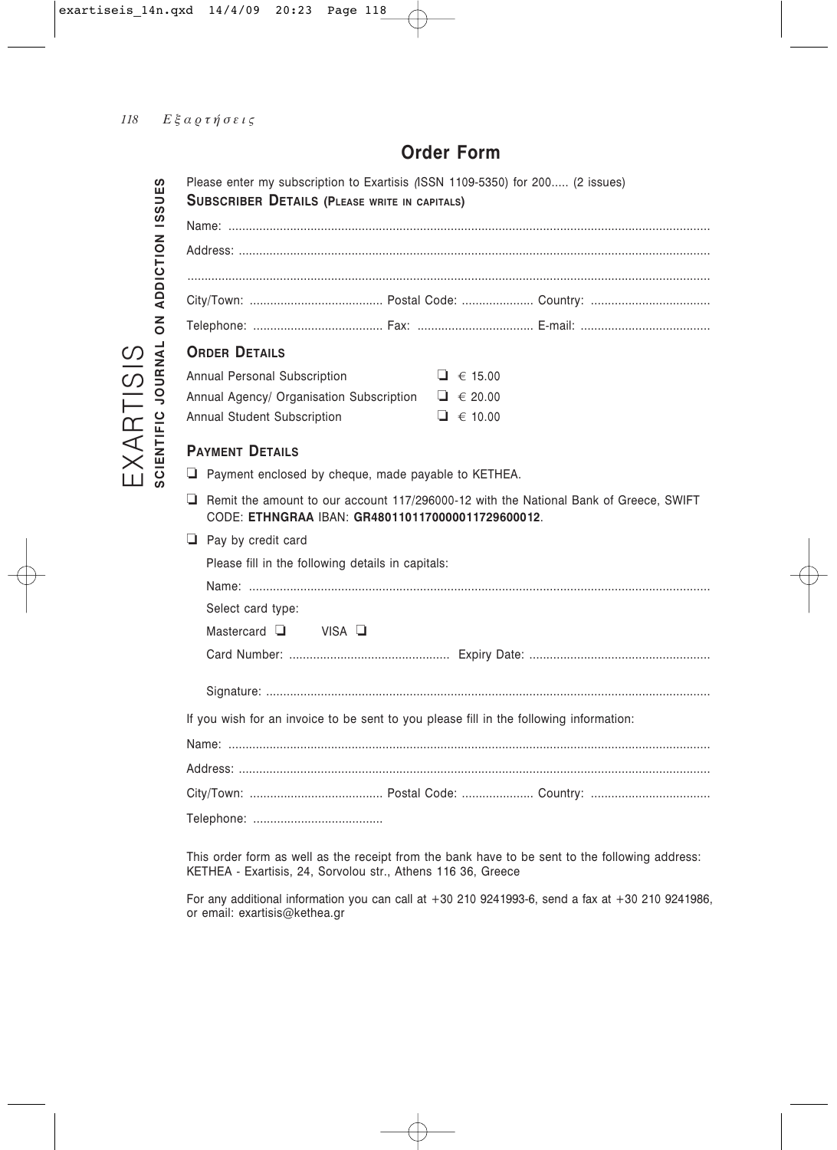# **Order Form**

|       | SSUES<br>DDICTION<br>২<br>7<br>N |
|-------|----------------------------------|
| くこくこと | ₹<br>JOURN<br>Ë                  |
|       | ≦<br>U<br>ō                      |

| Please enter my subscription to Exartisis (ISSN 1109-5350) for 200 (2 issues)<br><b>SUBSCRIBER DETAILS (PLEASE WRITE IN CAPITALS)</b>             |                    |  |  |
|---------------------------------------------------------------------------------------------------------------------------------------------------|--------------------|--|--|
|                                                                                                                                                   |                    |  |  |
|                                                                                                                                                   |                    |  |  |
|                                                                                                                                                   |                    |  |  |
|                                                                                                                                                   |                    |  |  |
|                                                                                                                                                   |                    |  |  |
| <b>ORDER DETAILS</b>                                                                                                                              |                    |  |  |
| Annual Personal Subscription                                                                                                                      | $\Box$ $\in$ 15.00 |  |  |
| Annual Agency/ Organisation Subscription $\Box \in 20.00$                                                                                         |                    |  |  |
| Annual Student Subscription                                                                                                                       | $\Box$ $\in$ 10.00 |  |  |
| <b>PAYMENT DETAILS</b>                                                                                                                            |                    |  |  |
| $\Box$ Payment enclosed by cheque, made payable to KETHEA.                                                                                        |                    |  |  |
| $\Box$ Remit the amount to our account 117/296000-12 with the National Bank of Greece, SWIFT<br>CODE: ETHNGRAA IBAN: GR4801101170000011729600012. |                    |  |  |
| $\Box$ Pay by credit card                                                                                                                         |                    |  |  |
| Please fill in the following details in capitals:                                                                                                 |                    |  |  |
|                                                                                                                                                   |                    |  |  |
| Select card type:                                                                                                                                 |                    |  |  |
| Mastercard $\Box$ VISA $\Box$                                                                                                                     |                    |  |  |
|                                                                                                                                                   |                    |  |  |
|                                                                                                                                                   |                    |  |  |
| If you wish for an invoice to be sent to you please fill in the following information:                                                            |                    |  |  |
|                                                                                                                                                   |                    |  |  |
|                                                                                                                                                   |                    |  |  |
|                                                                                                                                                   |                    |  |  |
|                                                                                                                                                   |                    |  |  |
|                                                                                                                                                   |                    |  |  |

This order form as well as the receipt from the bank have to be sent to the following address: KETHEA - Exartisis, 24, Sorvolou str., Athens 116 36, Greece

For any additional information you can call at +30 210 9241993-6, send a fax at +30 210 9241986, or email: exartisis@kethea.gr